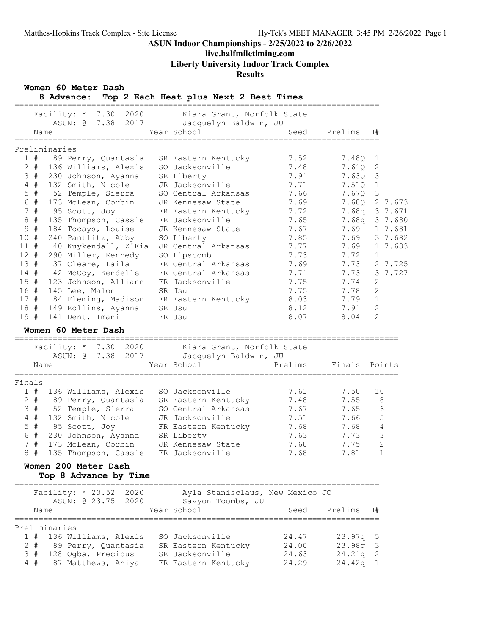live.halfmiletiming.com

Liberty University Indoor Track Complex

# **Results**

|        | 8 Advance: Top 2 Each Heat plus Next 2 Best Times<br>Facility: * 7.30 2020 Kiara Grant, Norfolk State |                                        |                                             |                |                              |              |
|--------|-------------------------------------------------------------------------------------------------------|----------------------------------------|---------------------------------------------|----------------|------------------------------|--------------|
|        | ASUN: @ 7.38 2017 Jacquelyn Baldwin, JU<br>Name                                                       | Year School                            | Seed                                        | Prelims        | H#                           |              |
|        |                                                                                                       |                                        |                                             |                |                              |              |
|        | Preliminaries                                                                                         |                                        | 7.52                                        | 7.48Q          |                              |              |
|        | 1 # 89 Perry, Quantasia                                                                               | SR Eastern Kentucky<br>SO Jacksonville |                                             |                | $\mathbf{1}$                 |              |
|        | $2 +$<br>136 Williams, Alexis<br>3 # 230 Johnson, Ayanna                                              |                                        | 7.48<br>7.91                                | 7.61Q<br>7.63Q | 2<br>$\overline{\mathbf{3}}$ |              |
|        | $4$ #<br>132 Smith, Nicole                                                                            | SR Liberty<br>JR Jacksonville          | 7.71                                        | 7.51Q          | $\overline{1}$               |              |
|        | $5$ #<br>52 Temple, Sierra                                                                            | SO Central Arkansas                    | 7.66                                        | $7.67Q$ 3      |                              |              |
|        | 6 #<br>173 McLean, Corbin                                                                             | JR Kennesaw State                      | 7.69                                        | 7.68Q 2 7.673  |                              |              |
|        | 7#<br>95 Scott, Joy                                                                                   | FR Eastern Kentucky                    | 7.72                                        | 7.68q 3 7.671  |                              |              |
|        | 8#<br>135 Thompson, Cassie                                                                            | FR Jacksonville                        | 7.65                                        | 7.68q 3 7.680  |                              |              |
|        | 9 #<br>184 Tocays, Louise                                                                             | JR Kennesaw State                      | 7.67                                        | 7.69           |                              | 1 7.681      |
| 10#    | 240 Pantlitz, Abby                                                                                    | SO Liberty                             | 7.85                                        | 7.69           |                              | 3 7.682      |
| 11#    | 40 Kuykendall, Z'Kia                                                                                  | JR Central Arkansas                    | 7.77                                        | 7.69           |                              | 1 7.683      |
|        | $12 +$<br>290 Miller, Kennedy                                                                         | SO Lipscomb                            | 7.73                                        | 7.72           | $\mathbf{1}$                 |              |
|        | 13#<br>37 Cleare, Laila                                                                               | FR Central Arkansas                    | 7.69                                        | 7.73 2 7.725   |                              |              |
|        | 14 # 42 McCoy, Kendelle                                                                               | FR Central Arkansas                    | 7.71                                        | 7.73           |                              | 3 7.727      |
|        | 15 # 123 Johnson, Alliann FR Jacksonville                                                             |                                        | 7.75                                        | 7.74           | 2                            |              |
|        | 16 # 145 Lee, Malon                                                                                   | SR Jsu                                 | 7.75                                        | 7.78           | 2                            |              |
|        | 17 # 84 Fleming, Madison FR Eastern Kentucky                                                          |                                        | 8.03                                        | 7.79           | $\mathbf{1}$                 |              |
|        | 18 # 149 Rollins, Ayanna                                                                              | SR Jsu                                 | 8.12                                        | 7.91           | 2                            |              |
|        | 19 #<br>141 Dent, Imani                                                                               | FR Jsu                                 | 8.07                                        | 8.04           | 2                            |              |
|        | Women 60 Meter Dash                                                                                   |                                        |                                             |                |                              |              |
|        | Facility: * 7.30 2020                                                                                 | Kiara Grant, Norfolk State             |                                             |                |                              |              |
|        | ASUN: @ 7.38 2017                                                                                     | Jacquelyn Baldwin, JU<br>Year School   |                                             |                |                              |              |
|        | Name<br>===========                                                                                   |                                        | Prelims<br>;=============================== | Finals         |                              | Points       |
| Finals |                                                                                                       |                                        |                                             |                |                              |              |
|        | 1 # 136 Williams, Alexis                                                                              | SO Jacksonville                        | 7.61                                        | 7.50           | 10                           |              |
|        | 2 # 89 Perry, Quantasia SR Eastern Kentucky                                                           |                                        | 7.48                                        | 7.55           | 8                            |              |
|        | 3 # 52 Temple, Sierra                                                                                 | SO Central Arkansas                    | 7.67                                        | 7.65           | 6                            |              |
|        | 4 # 132 Smith, Nicole                                                                                 | JR Jacksonville                        | 7.51                                        | 7.66           | 5                            |              |
|        | 5 # 95 Scott, Joy                                                                                     | FR Eastern Kentucky                    | 7.68                                        | 7.68           | $\overline{4}$               |              |
|        | 6 #<br>230 Johnson, Ayanna                                                                            | SR Liberty                             | 7.63                                        | 7.73           | $\mathfrak{Z}$               |              |
|        | 7 # 173 McLean, Corbin JR Kennesaw State                                                              |                                        | 7.68                                        | 7.75           |                              | $\mathbf{2}$ |
|        | 135 Thompson, Cassie<br>8#                                                                            | FR Jacksonville                        | 7.68                                        | 7.81           | 1                            |              |
|        | Women 200 Meter Dash<br>Top 8 Advance by Time                                                         |                                        |                                             |                |                              |              |
|        |                                                                                                       |                                        |                                             |                |                              |              |
|        | Facility: * 23.52 2020                                                                                | Ayla Stanisclaus, New Mexico JC        |                                             |                |                              |              |
|        | ASUN: @ 23.75<br>2020                                                                                 | Savyon Toombs, JU                      |                                             |                |                              |              |
|        | Name                                                                                                  | Year School                            | Seed                                        | Prelims        | H#                           |              |
|        | Preliminaries                                                                                         |                                        |                                             |                |                              |              |
|        | 1#<br>136 Williams, Alexis                                                                            | SO Jacksonville                        | 24.47                                       | 23.97q         | ს                            |              |
|        | $2 +$<br>89 Perry, Quantasia                                                                          | SR Eastern Kentucky                    | 24.00                                       | 23.98q         | 3                            |              |
|        | 3#<br>128 Ogba, Precious                                                                              | SR Jacksonville                        | 24.63                                       | 24.21q         | 2                            |              |
|        | $4$ #<br>87 Matthews, Aniya                                                                           | FR Eastern Kentucky                    | 24.29                                       | 24.42q 1       |                              |              |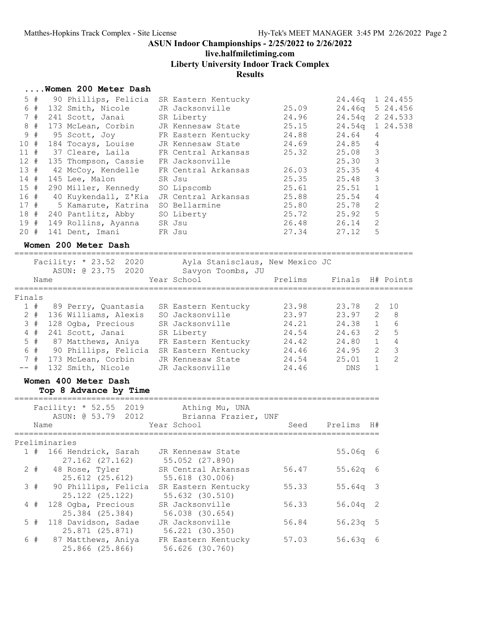# live.halfmiletiming.com

Liberty University Indoor Track Complex

# Results

#### ....Women 200 Meter Dash

| $5$ #  | 90 Phillips, Felicia                   | SR Eastern Kentucky                       |       |         | 24.46q 1 24.455 |
|--------|----------------------------------------|-------------------------------------------|-------|---------|-----------------|
| 6#     |                                        | 132 Smith, Nicole      JR Jacksonville    | 25.09 |         | 24.46q 5 24.456 |
| 7#     | 241 Scott, Janai SR Liberty            |                                           | 24.96 | 24.54a  | 2 24.533        |
| 8#     |                                        | 173 McLean, Corbin JR Kennesaw State      | 25.15 |         | 24.54g 1 24.538 |
| 9#     |                                        | 95 Scott, Joy        FR Eastern Kentucky  | 24.88 | 24.64   | 4               |
| 10 #   |                                        | 184 Tocays, Louise GJR Kennesaw State     | 24.69 | 24.85   | 4               |
|        |                                        | 11 # 37 Cleare, Laila FR Central Arkansas | 25.32 | 25.08   | 3               |
|        | 12 # 135 Thompson, Cassie              | FR Jacksonville                           |       | 25.30   | 3               |
|        | 13 # 42 McCoy, Kendelle                | FR Central Arkansas                       | 26.03 | 25.35   | 4               |
| 14#    | 145 Lee, Malon                         | SR Jsu                                    | 25.35 | 25.48   | 3               |
| 15#    | 290 Miller, Kennedy                    | SO Lipscomb                               | 25.61 | 25.51 1 |                 |
|        | 16 # 40 Kuykendall, Z'Kia              | JR Central Arkansas 25.88                 |       | 25.54   | 4               |
|        | 17 # 5 Kamarute, Katrina SO Bellarmine |                                           | 25.80 | 25.78   | 2               |
| 18 #   | 240 Pantlitz, Abby                     | SO Liberty                                | 25.72 | 25.92   | 5               |
| 19 #   | 149 Rollins, Ayanna SR Jsu             |                                           | 26.48 | 26.14   | $\overline{2}$  |
| $20 +$ | 141 Dent, Imani Karata Su              |                                           | 27.34 | 27.12   | 5               |
|        |                                        |                                           |       |         |                 |

#### Women 200 Meter Dash

=================================================================================== Facility: \* 23.52 2020 Ayla Stanisclaus, New Mexico JC

|        | racility. ZJ.JZ ZUZU<br>ASUN: @ 23.75 2020 |  |                        |  | Ayla Stanisciaus, New Mexico Sc<br>Savyon Toombs, JU |                     |         |                  |                |                         |
|--------|--------------------------------------------|--|------------------------|--|------------------------------------------------------|---------------------|---------|------------------|----------------|-------------------------|
|        | Name                                       |  |                        |  |                                                      | Year School         | Prelims | Finals H# Points |                |                         |
| Finals |                                            |  |                        |  |                                                      |                     |         |                  |                |                         |
|        | 1#                                         |  |                        |  | 89 Perry, Quantasia                                  | SR Eastern Kentucky | 23.98   | 23.78            |                | 2 10                    |
|        | $2 +$                                      |  |                        |  | 136 Williams, Alexis                                 | SO Jacksonville     | 23.97   | 23.97            | $\overline{2}$ | - 8                     |
|        | 3#                                         |  | 128 Ogba, Precious     |  |                                                      | SR Jacksonville     | 24.21   | 24.38            | $\mathbf{1}$   | -6                      |
|        | 4#                                         |  | 241 Scott, Janai       |  |                                                      | SR Liberty          | 24.54   | 24.63            | $\overline{2}$ | $-5$                    |
|        |                                            |  | 5 # 87 Matthews, Aniya |  |                                                      | FR Eastern Kentucky | 24.42   | 24.80            | $\mathbf{1}$   | $\overline{4}$          |
|        | 6 #                                        |  |                        |  | 90 Phillips, Felicia                                 | SR Eastern Kentucky | 24.46   | 24.95            | 2              | $\overline{\mathbf{3}}$ |
|        | 7#                                         |  | 173 McLean, Corbin     |  |                                                      | JR Kennesaw State   | 24.54   | 25.01            |                | -2                      |
| $--$ # |                                            |  | 132 Smith, Nicole      |  |                                                      | JR Jacksonville     | 24.46   | <b>DNS</b>       |                |                         |
|        |                                            |  |                        |  |                                                      |                     |         |                  |                |                         |

#### Women 400 Meter Dash

#### Top 8 Advance by Time

| Facility: * 52.55 2019<br>ASUN: @ 53.79 2012<br>Name | Athing Mu, UNA<br>Brianna Frazier, UNF<br>Year School | Seed  | Prelims<br>H# |  |  |  |  |  |  |  |
|------------------------------------------------------|-------------------------------------------------------|-------|---------------|--|--|--|--|--|--|--|
| Preliminaries                                        |                                                       |       |               |  |  |  |  |  |  |  |
| 1 # 166 Hendrick, Sarah<br>27.162 (27.162)           | JR Kennesaw State<br>55.052 (27.890)                  |       | $55.06q$ 6    |  |  |  |  |  |  |  |
| 2 # 48 Rose, Tyler<br>25.612 (25.612)                | SR Central Arkansas<br>55.618 (30.006)                | 56.47 | $55.62q$ 6    |  |  |  |  |  |  |  |
| 3 # 90 Phillips, Felicia<br>25.122 (25.122)          | SR Eastern Kentucky<br>55.632 (30.510)                | 55.33 | $55.64q$ 3    |  |  |  |  |  |  |  |
| 128 Ogba, Precious<br>4#<br>25.384 (25.384)          | SR Jacksonville<br>56.038 (30.654)                    | 56.33 | $56.04q$ 2    |  |  |  |  |  |  |  |
| 5#<br>118 Davidson, Sadae<br>25.871 (25.871)         | JR Jacksonville<br>56.221 (30.350)                    | 56.84 | $56.23q$ 5    |  |  |  |  |  |  |  |
| 87 Matthews, Aniya<br>6#<br>25.866 (25.866)          | FR Eastern Kentucky<br>56.626 (30.760)                | 57.03 | 56.63a<br>- 6 |  |  |  |  |  |  |  |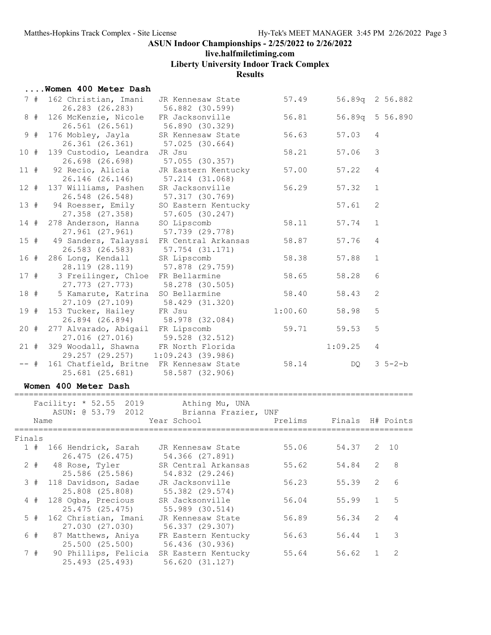# live.halfmiletiming.com

Liberty University Indoor Track Complex

Results

|  |  |  |  |  | Women 400 Meter Dash |  |
|--|--|--|--|--|----------------------|--|
|--|--|--|--|--|----------------------|--|

| 26.283 (26.283)                                                                                                                                                                |                                                                                                                                                                                                                  |                                                                                                                                                                                                                                                                                                                                                                                                                                                                                                                                                                                                                                                                                                                                                                                                                                                                                                                                                                                                                                                                                                                                                     |                                                           |                |                                                                        |
|--------------------------------------------------------------------------------------------------------------------------------------------------------------------------------|------------------------------------------------------------------------------------------------------------------------------------------------------------------------------------------------------------------|-----------------------------------------------------------------------------------------------------------------------------------------------------------------------------------------------------------------------------------------------------------------------------------------------------------------------------------------------------------------------------------------------------------------------------------------------------------------------------------------------------------------------------------------------------------------------------------------------------------------------------------------------------------------------------------------------------------------------------------------------------------------------------------------------------------------------------------------------------------------------------------------------------------------------------------------------------------------------------------------------------------------------------------------------------------------------------------------------------------------------------------------------------|-----------------------------------------------------------|----------------|------------------------------------------------------------------------|
| 26.561 (26.561)                                                                                                                                                                |                                                                                                                                                                                                                  |                                                                                                                                                                                                                                                                                                                                                                                                                                                                                                                                                                                                                                                                                                                                                                                                                                                                                                                                                                                                                                                                                                                                                     |                                                           |                |                                                                        |
|                                                                                                                                                                                |                                                                                                                                                                                                                  | 56.63                                                                                                                                                                                                                                                                                                                                                                                                                                                                                                                                                                                                                                                                                                                                                                                                                                                                                                                                                                                                                                                                                                                                               | 57.03                                                     | 4              |                                                                        |
|                                                                                                                                                                                |                                                                                                                                                                                                                  | 58.21                                                                                                                                                                                                                                                                                                                                                                                                                                                                                                                                                                                                                                                                                                                                                                                                                                                                                                                                                                                                                                                                                                                                               | 57.06                                                     | 3              |                                                                        |
|                                                                                                                                                                                |                                                                                                                                                                                                                  | 57.00                                                                                                                                                                                                                                                                                                                                                                                                                                                                                                                                                                                                                                                                                                                                                                                                                                                                                                                                                                                                                                                                                                                                               | 57.22                                                     | 4              |                                                                        |
|                                                                                                                                                                                |                                                                                                                                                                                                                  | 56.29                                                                                                                                                                                                                                                                                                                                                                                                                                                                                                                                                                                                                                                                                                                                                                                                                                                                                                                                                                                                                                                                                                                                               | 57.32                                                     | 1              |                                                                        |
|                                                                                                                                                                                |                                                                                                                                                                                                                  |                                                                                                                                                                                                                                                                                                                                                                                                                                                                                                                                                                                                                                                                                                                                                                                                                                                                                                                                                                                                                                                                                                                                                     | 57.61                                                     | $\mathbf{2}$   |                                                                        |
| 278 Anderson, Hanna                                                                                                                                                            |                                                                                                                                                                                                                  | 58.11                                                                                                                                                                                                                                                                                                                                                                                                                                                                                                                                                                                                                                                                                                                                                                                                                                                                                                                                                                                                                                                                                                                                               | 57.74                                                     | 1              |                                                                        |
|                                                                                                                                                                                |                                                                                                                                                                                                                  | 58.87                                                                                                                                                                                                                                                                                                                                                                                                                                                                                                                                                                                                                                                                                                                                                                                                                                                                                                                                                                                                                                                                                                                                               | 57.76                                                     | 4              |                                                                        |
|                                                                                                                                                                                |                                                                                                                                                                                                                  | 58.38                                                                                                                                                                                                                                                                                                                                                                                                                                                                                                                                                                                                                                                                                                                                                                                                                                                                                                                                                                                                                                                                                                                                               | 57.88                                                     | $\mathbf 1$    |                                                                        |
|                                                                                                                                                                                |                                                                                                                                                                                                                  | 58.65                                                                                                                                                                                                                                                                                                                                                                                                                                                                                                                                                                                                                                                                                                                                                                                                                                                                                                                                                                                                                                                                                                                                               | 58.28                                                     | 6              |                                                                        |
|                                                                                                                                                                                |                                                                                                                                                                                                                  | 58.40                                                                                                                                                                                                                                                                                                                                                                                                                                                                                                                                                                                                                                                                                                                                                                                                                                                                                                                                                                                                                                                                                                                                               | 58.43                                                     | $\mathbf{2}$   |                                                                        |
|                                                                                                                                                                                |                                                                                                                                                                                                                  | 1:00.60                                                                                                                                                                                                                                                                                                                                                                                                                                                                                                                                                                                                                                                                                                                                                                                                                                                                                                                                                                                                                                                                                                                                             | 58.98                                                     | 5              |                                                                        |
|                                                                                                                                                                                |                                                                                                                                                                                                                  | 59.71                                                                                                                                                                                                                                                                                                                                                                                                                                                                                                                                                                                                                                                                                                                                                                                                                                                                                                                                                                                                                                                                                                                                               | 59.53                                                     | 5              |                                                                        |
|                                                                                                                                                                                |                                                                                                                                                                                                                  |                                                                                                                                                                                                                                                                                                                                                                                                                                                                                                                                                                                                                                                                                                                                                                                                                                                                                                                                                                                                                                                                                                                                                     | 1:09.25                                                   | $\overline{4}$ |                                                                        |
|                                                                                                                                                                                |                                                                                                                                                                                                                  |                                                                                                                                                                                                                                                                                                                                                                                                                                                                                                                                                                                                                                                                                                                                                                                                                                                                                                                                                                                                                                                                                                                                                     |                                                           |                | $3 5 - 2 - b$                                                          |
|                                                                                                                                                                                |                                                                                                                                                                                                                  |                                                                                                                                                                                                                                                                                                                                                                                                                                                                                                                                                                                                                                                                                                                                                                                                                                                                                                                                                                                                                                                                                                                                                     |                                                           |                |                                                                        |
|                                                                                                                                                                                |                                                                                                                                                                                                                  |                                                                                                                                                                                                                                                                                                                                                                                                                                                                                                                                                                                                                                                                                                                                                                                                                                                                                                                                                                                                                                                                                                                                                     |                                                           |                |                                                                        |
|                                                                                                                                                                                |                                                                                                                                                                                                                  | Prelims                                                                                                                                                                                                                                                                                                                                                                                                                                                                                                                                                                                                                                                                                                                                                                                                                                                                                                                                                                                                                                                                                                                                             |                                                           |                |                                                                        |
|                                                                                                                                                                                |                                                                                                                                                                                                                  |                                                                                                                                                                                                                                                                                                                                                                                                                                                                                                                                                                                                                                                                                                                                                                                                                                                                                                                                                                                                                                                                                                                                                     |                                                           |                |                                                                        |
|                                                                                                                                                                                |                                                                                                                                                                                                                  |                                                                                                                                                                                                                                                                                                                                                                                                                                                                                                                                                                                                                                                                                                                                                                                                                                                                                                                                                                                                                                                                                                                                                     |                                                           |                |                                                                        |
|                                                                                                                                                                                | 54.366 (27.891)                                                                                                                                                                                                  | 55.06                                                                                                                                                                                                                                                                                                                                                                                                                                                                                                                                                                                                                                                                                                                                                                                                                                                                                                                                                                                                                                                                                                                                               |                                                           |                | 2 10                                                                   |
| 48 Rose, Tyler<br>25.586 (25.586)                                                                                                                                              | SR Central Arkansas<br>54.832 (29.246)                                                                                                                                                                           | 55.62                                                                                                                                                                                                                                                                                                                                                                                                                                                                                                                                                                                                                                                                                                                                                                                                                                                                                                                                                                                                                                                                                                                                               | 54.84                                                     | 2              | 8                                                                      |
| 25.808 (25.808)                                                                                                                                                                | JR Jacksonville<br>55.382 (29.574)                                                                                                                                                                               | 56.23                                                                                                                                                                                                                                                                                                                                                                                                                                                                                                                                                                                                                                                                                                                                                                                                                                                                                                                                                                                                                                                                                                                                               | 55.39                                                     | 2              | 6                                                                      |
| 128 Ogba, Precious<br>25.475 (25.475)                                                                                                                                          | SR Jacksonville<br>55.989 (30.514)                                                                                                                                                                               | 56.04                                                                                                                                                                                                                                                                                                                                                                                                                                                                                                                                                                                                                                                                                                                                                                                                                                                                                                                                                                                                                                                                                                                                               | 55.99                                                     | 1              | $\mathsf S$                                                            |
| 162 Christian, Imani<br>27.030 (27.030)                                                                                                                                        | JR Kennesaw State<br>56.337 (29.307)                                                                                                                                                                             | 56.89                                                                                                                                                                                                                                                                                                                                                                                                                                                                                                                                                                                                                                                                                                                                                                                                                                                                                                                                                                                                                                                                                                                                               | 56.34                                                     | 2              | $\overline{4}$                                                         |
| 87 Matthews, Aniya<br>25.500 (25.500)                                                                                                                                          | FR Eastern Kentucky<br>56.436 (30.936)                                                                                                                                                                           | 56.63                                                                                                                                                                                                                                                                                                                                                                                                                                                                                                                                                                                                                                                                                                                                                                                                                                                                                                                                                                                                                                                                                                                                               | 56.44                                                     | 1              | 3                                                                      |
|                                                                                                                                                                                |                                                                                                                                                                                                                  |                                                                                                                                                                                                                                                                                                                                                                                                                                                                                                                                                                                                                                                                                                                                                                                                                                                                                                                                                                                                                                                                                                                                                     |                                                           |                |                                                                        |
| 7#<br>8#<br>9#<br>10 #<br>11#<br>$12 +$<br>13#<br>$14$ #<br>$15$ #<br>16 #<br>17#<br>18 #<br>19 #<br>$20 +$<br>21#<br>$--$ #<br>Finals<br>$2$ #<br>3#<br>$4$ #<br>$5$ #<br>6 # | 162 Christian, Imani<br>26.361 (26.361)<br>26.698 (26.698)<br>26.146 (26.146)<br>26.548 (26.548)<br>27.961 (27.961)<br>27.773 (27.773)<br>27.109 (27.109)<br>Women 400 Meter Dash<br>Name<br>118 Davidson, Sadae | JR Kennesaw State<br>56.882 (30.599)<br>126 McKenzie, Nicole FR Jacksonville<br>56.890 (30.329)<br>176 Mobley, Jayla SR Kennesaw State<br>57.025 (30.664)<br>139 Custodio, Leandra JR Jsu<br>57.055 (30.357)<br>92 Recio, Alicia JR Eastern Kentucky<br>57.214 (31.068)<br>137 Williams, Pashen SR Jacksonville<br>57.317 (30.769)<br>94 Roesser, Emily SO Eastern Kentucky<br>27.358 (27.358) 57.605 (30.247)<br>SO Lipscomb<br>57.739 (29.778)<br>49 Sanders, Talayssi FR Central Arkansas<br>26.583 (26.583) 57.754 (31.171)<br>286 Long, Kendall SR Lipscomb<br>28.119 (28.119) 57.878 (29.759)<br>3 Freilinger, Chloe FR Bellarmine<br>58.278 (30.505)<br>5 Kamarute, Katrina SO Bellarmine<br>58.429 (31.320)<br>153 Tucker, Hailey FR Jsu<br>26.894 (26.894) 58.978 (32.084)<br>277 Alvarado, Abigail FR Lipscomb<br>27.016 (27.016) 59.528 (32.512)<br>329 Woodall, Shawna FR North Florida<br>29.257 (29.257)<br>$1:09.243$ (39.986)<br>161 Chatfield, Britne FR Kennesaw State<br>25.681 (25.681) 58.587 (32.906)<br>Facility: * 52.55 2019 Athing Mu, UNA<br>Year School<br>1 # 166 Hendrick, Sarah JR Kennesaw State<br>26.475 (26.475) | 57.49<br>56.81<br>ASUN: @ 53.79 2012 Brianna Frazier, UNF | 58.14          | 56.89q 2 56.882<br>56.89q 5 56.890<br>DQ.<br>Finals H# Points<br>54.37 |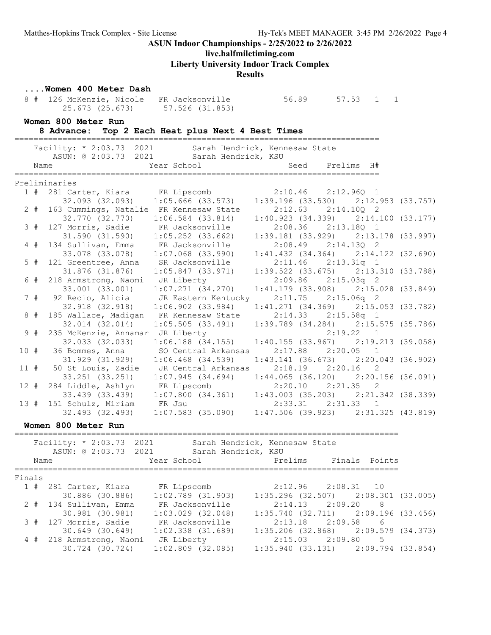# live.halfmiletiming.com

Liberty University Indoor Track Complex

#### Results

|        |       | Women 400 Meter Dash                                                        |                                                                       |                                |                                                                   |  |
|--------|-------|-----------------------------------------------------------------------------|-----------------------------------------------------------------------|--------------------------------|-------------------------------------------------------------------|--|
|        |       | 8 # 126 McKenzie, Nicole FR Jacksonville<br>25.673 (25.673) 57.526 (31.853) |                                                                       |                                | 56.89 57.53 1 1                                                   |  |
|        |       | Women 800 Meter Run                                                         |                                                                       |                                |                                                                   |  |
|        |       | 8 Advance:                                                                  | Top 2 Each Heat plus Next 4 Best Times                                |                                |                                                                   |  |
|        |       | Facility: * 2:03.73 2021                                                    |                                                                       | Sarah Hendrick, Kennesaw State |                                                                   |  |
|        |       |                                                                             | ASUN: @ 2:03.73 2021 Sarah Hendrick, KSU                              |                                |                                                                   |  |
|        | Name  |                                                                             | Year School                                                           | Seed                           | Prelims H#                                                        |  |
|        |       | Preliminaries                                                               |                                                                       |                                |                                                                   |  |
|        |       | 1 # 281 Carter, Kiara                                                       | FR Lipscomb 2:10.46 2:12.96Q 1                                        |                                |                                                                   |  |
|        |       | 32.093 (32.093)                                                             | $1:05.666$ (33.573)                                                   |                                | $1:39.196$ (33.530) $2:12.953$ (33.757)                           |  |
|        | $2$ # | 163 Cummings, Natalie FR Kennesaw State                                     |                                                                       |                                | $2:12.63$ $2:14.10Q$ 2                                            |  |
|        |       | 32.770 (32.770)                                                             | $1:06.584$ (33.814)                                                   |                                | $1:40.923$ (34.339) $2:14.100$ (33.177)                           |  |
|        | 3#    | 127 Morris, Sadie FR Jacksonville                                           |                                                                       |                                | $2:08.36$ $2:13.18Q$ 1                                            |  |
|        |       | 31.590 (31.590) 1:05.252 (33.662)                                           |                                                                       |                                | $1:39.181$ (33.929) $2:13.178$ (33.997)                           |  |
|        | 4#    | 134 Sullivan, Emma                                                          | FR Jacksonville<br>$1:07.068$ (33.990)                                |                                | $2:08.49$ $2:14.13Q$ 2                                            |  |
|        | $5$ # | 33.078 (33.078)<br>121 Greentree, Anna                                      | SR Jacksonville                                                       |                                | $1:41.432$ (34.364) $2:14.122$ (32.690)<br>$2:11.46$ $2:13.31q$ 1 |  |
|        |       | 31.876 (31.876)                                                             | $1:05.847$ (33.971)                                                   | $1:39.522$ (33.675)            | 2:13.310 (33.788)                                                 |  |
|        | 6 #   | 218 Armstrong, Naomi                                                        | JR Liberty                                                            |                                | $2:09.86$ $2:15.03q$ 2                                            |  |
|        |       | 33.001 (33.001)                                                             | $1:07.271$ $(34.270)$                                                 | 1:41.179(33.908)               | 2:15.028 (33.849)                                                 |  |
|        | 7#    | 92 Recio, Alicia                                                            | JR Eastern Kentucky                                                   |                                | 2:11.75 2:15.06q 2                                                |  |
|        |       | 32.918 (32.918)                                                             | $1:06.902$ $(33.984)$                                                 | 1:41.271(34.369)               | 2:15.053 (33.782)                                                 |  |
|        | 8#    | 185 Wallace, Madigan FR Kennesaw State                                      |                                                                       |                                | 2:14.33  2:15.58q  1                                              |  |
|        |       | 32.014 (32.014)                                                             | $1:05.505$ (33.491)                                                   |                                | 1:39.789 (34.284) 2:15.575 (35.786)                               |  |
|        | 9#    | 235 McKenzie, Annamar JR Liberty                                            |                                                                       |                                | 2:19.22<br>1                                                      |  |
|        |       | 32.033 (32.033)                                                             | $1:06.188$ (34.155)                                                   |                                | $1:40.155$ (33.967) $2:19.213$ (39.058)                           |  |
| 10#    |       | 36 Bommes, Anna                                                             | SO Central Arkansas                                                   |                                | $2:17.88$ $2:20.05$ 1                                             |  |
|        |       | 31.929 (31.929)                                                             | $1:06.468$ $(34.539)$                                                 |                                | $1:43.141$ (36.673) $2:20.043$ (36.902)                           |  |
| 11#    |       | 50 St Louis, Zadie                                                          | JR Central Arkansas                                                   |                                | $2:18.19$ $2:20.16$<br>2                                          |  |
|        |       | 33.251 (33.251)                                                             | $1:07.945$ (34.694)                                                   |                                | $1:44.065$ (36.120) $2:20.156$ (36.091)                           |  |
| 12#    |       | 284 Liddle, Ashlyn                                                          | FR Lipscomb                                                           |                                | $2:20.10$ $2:21.35$<br>2                                          |  |
|        |       | 33.439 (33.439)                                                             | 1:07.800(34.361)                                                      |                                | $1:43.003$ (35.203) $2:21.342$ (38.339)                           |  |
| 13#    |       | 151 Schulz, Miriam                                                          | FR Jsu                                                                |                                | $2:33.31$ $2:31.33$ 1                                             |  |
|        |       |                                                                             | 32.493 (32.493) 1:07.583 (35.090) 1:47.506 (39.923) 2:31.325 (43.819) |                                |                                                                   |  |
|        |       | Women 800 Meter Run<br>-------------------------------                      |                                                                       |                                |                                                                   |  |
|        |       | Facility: * 2:03.73 2021                                                    |                                                                       | Sarah Hendrick, Kennesaw State |                                                                   |  |
|        |       | ASUN: @ 2:03.73 2021                                                        | Sarah Hendrick, KSU<br>Year School                                    | Prelims                        | Finals Points                                                     |  |
|        | Name  |                                                                             |                                                                       |                                |                                                                   |  |
| Finals |       |                                                                             |                                                                       |                                |                                                                   |  |
|        | 1#    | 281 Carter, Kiara                                                           | FR Lipscomb                                                           |                                | $2:12.96$ $2:08.31$<br>10                                         |  |
|        |       | 30.886 (30.886)                                                             | $1:02.789$ $(31.903)$                                                 | $1:35.296$ (32.507)            | 2:08.301 (33.005)                                                 |  |
|        | $2 +$ | 134 Sullivan, Emma                                                          | FR Jacksonville                                                       | 2:14.13                        | 2:09.20<br>8 <sup>8</sup>                                         |  |
|        |       | 30.981 (30.981)                                                             | $1:03.029$ (32.048)                                                   |                                | $1:35.740$ (32.711) $2:09.196$ (33.456)                           |  |
|        | 3#    | 127 Morris, Sadie                                                           | FR Jacksonville                                                       | 2:13.18                        | 2:09.58<br>6                                                      |  |

 30.649 (30.649) 1:02.338 (31.689) 1:35.206 (32.868) 2:09.579 (34.373) 4 # 218 Armstrong, Naomi JR Liberty 2:15.03 2:09.80 5

30.724 (30.724) 1:02.809 (32.085) 1:35.940 (33.131) 2:09.794 (33.854)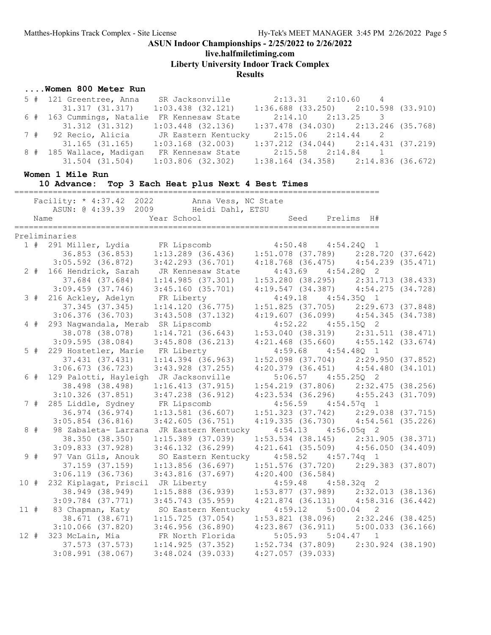live.halfmiletiming.com

Liberty University Indoor Track Complex

# Results

# ....Women 800 Meter Run

|     | $5$ # | 121 Greentree, Anna                                               | SR Jacksonville       | $2:13.31$ $2:10.60$<br>$\overline{4}$                                                                             |  |
|-----|-------|-------------------------------------------------------------------|-----------------------|-------------------------------------------------------------------------------------------------------------------|--|
|     |       | 31.317 (31.317)                                                   | $1:03.438$ $(32.121)$ | $1:36.688$ (33.250) $2:10.598$ (33.910)                                                                           |  |
|     | 6 #   | 163 Cummings, Natalie FR Kennesaw State                           |                       | $2:14.10$ $2:13.25$<br>3                                                                                          |  |
|     |       | 31.312 (31.312)                                                   | $1:03.448$ (32.136)   | $1:37.478$ (34.030) $2:13.246$ (35.768)                                                                           |  |
|     | 7#    | 92 Recio, Alicia                                                  | JR Eastern Kentucky   | $2:15.06$ $2:14.44$ 2                                                                                             |  |
|     |       | $31.165$ $(31.165)$                                               | $1:03.168$ (32.003)   | $1:37.212$ $(34.044)$ $2:14.431$ $(37.219)$                                                                       |  |
|     | $8 +$ | 185 Wallace, Madigan FR Kennesaw State                            |                       | $2:15.58$ $2:14.84$ 1                                                                                             |  |
|     |       | $31.504$ $(31.504)$                                               |                       | $1:03.806$ (32.302) $1:38.164$ (34.358) $2:14.836$ (36.672)                                                       |  |
|     |       |                                                                   |                       |                                                                                                                   |  |
|     |       | Women 1 Mile Run                                                  |                       |                                                                                                                   |  |
|     |       | 10 Advance: Top 3 Each Heat plus Next 4 Best Times                |                       |                                                                                                                   |  |
|     |       |                                                                   |                       |                                                                                                                   |  |
|     |       | Facility: * 4:37.42 2022 Anna Vess, NC State                      |                       |                                                                                                                   |  |
|     |       | ASUN: @ 4:39.39 2009 Heidi Dahl, ETSU                             |                       |                                                                                                                   |  |
|     |       | Name                                                              | Year School           | Seed<br>Prelims H#                                                                                                |  |
|     |       |                                                                   |                       |                                                                                                                   |  |
|     |       | Preliminaries                                                     |                       |                                                                                                                   |  |
|     |       |                                                                   |                       | 1 # 291 Miller, Lydia FR Lipscomb 4:50.48 4:54.240 1<br>36.853 (36.853) 1:13.289 (36.436) 1:51.078 (37.789) 2:28. |  |
|     |       |                                                                   |                       | $1:51.078$ (37.789) $2:28.720$ (37.642)                                                                           |  |
|     |       | $3:05.592$ (36.872)                                               | $3:42.293$ (36.701)   | $4:18.768$ (36.475) $4:54.239$ (35.471)                                                                           |  |
|     |       | 2 # 166 Hendrick, Sarah                                           | JR Kennesaw State     | 4:43.69  4:54.28Q  2                                                                                              |  |
|     |       | 37.684 (37.684)                                                   | 1:14.985(37.301)      | $1:53.280$ (38.295) $2:31.713$ (38.433)                                                                           |  |
|     |       | $3:09.459$ $(37.746)$                                             | 3:45.160(35.701)      | $4:19.547$ (34.387) $4:54.275$ (34.728)                                                                           |  |
|     |       | 3 # 216 Ackley, Adelyn                                            | FR Liberty            | $4:49.18$ $4:54.35Q$ 1                                                                                            |  |
|     |       | 37.345 (37.345)                                                   | 1:14.120(36.775)      | $1:51.825$ (37.705) $2:29.673$ (37.848)                                                                           |  |
|     |       | $3:06.376$ (36.703)                                               | $3:43.508$ (37.132)   | $4:19.607$ (36.099) $4:54.345$ (34.738)                                                                           |  |
|     | 4#    | 293 Naqwandala, Merab SR Lipscomb                                 |                       | $4:52.22$ $4:55.150$ 2                                                                                            |  |
|     |       | 38.078 (38.078)                                                   | 1:14.721(36.643)      | $1:53.040$ (38.319) $2:31.511$ (38.471)                                                                           |  |
|     |       | $3:09.595$ $(38.084)$                                             | $3:45.808$ $(36.213)$ | $4:21.468$ (35.660) $4:55.142$ (33.674)                                                                           |  |
|     | $5$ # | 229 Hostetler, Marie                                              | FR Liberty            | $4:59.68$ $4:54.48Q$ 1                                                                                            |  |
|     |       | 37.431 (37.431)                                                   | $1:14.394$ (36.963)   | $1:52.098$ (37.704) $2:29.950$ (37.852)                                                                           |  |
|     |       | $3:06.673$ (36.723)                                               | $3:43.928$ (37.255)   | $4:20.379$ (36.451) $4:54.480$ (34.101)                                                                           |  |
|     | 6#    | 129 Palotti, Hayleigh JR Jacksonville                             |                       | 5:06.57  4:55.25Q  2                                                                                              |  |
|     |       | 38.498 (38.498)                                                   | 1:16.413(37.915)      |                                                                                                                   |  |
|     |       | $3:10.326$ (37.851)                                               | $3:47.238$ $(36.912)$ | $1:54.219$ (37.806) $2:32.475$ (38.256)<br>4:23.534 (36.296) 4:55.243 (31.709)                                    |  |
|     |       | 7 # 285 Liddle, Sydney                                            |                       | $4:56.59$ $4:54.57q$ 1                                                                                            |  |
|     |       | i Liddle, Sydney FR Lipscomb<br>36.974 (36.974) 1:13.581 (36.607) |                       | $1:51.323$ (37.742) $2:29.038$ (37.715)                                                                           |  |
|     |       | $3:05.854$ (36.816)                                               |                       | $4:19.335$ (36.730) $4:54.561$ (35.226)                                                                           |  |
|     |       |                                                                   | $3:42.605$ (36.751)   |                                                                                                                   |  |
|     | $8 +$ | 98 Zabaleta- Larrana JR Eastern Kentucky                          |                       | $4:54.13$ $4:56.05q$ 2                                                                                            |  |
|     |       | 38.350 (38.350)                                                   | $1:15.389$ (37.039)   | 1:53.534 (38.145) 2:31.905 (38.371)                                                                               |  |
|     |       | 3:09.833(37.928)                                                  | $3:46.132$ $(36.299)$ | $4:21.641$ (35.509) $4:56.050$ (34.409)                                                                           |  |
|     | 9 #   |                                                                   |                       | 97 Van Gils, Anouk SO Eastern Kentucky 1:58.52 4:57.74q 1                                                         |  |
|     |       | 37.159 (37.159)                                                   | $1:13.856$ (36.697)   | 2:29.383 (37.807)<br>1:51.576 (37.720)                                                                            |  |
|     |       | $3:06.119$ $(36.736)$                                             | $3:43.816$ (37.697)   | 4:20.400(36.584)                                                                                                  |  |
| 10# |       | 232 Kiplagat, Priscil JR Liberty                                  |                       | $4:59.48$ $4:58.32q$ 2                                                                                            |  |
|     |       | 38.949 (38.949)                                                   | $1:15.888$ (36.939)   | $1:53.877$ (37.989)<br>2:32.013(38.136)                                                                           |  |
|     |       | $3:09.784$ $(37.771)$                                             | $3:45.743$ (35.959)   | $4:21.874$ (36.131)<br>4:58.316 (36.442)                                                                          |  |
| 11# |       | 83 Chapman, Katy                                                  | SO Eastern Kentucky   | $4:59.12$ $5:00.04$<br>2                                                                                          |  |
|     |       | 38.671 (38.671)                                                   | $1:15.725$ (37.054)   | $1:53.821$ (38.096) $2:32.246$ (38.425)                                                                           |  |
|     |       | $3:10.066$ $(37.820)$                                             | $3:46.956$ (36.890)   | $4:23.867$ (36.911)<br>$5:00.033$ $(36.166)$                                                                      |  |
| 12# |       | 323 McLain, Mia                                                   | FR North Florida      | $5:05.93$ $5:04.47$ 1                                                                                             |  |
|     |       | 37.573 (37.573)                                                   | 1:14.925(37.352)      | $2:30.924$ (38.190)<br>$1:52.734$ (37.809)                                                                        |  |
|     |       | $3:08.991$ (38.067)                                               | $3:48.024$ (39.033)   | $4:27.057$ (39.033)                                                                                               |  |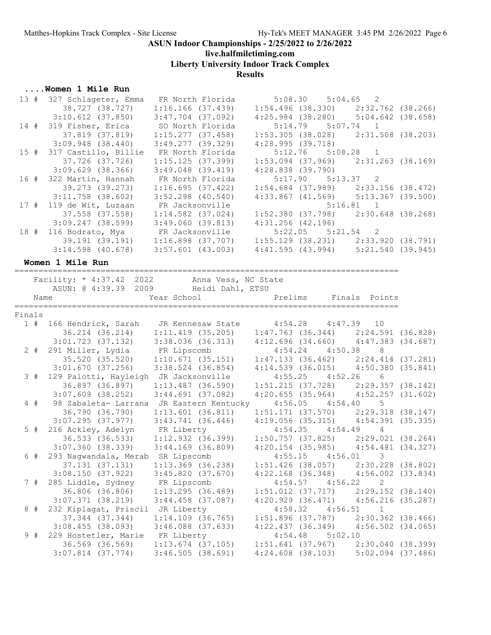live.halfmiletiming.com

Liberty University Indoor Track Complex

# Results

### ....Women 1 Mile Run

| 13 # 327 Schlageter, Emma | FR North Florida      | 5:08.30 5:04.65 2                       |  |
|---------------------------|-----------------------|-----------------------------------------|--|
| 38.727 (38.727)           | $1:16.166$ (37.439)   | $1:54.496$ (38.330) $2:32.762$ (38.266) |  |
| $3:10.612$ (37.850)       | $3:47.704$ (37.092)   | $4:25.984$ (38.280) $5:04.642$ (38.658) |  |
| 14 # 319 Fisher, Erica    | SO North Florida      | $5:14.79$ $5:07.74$ 1                   |  |
| 37.819 (37.819)           | 1:15.277(37.458)      | $1:53.305$ (38.028) $2:31.508$ (38.203) |  |
| $3:09.948$ $(38.440)$     | 3:49.277(39.329)      | 4:28.995(39.718)                        |  |
| 15 # 317 Castillo, Billie | FR North Florida      | $5:12.76$ $5:08.28$ 1                   |  |
| 37.726 (37.726)           | 1:15.125(37.399)      | $1:53.094$ (37.969) $2:31.263$ (38.169) |  |
| $3:09.629$ (38.366)       | $3:49.048$ (39.419)   | $4:28.838$ $(39.790)$                   |  |
| 16 # 322 Martin, Hannah   | FR North Florida      | $5:17.90$ $5:13.37$ 2                   |  |
| 39.273 (39.273)           | 1:16.695(37.422)      | $1:54.684$ (37.989) 2:33.156 (38.472)   |  |
| $3:11.758$ (38.602)       | $3:52.298$ (40.540)   | $4:33.867$ (41.569) $5:13.367$ (39.500) |  |
| 17 # 119 de Wit, Luzaan   | FR Jacksonville       | $5:16.81$ 1                             |  |
| 37.558 (37.558)           | $1:14.582$ $(37.024)$ | $1:52.380$ (37.798) $2:30.648$ (38.268) |  |
| $3:09.247$ (38.599)       | 3:49.060(39.813)      | $4:31.256$ $(42.196)$                   |  |
| 18 # 116 Bodrato, Mya     | FR Jacksonville       | $5:22.05$ $5:21.54$ 2                   |  |
| 39.191 (39.191)           | 1:16.898 (37.707)     | $1:55.129$ (38.231) 2:33.920 (38.791)   |  |
| $3:14.598$ (40.678)       | $3:57.601$ (43.003)   | $4:41.595$ (43.994) $5:21.540$ (39.945) |  |
|                           |                       |                                         |  |

Women 1 Mile Run

================================================================================

|        |      | Facility: * 4:37.42 2022 Anna Vess, NC State                                                                             |                                                 |                                             |                       |  |
|--------|------|--------------------------------------------------------------------------------------------------------------------------|-------------------------------------------------|---------------------------------------------|-----------------------|--|
|        |      | ASUN: @ 4:39.39 2009 Heidi Dahl, ETSU                                                                                    |                                                 |                                             |                       |  |
|        | Name |                                                                                                                          | Year School <b>Finals</b> Prelims Finals Points |                                             |                       |  |
|        |      | ================                                                                                                         |                                                 |                                             |                       |  |
| Finals |      | 1 # 166 Hendrick, Sarah JR Kennesaw State 4:54.28 4:47.39 10                                                             |                                                 |                                             |                       |  |
|        |      |                                                                                                                          | 36.214 (36.214) 1:11.419 (35.205)               | $1:47.763$ (36.344) $2:24.591$ (36.828)     |                       |  |
|        |      | 3:01.723 (37.132) 3:38.036 (36.313) 4:12.696 (34.660) 4:47.383 (34.687)                                                  |                                                 |                                             |                       |  |
|        |      | 2 # 291 Miller, Lydia FR Lipscomb                                                                                        |                                                 |                                             |                       |  |
|        |      | 291 Miller, Lydia FR Lipscomb 4:54.24 4:50.38 8<br>35.520 (35.520) 1:10.671 (35.151) 1:47.133 (36.462) 2:24.414 (37.281) |                                                 |                                             |                       |  |
|        |      | $3:01.670$ (37.256)                                                                                                      | $3:38.524$ (36.854)                             | $4:14.539$ (36.015) $4:50.380$ (35.841)     |                       |  |
|        |      | 3 # 129 Palotti, Hayleigh JR Jacksonville                                                                                |                                                 |                                             | $4:55.25$ $4:52.26$ 6 |  |
|        |      | 36.897 (36.897)                                                                                                          | 1:13.487 (36.590)                               | $1:51.215$ (37.728) $2:29.357$ (38.142)     |                       |  |
|        |      | $3:07.609$ (38.252)                                                                                                      | $3:44.691$ (37.082)                             | $4:20.655$ (35.964) $4:52.257$ (31.602)     |                       |  |
|        |      | 4 # 98 Zabaleta- Larrana JR Eastern Kentucky 4:56.05 4:54.40 5                                                           |                                                 |                                             |                       |  |
|        |      | 36.790 (36.790) 1:13.601 (36.811)                                                                                        |                                                 | $1:51.171$ (37.570) $2:29.318$ (38.147)     |                       |  |
|        |      | $3:07.295$ $(37.977)$                                                                                                    | $3:43.741$ $(36.446)$                           | 4:19.056 (35.315) 4:54.391 (35.335)         |                       |  |
|        |      | 5 # 216 Ackley, Adelyn                                                                                                   | FR Liberty                                      |                                             | $4:54.35$ $4:54.49$ 4 |  |
|        |      |                                                                                                                          | 36.533 (36.533) 1:12.932 (36.399)               | $1:50.757$ (37.825) $2:29.021$ (38.264)     |                       |  |
|        |      | $3:07.360$ (38.339)                                                                                                      | $3:44.169$ (36.809)                             | 4:20.154 (35.985) 4:54.481 (34.327)         |                       |  |
|        |      | 6 # 293 Nagwandala, Merab SR Lipscomb                                                                                    |                                                 | $4:55.15$ $4:56.01$ 3                       |                       |  |
|        |      | 37.131 (37.131)                                                                                                          | $1:13.369$ (36.238)                             | $1:51.426$ (38.057) $2:30.228$ (38.802)     |                       |  |
|        |      | 3:08.150(37.922)                                                                                                         | 3:45.820(37.670)                                | $4:22.168$ (36.348) $4:56.002$ (33.834)     |                       |  |
|        |      | 7 # 285 Liddle, Sydney                                                                                                   | FR Lipscomb                                     |                                             | $4:54.57$ $4:56.22$ 2 |  |
|        |      |                                                                                                                          | 36.806 (36.806) 1:13.295 (36.489)               | $1:51.012$ (37.717) $2:29.152$ (38.140)     |                       |  |
|        |      | $3:07.371$ (38.219)                                                                                                      | 3:44.458 (37.087)                               | $4:20.929$ $(36.471)$ $4:56.216$ $(35.287)$ |                       |  |
|        |      | 8 # 232 Kiplagat, Priscil JR Liberty                                                                                     |                                                 |                                             | $4:58.32$ $4:56.51$ 1 |  |
|        |      | 37.344 (37.344)                                                                                                          | $1:14.109$ (36.765)                             | $1:51.896$ (37.787) $2:30.362$ (38.466)     |                       |  |
|        |      | 3:08.455(38.093)                                                                                                         | $3:46.088$ $(37.633)$                           | $4:22.437$ (36.349) $4:56.502$ (34.065)     |                       |  |
|        |      | 9 # 229 Hostetler, Marie FR Liberty                                                                                      |                                                 | $4:54.48$ $5:02.10$                         |                       |  |
|        |      |                                                                                                                          | 36.569 (36.569) 1:13.674 (37.105)               | $1:51.641$ (37.967) $2:30.040$ (38.399)     |                       |  |
|        |      | $3:07.814$ (37.774) $3:46.505$ (38.691)                                                                                  |                                                 | 4:24.608 (38.103) 5:02.094 (37.486)         |                       |  |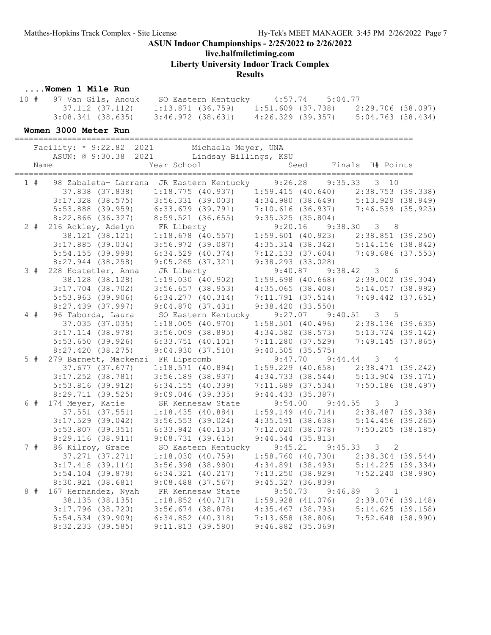live.halfmiletiming.com

Liberty University Indoor Track Complex

#### Results

#### ....Women 1 Mile Run

| 10 # 97 Van Gils, Anouk | SO Eastern Kentucky |                   | 4:57.74 5:04.77                         |  |
|-------------------------|---------------------|-------------------|-----------------------------------------|--|
| 37.112 (37.112)         | 1:13.871 (36.759)   |                   | $1:51.609$ (37.738) $2:29.706$ (38.097) |  |
| 3:08.341 (38.635)       | 3:46.972 (38.631)   | 4:26.329 (39.357) | 5:04.763 (38.434)                       |  |

#### Women 3000 Meter Run

=================================================================================== Facility: \* 9:22.82 2021 Michaela Meyer, UNA<br>ASUN: @ 9:30.38 2021 Lindsay Billings, KSU ASUN: @ 9:30.38 2021 Linds<br>e Year School Name The Year School Seed Finals H# Points =================================================================================== 1 # 98 Zabaleta- Larrana JR Eastern Kentucky 9:26.28 9:35.33 3 10 37.838 (37.838) 1:18.775 (40.937) 1:59.415 (40.640) 2:38.753 (39.338) 3:17.328 (38.575) 3:56.331 (39.003) 4:34.980 (38.649) 5:13.929 (38.949) 5:53.888 (39.959) 6:33.679 (39.791) 7:10.616 (36.937) 7:46.539 (35.923) 8:22.866 (36.327) 8:59.521 (36.655) 9:35.325 (35.804) 2 # 216 Ackley, Adelyn FR Liberty 9:20.16 9:38.30 3 8 38.121 (38.121) 1:18.678 (40.557) 1:59.601 (40.923) 2:38.851 (39.250) 3:17.885 (39.034) 3:56.972 (39.087) 4:35.314 (38.342) 5:14.156 (38.842) 5:54.155 (39.999) 6:34.529 (40.374) 7:12.133 (37.604) 7:49.686 (37.553) 8:27.944 (38.258) 9:05.265 (37.321) 9:38.293 (33.028) 3 # 228 Hostetler, Anna JR Liberty 9:40.87 9:38.42 3 6 38.128 (38.128) 1:19.030 (40.902) 1:59.698 (40.668) 2:39.002 (39.304) 3:17.704 (38.702) 3:56.657 (38.953) 4:35.065 (38.408) 5:14.057 (38.992) 5:53.963 (39.906) 6:34.277 (40.314) 7:11.791 (37.514) 7:49.442 (37.651) 8:27.439 (37.997) 9:04.870 (37.431) 9:38.420 (33.550) 4 # 96 Taborda, Laura SO Eastern Kentucky 9:27.07 9:40.51 3 5 37.035 (37.035) 1:18.005 (40.970) 1:58.501 (40.496) 2:38.136 (39.635) 3:17.114 (38.978) 3:56.009 (38.895) 4:34.582 (38.573) 5:13.724 (39.142) 5:53.650 (39.926) 6:33.751 (40.101) 7:11.280 (37.529) 7:49.145 (37.865) 8:27.420 (38.275) 9:04.930 (37.510) 9:40.505 (35.575) 5 # 279 Barnett, Mackenzi FR Lipscomb 9:47.70 9:44.44 3 4 37.677 (37.677) 1:18.571 (40.894) 1:59.229 (40.658) 2:38.471 (39.242) 3:17.252 (38.781) 3:56.189 (38.937) 4:34.733 (38.544) 5:13.904 (39.171) 5:53.816 (39.912) 6:34.155 (40.339) 7:11.689 (37.534) 7:50.186 (38.497) 8:29.711 (39.525) 9:09.046 (39.335) 9:44.433 (35.387) 6 # 174 Meyer, Katie SR Kennesaw State 9:54.00 9:44.55 3 3 37.551 (37.551) 1:18.435 (40.884) 1:59.149 (40.714) 2:38.487 (39.338) 3:17.529 (39.042) 3:56.553 (39.024) 4:35.191 (38.638) 5:14.456 (39.265) 5:53.807 (39.351) 6:33.942 (40.135) 7:12.020 (38.078) 7:50.205 (38.185) 8:29.116 (38.911) 9:08.731 (39.615) 9:44.544 (35.813) 7 # 86 Kilroy, Grace SO Eastern Kentucky 9:45.21 9:45.33 3 2 37.271 (37.271) 1:18.030 (40.759) 1:58.760 (40.730) 2:38.304 (39.544) 3:17.418 (39.114) 3:56.398 (38.980) 4:34.891 (38.493) 5:14.225 (39.334) 5:54.104 (39.879) 6:34.321 (40.217) 7:13.250 (38.929) 7:52.240 (38.990) 8:30.921 (38.681) 9:08.488 (37.567) 9:45.327 (36.839) 8 # 167 Hernandez, Nyah FR Kennesaw State 9:50.73 9:46.89 3 1 38.135 (38.135) 1:18.852 (40.717) 1:59.928 (41.076) 2:39.076 (39.148) 3:17.796 (38.720) 3:56.674 (38.878) 4:35.467 (38.793) 5:14.625 (39.158) 5:54.534 (39.909) 6:34.852 (40.318) 7:13.658 (38.806) 7:52.648 (38.990) 8:32.233 (39.585) 9:11.813 (39.580) 9:46.882 (35.069)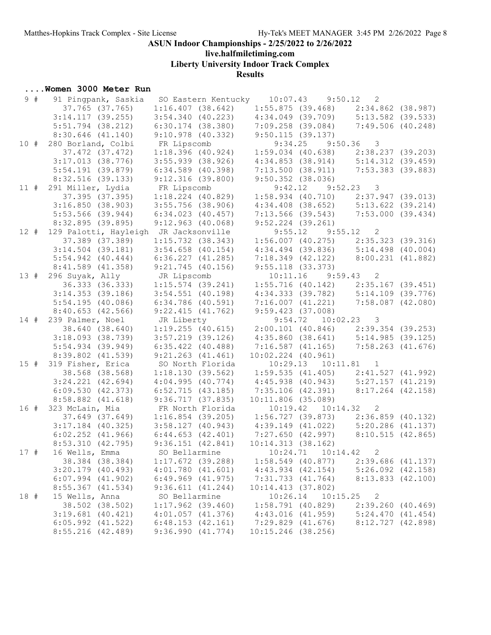live.halfmiletiming.com

Liberty University Indoor Track Complex

# Results

# ....Women 3000 Meter Run

| 9#   | 91 Pingpank, Saskia                        | SO Eastern Kentucky 10:07.43 9:50.12 2                      |                                                                                |                       |  |
|------|--------------------------------------------|-------------------------------------------------------------|--------------------------------------------------------------------------------|-----------------------|--|
|      | 37.765 (37.765)                            | $1:16.407$ (38.642)                                         | $1:55.875$ (39.468) $2:34.862$ (38.987)                                        |                       |  |
|      | 3:14.117(39.255)                           | $3:54.340$ (40.223)                                         | $4:34.049$ (39.709) $5:13.582$ (39.533)                                        |                       |  |
|      | $5:51.794$ (38.212)                        | $6:30.174$ $(38.380)$                                       | 7:09.258 (39.084) 7:49.506 (40.248)                                            |                       |  |
|      | $8:30.646$ $(41.140)$                      | $9:10.978$ (40.332)                                         | 9:50.115(39.137)                                                               |                       |  |
| 10#  | 280 Borland, Colbi                         | FR Lipscomb                                                 | 9:34.25 9:50.36 3                                                              |                       |  |
|      | 37.472 (37.472)                            | $1:18.396$ (40.924)                                         | $1:59.034$ (40.638) $2:38.237$ (39.203)                                        |                       |  |
|      | $3:17.013$ (38.776)                        | $3:55.939$ $(38.926)$                                       | $4:34.853$ (38.914) $5:14.312$ (39.459)                                        |                       |  |
|      | $5:54.191$ (39.879)                        | $6:34.589$ $(40.398)$                                       | 7:13.500(38.911)                                                               | 7:53.383 (39.883)     |  |
|      | 8:32.516 (39.133)                          | 9:12.316(39.800)                                            | $9:50.352$ (38.036)                                                            |                       |  |
| 11#  | 291 Miller, Lydia                          | FR Lipscomb<br>1.10 00                                      | $9:42.12$ $9:52.23$ 3                                                          |                       |  |
|      | 37.395 (37.395)                            | $1:18.224$ $(40.829)$                                       | $1:58.934$ (40.710) $2:37.947$ (39.013)                                        |                       |  |
|      | 3:16.850(38.903)                           | $3:55.756$ (38.906)                                         | $4:34.408$ (38.652) $5:13.622$ (39.214)                                        |                       |  |
|      | $5:53.566$ (39.944)                        | $6:34.023$ $(40.457)$                                       | $7:13.566$ (39.543) $7:53.000$ (39.434)                                        |                       |  |
|      | 8:32.895 (39.895)                          | $9:12.963$ (40.068)                                         | $9:52.224$ (39.261)                                                            |                       |  |
|      | 12 # 129 Palotti, Hayleigh JR Jacksonville |                                                             | $9:55.12$ $9:55.12$ 2                                                          |                       |  |
|      | 37.389 (37.389)                            | $1:15.732$ (38.343)                                         | $1:56.007$ (40.275) $2:35.323$ (39.316)<br>4:34.494 (39.836) 5:14.498 (40.004) |                       |  |
|      | $3:14.504$ (39.181)                        | $3:54.658$ (40.154)                                         |                                                                                |                       |  |
|      | $5:54.942$ $(40.444)$                      | $6:36.227$ $(41.285)$                                       | $7:18.349$ (42.122) $8:00.231$ (41.882)                                        |                       |  |
|      | 8:41.589 (41.358)                          | 9:21.745(40.156)                                            | $9:55.118$ (33.373)                                                            |                       |  |
| 13#  | 296 Suyak, Ally                            | JR Lipscomb                                                 | 10:11.16 9:59.43 2                                                             |                       |  |
|      | 36.333 (36.333)                            | $1:15.574$ (39.241)                                         | 1:55.716 (40.142) 2:35.167 (39.451)                                            |                       |  |
|      | $3:14.353$ (39.186)                        | $3:54.551$ (40.198)                                         |                                                                                |                       |  |
|      | 5:54.195(40.086)                           | $6:34.786$ $(40.591)$                                       | 4:34.333 (39.782) 5:14.109 (39.776)<br>7:16.007 (41.221) 7:58.087 (42.080)     |                       |  |
|      | 8:40.653(42.566)                           | 9:22.415(41.762)                                            | $9:59.423$ (37.008)                                                            |                       |  |
|      | 14 # 239 Palmer, Noel                      | JR Liberty                                                  | $9:54.72$ $10:02.23$ 3                                                         |                       |  |
|      | 38.640 (38.640)                            | 1:19.255(40.615)                                            | $2:00.101$ (40.846) $2:39.354$ (39.253)                                        |                       |  |
|      | $3:18.093$ $(38.739)$                      | $3:57.219$ (39.126)                                         | 4:35.860 (38.641) 5:14.985 (39.125)<br>7:16.587 (41.165) 7:58.263 (41.676)     |                       |  |
|      | $5:54.934$ (39.949)                        | $6:35.422$ $(40.488)$                                       |                                                                                |                       |  |
|      | 8:39.802 (41.539)                          | $9:21.263$ $(41.461)$                                       | $10:02.224$ $(40.961)$                                                         |                       |  |
| 15#  | 319 Fisher, Erica<br>38.568 (38.568)       | SO North Florida<br>1:18.130(39.562)                        | $10:29.13$ $10:11.81$ 1<br>$1:59.535$ (41.405) $2:41.527$ (41.992)             |                       |  |
|      | $3:24.221$ $(42.694)$                      | 4:04.995(40.774)                                            | $4:45.938$ (40.943) $5:27.157$ (41.219)                                        |                       |  |
|      | 6:09.530(42.373)                           | $6:52.715$ $(43.185)$                                       | 7:35.106 (42.391) 8:17.264 (42.158)                                            |                       |  |
|      | $8:58.882$ $(41.618)$                      | 9:36.717(37.835)                                            | $10:11.806$ (35.089)                                                           |                       |  |
| 16#  | 323 McLain, Mia                            | FR North Florida                                            | $10:19.42$ $10:14.32$ 2                                                        |                       |  |
|      | 37.649 (37.649)                            | $1:16.854$ (39.205) $1:56.727$ (39.873) $2:36.859$ (40.132) |                                                                                |                       |  |
|      | $3:17.184$ (40.325)                        | $3:58.127$ (40.943)                                         | 4:39.149 (41.022) 5:20.286 (41.137)                                            |                       |  |
|      | $6:02.252$ $(41.966)$                      | 6:44.653(42.401)                                            | $7:27.650$ (42.997) 8:10.515 (42.865)                                          |                       |  |
|      | 8:53.310(42.795)                           | 9:36.151(42.841)                                            | 10:14.313(38.162)                                                              |                       |  |
|      | 17 # 16 Wells, Emma                        | SO Bellarmine 10:24.71 10:14.42 2                           |                                                                                |                       |  |
|      | 38.384 (38.384)                            | $1:17.672$ (39.288)                                         | $1:58.549$ (40.877)                                                            | 2:39.686 (41.137)     |  |
|      | $3:20.179$ (40.493)                        | 4:01.780(41.601)                                            | $4:43.934$ $(42.154)$                                                          | $5:26.092$ $(42.158)$ |  |
|      | $6:07.994$ $(41.902)$                      | $6:49.969$ $(41.975)$                                       | $7:31.733$ $(41.764)$                                                          | 8:13.833(42.100)      |  |
|      | $8:55.367$ $(41.534)$                      | 9:36.611(41.244)                                            | 10:14.413(37.802)                                                              |                       |  |
| 18 # | 15 Wells, Anna                             | SO Bellarmine                                               | $10:26.14$ $10:15.25$                                                          | 2                     |  |
|      | 38.502 (38.502)                            | $1:17.962$ (39.460)                                         | $1:58.791$ (40.829)                                                            | 2:39.260(40.469)      |  |
|      | $3:19.681$ (40.421)                        | $4:01.057$ $(41.376)$                                       | 4:43.016(41.959)                                                               | 5:24.470(41.454)      |  |
|      | $6:05.992$ $(41.522)$                      | $6:48.153$ $(42.161)$                                       | 7:29.829(41.676)                                                               | 8:12.727(42.898)      |  |
|      | $8:55.216$ (42.489)                        | 9:36.990(41.774)                                            | $10:15.246$ (38.256)                                                           |                       |  |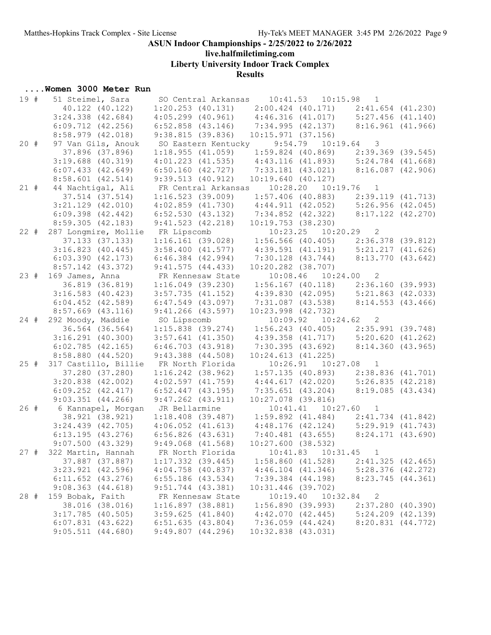live.halfmiletiming.com

Liberty University Indoor Track Complex

# Results

# ....Women 3000 Meter Run

| 19#    | 51 Steimel, Sara                      |                                        | SO Central Arkansas 10:41.53 10:15.98                                                                                                                                                        | $\sim$ 1              |  |
|--------|---------------------------------------|----------------------------------------|----------------------------------------------------------------------------------------------------------------------------------------------------------------------------------------------|-----------------------|--|
|        | 40.122 (40.122)                       |                                        | $1:20.253$ (40.131) $2:00.424$ (40.171) $2:41.654$ (41.230)                                                                                                                                  |                       |  |
|        | $3:24.338$ $(42.684)$                 |                                        | 4:05.299 (40.961) 4:46.316 (41.017) 5:27.456 (41.140)<br>6:52.858 (43.146) 7:34.995 (42.137) 8:16.961 (41.966)                                                                               |                       |  |
|        | $6:09.712$ $(42.256)$                 |                                        |                                                                                                                                                                                              |                       |  |
|        | $8:58.979$ (42.018)                   | 9:38.815(39.836)                       | 10:15.971(37.156)                                                                                                                                                                            |                       |  |
| $20 +$ | 97 Van Gils, Anouk                    |                                        | SO Eastern Kentucky 9:54.79 10:19.64 3                                                                                                                                                       |                       |  |
|        | 37.896 (37.896)                       |                                        | $1:18.955$ (41.059) $1:59.824$ (40.869) $2:39.369$ (39.545)                                                                                                                                  |                       |  |
|        | $3:19.688$ (40.319)                   |                                        | $4:01.223$ (41.535) $4:43.116$ (41.893) $5:24.784$ (41.668)                                                                                                                                  |                       |  |
|        | $6:07.433$ $(42.649)$                 |                                        | 6:50.160 (42.727) 7:33.181 (43.021) 8:16.087 (42.906)                                                                                                                                        |                       |  |
|        | $8:58.601$ $(42.514)$                 | $9:39.513$ (40.912)                    | 10:19.640(40.127)                                                                                                                                                                            |                       |  |
| $21 +$ | 44 Nachtigal, Ali                     |                                        | FR Central Arkansas 10:28.20 10:19.76 1                                                                                                                                                      |                       |  |
|        | 37.514 (37.514)                       | 1:16.523(39.009)                       | $1:57.406$ (40.883) $2:39.119$ (41.713)                                                                                                                                                      |                       |  |
|        | $3:21.129$ $(42.010)$                 |                                        | $4:02.859$ (41.730) $4:44.911$ (42.052) 5:26.956 (42.045)                                                                                                                                    |                       |  |
|        | $6:09.398$ $(42.442)$                 |                                        | $6:52.530$ (43.132) $7:34.852$ (42.322) $8:17.122$ (42.270)                                                                                                                                  |                       |  |
|        | 8:59.305(42.183)                      | $9:41.523$ (42.218) 10:19.753 (38.230) |                                                                                                                                                                                              |                       |  |
| $22 +$ | 287 Longmire, Mollie FR Lipscomb      |                                        |                                                                                                                                                                                              |                       |  |
|        | 37.133(37.133)                        |                                        | FR Lipscomb 10:23.25 10:20.29 2<br>1:16.161 (39.028) 1:56.566 (40.405) 2:36.378 (39.812)                                                                                                     |                       |  |
|        | 3:16.823(40.445)                      |                                        | $3:58.400$ (41.577) 4:39.591 (41.191) 5:21.217 (41.626)                                                                                                                                      |                       |  |
|        | 6:03.390(42.173)                      |                                        | 6:46.384 (42.994) 7:30.128 (43.744) 8:13.770 (43.642)                                                                                                                                        |                       |  |
|        | $8:57.142$ (43.372)                   | 9:41.575(44.433)                       | $10:20.282$ $(38.707)$                                                                                                                                                                       |                       |  |
|        | 23 # 169 James, Anna                  |                                        |                                                                                                                                                                                              |                       |  |
|        | 36.819 (36.819)                       |                                        | FR Kennesaw State 10:08.46 10:24.00 2<br>1:16.049 (39.230) 1:56.167 (40.118) 2:36.160 (39.993)<br>3:57.735 (41.152) 4:39.830 (42.095) 5:21.863 (42.033)                                      |                       |  |
|        | $3:16.583$ $(40.423)$                 |                                        |                                                                                                                                                                                              |                       |  |
|        | $6:04.452$ $(42.589)$                 |                                        | $6:47.549$ (43.097) 7:31.087 (43.538) 8:14.553 (43.466)                                                                                                                                      |                       |  |
|        | $8:57.669$ $(43.116)$                 | $9:41.266$ (43.597)                    | $10:23.998$ $(42.732)$                                                                                                                                                                       |                       |  |
| 24#    | 292 Moody, Maddie                     | SO Lipscomb                            | 10:09.92  10:24.62  2                                                                                                                                                                        |                       |  |
|        | 36.564 (36.564)                       | $1:15.838$ (39.274)                    |                                                                                                                                                                                              |                       |  |
|        | $3:16.291$ (40.300)                   | $3:57.641$ $(41.350)$                  |                                                                                                                                                                                              |                       |  |
|        | 6:02.785(42.165)                      | $6:46.703$ $(43.918)$                  | 1:56.243 (40.405) 2:35.991 (39.748)<br>4:39.358 (41.717) 5:20.620 (41.262)<br>7:30.395 (43.692) 8:14.360 (43.965)                                                                            |                       |  |
|        | 8:58.880 (44.520)                     | $9:43.388$ $(44.508)$                  | 10:24.613(41.225)                                                                                                                                                                            |                       |  |
| 25#    | 317 Castillo, Billie FR North Florida |                                        | 10:26.91  10:27.08  1                                                                                                                                                                        |                       |  |
|        | 37.280 (37.280)                       | $1:16.242$ (38.962)                    | $1:57.135$ (40.893) $2:38.836$ (41.701)                                                                                                                                                      |                       |  |
|        | $3:20.838$ $(42.002)$                 | 4:02.597(41.759)                       |                                                                                                                                                                                              |                       |  |
|        | $6:09.252$ $(42.417)$                 | $6:52.447$ $(43.195)$                  | 4:44.617 (42.020) 5:26.835 (42.218)<br>7:35.651 (43.204) 8:19.085 (43.434)                                                                                                                   |                       |  |
|        | $9:03.351$ $(44.266)$                 | $9:47.262$ $(43.911)$                  | $10:27.078$ (39.816)                                                                                                                                                                         |                       |  |
| 26#    | 6 Kannapel, Morgan JR Bellarmine      |                                        | $10:41.41$ $10:27.60$ 1                                                                                                                                                                      |                       |  |
|        | 38.921 (38.921)                       |                                        | $1:18.408$ (39.487) $1:59.892$ (41.484) $2:41.734$ (41.842)                                                                                                                                  |                       |  |
|        |                                       |                                        | 3:24.439 (42.705) $4:06.052$ (41.613) $4:48.176$ (42.124) $5:29.919$ (41.743)                                                                                                                |                       |  |
|        |                                       |                                        |                                                                                                                                                                                              |                       |  |
|        |                                       |                                        |                                                                                                                                                                                              |                       |  |
| 27#    | 322 Martin, Hannah                    |                                        | 6:13.195 (43.276) 6:56.826 (43.631) 7:40.481 (43.655) 8:24.171 (43.690)<br>9:07.500 (43.329) 9:49.068 (41.568) 10:27.600 (38.532)<br>322 Martin, Hannah FR North Florida 10:41.83 10:31.45 1 |                       |  |
|        | 37.887 (37.887)                       | $1:17.332$ (39.445)                    | $1:58.860$ (41.528)                                                                                                                                                                          | 2:41.325(42.465)      |  |
|        | $3:23.921$ $(42.596)$                 | $4:04.758$ (40.837)                    | $4:46.104$ $(41.346)$                                                                                                                                                                        | $5:28.376$ $(42.272)$ |  |
|        | $6:11.652$ $(43.276)$                 | $6:55.186$ (43.534)                    | $7:39.384$ $(44.198)$                                                                                                                                                                        | 8:23.745(44.361)      |  |
|        | 9:08.363(44.618)                      | $9:51.744$ (43.381)                    | 10:31.446 (39.702)                                                                                                                                                                           |                       |  |
| 28#    | 159 Bobak, Faith                      | FR Kennesaw State                      | 10:19.40<br>10:32.84                                                                                                                                                                         | 2                     |  |
|        | 38.016 (38.016)                       | 1:16.897(38.881)                       | 1:56.890(39.993)                                                                                                                                                                             | 2:37.280(40.390)      |  |
|        | $3:17.785$ (40.505)                   | $3:59.625$ $(41.840)$                  | 4:42.070(42.445)                                                                                                                                                                             | $5:24.209$ $(42.139)$ |  |
|        | $6:07.831$ $(43.622)$                 | 6:51.635(43.804)                       | $7:36.059$ $(44.424)$                                                                                                                                                                        | 8:20.831(44.772)      |  |
|        | 9:05.511(44.680)                      | 9:49.807(44.296)                       | 10:32.838 (43.031)                                                                                                                                                                           |                       |  |
|        |                                       |                                        |                                                                                                                                                                                              |                       |  |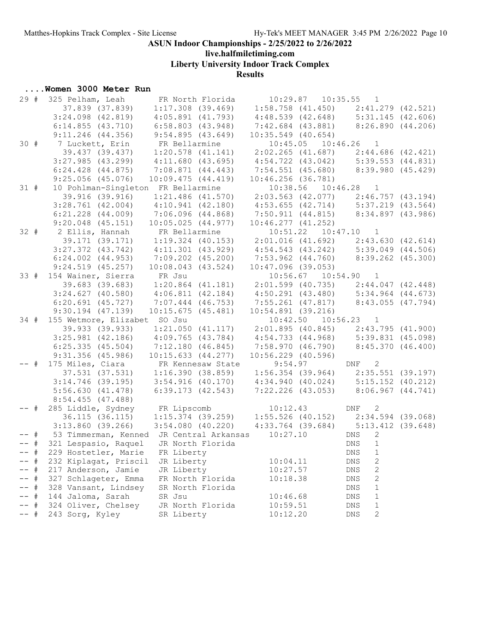live.halfmiletiming.com

Liberty University Indoor Track Complex

# Results

# ....Women 3000 Meter Run

| $1:58.758$ (41.450) $2:41.279$ (42.521)<br>37.839 (37.839) 1:17.308 (39.469)<br>$3:24.098$ $(42.819)$<br>$4:05.891$ $(41.793)$<br>$4:48.539$ (42.648) $5:31.145$ (42.606)<br>6:58.803 (43.948)<br>7:42.684 (43.881) 8:26.890 (44.206)<br>6:14.855(43.710)<br>$9:11.246$ (44.356)<br>9:54.895(43.649)<br>$10:35.549$ $(40.654)$<br>10:45.05  10:46.26  1<br>30 #<br>7 Luckett, Erin<br>FR Bellarmine<br>39.437 (39.437)<br>2:02.265 (41.687) 2:44.686 (42.421)<br>$1:20.578$ $(41.141)$<br>4:54.722 (43.042) 5:39.553 (44.831)<br>$3:27.985$ (43.299)<br>4:11.680(43.695)<br>7:54.551 (45.680) 8:39.980 (45.429)<br>$6:24.428$ $(44.875)$<br>7:08.871(44.443)<br>$9:25.056$ (45.076)<br>10:09.475(44.419)<br>$10:46.256$ (36.781)<br>10 Pohlman-Singleton FR Bellarmine<br>$10:38.56$ $10:46.28$ 1<br>31#<br>2:03.563 (42.077) 2:46.757 (43.194)<br>39.916 (39.916)<br>$1:21.486$ $(41.570)$<br>$4:53.655(42.714)$ $5:37.219(43.564)$<br>4:10.941(42.180)<br>$3:28.761$ $(42.004)$<br>7:50.911 (44.815) 8:34.897 (43.986)<br>$6:21.228$ $(44.009)$<br>$7:06.096$ $(44.868)$<br>$9:20.048$ (45.151)<br>$10:05.025$ $(44.977)$<br>$10:46.277$ $(41.252)$<br>32 # 2 Ellis, Hannah<br>2 Ellis, Hannah FR Bellarmine 10:51.22 10:47.10 1<br>39.171 (39.171) 1:19.324 (40.153) 2:01.016 (41.692) 2:43.630 (42.614)<br>3:27.372 (43.742) 4:11.301 (43.929) 4:54.543 (43.242) 5:39.049 (44.506)<br>$3:27.372$ $(43.742)$<br>7:53.962 (44.760) 8:39.262 (45.300)<br>$7:09.202$ $(45.200)$<br>$6:24.002$ $(44.953)$<br>9:24.519(45.257)<br>10:08.043(43.524)<br>$10:47.096$ (39.053)<br>33#<br>154 Wainer, Sierra<br>$10:56.67$ $10:54.90$ 1<br>FR Jsu<br>39.683 (39.683)<br>$1:20.864$ (41.181)<br>2:01.599 (40.735) 2:44.047 (42.448)<br>4:50.291 (43.480) 5:34.964 (44.673)<br>7:55.261 (47.817) 8:43.055 (47.794)<br>$3:24.627$ (40.580)<br>4:06.811(42.184)<br>$6:20.691$ $(45.727)$<br>$7:07.444$ (46.753)<br>10:15.675(45.481)<br>$9:30.194$ $(47.139)$<br>$10:54.891$ (39.216)<br>34 # 155 Wetmore, Elizabet SO Jsu<br>10:42.50  10:56.23  1<br>1:21.050(41.117)<br>2:01.895 (40.845) 2:43.795 (41.900)<br>39.933 (39.933)<br>4:54.733 (44.968) 5:39.831 (45.098)<br>$3:25.981$ $(42.186)$<br>4:09.765(43.784)<br>6:25.335(45.504)<br>7:58.970 (46.790) 8:45.370 (46.400)<br>7:12.180(46.845)<br>$10:56.229$ (40.596)<br>$9:31.356$ (45.986)<br>10:15.633(44.277)<br>-- # 175 Miles, Ciara FR Kennesaw State<br>9:54.97<br>DNF 2<br>37.531 (37.531) 1:16.390 (38.859) 1:56.354 (39.964) 2:35.551 (39.197)<br>$3:14.746$ (39.195) $3:54.916$ (40.170) $4:34.940$ (40.024) $5:15.152$ (40.212)<br>5:56.630(41.478)<br>6:39.173 (42.543)<br>7:22.226 (43.053) 8:06.967 (44.741)<br>$8:54.455$ (47.488)<br>285 Liddle, Sydney FR Lipscomb 10:12.43 DNF 2<br>36.115 (36.115) 1:15.374 (39.259) 1:55.526 (40.152) 2:34.594 (39.068)<br>$--$ #<br>3:54.080 (40.220) 4:33.764 (39.684) 5:13.412 (39.648)<br>$3:13.860$ (39.266)<br>-- # 53 Timmerman, Kenned JR Central Arkansas 10:27.10<br><b>DNS</b><br>2<br>-- # 321 Lespasio, Raquel JR North Florida<br>DNS<br>$\mathbf{1}$<br>-- # 229 Hostetler, Marie FR Liberty<br>DNS <sub>1</sub><br>2<br>#<br>232 Kiplagat, Priscil<br>JR Liberty<br>10:04.11<br>DNS<br>$- -$<br>$\mathbf{2}$<br>217 Anderson, Jamie<br>JR Liberty<br>10:27.57<br>${\rm DNS}$<br>2<br>327 Schlageter, Emma<br>FR North Florida<br>10:18.38<br>$_{\rm \#}$<br>DNS<br>328 Vansant, Lindsey<br>SR North Florida<br>1<br>$_{\rm \#}$<br>DNS<br>1<br>$_{\rm \#}$<br>144 Jaloma, Sarah<br>SR Jsu<br>DNS<br>10:46.68<br>JR North Florida<br>1<br>$_{\rm \#}$<br>324 Oliver, Chelsey<br>10:59.51<br>DNS | 29 # 325 Pelham, Leah FR North Florida |            | 10:29.87  10:35.55  1 |          |  |
|-------------------------------------------------------------------------------------------------------------------------------------------------------------------------------------------------------------------------------------------------------------------------------------------------------------------------------------------------------------------------------------------------------------------------------------------------------------------------------------------------------------------------------------------------------------------------------------------------------------------------------------------------------------------------------------------------------------------------------------------------------------------------------------------------------------------------------------------------------------------------------------------------------------------------------------------------------------------------------------------------------------------------------------------------------------------------------------------------------------------------------------------------------------------------------------------------------------------------------------------------------------------------------------------------------------------------------------------------------------------------------------------------------------------------------------------------------------------------------------------------------------------------------------------------------------------------------------------------------------------------------------------------------------------------------------------------------------------------------------------------------------------------------------------------------------------------------------------------------------------------------------------------------------------------------------------------------------------------------------------------------------------------------------------------------------------------------------------------------------------------------------------------------------------------------------------------------------------------------------------------------------------------------------------------------------------------------------------------------------------------------------------------------------------------------------------------------------------------------------------------------------------------------------------------------------------------------------------------------------------------------------------------------------------------------------------------------------------------------------------------------------------------------------------------------------------------------------------------------------------------------------------------------------------------------------------------------------------------------------------------------------------------------------------------------------------------------------------------------------------------------------------------------------------------------------------------------------------------------------------------------------------------------------------------------------------------------------------------------------------------------------------------------------------------------------------------------------------------------------------------------------------------------------------------------------------------------------------------------------------|----------------------------------------|------------|-----------------------|----------|--|
|                                                                                                                                                                                                                                                                                                                                                                                                                                                                                                                                                                                                                                                                                                                                                                                                                                                                                                                                                                                                                                                                                                                                                                                                                                                                                                                                                                                                                                                                                                                                                                                                                                                                                                                                                                                                                                                                                                                                                                                                                                                                                                                                                                                                                                                                                                                                                                                                                                                                                                                                                                                                                                                                                                                                                                                                                                                                                                                                                                                                                                                                                                                                                                                                                                                                                                                                                                                                                                                                                                                                                                                                                   |                                        |            |                       |          |  |
|                                                                                                                                                                                                                                                                                                                                                                                                                                                                                                                                                                                                                                                                                                                                                                                                                                                                                                                                                                                                                                                                                                                                                                                                                                                                                                                                                                                                                                                                                                                                                                                                                                                                                                                                                                                                                                                                                                                                                                                                                                                                                                                                                                                                                                                                                                                                                                                                                                                                                                                                                                                                                                                                                                                                                                                                                                                                                                                                                                                                                                                                                                                                                                                                                                                                                                                                                                                                                                                                                                                                                                                                                   |                                        |            |                       |          |  |
|                                                                                                                                                                                                                                                                                                                                                                                                                                                                                                                                                                                                                                                                                                                                                                                                                                                                                                                                                                                                                                                                                                                                                                                                                                                                                                                                                                                                                                                                                                                                                                                                                                                                                                                                                                                                                                                                                                                                                                                                                                                                                                                                                                                                                                                                                                                                                                                                                                                                                                                                                                                                                                                                                                                                                                                                                                                                                                                                                                                                                                                                                                                                                                                                                                                                                                                                                                                                                                                                                                                                                                                                                   |                                        |            |                       |          |  |
|                                                                                                                                                                                                                                                                                                                                                                                                                                                                                                                                                                                                                                                                                                                                                                                                                                                                                                                                                                                                                                                                                                                                                                                                                                                                                                                                                                                                                                                                                                                                                                                                                                                                                                                                                                                                                                                                                                                                                                                                                                                                                                                                                                                                                                                                                                                                                                                                                                                                                                                                                                                                                                                                                                                                                                                                                                                                                                                                                                                                                                                                                                                                                                                                                                                                                                                                                                                                                                                                                                                                                                                                                   |                                        |            |                       |          |  |
|                                                                                                                                                                                                                                                                                                                                                                                                                                                                                                                                                                                                                                                                                                                                                                                                                                                                                                                                                                                                                                                                                                                                                                                                                                                                                                                                                                                                                                                                                                                                                                                                                                                                                                                                                                                                                                                                                                                                                                                                                                                                                                                                                                                                                                                                                                                                                                                                                                                                                                                                                                                                                                                                                                                                                                                                                                                                                                                                                                                                                                                                                                                                                                                                                                                                                                                                                                                                                                                                                                                                                                                                                   |                                        |            |                       |          |  |
|                                                                                                                                                                                                                                                                                                                                                                                                                                                                                                                                                                                                                                                                                                                                                                                                                                                                                                                                                                                                                                                                                                                                                                                                                                                                                                                                                                                                                                                                                                                                                                                                                                                                                                                                                                                                                                                                                                                                                                                                                                                                                                                                                                                                                                                                                                                                                                                                                                                                                                                                                                                                                                                                                                                                                                                                                                                                                                                                                                                                                                                                                                                                                                                                                                                                                                                                                                                                                                                                                                                                                                                                                   |                                        |            |                       |          |  |
|                                                                                                                                                                                                                                                                                                                                                                                                                                                                                                                                                                                                                                                                                                                                                                                                                                                                                                                                                                                                                                                                                                                                                                                                                                                                                                                                                                                                                                                                                                                                                                                                                                                                                                                                                                                                                                                                                                                                                                                                                                                                                                                                                                                                                                                                                                                                                                                                                                                                                                                                                                                                                                                                                                                                                                                                                                                                                                                                                                                                                                                                                                                                                                                                                                                                                                                                                                                                                                                                                                                                                                                                                   |                                        |            |                       |          |  |
|                                                                                                                                                                                                                                                                                                                                                                                                                                                                                                                                                                                                                                                                                                                                                                                                                                                                                                                                                                                                                                                                                                                                                                                                                                                                                                                                                                                                                                                                                                                                                                                                                                                                                                                                                                                                                                                                                                                                                                                                                                                                                                                                                                                                                                                                                                                                                                                                                                                                                                                                                                                                                                                                                                                                                                                                                                                                                                                                                                                                                                                                                                                                                                                                                                                                                                                                                                                                                                                                                                                                                                                                                   |                                        |            |                       |          |  |
|                                                                                                                                                                                                                                                                                                                                                                                                                                                                                                                                                                                                                                                                                                                                                                                                                                                                                                                                                                                                                                                                                                                                                                                                                                                                                                                                                                                                                                                                                                                                                                                                                                                                                                                                                                                                                                                                                                                                                                                                                                                                                                                                                                                                                                                                                                                                                                                                                                                                                                                                                                                                                                                                                                                                                                                                                                                                                                                                                                                                                                                                                                                                                                                                                                                                                                                                                                                                                                                                                                                                                                                                                   |                                        |            |                       |          |  |
|                                                                                                                                                                                                                                                                                                                                                                                                                                                                                                                                                                                                                                                                                                                                                                                                                                                                                                                                                                                                                                                                                                                                                                                                                                                                                                                                                                                                                                                                                                                                                                                                                                                                                                                                                                                                                                                                                                                                                                                                                                                                                                                                                                                                                                                                                                                                                                                                                                                                                                                                                                                                                                                                                                                                                                                                                                                                                                                                                                                                                                                                                                                                                                                                                                                                                                                                                                                                                                                                                                                                                                                                                   |                                        |            |                       |          |  |
|                                                                                                                                                                                                                                                                                                                                                                                                                                                                                                                                                                                                                                                                                                                                                                                                                                                                                                                                                                                                                                                                                                                                                                                                                                                                                                                                                                                                                                                                                                                                                                                                                                                                                                                                                                                                                                                                                                                                                                                                                                                                                                                                                                                                                                                                                                                                                                                                                                                                                                                                                                                                                                                                                                                                                                                                                                                                                                                                                                                                                                                                                                                                                                                                                                                                                                                                                                                                                                                                                                                                                                                                                   |                                        |            |                       |          |  |
|                                                                                                                                                                                                                                                                                                                                                                                                                                                                                                                                                                                                                                                                                                                                                                                                                                                                                                                                                                                                                                                                                                                                                                                                                                                                                                                                                                                                                                                                                                                                                                                                                                                                                                                                                                                                                                                                                                                                                                                                                                                                                                                                                                                                                                                                                                                                                                                                                                                                                                                                                                                                                                                                                                                                                                                                                                                                                                                                                                                                                                                                                                                                                                                                                                                                                                                                                                                                                                                                                                                                                                                                                   |                                        |            |                       |          |  |
|                                                                                                                                                                                                                                                                                                                                                                                                                                                                                                                                                                                                                                                                                                                                                                                                                                                                                                                                                                                                                                                                                                                                                                                                                                                                                                                                                                                                                                                                                                                                                                                                                                                                                                                                                                                                                                                                                                                                                                                                                                                                                                                                                                                                                                                                                                                                                                                                                                                                                                                                                                                                                                                                                                                                                                                                                                                                                                                                                                                                                                                                                                                                                                                                                                                                                                                                                                                                                                                                                                                                                                                                                   |                                        |            |                       |          |  |
|                                                                                                                                                                                                                                                                                                                                                                                                                                                                                                                                                                                                                                                                                                                                                                                                                                                                                                                                                                                                                                                                                                                                                                                                                                                                                                                                                                                                                                                                                                                                                                                                                                                                                                                                                                                                                                                                                                                                                                                                                                                                                                                                                                                                                                                                                                                                                                                                                                                                                                                                                                                                                                                                                                                                                                                                                                                                                                                                                                                                                                                                                                                                                                                                                                                                                                                                                                                                                                                                                                                                                                                                                   |                                        |            |                       |          |  |
|                                                                                                                                                                                                                                                                                                                                                                                                                                                                                                                                                                                                                                                                                                                                                                                                                                                                                                                                                                                                                                                                                                                                                                                                                                                                                                                                                                                                                                                                                                                                                                                                                                                                                                                                                                                                                                                                                                                                                                                                                                                                                                                                                                                                                                                                                                                                                                                                                                                                                                                                                                                                                                                                                                                                                                                                                                                                                                                                                                                                                                                                                                                                                                                                                                                                                                                                                                                                                                                                                                                                                                                                                   |                                        |            |                       |          |  |
|                                                                                                                                                                                                                                                                                                                                                                                                                                                                                                                                                                                                                                                                                                                                                                                                                                                                                                                                                                                                                                                                                                                                                                                                                                                                                                                                                                                                                                                                                                                                                                                                                                                                                                                                                                                                                                                                                                                                                                                                                                                                                                                                                                                                                                                                                                                                                                                                                                                                                                                                                                                                                                                                                                                                                                                                                                                                                                                                                                                                                                                                                                                                                                                                                                                                                                                                                                                                                                                                                                                                                                                                                   |                                        |            |                       |          |  |
|                                                                                                                                                                                                                                                                                                                                                                                                                                                                                                                                                                                                                                                                                                                                                                                                                                                                                                                                                                                                                                                                                                                                                                                                                                                                                                                                                                                                                                                                                                                                                                                                                                                                                                                                                                                                                                                                                                                                                                                                                                                                                                                                                                                                                                                                                                                                                                                                                                                                                                                                                                                                                                                                                                                                                                                                                                                                                                                                                                                                                                                                                                                                                                                                                                                                                                                                                                                                                                                                                                                                                                                                                   |                                        |            |                       |          |  |
|                                                                                                                                                                                                                                                                                                                                                                                                                                                                                                                                                                                                                                                                                                                                                                                                                                                                                                                                                                                                                                                                                                                                                                                                                                                                                                                                                                                                                                                                                                                                                                                                                                                                                                                                                                                                                                                                                                                                                                                                                                                                                                                                                                                                                                                                                                                                                                                                                                                                                                                                                                                                                                                                                                                                                                                                                                                                                                                                                                                                                                                                                                                                                                                                                                                                                                                                                                                                                                                                                                                                                                                                                   |                                        |            |                       |          |  |
|                                                                                                                                                                                                                                                                                                                                                                                                                                                                                                                                                                                                                                                                                                                                                                                                                                                                                                                                                                                                                                                                                                                                                                                                                                                                                                                                                                                                                                                                                                                                                                                                                                                                                                                                                                                                                                                                                                                                                                                                                                                                                                                                                                                                                                                                                                                                                                                                                                                                                                                                                                                                                                                                                                                                                                                                                                                                                                                                                                                                                                                                                                                                                                                                                                                                                                                                                                                                                                                                                                                                                                                                                   |                                        |            |                       |          |  |
|                                                                                                                                                                                                                                                                                                                                                                                                                                                                                                                                                                                                                                                                                                                                                                                                                                                                                                                                                                                                                                                                                                                                                                                                                                                                                                                                                                                                                                                                                                                                                                                                                                                                                                                                                                                                                                                                                                                                                                                                                                                                                                                                                                                                                                                                                                                                                                                                                                                                                                                                                                                                                                                                                                                                                                                                                                                                                                                                                                                                                                                                                                                                                                                                                                                                                                                                                                                                                                                                                                                                                                                                                   |                                        |            |                       |          |  |
|                                                                                                                                                                                                                                                                                                                                                                                                                                                                                                                                                                                                                                                                                                                                                                                                                                                                                                                                                                                                                                                                                                                                                                                                                                                                                                                                                                                                                                                                                                                                                                                                                                                                                                                                                                                                                                                                                                                                                                                                                                                                                                                                                                                                                                                                                                                                                                                                                                                                                                                                                                                                                                                                                                                                                                                                                                                                                                                                                                                                                                                                                                                                                                                                                                                                                                                                                                                                                                                                                                                                                                                                                   |                                        |            |                       |          |  |
|                                                                                                                                                                                                                                                                                                                                                                                                                                                                                                                                                                                                                                                                                                                                                                                                                                                                                                                                                                                                                                                                                                                                                                                                                                                                                                                                                                                                                                                                                                                                                                                                                                                                                                                                                                                                                                                                                                                                                                                                                                                                                                                                                                                                                                                                                                                                                                                                                                                                                                                                                                                                                                                                                                                                                                                                                                                                                                                                                                                                                                                                                                                                                                                                                                                                                                                                                                                                                                                                                                                                                                                                                   |                                        |            |                       |          |  |
|                                                                                                                                                                                                                                                                                                                                                                                                                                                                                                                                                                                                                                                                                                                                                                                                                                                                                                                                                                                                                                                                                                                                                                                                                                                                                                                                                                                                                                                                                                                                                                                                                                                                                                                                                                                                                                                                                                                                                                                                                                                                                                                                                                                                                                                                                                                                                                                                                                                                                                                                                                                                                                                                                                                                                                                                                                                                                                                                                                                                                                                                                                                                                                                                                                                                                                                                                                                                                                                                                                                                                                                                                   |                                        |            |                       |          |  |
|                                                                                                                                                                                                                                                                                                                                                                                                                                                                                                                                                                                                                                                                                                                                                                                                                                                                                                                                                                                                                                                                                                                                                                                                                                                                                                                                                                                                                                                                                                                                                                                                                                                                                                                                                                                                                                                                                                                                                                                                                                                                                                                                                                                                                                                                                                                                                                                                                                                                                                                                                                                                                                                                                                                                                                                                                                                                                                                                                                                                                                                                                                                                                                                                                                                                                                                                                                                                                                                                                                                                                                                                                   |                                        |            |                       |          |  |
|                                                                                                                                                                                                                                                                                                                                                                                                                                                                                                                                                                                                                                                                                                                                                                                                                                                                                                                                                                                                                                                                                                                                                                                                                                                                                                                                                                                                                                                                                                                                                                                                                                                                                                                                                                                                                                                                                                                                                                                                                                                                                                                                                                                                                                                                                                                                                                                                                                                                                                                                                                                                                                                                                                                                                                                                                                                                                                                                                                                                                                                                                                                                                                                                                                                                                                                                                                                                                                                                                                                                                                                                                   |                                        |            |                       |          |  |
|                                                                                                                                                                                                                                                                                                                                                                                                                                                                                                                                                                                                                                                                                                                                                                                                                                                                                                                                                                                                                                                                                                                                                                                                                                                                                                                                                                                                                                                                                                                                                                                                                                                                                                                                                                                                                                                                                                                                                                                                                                                                                                                                                                                                                                                                                                                                                                                                                                                                                                                                                                                                                                                                                                                                                                                                                                                                                                                                                                                                                                                                                                                                                                                                                                                                                                                                                                                                                                                                                                                                                                                                                   |                                        |            |                       |          |  |
|                                                                                                                                                                                                                                                                                                                                                                                                                                                                                                                                                                                                                                                                                                                                                                                                                                                                                                                                                                                                                                                                                                                                                                                                                                                                                                                                                                                                                                                                                                                                                                                                                                                                                                                                                                                                                                                                                                                                                                                                                                                                                                                                                                                                                                                                                                                                                                                                                                                                                                                                                                                                                                                                                                                                                                                                                                                                                                                                                                                                                                                                                                                                                                                                                                                                                                                                                                                                                                                                                                                                                                                                                   |                                        |            |                       |          |  |
|                                                                                                                                                                                                                                                                                                                                                                                                                                                                                                                                                                                                                                                                                                                                                                                                                                                                                                                                                                                                                                                                                                                                                                                                                                                                                                                                                                                                                                                                                                                                                                                                                                                                                                                                                                                                                                                                                                                                                                                                                                                                                                                                                                                                                                                                                                                                                                                                                                                                                                                                                                                                                                                                                                                                                                                                                                                                                                                                                                                                                                                                                                                                                                                                                                                                                                                                                                                                                                                                                                                                                                                                                   |                                        |            |                       |          |  |
|                                                                                                                                                                                                                                                                                                                                                                                                                                                                                                                                                                                                                                                                                                                                                                                                                                                                                                                                                                                                                                                                                                                                                                                                                                                                                                                                                                                                                                                                                                                                                                                                                                                                                                                                                                                                                                                                                                                                                                                                                                                                                                                                                                                                                                                                                                                                                                                                                                                                                                                                                                                                                                                                                                                                                                                                                                                                                                                                                                                                                                                                                                                                                                                                                                                                                                                                                                                                                                                                                                                                                                                                                   |                                        |            |                       |          |  |
|                                                                                                                                                                                                                                                                                                                                                                                                                                                                                                                                                                                                                                                                                                                                                                                                                                                                                                                                                                                                                                                                                                                                                                                                                                                                                                                                                                                                                                                                                                                                                                                                                                                                                                                                                                                                                                                                                                                                                                                                                                                                                                                                                                                                                                                                                                                                                                                                                                                                                                                                                                                                                                                                                                                                                                                                                                                                                                                                                                                                                                                                                                                                                                                                                                                                                                                                                                                                                                                                                                                                                                                                                   |                                        |            |                       |          |  |
|                                                                                                                                                                                                                                                                                                                                                                                                                                                                                                                                                                                                                                                                                                                                                                                                                                                                                                                                                                                                                                                                                                                                                                                                                                                                                                                                                                                                                                                                                                                                                                                                                                                                                                                                                                                                                                                                                                                                                                                                                                                                                                                                                                                                                                                                                                                                                                                                                                                                                                                                                                                                                                                                                                                                                                                                                                                                                                                                                                                                                                                                                                                                                                                                                                                                                                                                                                                                                                                                                                                                                                                                                   |                                        |            |                       |          |  |
|                                                                                                                                                                                                                                                                                                                                                                                                                                                                                                                                                                                                                                                                                                                                                                                                                                                                                                                                                                                                                                                                                                                                                                                                                                                                                                                                                                                                                                                                                                                                                                                                                                                                                                                                                                                                                                                                                                                                                                                                                                                                                                                                                                                                                                                                                                                                                                                                                                                                                                                                                                                                                                                                                                                                                                                                                                                                                                                                                                                                                                                                                                                                                                                                                                                                                                                                                                                                                                                                                                                                                                                                                   |                                        |            |                       |          |  |
|                                                                                                                                                                                                                                                                                                                                                                                                                                                                                                                                                                                                                                                                                                                                                                                                                                                                                                                                                                                                                                                                                                                                                                                                                                                                                                                                                                                                                                                                                                                                                                                                                                                                                                                                                                                                                                                                                                                                                                                                                                                                                                                                                                                                                                                                                                                                                                                                                                                                                                                                                                                                                                                                                                                                                                                                                                                                                                                                                                                                                                                                                                                                                                                                                                                                                                                                                                                                                                                                                                                                                                                                                   |                                        |            |                       |          |  |
|                                                                                                                                                                                                                                                                                                                                                                                                                                                                                                                                                                                                                                                                                                                                                                                                                                                                                                                                                                                                                                                                                                                                                                                                                                                                                                                                                                                                                                                                                                                                                                                                                                                                                                                                                                                                                                                                                                                                                                                                                                                                                                                                                                                                                                                                                                                                                                                                                                                                                                                                                                                                                                                                                                                                                                                                                                                                                                                                                                                                                                                                                                                                                                                                                                                                                                                                                                                                                                                                                                                                                                                                                   |                                        |            |                       |          |  |
|                                                                                                                                                                                                                                                                                                                                                                                                                                                                                                                                                                                                                                                                                                                                                                                                                                                                                                                                                                                                                                                                                                                                                                                                                                                                                                                                                                                                                                                                                                                                                                                                                                                                                                                                                                                                                                                                                                                                                                                                                                                                                                                                                                                                                                                                                                                                                                                                                                                                                                                                                                                                                                                                                                                                                                                                                                                                                                                                                                                                                                                                                                                                                                                                                                                                                                                                                                                                                                                                                                                                                                                                                   |                                        |            |                       |          |  |
|                                                                                                                                                                                                                                                                                                                                                                                                                                                                                                                                                                                                                                                                                                                                                                                                                                                                                                                                                                                                                                                                                                                                                                                                                                                                                                                                                                                                                                                                                                                                                                                                                                                                                                                                                                                                                                                                                                                                                                                                                                                                                                                                                                                                                                                                                                                                                                                                                                                                                                                                                                                                                                                                                                                                                                                                                                                                                                                                                                                                                                                                                                                                                                                                                                                                                                                                                                                                                                                                                                                                                                                                                   |                                        |            |                       |          |  |
|                                                                                                                                                                                                                                                                                                                                                                                                                                                                                                                                                                                                                                                                                                                                                                                                                                                                                                                                                                                                                                                                                                                                                                                                                                                                                                                                                                                                                                                                                                                                                                                                                                                                                                                                                                                                                                                                                                                                                                                                                                                                                                                                                                                                                                                                                                                                                                                                                                                                                                                                                                                                                                                                                                                                                                                                                                                                                                                                                                                                                                                                                                                                                                                                                                                                                                                                                                                                                                                                                                                                                                                                                   |                                        |            |                       |          |  |
|                                                                                                                                                                                                                                                                                                                                                                                                                                                                                                                                                                                                                                                                                                                                                                                                                                                                                                                                                                                                                                                                                                                                                                                                                                                                                                                                                                                                                                                                                                                                                                                                                                                                                                                                                                                                                                                                                                                                                                                                                                                                                                                                                                                                                                                                                                                                                                                                                                                                                                                                                                                                                                                                                                                                                                                                                                                                                                                                                                                                                                                                                                                                                                                                                                                                                                                                                                                                                                                                                                                                                                                                                   |                                        |            |                       |          |  |
|                                                                                                                                                                                                                                                                                                                                                                                                                                                                                                                                                                                                                                                                                                                                                                                                                                                                                                                                                                                                                                                                                                                                                                                                                                                                                                                                                                                                                                                                                                                                                                                                                                                                                                                                                                                                                                                                                                                                                                                                                                                                                                                                                                                                                                                                                                                                                                                                                                                                                                                                                                                                                                                                                                                                                                                                                                                                                                                                                                                                                                                                                                                                                                                                                                                                                                                                                                                                                                                                                                                                                                                                                   |                                        |            |                       |          |  |
|                                                                                                                                                                                                                                                                                                                                                                                                                                                                                                                                                                                                                                                                                                                                                                                                                                                                                                                                                                                                                                                                                                                                                                                                                                                                                                                                                                                                                                                                                                                                                                                                                                                                                                                                                                                                                                                                                                                                                                                                                                                                                                                                                                                                                                                                                                                                                                                                                                                                                                                                                                                                                                                                                                                                                                                                                                                                                                                                                                                                                                                                                                                                                                                                                                                                                                                                                                                                                                                                                                                                                                                                                   |                                        |            |                       |          |  |
|                                                                                                                                                                                                                                                                                                                                                                                                                                                                                                                                                                                                                                                                                                                                                                                                                                                                                                                                                                                                                                                                                                                                                                                                                                                                                                                                                                                                                                                                                                                                                                                                                                                                                                                                                                                                                                                                                                                                                                                                                                                                                                                                                                                                                                                                                                                                                                                                                                                                                                                                                                                                                                                                                                                                                                                                                                                                                                                                                                                                                                                                                                                                                                                                                                                                                                                                                                                                                                                                                                                                                                                                                   |                                        |            |                       |          |  |
|                                                                                                                                                                                                                                                                                                                                                                                                                                                                                                                                                                                                                                                                                                                                                                                                                                                                                                                                                                                                                                                                                                                                                                                                                                                                                                                                                                                                                                                                                                                                                                                                                                                                                                                                                                                                                                                                                                                                                                                                                                                                                                                                                                                                                                                                                                                                                                                                                                                                                                                                                                                                                                                                                                                                                                                                                                                                                                                                                                                                                                                                                                                                                                                                                                                                                                                                                                                                                                                                                                                                                                                                                   |                                        |            |                       |          |  |
|                                                                                                                                                                                                                                                                                                                                                                                                                                                                                                                                                                                                                                                                                                                                                                                                                                                                                                                                                                                                                                                                                                                                                                                                                                                                                                                                                                                                                                                                                                                                                                                                                                                                                                                                                                                                                                                                                                                                                                                                                                                                                                                                                                                                                                                                                                                                                                                                                                                                                                                                                                                                                                                                                                                                                                                                                                                                                                                                                                                                                                                                                                                                                                                                                                                                                                                                                                                                                                                                                                                                                                                                                   |                                        |            |                       |          |  |
|                                                                                                                                                                                                                                                                                                                                                                                                                                                                                                                                                                                                                                                                                                                                                                                                                                                                                                                                                                                                                                                                                                                                                                                                                                                                                                                                                                                                                                                                                                                                                                                                                                                                                                                                                                                                                                                                                                                                                                                                                                                                                                                                                                                                                                                                                                                                                                                                                                                                                                                                                                                                                                                                                                                                                                                                                                                                                                                                                                                                                                                                                                                                                                                                                                                                                                                                                                                                                                                                                                                                                                                                                   |                                        |            |                       |          |  |
|                                                                                                                                                                                                                                                                                                                                                                                                                                                                                                                                                                                                                                                                                                                                                                                                                                                                                                                                                                                                                                                                                                                                                                                                                                                                                                                                                                                                                                                                                                                                                                                                                                                                                                                                                                                                                                                                                                                                                                                                                                                                                                                                                                                                                                                                                                                                                                                                                                                                                                                                                                                                                                                                                                                                                                                                                                                                                                                                                                                                                                                                                                                                                                                                                                                                                                                                                                                                                                                                                                                                                                                                                   |                                        |            |                       |          |  |
| #                                                                                                                                                                                                                                                                                                                                                                                                                                                                                                                                                                                                                                                                                                                                                                                                                                                                                                                                                                                                                                                                                                                                                                                                                                                                                                                                                                                                                                                                                                                                                                                                                                                                                                                                                                                                                                                                                                                                                                                                                                                                                                                                                                                                                                                                                                                                                                                                                                                                                                                                                                                                                                                                                                                                                                                                                                                                                                                                                                                                                                                                                                                                                                                                                                                                                                                                                                                                                                                                                                                                                                                                                 | 243 Sorg, Kyley                        | SR Liberty | 10:12.20              | 2<br>DNS |  |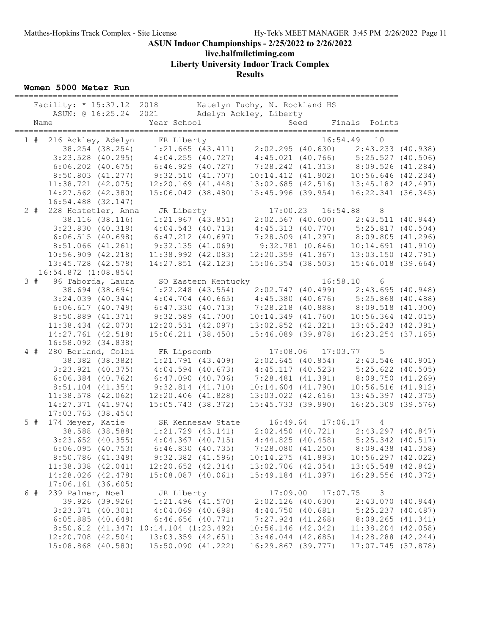live.halfmiletiming.com

Liberty University Indoor Track Complex

# Results

#### Women 5000 Meter Run

|       | Facility: * 15:37.12 2018     |                 |                                                                                                                                                                                                                             | Katelyn Tuohy, N. Rockland HS |                       |                                                                                                                     |  |
|-------|-------------------------------|-----------------|-----------------------------------------------------------------------------------------------------------------------------------------------------------------------------------------------------------------------------|-------------------------------|-----------------------|---------------------------------------------------------------------------------------------------------------------|--|
|       | ASUN: @ 16:25.24 2021<br>Name |                 | Year School                                                                                                                                                                                                                 | Adelyn Ackley, Liberty        |                       | Seed Finals Points                                                                                                  |  |
|       |                               |                 |                                                                                                                                                                                                                             |                               |                       |                                                                                                                     |  |
|       | 1 # 216 Ackley, Adelyn        |                 | FR Liberty                                                                                                                                                                                                                  |                               |                       | 10<br>16:54.49                                                                                                      |  |
|       |                               |                 | $38.254$ (38.254) 1:21.665 (43.411) 2:02.295 (40.630)                                                                                                                                                                       |                               |                       | 2:43.233 (40.938)                                                                                                   |  |
|       | $3:23.528$ (40.295)           |                 | 4:04.255(40.727)                                                                                                                                                                                                            |                               |                       |                                                                                                                     |  |
|       |                               |                 |                                                                                                                                                                                                                             |                               |                       | 4:45.021 (40.766) 5:25.527 (40.506)<br>7:28.242 (41.313) 8:09.526 (41.284)<br>10:14.412 (41.902) 10:56.646 (42.234) |  |
|       |                               |                 | $6:06.202$ (40.675) $6:46.929$ (40.727)<br>8:50.803 (41.277) 9:32.510 (41.707)                                                                                                                                              |                               |                       |                                                                                                                     |  |
|       | 11:38.721(42.075)             |                 |                                                                                                                                                                                                                             |                               |                       | 12:20.169 (41.448) 13:02.685 (42.516) 13:45.182 (42.497)                                                            |  |
|       | 14:27.562 (42.380)            |                 | 15:06.042 (38.480)                                                                                                                                                                                                          | $15:45.996$ (39.954)          |                       | 16:22.341 (36.345)                                                                                                  |  |
|       | $16:54.488$ (32.147)          |                 |                                                                                                                                                                                                                             |                               |                       |                                                                                                                     |  |
| $2 +$ | 228 Hostetler, Anna           |                 | JR Liberty                                                                                                                                                                                                                  |                               | 17:00.23  16:54.88    | - 8                                                                                                                 |  |
|       |                               | 38.116 (38.116) | $1:21.967$ $(43.851)$                                                                                                                                                                                                       |                               |                       | 2:02.567 (40.600) 2:43.511 (40.944)<br>4:45.313 (40.770) 5:25.817 (40.504)<br>7:28.509 (41.297) 8:09.805 (41.296)   |  |
|       | $3:23.830$ $(40.319)$         |                 | $4:04.543$ $(40.713)$                                                                                                                                                                                                       |                               |                       |                                                                                                                     |  |
|       | 6:06.515(40.698)              |                 | $6:47.212$ $(40.697)$                                                                                                                                                                                                       |                               |                       |                                                                                                                     |  |
|       | $8:51.066$ $(41.261)$         |                 | 9:32.135(41.069)                                                                                                                                                                                                            |                               | 9:32.781(0.646)       | 10:14.691(41.910)                                                                                                   |  |
|       | $10:56.909$ $(42.218)$        |                 | $11:38.992$ (42.083)                                                                                                                                                                                                        | $12:20.359$ $(41.367)$        |                       | $13:03.150$ $(42.791)$                                                                                              |  |
|       | 13:45.728 (42.578)            |                 | 14:27.851 (42.123)                                                                                                                                                                                                          | $15:06.354$ (38.503)          |                       | $15:46.018$ (39.664)                                                                                                |  |
|       | $16:54.872$ $(1:08.854)$      |                 |                                                                                                                                                                                                                             |                               |                       |                                                                                                                     |  |
|       | 3 # 96 Taborda, Laura         |                 |                                                                                                                                                                                                                             | SO Eastern Kentucky           |                       | $16:58.10$ 6                                                                                                        |  |
|       |                               | 38.694 (38.694) | $1:22.248$ $(43.554)$                                                                                                                                                                                                       |                               |                       | 2:02.747 (40.499) 2:43.695 (40.948)                                                                                 |  |
|       | $3:24.039$ $(40.344)$         |                 |                                                                                                                                                                                                                             |                               |                       | 4:04.704 (40.665) 4:45.380 (40.676) 5:25.868 (40.488)                                                               |  |
|       | 6:06.617(40.749)              |                 | 6:47.330(40.713)                                                                                                                                                                                                            |                               |                       | 7:28.218 (40.888) 8:09.518 (41.300)                                                                                 |  |
|       | $8:50.889$ $(41.371)$         |                 | $9:32.589$ $(41.700)$                                                                                                                                                                                                       |                               |                       | $10:14.349$ (41.760) $10:56.364$ (42.015)                                                                           |  |
|       | $11:38.434$ $(42.070)$        |                 | $12:20.531$ $(42.097)$                                                                                                                                                                                                      | 13:02.852 (42.321)            |                       | 13:45.243 (42.391)                                                                                                  |  |
|       | 14:27.761 (42.518)            |                 | 15:06.211(38.450)                                                                                                                                                                                                           | 15:46.089 (39.878)            |                       | $16:23.254$ (37.165)                                                                                                |  |
|       | 16:58.092 (34.838)            |                 |                                                                                                                                                                                                                             |                               |                       |                                                                                                                     |  |
| $4$ # | 280 Borland, Colbi            |                 | FR Lipscomb                                                                                                                                                                                                                 | 17:08.06                      |                       | 17:03.77<br>$5^{\circ}$                                                                                             |  |
|       |                               | 38.382 (38.382) | $1:21.791$ $(43.409)$                                                                                                                                                                                                       |                               |                       | 2:02.645 (40.854) 2:43.546 (40.901)                                                                                 |  |
|       | $3:23.921$ $(40.375)$         |                 | $4:04.594$ $(40.673)$                                                                                                                                                                                                       |                               |                       |                                                                                                                     |  |
|       | $6:06.384$ $(40.762)$         |                 | 6:47.090(40.706)                                                                                                                                                                                                            |                               |                       | 4:45.117 (40.523) 5:25.622 (40.505)<br>7:28.481 (41.391) 8:09.750 (41.269)<br>10:14.604 (41.790) 10:56.516 (41.912) |  |
|       | $8:51.104$ $(41.354)$         |                 | $9:32.814$ $(41.710)$                                                                                                                                                                                                       |                               |                       |                                                                                                                     |  |
|       | $11:38.578$ (42.062)          |                 | $12:20.406$ $(41.828)$                                                                                                                                                                                                      |                               |                       | $13:03.022$ (42.616) 13:45.397 (42.375)                                                                             |  |
|       | 14:27.371 (41.974)            |                 | 15:05.743 (38.372)                                                                                                                                                                                                          | 15:45.733 (39.990)            |                       | 16:25.309 (39.576)                                                                                                  |  |
|       | $17:03.763$ (38.454)          |                 |                                                                                                                                                                                                                             |                               |                       |                                                                                                                     |  |
| $5$ # | 174 Meyer, Katie              |                 | SR Kennesaw State                                                                                                                                                                                                           |                               | $16:49.64$ $17:06.17$ | $\overline{4}$                                                                                                      |  |
|       |                               |                 | 38.588 (38.588) 1:21.729 (43.141) 2:02.450 (40.721) 2:43.297 (40.847)<br>3:23.652 (40.355) 4:04.367 (40.715) 4:44.825 (40.458) 5:25.342 (40.517)<br>6:06.095 (40.753) 6:46.830 (40.735) 7:28.080 (41.250) 8:09.438 (41.358) |                               |                       |                                                                                                                     |  |
|       |                               |                 |                                                                                                                                                                                                                             |                               |                       |                                                                                                                     |  |
|       |                               |                 | 6:46.830 (40.735)                                                                                                                                                                                                           |                               |                       |                                                                                                                     |  |
|       | 8:50.786 (41.348)             |                 | 9:32.382 (41.596)                                                                                                                                                                                                           | 10:14.275(41.893)             |                       | $10:56.297$ $(42.022)$                                                                                              |  |
|       | $11:38.338$ $(42.041)$        |                 | $12:20.652$ $(42.314)$                                                                                                                                                                                                      | $13:02.706$ $(42.054)$        |                       | 13:45.548 (42.842)                                                                                                  |  |
|       | 14:28.026 (42.478)            |                 | 15:08.087 (40.061)                                                                                                                                                                                                          | $15:49.184$ $(41.097)$        |                       | 16:29.556 (40.372)                                                                                                  |  |
|       | $17:06.161$ (36.605)          |                 |                                                                                                                                                                                                                             |                               |                       |                                                                                                                     |  |
| 6 #   | 239 Palmer, Noel              |                 | JR Liberty                                                                                                                                                                                                                  |                               | $17:09.00$ $17:07.75$ | 3                                                                                                                   |  |
|       |                               | 39.926 (39.926) | 1:21.496(41.570)                                                                                                                                                                                                            | $2:02.126$ (40.630)           |                       | 2:43.070 (40.944)                                                                                                   |  |
|       | $3:23.371$ (40.301)           |                 | $4:04.069$ $(40.698)$                                                                                                                                                                                                       | 4:44.750(40.681)              |                       | 5:25.237 (40.487)                                                                                                   |  |
|       | $6:05.885$ $(40.648)$         |                 | $6:46.656$ $(40.771)$                                                                                                                                                                                                       | $7:27.924$ $(41.268)$         |                       | 8:09.265 (41.341)                                                                                                   |  |
|       | $8:50.612$ $(41.347)$         |                 | $10:14.104$ $(1:23.492)$                                                                                                                                                                                                    | $10:56.146$ (42.042)          |                       | 11:38.204 (42.058)                                                                                                  |  |
|       | $12:20.708$ $(42.504)$        |                 | 13:03.359 (42.651)                                                                                                                                                                                                          | 13:46.044 (42.685)            |                       | 14:28.288 (42.244)                                                                                                  |  |
|       | $15:08.868$ (40.580)          |                 | 15:50.090(41.222)                                                                                                                                                                                                           | $16:29.867$ (39.777)          |                       | $17:07.745$ (37.878)                                                                                                |  |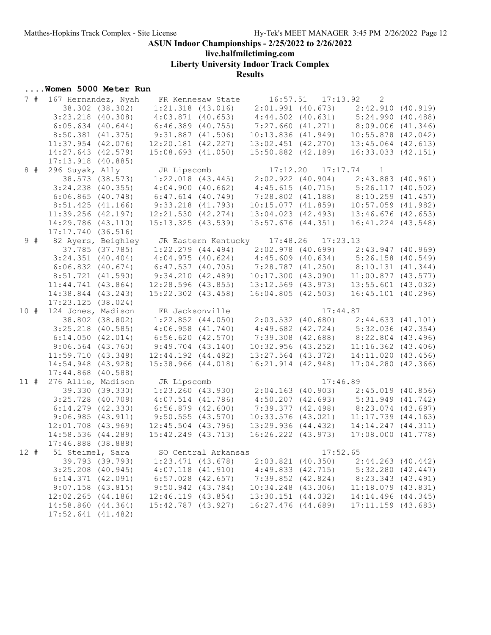live.halfmiletiming.com

Liberty University Indoor Track Complex

# **Results**

# ....Women 5000 Meter Run

| 7#    | 167 Hernandez, Nyah                                                                                                                                                                                                                  | FR Kennesaw State                                                                                                                                                                                                                            |                       | $16:57.51$ $17:13.92$ | 2                                         |  |
|-------|--------------------------------------------------------------------------------------------------------------------------------------------------------------------------------------------------------------------------------------|----------------------------------------------------------------------------------------------------------------------------------------------------------------------------------------------------------------------------------------------|-----------------------|-----------------------|-------------------------------------------|--|
|       | 38.302 (38.302)                                                                                                                                                                                                                      | $1:21.318$ (43.016) $2:01.991$ (40.673) $2:42.910$ (40.919)                                                                                                                                                                                  |                       |                       |                                           |  |
|       | $3:23.218$ $(40.308)$                                                                                                                                                                                                                | $4:03.871$ (40.653) $4:44.502$ (40.631) $5:24.990$ (40.488)                                                                                                                                                                                  |                       |                       |                                           |  |
|       |                                                                                                                                                                                                                                      |                                                                                                                                                                                                                                              |                       |                       |                                           |  |
|       |                                                                                                                                                                                                                                      |                                                                                                                                                                                                                                              |                       |                       |                                           |  |
|       | $11:37.954$ $(42.076)$                                                                                                                                                                                                               | 6:05.634 (40.644) 6:46.389 (40.755) 7:27.660 (41.271) 8:09.006 (41.346)<br>8:50.381 (41.375) 9:31.887 (41.506) 10:13.836 (41.949) 10:55.878 (42.042)<br>11:37.954 (42.076) 12:20.181 (42.227) 13:02.451 (42.270) 13:45.064 (42.613)          |                       |                       |                                           |  |
|       | $14:27.643$ $(42.579)$                                                                                                                                                                                                               | 15:08.693 (41.050) 15:50.882 (42.189) 16:33.033 (42.151)                                                                                                                                                                                     |                       |                       |                                           |  |
|       | $17:13.918$ (40.885)                                                                                                                                                                                                                 |                                                                                                                                                                                                                                              |                       |                       |                                           |  |
| $8$ # | 296 Suyak, Ally                                                                                                                                                                                                                      |                                                                                                                                                                                                                                              |                       |                       |                                           |  |
|       |                                                                                                                                                                                                                                      | 296 Suyak, Ally<br>38.573 (38.573) 1:22.018 (43.445) 2:02.922 (40.904) 2:43.883 (40.961)<br>3:24.238 (40.355) 4:04.900 (40.662) 4:45.615 (40.715) 5:26.117 (40.502)<br>6:06.865 (40.748) 6:47.614 (40.749) 7:28.802 (41.188) 8:10.25         |                       |                       |                                           |  |
|       |                                                                                                                                                                                                                                      |                                                                                                                                                                                                                                              |                       |                       |                                           |  |
|       |                                                                                                                                                                                                                                      | $6:47.614$ (40.749)                                                                                                                                                                                                                          |                       |                       |                                           |  |
|       |                                                                                                                                                                                                                                      |                                                                                                                                                                                                                                              |                       |                       | $10:15.077(41.859)$ $10:57.059(41.982)$   |  |
|       | 8:51.425(41.166)                                                                                                                                                                                                                     | 9:33.218 (41.793)                                                                                                                                                                                                                            |                       |                       |                                           |  |
|       | $11:39.256$ (42.197)                                                                                                                                                                                                                 | 12:21.530(42.274)                                                                                                                                                                                                                            |                       |                       | 13:04.023 (42.493) 13:46.676 (42.653)     |  |
|       | 14:29.786 (43.110)                                                                                                                                                                                                                   | $15:13.325$ $(43.539)$                                                                                                                                                                                                                       |                       |                       | 15:57.676 (44.351) 16:41.224 (43.548)     |  |
|       | $17:17.740$ (36.516)                                                                                                                                                                                                                 |                                                                                                                                                                                                                                              |                       |                       |                                           |  |
|       | 9 # 82 Ayers, Beighley JR Eastern Kentucky 17:48.26 17:23.13                                                                                                                                                                         |                                                                                                                                                                                                                                              |                       |                       |                                           |  |
|       |                                                                                                                                                                                                                                      | $37.785$ $(37.785)$ $1:22.279$ $(44.494)$ $2:02.978$ $(40.699)$ $2:43.947$ $(40.969)$                                                                                                                                                        |                       |                       |                                           |  |
|       | $3:24.351$ $(40.404)$                                                                                                                                                                                                                | $4:04.975$ (40.624) $4:45.609$ (40.634) $5:26.158$ (40.549)                                                                                                                                                                                  |                       |                       |                                           |  |
|       | $6:06.832$ $(40.674)$                                                                                                                                                                                                                | $6:47.537$ (40.705) 7:28.787 (41.250) 8:10.131 (41.344)                                                                                                                                                                                      |                       |                       |                                           |  |
|       |                                                                                                                                                                                                                                      |                                                                                                                                                                                                                                              |                       |                       |                                           |  |
|       |                                                                                                                                                                                                                                      |                                                                                                                                                                                                                                              |                       |                       |                                           |  |
|       | 8:51.721 (41.590) 9:34.210 (42.489) 10:17.300 (43.090) 11:00.877 (43.577)<br>11:44.741 (43.864) 12:28.596 (43.855) 13:12.569 (43.973) 13:55.601 (43.032)<br>14:38.844 (43.243) 15:22.302 (43.458) 16:04.805 (42.503) 16:45.101 (40.2 |                                                                                                                                                                                                                                              |                       |                       |                                           |  |
|       | $17:23.125$ (38.024)                                                                                                                                                                                                                 |                                                                                                                                                                                                                                              |                       |                       |                                           |  |
|       | 10 # 124 Jones, Madison                                                                                                                                                                                                              | FR Jacksonville 17:44.87<br>1:22.852 (44.050) 2:03.532 (40.680) 2:44.633 (41.101)                                                                                                                                                            |                       |                       |                                           |  |
|       | 38.802 (38.802)                                                                                                                                                                                                                      |                                                                                                                                                                                                                                              |                       |                       |                                           |  |
|       | $3:25.218$ (40.585)                                                                                                                                                                                                                  | $4:06.958$ (41.740) $4:49.682$ (42.724) $5:32.036$ (42.354)                                                                                                                                                                                  |                       |                       |                                           |  |
|       | 6:14.050(42.014)                                                                                                                                                                                                                     | 6:56.620(42.570)                                                                                                                                                                                                                             |                       |                       |                                           |  |
|       | $9:06.564$ $(43.760)$                                                                                                                                                                                                                | $\begin{array}{cccc} 6:56.620 & (42.570) & 7:39.308 & (42.688) & 8:22.804 & (43.496) \\ 9:49.704 & (43.140) & 10:32.956 & (43.252) & 11:16.362 & (43.406) \\ 12:44.192 & (44.482) & 13:27.564 & (43.372) & 14:11.020 & (43.456) \end{array}$ |                       |                       |                                           |  |
|       | 11:59.710(43.348)                                                                                                                                                                                                                    |                                                                                                                                                                                                                                              |                       |                       |                                           |  |
|       | 14:54.948 (43.928)                                                                                                                                                                                                                   | 15:38.966 (44.018)                                                                                                                                                                                                                           |                       |                       | 16:21.914 (42.948) 17:04.280 (42.366)     |  |
|       | $17:44.868$ (40.588)                                                                                                                                                                                                                 |                                                                                                                                                                                                                                              |                       |                       |                                           |  |
|       | 11 # 276 Allie, Madison                                                                                                                                                                                                              | JR Lipscomb                                                                                                                                                                                                                                  |                       | 17:46.89              |                                           |  |
|       | 39.330 (39.330)                                                                                                                                                                                                                      |                                                                                                                                                                                                                                              |                       |                       |                                           |  |
|       | $3:25.728$ (40.709)                                                                                                                                                                                                                  | 1:23.260 (43.930) 2:04.163 (40.903) 2:45.019 (40.856)<br>4:07.514 (41.786) 4:50.207 (42.693) 5:31.949 (41.742)<br>6:56.879 (42.600) 7:39.377 (42.498) 8:23.074 (43.697)<br>$4:07.514$ $(41.786)$                                             |                       |                       |                                           |  |
|       | $6:14.279$ $(42.330)$                                                                                                                                                                                                                | $6:56.879$ $(42.600)$                                                                                                                                                                                                                        |                       |                       |                                           |  |
|       | 9:06.985(43.911)                                                                                                                                                                                                                     | 9:50.555(43.570)                                                                                                                                                                                                                             |                       |                       | $10:33.576$ (43.021) $11:17.739$ (44.163) |  |
|       |                                                                                                                                                                                                                                      |                                                                                                                                                                                                                                              |                       |                       |                                           |  |
|       | $12:01.708$ $(43.969)$                                                                                                                                                                                                               | $12:45.504$ $(43.796)$                                                                                                                                                                                                                       |                       |                       | 13:29.936 (44.432) 14:14.247 (44.311)     |  |
|       | 14:58.536 (44.289)                                                                                                                                                                                                                   | $15:42.249$ $(43.713)$                                                                                                                                                                                                                       |                       |                       | 16:26.222 (43.973) 17:08.000 (41.778)     |  |
|       | $17:46.888$ (38.888)                                                                                                                                                                                                                 |                                                                                                                                                                                                                                              |                       |                       |                                           |  |
|       | 12 # 51 Steimel, Sara                                                                                                                                                                                                                | SO Central Arkansas                                                                                                                                                                                                                          |                       | 17:52.65              |                                           |  |
|       | 39.793 (39.793)                                                                                                                                                                                                                      | $1:23.471$ $(43.678)$                                                                                                                                                                                                                        | $2:03.821$ (40.350)   |                       | $2:44.263$ $(40.442)$                     |  |
|       | $3:25.208$ (40.945)                                                                                                                                                                                                                  | $4:07.118$ $(41.910)$                                                                                                                                                                                                                        | 4:49.833(42.715)      |                       | $5:32.280$ $(42.447)$                     |  |
|       | $6:14.371$ $(42.091)$                                                                                                                                                                                                                | $6:57.028$ $(42.657)$                                                                                                                                                                                                                        | $7:39.852$ $(42.824)$ |                       | 8:23.343(43.491)                          |  |
|       | $9:07.158$ $(43.815)$                                                                                                                                                                                                                | $9:50.942$ $(43.784)$                                                                                                                                                                                                                        | $10:34.248$ (43.306)  |                       | $11:18.079$ $(43.831)$                    |  |
|       | $12:02.265$ $(44.186)$                                                                                                                                                                                                               | 12:46.119 (43.854)                                                                                                                                                                                                                           | 13:30.151 (44.032)    |                       | 14:14.496 (44.345)                        |  |
|       | 14:58.860 (44.364)                                                                                                                                                                                                                   | 15:42.787 (43.927)                                                                                                                                                                                                                           | 16:27.476 (44.689)    |                       | $17:11.159$ (43.683)                      |  |
|       | $17:52.641$ (41.482)                                                                                                                                                                                                                 |                                                                                                                                                                                                                                              |                       |                       |                                           |  |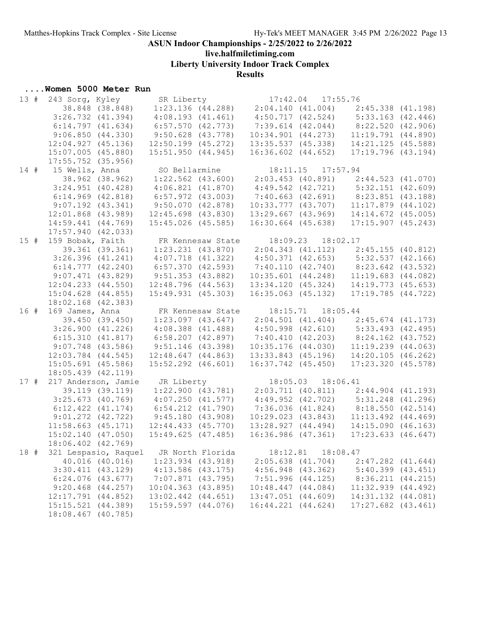live.halfmiletiming.com

Liberty University Indoor Track Complex

# **Results**

# ....Women 5000 Meter Run

| 13# | 243 Sorg, Kyley                              | SR Liberty                                                                                                                                                                                                                             | $17:42.04$ $17:55.76$                                    |                        |
|-----|----------------------------------------------|----------------------------------------------------------------------------------------------------------------------------------------------------------------------------------------------------------------------------------------|----------------------------------------------------------|------------------------|
|     | 38.848 (38.848)                              | $1:23.136$ (44.288) $2:04.140$ (41.004) $2:45.338$ (41.198)                                                                                                                                                                            |                                                          |                        |
|     | $3:26.732$ $(41.394)$                        | $4:08.193$ (41.461) $4:50.717$ (42.524) $5:33.163$ (42.446)                                                                                                                                                                            |                                                          |                        |
|     | 6:14.797(41.634)                             |                                                                                                                                                                                                                                        |                                                          |                        |
|     | 9:06.850(44.330)                             | 6:57.570 (42.773)  7:39.614 (42.044)  8:22.520 (42.906)<br>9:50.628 (43.778)  10:34.901 (44.273)  11:19.791 (44.890)                                                                                                                   |                                                          |                        |
|     | $12:04.927$ $(45.136)$                       |                                                                                                                                                                                                                                        | 12:50.199 (45.272) 13:35.537 (45.338) 14:21.125 (45.588) |                        |
|     | $15:07.005$ (45.880)                         | 15:51.950 (44.945)                                                                                                                                                                                                                     | 16:36.602 (44.652) 17:19.796 (43.194)                    |                        |
|     | $17:55.752$ (35.956)                         |                                                                                                                                                                                                                                        |                                                          |                        |
|     | 14 # 15 Wells, Anna                          |                                                                                                                                                                                                                                        |                                                          |                        |
|     |                                              |                                                                                                                                                                                                                                        |                                                          |                        |
|     |                                              |                                                                                                                                                                                                                                        |                                                          |                        |
|     | $6:14.969$ $(42.818)$                        | $6:57.972$ $(43.003)$                                                                                                                                                                                                                  | 7:40.663 (42.691) 8:23.851 (43.188)                      |                        |
|     |                                              |                                                                                                                                                                                                                                        | 10:33.777 (43.707) 11:17.879 (44.102)                    |                        |
|     | $9:07.192$ $(43.341)$                        | 9:50.070(42.878)                                                                                                                                                                                                                       |                                                          |                        |
|     | $12:01.868$ (43.989)                         | $12:45.698$ $(43.830)$                                                                                                                                                                                                                 | 13:29.667 (43.969) 14:14.672 (45.005)                    |                        |
|     | $14:59.441$ $(44.769)$                       | $15:45.026$ (45.585)                                                                                                                                                                                                                   | 16:30.664 (45.638) 17:15.907 (45.243)                    |                        |
|     | $17:57.940$ (42.033)                         |                                                                                                                                                                                                                                        |                                                          |                        |
|     |                                              | 15 # 159 Bobak, Faith FR Kennesaw State 18:09.23 18:02.17                                                                                                                                                                              |                                                          |                        |
|     |                                              | 39.361 (39.361) 1:23.231 (43.870) 2:04.343 (41.112) 2:45.155 (40.812)                                                                                                                                                                  |                                                          |                        |
|     |                                              | 3:26.396 (41.241) 4:07.718 (41.322) 4:50.371 (42.653) 5:32.537 (42.166)                                                                                                                                                                |                                                          |                        |
|     | 6:14.777(42.240)                             | $6:57.370$ (42.593) $7:40.110$ (42.740) $8:23.642$ (43.532)                                                                                                                                                                            |                                                          |                        |
|     |                                              |                                                                                                                                                                                                                                        |                                                          |                        |
|     |                                              |                                                                                                                                                                                                                                        |                                                          |                        |
|     |                                              | 9:07.471 (43.829) 9:51.353 (43.882) 10:35.601 (44.248) 11:19.683 (44.082) 12:04.233 (44.550) 12:48.796 (44.563) 13:34.120 (45.324) 14:19.773 (45.653) 15:04.628 (44.855) 15:49.931 (45.303) 16:35.063 (45.132) 17:19.785 (44.7         |                                                          |                        |
|     | $18:02.168$ (42.383)                         |                                                                                                                                                                                                                                        |                                                          |                        |
|     | 16 # 169 James, Anna                         | FR Kennesaw State 18:15.71 18:05.44                                                                                                                                                                                                    |                                                          |                        |
|     |                                              | 39.450 (39.450) 1:23.097 (43.647) 2:04.501 (41.404) 2:45.674 (41.173)                                                                                                                                                                  |                                                          |                        |
|     |                                              | 3:26.900 (41.226) $4:08.388$ (41.488) $4:50.998$ (42.610) $5:33.493$ (42.495)<br>6:15.310 (41.817) $6:58.207$ (42.897) 7:40.410 (42.203) 8:24.162 (43.752)<br>9:07.748 (43.586) 9:51.146 (43.398) 10:35.176 (44.030) 11:19.239 (44.    |                                                          |                        |
|     |                                              |                                                                                                                                                                                                                                        |                                                          |                        |
|     | $9:07.748$ (43.586)                          |                                                                                                                                                                                                                                        |                                                          |                        |
|     | $12:03.784$ $(44.545)$                       |                                                                                                                                                                                                                                        | 12:48.647 (44.863) 13:33.843 (45.196) 14:20.105 (46.262) |                        |
|     | $15:05.691$ (45.586)                         |                                                                                                                                                                                                                                        | 15:52.292 (46.601) 16:37.742 (45.450) 17:23.320 (45.578) |                        |
|     |                                              |                                                                                                                                                                                                                                        |                                                          |                        |
|     |                                              |                                                                                                                                                                                                                                        |                                                          |                        |
|     | $18:05.439$ $(42.119)$                       |                                                                                                                                                                                                                                        |                                                          |                        |
| 17# | 217 Anderson, Jamie                          |                                                                                                                                                                                                                                        |                                                          |                        |
|     |                                              |                                                                                                                                                                                                                                        |                                                          |                        |
|     |                                              |                                                                                                                                                                                                                                        |                                                          |                        |
|     |                                              | 18:05.439 (42.115)<br>217 Anderson, Jamie JR Liberty<br>39.119 (39.119) 1:22.900 (43.781) 2:03.711 (40.811) 2:44.904 (41.193)<br>3:25.673 (40.769) 4:07.250 (41.577) 4:49.952 (42.702) 5:31.248 (41.296)<br>6:12.422 (41.174) 6:54.212 |                                                          |                        |
|     |                                              | $9:01.272$ (42.722) $9:45.180$ (43.908)                                                                                                                                                                                                | 10:29.023 (43.843) 11:13.492 (44.469)                    |                        |
|     |                                              | $11:58.663$ (45.171) $12:44.433$ (45.770)                                                                                                                                                                                              | 13:28.927 (44.494) 14:15.090 (46.163)                    |                        |
|     |                                              | 15:02.140 (47.050) 15:49.625 (47.485)                                                                                                                                                                                                  | 16:36.986 (47.361) 17:23.633 (46.647)                    |                        |
|     | 18:06.402 (42.769)                           |                                                                                                                                                                                                                                        |                                                          |                        |
|     |                                              | 18 # 321 Lespasio, Raquel JR North Florida 18:12.81 18:08.47                                                                                                                                                                           |                                                          |                        |
|     | 40.016 (40.016)                              | $1:23.934$ $(43.918)$                                                                                                                                                                                                                  | $2:05.638$ $(41.704)$                                    | $2:47.282$ $(41.644)$  |
|     | $3:30.411$ $(43.129)$                        | $4:13.586$ $(43.175)$                                                                                                                                                                                                                  | $4:56.948$ $(43.362)$                                    | $5:40.399$ $(43.451)$  |
|     | $6:24.076$ $(43.677)$                        | 7:07.871(43.795)                                                                                                                                                                                                                       | $7:51.996$ $(44.125)$                                    | 8:36.211(44.215)       |
|     | $9:20.468$ $(44.257)$                        | $10:04.363$ $(43.895)$                                                                                                                                                                                                                 | $10:48.447$ $(44.084)$                                   | $11:32.939$ $(44.492)$ |
|     | $12:17.791$ $(44.852)$                       | 13:02.442 (44.651)                                                                                                                                                                                                                     | $13:47.051$ $(44.609)$                                   | 14:31.132 (44.081)     |
|     | $15:15.521$ $(44.389)$<br>18:08.467 (40.785) | 15:59.597 (44.076)                                                                                                                                                                                                                     | $16:44.221$ $(44.624)$                                   | $17:27.682$ $(43.461)$ |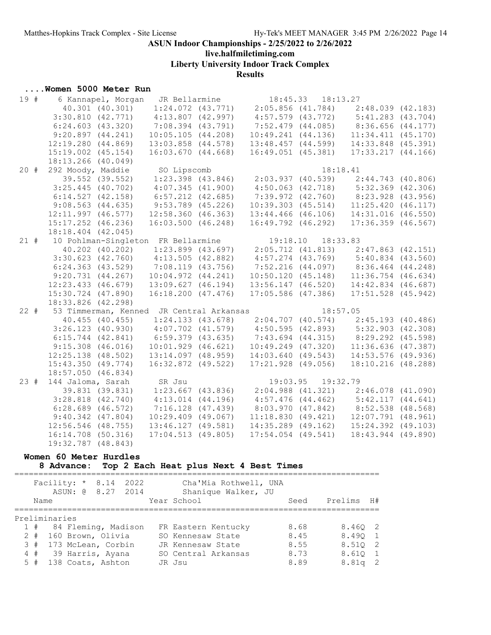live.halfmiletiming.com

Liberty University Indoor Track Complex

# Results

### ....Women 5000 Meter Run

| 19#    |                                          | 6 Kannapel, Morgan  | JR Bellarmine          | 18:45.33             |                   | 18:13.27                                                                                                                     |  |
|--------|------------------------------------------|---------------------|------------------------|----------------------|-------------------|------------------------------------------------------------------------------------------------------------------------------|--|
|        | 40.301 (40.301)                          |                     |                        |                      |                   | $1:24.072$ (43.771) $2:05.856$ (41.784) $2:48.039$ (42.183)                                                                  |  |
|        | 3:30.810(42.771)                         |                     | $4:13.807$ (42.997)    |                      |                   | $4:57.579$ (43.772) $5:41.283$ (43.704)                                                                                      |  |
|        | $6:24.603$ $(43.320)$                    |                     | 7:08.394 (43.791)      |                      |                   | 7:52.479 (44.085) 8:36.656 (44.177)                                                                                          |  |
|        | 9:20.897(44.241)                         |                     | 10:05.105(44.208)      |                      |                   |                                                                                                                              |  |
|        | $12:19.280$ $(44.869)$                   |                     | 13:03.858 (44.578)     |                      |                   | 10:49.241 (44.136) 11:34.411 (45.170)<br>13:48.457 (44.599) 14:33.848 (45.391)                                               |  |
|        | $15:19.002$ $(45.154)$                   |                     | 16:03.670(44.668)      | 16:49.051(45.381)    |                   | $17:33.217$ $(44.166)$                                                                                                       |  |
|        | 18:13.266 (40.049)                       |                     |                        |                      |                   |                                                                                                                              |  |
| 20#    | 292 Moody, Maddie                        |                     | SO Lipscomb            |                      |                   | 18:18.41                                                                                                                     |  |
|        |                                          | 39.552 (39.552)     |                        |                      |                   | $1:23.398$ (43.846) $2:03.937$ (40.539) $2:44.743$ (40.806)                                                                  |  |
|        | $3:25.445$ (40.702)                      |                     | 4:07.345(41.900)       |                      |                   | $4:50.063$ (42.718) $5:32.369$ (42.306)                                                                                      |  |
|        | 6:14.527(42.158)                         |                     | $6:57.212$ $(42.685)$  |                      |                   | 7:39.972 (42.760) 8:23.928 (43.956)                                                                                          |  |
|        | 9:08.563(44.635)                         |                     | $9:53.789$ (45.226)    |                      |                   |                                                                                                                              |  |
|        | $12:11.997$ $(46.577)$                   |                     | 12:58.360(46.363)      |                      |                   | $\begin{array}{cccc} 10:39.303 & (45.514) & 11:25.420 & (46.117) \\ 13:44.466 & (46.106) & 14:31.016 & (46.550) \end{array}$ |  |
|        | $15:17.252$ $(46.236)$                   |                     | 16:03.500(46.248)      | 16:49.792 (46.292)   |                   | $17:36.359$ $(46.567)$                                                                                                       |  |
|        | 18:18.404 (42.045)                       |                     |                        |                      |                   |                                                                                                                              |  |
|        | 21 # 10 Pohlman-Singleton FR Bellarmine  |                     |                        | 19:18.10 18:33.83    |                   |                                                                                                                              |  |
|        | 40.202 (40.202)                          |                     |                        |                      |                   | $1:23.899$ (43.697) $2:05.712$ (41.813) $2:47.863$ (42.151)                                                                  |  |
|        | $3:30.623$ $(42.760)$                    |                     | $4:13.505$ (42.882)    |                      |                   | $4:57.274$ (43.769) $5:40.834$ (43.560)                                                                                      |  |
|        | $6:24.363$ $(43.529)$                    |                     | $7:08.119$ (43.756)    |                      |                   | $7:52.216$ (44.097) 8:36.464 (44.248)                                                                                        |  |
|        | 9:20.731(44.267)                         |                     | $10:04.972$ $(44.241)$ |                      |                   | $10:50.120$ (45.148) $11:36.754$ (46.634)                                                                                    |  |
|        | $12:23.433$ $(46.679)$                   |                     | $13:09.627$ $(46.194)$ |                      |                   | 13:56.147 (46.520) 14:42.834 (46.687)                                                                                        |  |
|        | 15:30.724 (47.890)                       |                     | $16:18.200$ $(47.476)$ |                      |                   | 17:05.586 (47.386) 17:51.528 (45.942)                                                                                        |  |
|        | 18:33.826 (42.298)                       |                     |                        |                      |                   |                                                                                                                              |  |
| $22 +$ | 53 Timmerman, Kenned JR Central Arkansas |                     |                        |                      |                   | 18:57.05                                                                                                                     |  |
|        |                                          | $40.455$ $(40.455)$ |                        |                      |                   | $1:24.133$ (43.678) $2:04.707$ (40.574) $2:45.193$ (40.486)                                                                  |  |
|        | $3:26.123$ (40.930)                      |                     |                        |                      |                   | 4:07.702 (41.579) 4:50.595 (42.893) 5:32.903 (42.308)                                                                        |  |
|        | $6:15.744$ $(42.841)$                    |                     | $6:59.379$ (43.635)    |                      |                   | 7:43.694 (44.315) 8:29.292 (45.598)                                                                                          |  |
|        | $9:15.308$ $(46.016)$                    |                     | $10:01.929$ $(46.621)$ |                      |                   | 10:49.249 (47.320) 11:36.636 (47.387)                                                                                        |  |
|        | $12:25.138$ $(48.502)$                   |                     | 13:14.097 (48.959)     | 14:03.640 (49.543)   |                   | 14:53.576 (49.936)                                                                                                           |  |
|        | 15:43.350(49.774)                        |                     | 16:32.872 (49.522)     | $17:21.928$ (49.056) |                   | 18:10.216 (48.288)                                                                                                           |  |
|        | $18:57.050$ $(46.834)$                   |                     |                        |                      |                   |                                                                                                                              |  |
| 23#    | 144 Jaloma, Sarah                        |                     | SR Jsu                 |                      | 19:03.95 19:32.79 |                                                                                                                              |  |
|        |                                          | 39.831 (39.831)     |                        |                      |                   | $1:23.667$ (43.836) $2:04.988$ (41.321) $2:46.078$ (41.090)                                                                  |  |
|        | $3:28.818$ $(42.740)$                    |                     | $4:13.014$ $(44.196)$  |                      |                   | $4:57.476$ (44.462) $5:42.117$ (44.641)                                                                                      |  |
|        | $6:28.689$ $(46.572)$                    |                     | $7:16.128$ (47.439)    |                      |                   | 8:03.970 (47.842) 8:52.538 (48.568)                                                                                          |  |
|        | $9:40.342$ $(47.804)$                    |                     | $10:29.409$ $(49.067)$ |                      |                   | $11:18.830$ (49.421) $12:07.791$ (48.961)                                                                                    |  |
|        | $12:56.546$ (48.755)                     |                     | $13:46.127$ (49.581)   |                      |                   | 14:35.289 (49.162) 15:24.392 (49.103)                                                                                        |  |
|        | $16:14.708$ (50.316)                     |                     | 17:04.513(49.805)      | $17:54.054$ (49.541) |                   | 18:43.944 (49.890)                                                                                                           |  |
|        | 19:32.787 (48.843)                       |                     |                        |                      |                   |                                                                                                                              |  |

#### Women 60 Meter Hurdles

8 Advance: Top 2 Each Heat plus Next 4 Best Times

| Name | Facility: $*$ 8.14    |  | 2022<br>ASUN: @ 8.27 2014 |  | Cha'Mia Rothwell, UNA<br>Shanique Walker, JU<br>Year School | Seed | Prelims           | <b>H#</b>      |
|------|-----------------------|--|---------------------------|--|-------------------------------------------------------------|------|-------------------|----------------|
|      | Preliminaries         |  |                           |  |                                                             |      |                   |                |
|      |                       |  | 1 # 84 Fleming, Madison   |  | FR Eastern Kentucky                                         | 8.68 | 8.460 2           |                |
|      | 2 # 160 Brown, Olivia |  |                           |  | SO Kennesaw State                                           | 8.45 | 8.490 1           |                |
|      |                       |  | 3 # 173 McLean, Corbin    |  | JR Kennesaw State                                           | 8.55 | 8.510             | $\overline{2}$ |
|      | 4 # 39 Harris, Ayana  |  |                           |  | SO Central Arkansas                                         | 8.73 | 8.610 1           |                |
|      | 5 # 138 Coats, Ashton |  |                           |  | JR Jsu                                                      | 8.89 | 8.81 <sub>q</sub> | $\overline{2}$ |
|      |                       |  |                           |  |                                                             |      |                   |                |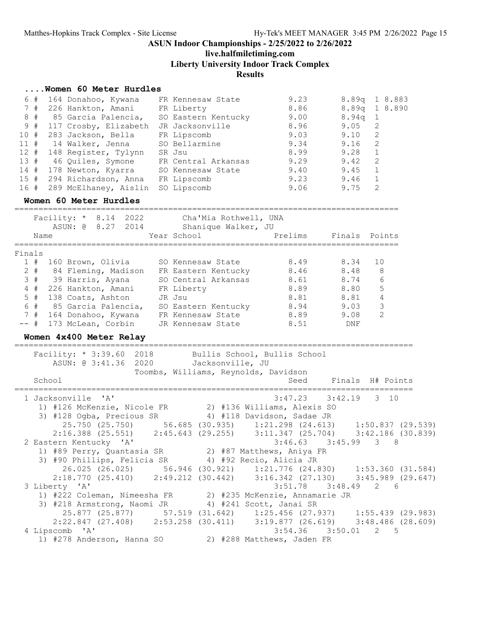#### live.halfmiletiming.com

Liberty University Indoor Track Complex

# **Results**

#### ....Women 60 Meter Hurdles

| 6#   | 164 Donahoo, Kywana    | FR Kennesaw State   | 9.23 | 8.89q             | 1 8.883         |
|------|------------------------|---------------------|------|-------------------|-----------------|
| 7#   | 226 Hankton, Amani     | FR Liberty          | 8.86 |                   | $8.89q$ 1 8.890 |
| 8#   | 85 Garcia Palencia,    | SO Eastern Kentucky | 9.00 | 8.94 <sub>q</sub> | - 1             |
| 9#   | 117 Crosby, Elizabeth  | JR Jacksonville     | 8.96 | 9.05              | -2              |
| 10 # | 283 Jackson, Bella     | FR Lipscomb         | 9.03 | 9.10              | -2              |
|      | 11 # 14 Walker, Jenna  | SO Bellarmine       | 9.34 | 9.16              | -2              |
| 12 # | 148 Register, Tylynn   | SR Jsu              | 8.99 | 9.28              | -1              |
|      | 13 # 46 Quiles, Symone | FR Central Arkansas | 9.29 | 9.42              | -2              |
| 14 # | 178 Newton, Kyarra     | SO Kennesaw State   | 9.40 | 9.45              |                 |
| 15 # | 294 Richardson, Anna   | FR Lipscomb         | 9.23 | 9.46              | $\overline{1}$  |
| 16 # | 289 McElhaney, Aislin  | SO Lipscomb         | 9.06 | 9.75              | -2              |

#### Women 60 Meter Hurdles

|        |       | Facility: | $\star$ | 8.14<br>ASUN: @ 8.27 2014 | 2022 | Cha'Mia Rothwell, UNA<br>Shanique Walker, JU |         |        |               |
|--------|-------|-----------|---------|---------------------------|------|----------------------------------------------|---------|--------|---------------|
|        | Name  |           |         |                           |      | Year School                                  | Prelims | Finals | Points        |
| Finals |       |           |         |                           |      |                                              |         |        |               |
|        | 1#    |           |         | 160 Brown, Olivia         |      | SO Kennesaw State                            | 8.49    | 8.34   | 10            |
|        | $2 +$ |           |         | 84 Fleming, Madison       |      | FR Eastern Kentucky                          | 8.46    | 8.48   | 8             |
|        | 3#    |           |         | 39 Harris, Ayana          |      | SO Central Arkansas                          | 8.61    | 8.74   | 6             |
|        | 4#    |           |         | 226 Hankton, Amani        |      | FR Liberty                                   | 8.89    | 8.80   | 5             |
|        | 5#    |           |         | 138 Coats, Ashton         |      | JR Jsu                                       | 8.81    | 8.81   | 4             |
|        | 6 #   |           |         | 85 Garcia Palencia,       |      | SO Eastern Kentucky                          | 8.94    | 9.03   | 3             |
|        | 7#    |           |         | 164 Donahoo, Kywana       |      | FR Kennesaw State                            | 8.89    | 9.08   | $\mathcal{P}$ |
| $--$ # |       |           |         | 173 McLean, Corbin        |      | JR Kennesaw State                            | 8.51    | DNF    |               |

#### Women 4x400 Meter Relay

=================================================================================== Facility: \* 3:39.60 2018 Bullis School, Bullis School

 ASUN: @ 3:41.36 2020 Jacksonville, JU Toombs, Williams, Reynolds, Davidson School School Seed Finals H# Points =================================================================================== 1 Jacksonville 'A' 3:47.23 3:42.19 3 10 1) #126 McKenzie, Nicole FR 2) #136 Williams, Alexis SO 3) #128 Ogba, Precious SR 4) #118 Davidson, Sadae JR 25.750 (25.750) 56.685 (30.935) 1:21.298 (24.613) 1:50.837 (29.539) 2:16.388 (25.551) 2:45.643 (29.255) 3:11.347 (25.704) 3:42.186 (30.839) 2 Eastern Kentucky 'A' 3:46.63 3:45.99 3 8 1) #89 Perry, Quantasia SR 2) #87 Matthews, Aniya FR 3) #90 Phillips, Felicia SR 4) #92 Recio, Alicia JR 26.025 (26.025) 56.946 (30.921) 1:21.776 (24.830) 1:53.360 (31.584) 2:18.770 (25.410) 2:49.212 (30.442) 3:16.342 (27.130) 3:45.989 (29.647) 3 Liberty 'A' 3:51.78 3:48.49 2 6 1) #222 Coleman, Nimeesha FR 2) #235 McKenzie, Annamarie JR 3) #218 Armstrong, Naomi JR 4) #241 Scott, Janai SR 25.877 (25.877) 57.519 (31.642) 1:25.456 (27.937) 1:55.439 (29.983) 2:22.847 (27.408) 2:53.258 (30.411) 3:19.877 (26.619) 3:48.486 (28.609) 4 Lipscomb 'A' 3:54.36 3:50.01 2 5 1) #278 Anderson, Hanna SO 2) #288 Matthews, Jaden FR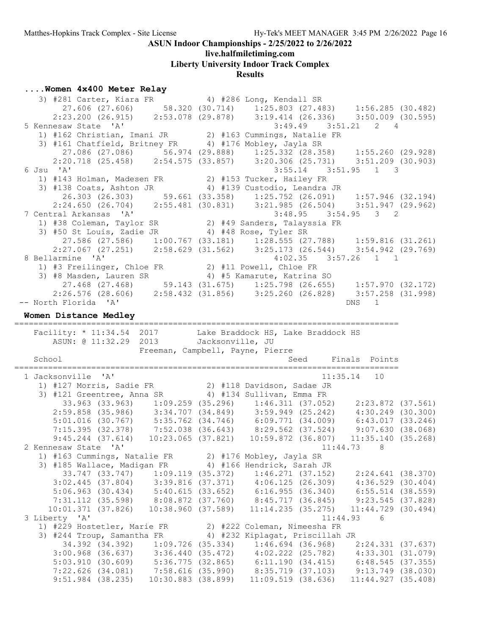#### live.halfmiletiming.com

Liberty University Indoor Track Complex

#### Results

#### ....Women 4x400 Meter Relay

 3) #281 Carter, Kiara FR 4) #286 Long, Kendall SR 27.606 (27.606) 58.320 (30.714) 1:25.803 (27.483) 1:56.285 (30.482) 2:23.200 (26.915) 2:53.078 (29.878) 3:19.414 (26.336) 3:50.009 (30.595) 5 Kennesaw State 'A' 3:49.49 3:51.21 2 4 1) #162 Christian, Imani JR 2) #163 Cummings, Natalie FR 3) #161 Chatfield, Britney FR 4) #176 Mobley, Jayla SR 27.086 (27.086) 56.974 (29.888) 1:25.332 (28.358) 1:55.260 (29.928) 2:20.718 (25.458) 2:54.575 (33.857) 3:20.306 (25.731) 3:51.209 (30.903) 6 Jsu 'A' 3:55.14 3:51.95 1 3 1) #143 Holman, Madesen FR 2) #153 Tucker, Hailey FR 3) #138 Coats, Ashton JR 4) #139 Custodio, Leandra JR 26.303 (26.303) 59.661 (33.358) 1:25.752 (26.091) 1:57.946 (32.194) 2:24.650 (26.704) 2:55.481 (30.831) 3:21.985 (26.504) 3:51.947 (29.962) 7 Central Arkansas 'A' 3:48.95 3:54.95 3 2 1) #38 Coleman, Taylor SR 2) #49 Sanders, Talayssia FR 3) #50 St Louis, Zadie JR 4) #48 Rose, Tyler SR 27.586 (27.586) 1:00.767 (33.181) 1:28.555 (27.788) 1:59.816 (31.261) 2:27.067 (27.251) 2:58.629 (31.562) 3:25.173 (26.544) 3:54.942 (29.769) 8 Bellarmine 'A' 4:02.35 3:57.26 1 1 1) #3 Freilinger, Chloe FR 2) #11 Powell, Chloe FR 3) #8 Masden, Lauren SR 4) #5 Kamarute, Katrina SO 27.468 (27.468) 59.143 (31.675) 1:25.798 (26.655) 1:57.970 (32.172) 2:26.576 (28.606) 2:58.432 (31.856) 3:25.260 (26.828) 3:57.258 (31.998) -- North Florida 'A' DNS 1 Women Distance Medley ================================================================================ Facility: \* 11:34.54 2017 Lake Braddock HS, Lake Braddock HS ASUN: @ 11:32.29 2013 Jacksonville, JU Freeman, Campbell, Payne, Pierre Seed Finals Points ================================================================================ 1 Jacksonville 'A' 11:35.14 10 1) #127 Morris, Sadie FR 2) #118 Davidson, Sadae JR 3) #121 Greentree, Anna SR 4) #134 Sullivan, Emma FR 33.963 (33.963) 1:09.259 (35.296) 1:46.311 (37.052) 2:23.872 (37.561) 2:59.858 (35.986) 3:34.707 (34.849) 3:59.949 (25.242) 4:30.249 (30.300) 5:01.016 (30.767) 5:35.762 (34.746) 6:09.771 (34.009) 6:43.017 (33.246) 7:15.395 (32.378) 7:52.038 (36.643) 8:29.562 (37.524) 9:07.630 (38.068) 9:45.244 (37.614) 10:23.065 (37.821) 10:59.872 (36.807) 11:35.140 (35.268) 2 Kennesaw State 'A' 11:44.73 8 1) #163 Cummings, Natalie FR 2) #176 Mobley, Jayla SR 3) #185 Wallace, Madigan FR 4) #166 Hendrick, Sarah JR 33.747 (33.747) 1:09.119 (35.372) 1:46.271 (37.152) 2:24.641 (38.370) 3:02.445 (37.804) 3:39.816 (37.371) 4:06.125 (26.309) 4:36.529 (30.404) 5:06.963 (30.434) 5:40.615 (33.652) 6:16.955 (36.340) 6:55.514 (38.559) 7:31.112 (35.598) 8:08.872 (37.760) 8:45.717 (36.845) 9:23.545 (37.828) 10:01.371 (37.826) 10:38.960 (37.589) 11:14.235 (35.275) 11:44.729 (30.494) 3 Liberty 'A' 11:44.93 6 1) #229 Hostetler, Marie FR 2) #222 Coleman, Nimeesha FR 3) #244 Troup, Samantha FR 4) #232 Kiplagat, Priscillah JR 34.392 (34.392) 1:09.726 (35.334) 1:46.694 (36.968) 2:24.331 (37.637) 3:00.968 (36.637) 3:36.440 (35.472) 4:02.222 (25.782) 4:33.301 (31.079) 5:03.910 (30.609) 5:36.775 (32.865) 6:11.190 (34.415) 6:48.545 (37.355) 7:22.626 (34.081) 7:58.616 (35.990) 8:35.719 (37.103) 9:13.749 (38.030) 9:51.984 (38.235) 10:30.883 (38.899) 11:09.519 (38.636) 11:44.927 (35.408)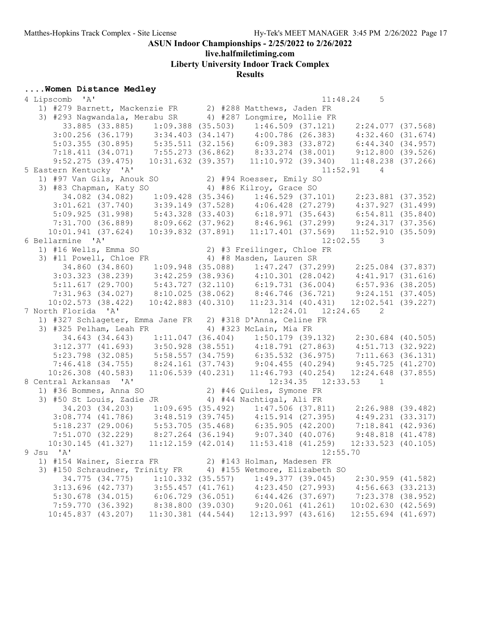live.halfmiletiming.com

Liberty University Indoor Track Complex

#### Results

#### ....Women Distance Medley

 4 Lipscomb 'A' 11:48.24 5 1) #279 Barnett, Mackenzie FR 2) #288 Matthews, Jaden FR 3) #293 Nagwandala, Merabu SR 4) #287 Longmire, Mollie FR 33.885 (33.885) 1:09.388 (35.503) 1:46.509 (37.121) 2:24.077 (37.568) 3:00.256 (36.179) 3:34.403 (34.147) 4:00.786 (26.383) 4:32.460 (31.674) 5:03.355 (30.895) 5:35.511 (32.156) 6:09.383 (33.872) 6:44.340 (34.957) 7:18.411 (34.071) 7:55.273 (36.862) 8:33.274 (38.001) 9:12.800 (39.526) 9:52.275 (39.475) 10:31.632 (39.357) 11:10.972 (39.340) 11:48.238 (37.266) 5 Eastern Kentucky 'A' 11:52.91 4 1) #97 Van Gils, Anouk SO 2) #94 Roesser, Emily SO 3) #83 Chapman, Katy SO 4) #86 Kilroy, Grace SO 34.082 (34.082) 1:09.428 (35.346) 1:46.529 (37.101) 2:23.881 (37.352) 3:01.621 (37.740) 3:39.149 (37.528) 4:06.428 (27.279) 4:37.927 (31.499) 5:09.925 (31.998) 5:43.328 (33.403) 6:18.971 (35.643) 6:54.811 (35.840) 7:31.700 (36.889) 8:09.662 (37.962) 8:46.961 (37.299) 9:24.317 (37.356) 10:01.941 (37.624) 10:39.832 (37.891) 11:17.401 (37.569) 11:52.910 (35.509)<br>
larmine 'A' 12:02.55 3 6 Bellarmine 'A' 12<br>
12 1) #16 Wells, Emma SO 2) #3 Freilinger, Chloe FR 1) #16 Wells, Emma SO 2) #3 Freilinger, Chloe FR 3) #11 Powell, Chloe FR 4) #8 Masden, Lauren SR 34.860 (34.860) 1:09.948 (35.088) 1:47.247 (37.299) 2:25.084 (37.837) 3:03.323 (38.239) 3:42.259 (38.936) 4:10.301 (28.042) 4:41.917 (31.616) 5:11.617 (29.700) 5:43.727 (32.110) 6:19.731 (36.004) 6:57.936 (38.205) 7:31.963 (34.027) 8:10.025 (38.062) 8:46.746 (36.721) 9:24.151 (37.405) 10:02.573 (38.422) 10:42.883 (40.310) 11:23.314 (40.431) 12:02.541 (39.227)  $12:24.01$   $12:24.65$  1) #327 Schlageter, Emma Jane FR 2) #318 D'Anna, Celine FR 3) #325 Pelham, Leah FR 4) #323 McLain, Mia FR 34.643 (34.643) 1:11.047 (36.404) 1:50.179 (39.132) 2:30.684 (40.505) 3:12.377 (41.693) 3:50.928 (38.551) 4:18.791 (27.863) 4:51.713 (32.922) 5:23.798 (32.085) 5:58.557 (34.759) 6:35.532 (36.975) 7:11.663 (36.131) 7:46.418 (34.755) 8:24.161 (37.743) 9:04.455 (40.294) 9:45.725 (41.270) 10:26.308 (40.583) 11:06.539 (40.231) 11:46.793 (40.254) 12:24.648 (37.855) 8 Central Arkansas 'A' 12:34.35 12:33.53 1 1) #36 Bommes, Anna SO 2) #46 Quiles, Symone FR 3) #50 St Louis, Zadie JR 4) #44 Nachtigal, Ali FR 34.203 (34.203) 1:09.695 (35.492) 1:47.506 (37.811) 2:26.988 (39.482) 3:08.774 (41.786) 3:48.519 (39.745) 4:15.914 (27.395) 4:49.231 (33.317) 5:18.237 (29.006) 5:53.705 (35.468) 6:35.905 (42.200) 7:18.841 (42.936) 7:51.070 (32.229) 8:27.264 (36.194) 9:07.340 (40.076) 9:48.818 (41.478) 10:30.145 (41.327) 11:12.159 (42.014) 11:53.418 (41.259) 12:33.523 (40.105)<br>9 Jsu 'A' 12:55.70 9 Jsu 'A' 12:55.70 1) #154 Wainer, Sierra FR 2) #143 Holman, Madesen FR 3) #150 Schraudner, Trinity FR 4) #155 Wetmore, Elizabeth SO 34.775 (34.775) 1:10.332 (35.557) 1:49.377 (39.045) 2:30.959 (41.582) 3:13.696 (42.737) 3:55.457 (41.761) 4:23.450 (27.993) 4:56.663 (33.213) 5:30.678 (34.015) 6:06.729 (36.051) 6:44.426 (37.697) 7:23.378 (38.952) 7:59.770 (36.392) 8:38.800 (39.030) 9:20.061 (41.261) 10:02.630 (42.569) 10:45.837 (43.207) 11:30.381 (44.544) 12:13.997 (43.616) 12:55.694 (41.697)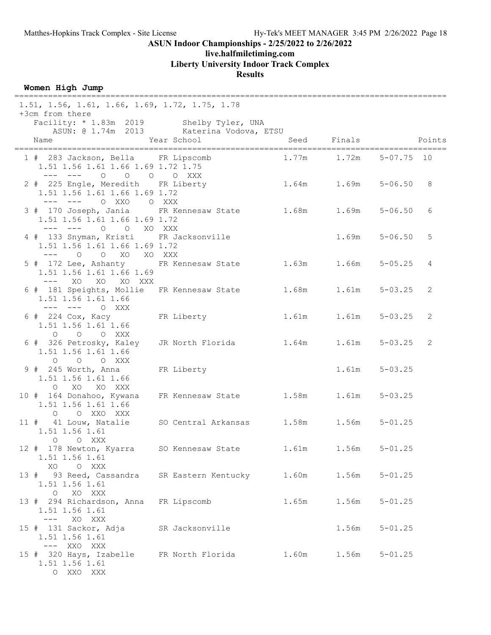# live.halfmiletiming.com

Liberty University Indoor Track Complex

#### Results

#### Women High Jump

| 1.51, 1.56, 1.61, 1.66, 1.69, 1.72, 1.75, 1.78<br>+3cm from there<br>Facility: * 1.83m 2019      | Shelby Tyler, UNA   |                           |             |                   |        |
|--------------------------------------------------------------------------------------------------|---------------------|---------------------------|-------------|-------------------|--------|
| ASUN: @ 1.74m 2013 Katerina Vodova, ETSU<br>Name                                                 | Year School         |                           | Seed Finals |                   | Points |
| 1 # 283 Jackson, Bella FR Lipscomb<br>1.51 1.56 1.61 1.66 1.69 1.72 1.75<br>--- --- 0 0 0 0 XXX  |                     | 1.77m                     | 1.72m       | $5 - 07.75$ 10    |        |
| 2 # 225 Engle, Meredith FR Liberty<br>1.51 1.56 1.61 1.66 1.69 1.72<br>O XXO O XXX<br>——— ——— —— |                     | $1.64m$ $1.69m$ $5-06.50$ |             |                   | 8      |
| 3 # 170 Joseph, Jania FR Kennesaw State 1.68m<br>1.51 1.56 1.61 1.66 1.69 1.72<br>O XO XXX       |                     |                           |             | $1.69m$ $5-06.50$ | 6      |
| 4 # 133 Snyman, Kristi FR Jacksonville<br>1.51 1.56 1.61 1.66 1.69 1.72<br>$---$ 0 0 XO XO XXX   |                     |                           |             | $1.69m$ $5-06.50$ | 5      |
| 5 # 172 Lee, Ashanty FR Kennesaw State<br>1.51 1.56 1.61 1.66 1.69<br>--- xo xo xo xxx           |                     | 1.63m                     | 1.66m       | $5 - 05.25$       | 4      |
| 6 # 181 Speights, Mollie FR Kennesaw State<br>1.51 1.56 1.61 1.66<br>O XXX                       |                     | 1.68m                     | 1.61m       | $5 - 03.25$       | 2      |
| 6 # 224 Cox, Kacy FR Liberty<br>1.51 1.56 1.61 1.66<br>$O$ $O$ $O$ $XXX$                         |                     | 1.61m                     | 1.61m       | $5 - 03.25$       | 2      |
| 6 # 326 Petrosky, Kaley JR North Florida<br>1.51 1.56 1.61 1.66<br>$O$ $O$ $O$ $XXX$             |                     | 1.64m                     |             | $1.61m$ $5-03.25$ | 2      |
| 9 # 245 Worth, Anna<br>1.51 1.56 1.61 1.66<br>O XO XO XXX                                        | FR Liberty          |                           | 1.61m       | $5 - 03.25$       |        |
| 10 # 164 Donahoo, Kywana<br>1.51 1.56 1.61 1.66<br>O O XXO XXX                                   | FR Kennesaw State   | 1.58m                     | 1.61m       | $5 - 03.25$       |        |
| 11 # 41 Louw, Natalie<br>1.51 1.56 1.61<br>O XXX<br>$\circ$                                      | SO Central Arkansas | 1.58m                     | 1.56m       | $5 - 01.25$       |        |
| 12 # 178 Newton, Kyarra SO Kennesaw State<br>1.51 1.56 1.61<br>XO<br>O XXX                       |                     | 1.61m                     | 1.56m       | $5 - 01.25$       |        |
| 13 # 93 Reed, Cassandra<br>1.51 1.56 1.61<br>XO XXX<br>$\circ$                                   | SR Eastern Kentucky | 1.60m                     | 1.56m       | $5 - 01.25$       |        |
| 13 # 294 Richardson, Anna<br>1.51 1.56 1.61<br>$---$<br>XO XXX                                   | FR Lipscomb         | 1.65m                     | 1.56m       | $5 - 01.25$       |        |
| 15 # 131 Sackor, Adja<br>1.51 1.56 1.61<br>--- XXO XXX                                           | SR Jacksonville     |                           | 1.56m       | $5 - 01.25$       |        |
| 15 # 320 Hays, Izabelle<br>1.51 1.56 1.61<br>O XXO XXX                                           | FR North Florida    | 1.60m                     | 1.56m       | $5 - 01.25$       |        |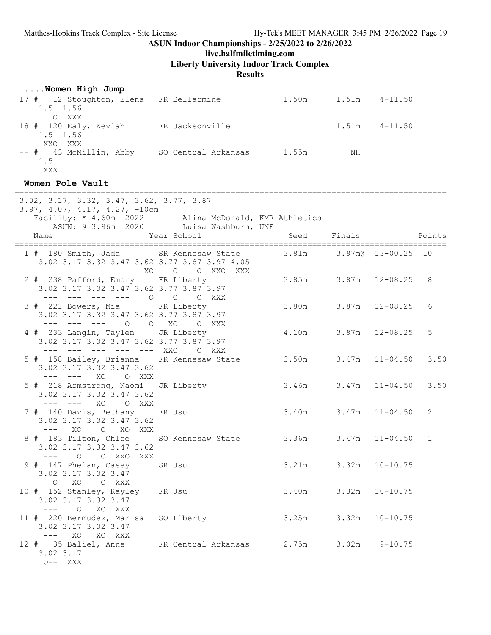live.halfmiletiming.com

Liberty University Indoor Track Complex

# **Results**

| Women High Jump                                                                                                                                  |                           |                            |       |                            |                |
|--------------------------------------------------------------------------------------------------------------------------------------------------|---------------------------|----------------------------|-------|----------------------------|----------------|
| 17 # 12 Stoughton, Elena FR Bellarmine 1.50m 1.51m 4-11.50<br>1.51 1.56                                                                          |                           |                            |       |                            |                |
| O XXX<br>18 # 120 Ealy, Keviah FR Jacksonville<br>1.51 1.56<br>XXO XXX                                                                           |                           |                            |       | $1.51m$ $4-11.50$          |                |
| -- # 43 McMillin, Abby SO Central Arkansas 1.55m NH<br>1.51<br>XXX                                                                               |                           |                            |       |                            |                |
| Women Pole Vault                                                                                                                                 |                           |                            |       |                            |                |
| 3.02, 3.17, 3.32, 3.47, 3.62, 3.77, 3.87                                                                                                         |                           |                            |       |                            |                |
| 3.97, 4.07, 4.17, 4.27, +10cm<br>Facility: * 4.60m 2022 Alina McDonald, KMR Athletics<br>ASUN: @ 3.96m 2020 Luisa Washburn, UNF                  |                           |                            |       |                            |                |
| Name                                                                                                                                             | Year School               |                            |       | Seed Finals <b>Points</b>  |                |
| 1 # 180 Smith, Jada SR Kennesaw State 3.81m 3.97m@ 13-00.25 10<br>3.02 3.17 3.32 3.47 3.62 3.77 3.87 3.97 4.05<br>--- --- --- --- XO O O XXO XXX |                           |                            |       |                            |                |
| 2 # 238 Pafford, Emory FR Liberty<br>3.02 3.17 3.32 3.47 3.62 3.77 3.87 3.97<br>--- --- --- --- 0 0 0 XXX                                        |                           |                            |       | $3.85m$ $3.87m$ $12-08.25$ | 8              |
| 3 # 221 Bowers, Mia FR Liberty<br>3.02 3.17 3.32 3.47 3.62 3.77 3.87 3.97<br>--- --- --- 0 0 XO 0 XXX                                            |                           |                            |       | $3.80m$ $3.87m$ $12-08.25$ | 6              |
| 4 # 233 Langin, Taylen JR Liberty<br>3.02 3.17 3.32 3.47 3.62 3.77 3.87 3.97<br>--- --- --- --- --- XXO O XXX                                    |                           |                            |       | $4.10m$ $3.87m$ $12-08.25$ | 5              |
| 5 # 158 Bailey, Brianna FR Kennesaw State<br>3.02 3.17 3.32 3.47 3.62<br>--- --- XO OXXX                                                         |                           | $3.50m$ $3.47m$            |       | $11 - 04.50$ 3.50          |                |
| 5 # 218 Armstrong, Naomi JR Liberty<br>3.02 3.17 3.32 3.47 3.62<br>--- --- xo oxxx                                                               |                           | $3.46m$ $3.47m$            |       | $11 - 04.50$ 3.50          |                |
| 7 # 140 Davis, Bethany FR Jsu<br>3.02 3.17 3.32 3.47 3.62<br>XO O XO XXX<br>$---$                                                                |                           |                            |       | $3.40m$ $3.47m$ $11-04.50$ | 2              |
| 8 # 183 Tilton, Chloe SO Kennesaw State<br>3.02 3.17 3.32 3.47 3.62<br>--- 0 0 XXO XXX                                                           |                           | $3.36m$ $3.47m$ $11-04.50$ |       |                            | $\overline{1}$ |
| 9 # 147 Phelan, Casey<br>3.02 3.17 3.32 3.47<br>O XO O XXX                                                                                       | SR Jsu                    | 3.21m 3.32m 10-10.75       |       |                            |                |
| 10 # 152 Stanley, Kayley FR Jsu<br>3.02 3.17 3.32 3.47<br>--- 0 XO XXX                                                                           |                           | 3.40m                      |       | $3.32m$ $10-10.75$         |                |
| 11 # 220 Bermudez, Marisa<br>3.02 3.17 3.32 3.47                                                                                                 | SO Liberty                | 3.25m                      | 3.32m | $10 - 10.75$               |                |
| 12 # 35 Baliel, Anne<br>3.02 3.17<br>$O---$ XXX                                                                                                  | FR Central Arkansas 2.75m |                            |       | $3.02m$ $9-10.75$          |                |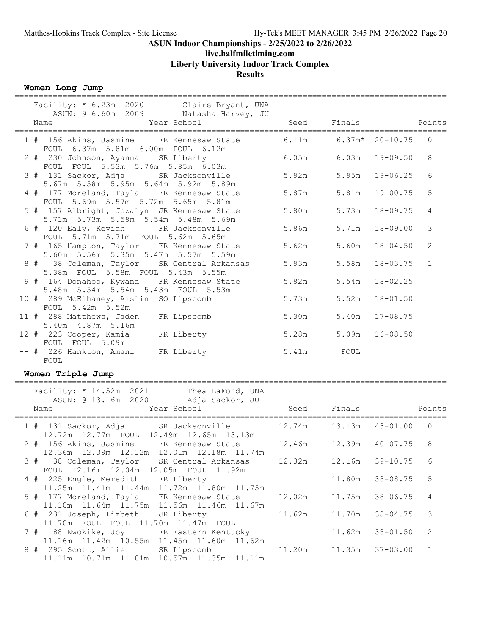# live.halfmiletiming.com

Liberty University Indoor Track Complex

# Results

#### Women Long Jump

| Name |                                                                                    | Facility: * 6.23m 2020 Claire Bryant, UNA<br>ASUN: @ 6.60m 2009 Natasha Harvey, JU<br>Year School |       | Seed Finals Points |                      |              |
|------|------------------------------------------------------------------------------------|---------------------------------------------------------------------------------------------------|-------|--------------------|----------------------|--------------|
|      |                                                                                    |                                                                                                   |       |                    |                      |              |
|      | FOUL 6.37m 5.81m 6.00m FOUL 6.12m                                                  | 1 # 156 Akins, Jasmine FR Kennesaw State 6.11m                                                    |       |                    | $6.37m*$ 20-10.75 10 |              |
|      | FOUL FOUL 5.53m 5.76m 5.85m 6.03m                                                  | 2 # 230 Johnson, Ayanna SR Liberty                                                                |       | 6.05m 6.03m        | 19-09.50             | 8            |
|      | 5.67m 5.58m 5.95m 5.64m 5.92m 5.89m                                                | 3 # 131 Sackor, Adja SR Jacksonville                                                              |       | 5.92m 5.95m        | $19 - 06.25$         | 6            |
| FOUL | 4 # 177 Moreland, Tayla FR Kennesaw State<br>5.69m 5.57m 5.72m 5.65m 5.81m         |                                                                                                   |       | 5.87m 5.81m        | 19-00.75             | 5            |
|      | 5 # 157 Albright, Jozalyn JR Kennesaw State<br>5.71m 5.73m 5.58m 5.54m 5.48m 5.69m |                                                                                                   | 5.80m | 5.73m              | 18-09.75             | 4            |
|      | 6 # 120 Ealy, Keviah FR Jacksonville<br>FOUL 5.71m 5.71m FOUL 5.62m 5.65m          |                                                                                                   | 5.86m | 5.71m              | $18 - 09.00$         | 3            |
|      | 7 # 165 Hampton, Taylor FR Kennesaw State<br>5.60m 5.56m 5.35m 5.47m 5.57m 5.59m   |                                                                                                   | 5.62m | 5.60m              | $18 - 04.50$         | 2            |
|      | 5.38m FOUL 5.58m FOUL 5.43m 5.55m                                                  | 8 # 38 Coleman, Taylor SR Central Arkansas                                                        | 5.93m | 5.58m              | 18-03.75             | $\mathbf{1}$ |
|      | 5.48m 5.54m 5.54m 5.43m FOUL 5.53m                                                 | 9 # 164 Donahoo, Kywana FR Kennesaw State                                                         | 5.82m | 5.54m              | $18 - 02.25$         |              |
|      | 10 # 289 McElhaney, Aislin SO Lipscomb<br>FOUL 5.42m 5.52m                         |                                                                                                   | 5.73m | 5.52m              | $18 - 01.50$         |              |
|      | 11 # 288 Matthews, Jaden FR Lipscomb<br>5.40m 4.87m 5.16m                          |                                                                                                   | 5.30m | 5.40m              | $17 - 08.75$         |              |
|      | 12 # 223 Cooper, Kamia FR Liberty<br>FOUL FOUL 5.09m                               |                                                                                                   | 5.28m | 5.09m              | $16 - 08.50$         |              |
| FOUL | -- # 226 Hankton, Amani FR Liberty                                                 |                                                                                                   |       | 5.41m FOUL         |                      |              |
|      | Women Triple Jump                                                                  |                                                                                                   |       |                    |                      |              |
|      |                                                                                    |                                                                                                   |       |                    |                      |              |

| Facility: * 14.52m 2021 Thea LaFond, UNA<br>ASUN: @ 13.16m 2020 Adja Sackor, JU<br><b>Example 2018</b> Year School<br>Name | Seed          | Finals and the state of the state of the state of the state of the state of the state of the state of the state of the state of the state of the state of the state of the state of the state of the state of the state of the |              | Points          |
|----------------------------------------------------------------------------------------------------------------------------|---------------|--------------------------------------------------------------------------------------------------------------------------------------------------------------------------------------------------------------------------------|--------------|-----------------|
| 1 # 131 Sackor, Adja SR Jacksonville<br>12.72m 12.77m FOUL 12.49m 12.65m 13.13m                                            |               | 12.74m 13.13m                                                                                                                                                                                                                  | 43-01.00 10  |                 |
| 2 # 156 Akins, Jasmine FR Kennesaw State<br>12.36m 12.39m 12.12m 12.01m 12.18m 11.74m                                      | 12.46m 12.39m |                                                                                                                                                                                                                                | 40-07.75     | 8               |
| 3 # 38 Coleman, Taylor SR Central Arkansas<br>FOUL 12.16m 12.04m 12.05m FOUL 11.92m                                        | 12.32m 12.16m |                                                                                                                                                                                                                                | 39-10.75     | $6\overline{6}$ |
| 4 # 225 Engle, Meredith FR Liberty<br>11.25m  11.41m  11.44m  11.72m  11.80m  11.75m                                       |               | 11.80m                                                                                                                                                                                                                         | 38-08.75     | 5               |
| 5 # 177 Moreland, Tayla    FR Kennesaw State<br>11.10m  11.64m  11.75m  11.56m  11.46m  11.67m                             | 12.02m        | 11.75m                                                                                                                                                                                                                         | 38-06.75     | 4               |
| 6 # 231 Joseph, Lizbeth JR Liberty<br>11.70m FOUL FOUL 11.70m 11.47m FOUL                                                  |               | 11.62m 11.70m                                                                                                                                                                                                                  | $38 - 04.75$ | 3               |
| 7 # 88 Nwokike, Joy FR Eastern Kentucky<br>11.16m  11.42m  10.55m  11.45m  11.60m  11.62m                                  |               | 11.62m                                                                                                                                                                                                                         | 38-01.50     | -2              |
| 8 # 295 Scott, Allie SR Lipscomb<br>11.11m  10.71m  11.01m  10.57m  11.35m  11.11m                                         | 11.20m        | 11.35m                                                                                                                                                                                                                         | 37-03.00     | $\overline{1}$  |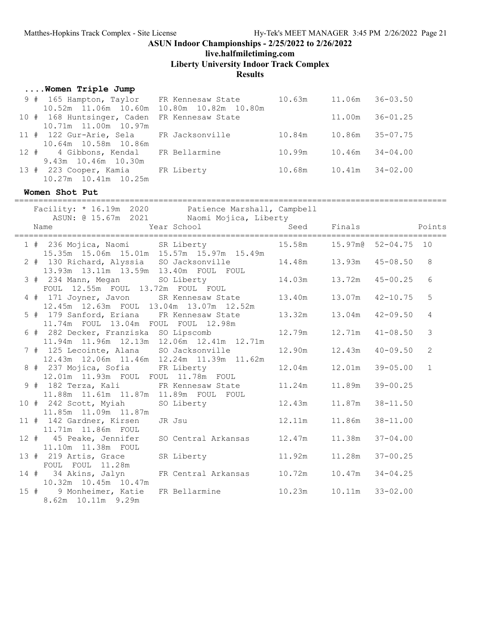live.halfmiletiming.com

Liberty University Indoor Track Complex

#### Results

# ....Women Triple Jump

| 9 # 165 Hampton, Taylor FR Kennesaw State    | 10.63m |        | 11.06m 36-03.50     |
|----------------------------------------------|--------|--------|---------------------|
| 10.52m 11.06m 10.60m 10.80m 10.82m 10.80m    |        |        |                     |
| 10 # 168 Huntsinger, Caden FR Kennesaw State |        | 11.00m | $36 - 01.25$        |
| 10.71m 11.00m 10.97m                         |        |        |                     |
| 11 # 122 Gur-Arie, Sela FR Jacksonville      | 10.84m |        | $10.86m$ $35-07.75$ |
| 10.64m 10.58m 10.86m                         |        |        |                     |
| 12 # 4 Gibbons, Kendal FR Bellarmine         | 10.99m |        | $10.46m$ $34-04.00$ |
| 9.43m 10.46m 10.30m                          |        |        |                     |
| 13 # 223 Cooper, Kamia FR Liberty            | 10.68m |        | $10.41m$ $34-02.00$ |
| 10.27m  10.41m  10.25m                       |        |        |                     |

#### Women Shot Put

|  |                                                                                         | Facility: * 16.19m 2020 Patience Marshall, Campbell<br>ASUN: @ 15.67m 2021 Naomi Mojica, Liberty |                                |          |                    |                |
|--|-----------------------------------------------------------------------------------------|--------------------------------------------------------------------------------------------------|--------------------------------|----------|--------------------|----------------|
|  | Year School<br>Name                                                                     |                                                                                                  |                                | ======== | Seed Finals Points |                |
|  |                                                                                         | 1 # 236 Mojica, Naomi SR Liberty<br>15.35m 15.06m 15.01m 15.57m 15.97m 15.49m                    | 15.58m   15.97m@ 52-04.75   10 |          |                    |                |
|  | 13.93m  13.11m  13.59m  13.40m  FOUL  FOUL                                              | 2 # 130 Richard, Alyssia SO Jacksonville                                                         | 14.48m   13.93m                |          | $45 - 08.50$       | 8              |
|  | FOUL 12.55m FOUL 13.72m FOUL FOUL                                                       | 3 # 234 Mann, Megan SO Liberty                                                                   | 14.03m                         | 13.72m   | $45 - 00.25$       | 6              |
|  | 12.45m  12.63m  FOUL  13.04m  13.07m  12.52m                                            | 4 # 171 Joyner, Javon SR Kennesaw State                                                          | 13.40m                         | 13.07m   | $42 - 10.75$       | 5              |
|  | 5 # 179 Sanford, Eriana FR Kennesaw State<br>11.74m FOUL 13.04m FOUL FOUL 12.98m        |                                                                                                  | 13.32m                         | 13.04m   | $42 - 09.50$       | $\overline{4}$ |
|  | 6 # 282 Decker, Franziska SO Lipscomb<br>11.94m  11.96m  12.13m  12.06m  12.41m  12.71m |                                                                                                  |                                |          | $41 - 08.50$       | $\mathcal{S}$  |
|  | 7 # 125 Lecointe, Alana SO Jacksonville<br>12.43m 12.06m 11.46m 12.24m 11.39m 11.62m    |                                                                                                  | 12.90m   12.43m                |          | $40 - 09.50$       | $\overline{2}$ |
|  | 8 # 237 Mojica, Sofia FR Liberty<br>12.01m 11.93m FOUL FOUL 11.78m FOUL                 |                                                                                                  | 12.04m   12.01m                |          | $39 - 05.00$       | $\mathbf{1}$   |
|  | 11.88m  11.61m  11.87m  11.89m  FOUL  FOUL                                              | 9 # 182 Terza, Kali KR Kennesaw State                                                            | 11.24m                         | 11.89m   | $39 - 00.25$       |                |
|  | 11.85m 11.09m 11.87m                                                                    | 10 # 242 Scott, Myiah SO Liberty                                                                 | 12.43m                         | 11.87m   | $38 - 11.50$       |                |
|  | 11 # 142 Gardner, Kirsen<br>11.71m  11.86m  FOUL                                        | JR Jsu                                                                                           | 12.11m                         | 11.86m   | $38 - 11.00$       |                |
|  | 12 # 45 Peake, Jennifer<br>11.10m  11.38m  FOUL                                         | SO Central Arkansas                                                                              | 12.47m                         | 11.38m   | $37 - 04.00$       |                |
|  | 13 # 219 Artis, Grace<br>FOUL FOUL 11.28m                                               | SR Liberty Theory                                                                                | 11.92m                         | 11.28m   | $37 - 00.25$       |                |
|  | 10.32m 10.45m 10.47m                                                                    | 14 # 34 Akins, Jalyn FR Central Arkansas                                                         | 10.72m   10.47m                |          | $34 - 04.25$       |                |
|  | 15 # 9 Monheimer, Katie FR Bellarmine<br>8.62m 10.11m 9.29m                             |                                                                                                  | 10.23m                         |          | 10.11m  33-02.00   |                |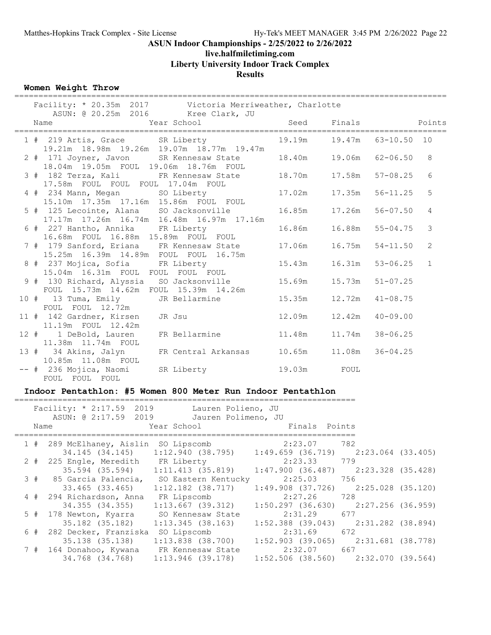# live.halfmiletiming.com

Liberty University Indoor Track Complex

# Results

#### Women Weight Throw

|  | Facility: * 20.35m 2017    Victoria Merriweather, Charlotte<br>ASUN: @ 20.25m 2016 Kree Clark, JU      |                   |              |   |
|--|--------------------------------------------------------------------------------------------------------|-------------------|--------------|---|
|  | Year School and Seed Finals Points<br>Name                                                             |                   |              |   |
|  | 1 # 219 Artis, Grace SR Liberty 19.19m 19.47m 63-10.50 10<br>19.21m 18.98m 19.26m 19.07m 18.77m 19.47m |                   |              |   |
|  | 2 # 171 Joyner, Javon SR Kennesaw State 18.40m 19.06m<br>18.04m  19.05m  FOUL  19.06m  18.76m  FOUL    |                   | $62 - 06.50$ | 8 |
|  | 3 # 182 Terza, Kali BR Kennesaw State 18.70m 17.58m<br>17.58m FOUL FOUL FOUL 17.04m FOUL               |                   | 57-08.25     | 6 |
|  | 4 # 234 Mann, Megan SO Liberty<br>15.10m  17.35m  17.16m  15.86m  FOUL  FOUL                           | 17.02m 17.35m     | 56-11.25     | 5 |
|  | 5 # 125 Lecointe, Alana SO Jacksonville<br>17.17m  17.26m  16.74m  16.48m  16.97m  17.16m              |                   | $56 - 07.50$ | 4 |
|  | 6 # 227 Hantho, Annika FR Liberty<br>16.68m  FOUL  16.88m  15.89m  FOUL  FOUL                          | 16.86m 16.88m     | $55 - 04.75$ | 3 |
|  | 7 # 179 Sanford, Eriana FR Kennesaw State<br>15.25m  16.39m  14.89m  FOUL  FOUL  16.75m                | 17.06m 16.75m     | $54 - 11.50$ | 2 |
|  | 8 # 237 Mojica, Sofia FR Liberty<br>15.04m 16.31m FOUL FOUL FOUL FOUL                                  | $15.43m$ $16.31m$ | $53 - 06.25$ | 1 |
|  | 9 # 130 Richard, Alyssia SO Jacksonville<br>FOUL 15.73m 14.62m FOUL 15.39m 14.26m                      | 15.69m 15.73m     | $51 - 07.25$ |   |
|  | 10 # 13 Tuma, Emily JR Bellarmine<br>FOUL FOUL 12.72m                                                  |                   | $41 - 08.75$ |   |
|  | 11 # 142 Gardner, Kirsen JR Jsu<br>11.19m FOUL 12.42m                                                  | 12.09m   12.42m   | $40 - 09.00$ |   |
|  | 12 # 1 DeBold, Lauren FR Bellarmine 11.48m 11.74m<br>11.38m  11.74m  FOUL                              |                   | $38 - 06.25$ |   |
|  | 13 # 34 Akins, Jalyn FR Central Arkansas 10.65m 11.08m 36-04.25<br>10.85m  11.08m  FOUL                |                   |              |   |
|  | -- # 236 Mojica, Naomi SR Liberty<br>FOUL FOUL FOUL                                                    | 19.03m FOUL       |              |   |

### Indoor Pentathlon: #5 Women 800 Meter Run Indoor Pentathlon

|      | Facility: * 2:17.59 2019<br>ASUN: @ 2:17.59 2019 | Lauren Polieno, JU<br>Jauren Polimeno, JU                             |                                       |                   |  |
|------|--------------------------------------------------|-----------------------------------------------------------------------|---------------------------------------|-------------------|--|
| Name |                                                  | Year School                                                           | Finals Points                         |                   |  |
|      | 1 # 289 McElhaney, Aislin SO Lipscomb 2:23.07    |                                                                       | 782                                   |                   |  |
|      |                                                  | 34.145 (34.145) 1:12.940 (38.795) 1:49.659 (36.719) 2:23.064 (33.405) |                                       |                   |  |
|      | 2 # 225 Engle, Meredith FR Liberty               |                                                                       | 2:23.33                               | 779               |  |
|      |                                                  |                                                                       | $1:47.900(36.487)$ $2:23.328(35.428)$ |                   |  |
|      | 3 # 85 Garcia Palencia,                          | SO Eastern Kentucky                                                   | 2:25.03                               | 756               |  |
|      | 33.465 (33.465) 1:12.182 (38.717)                |                                                                       | $1:49.908$ $(37.726)$                 | 2:25.028 (35.120) |  |
|      | 4 # 294 Richardson, Anna                         | FR Lipscomb                                                           | 2:27.26                               | 728               |  |
|      | 34.355 (34.355)                                  | 1:13.667 (39.312)                                                     | $1:50.297$ (36.630)                   | 2:27.256 (36.959) |  |
|      | 5 # 178 Newton, Kyarra                           | SO Kennesaw State                                                     | 2:31.29                               | 677               |  |
|      | 35.182 (35.182)                                  | 1:13.345(38.163)                                                      | $1:52.388$ (39.043)                   | 2:31.282 (38.894) |  |
|      | 6 # 282 Decker, Franziska SO Lipscomb            |                                                                       | 2:31.69                               | 672               |  |
|      | 35.138 (35.138)                                  | 1:13.838 (38.700)                                                     | $1:52.903$ (39.065)                   | 2:31.681 (38.778) |  |
|      | 7 # 164 Donahoo, Kywana                          | FR Kennesaw State                                                     | 2:32.07 667                           |                   |  |
|      | 34.768 (34.768) 1:13.946 (39.178)                |                                                                       | $1:52.506$ (38.560) 2:32.070 (39.564) |                   |  |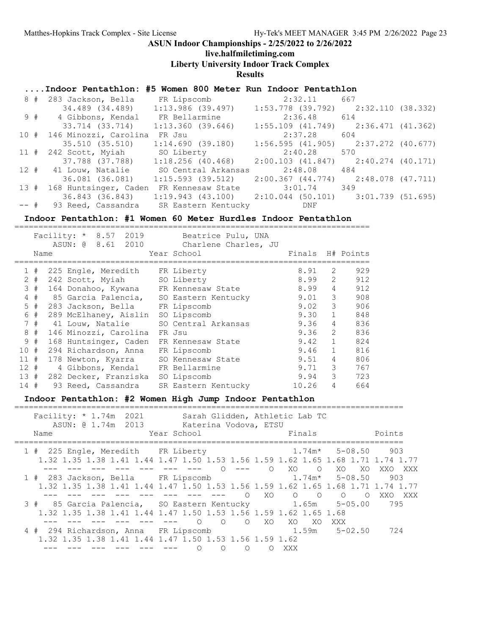live.halfmiletiming.com

Liberty University Indoor Track Complex

Results

# ....Indoor Pentathlon: #5 Women 800 Meter Run Indoor Pentathlon

|         |    | 8 # 283 Jackson, Bella     | FR Lipscomb 2:32.11 667                                     |               |                                             |
|---------|----|----------------------------|-------------------------------------------------------------|---------------|---------------------------------------------|
|         |    | 34.489 (34.489)            | $1:13.986$ (39.497)                                         |               | $1:53.778$ (39.792) $2:32.110$ (38.332)     |
|         | 9# | 4 Gibbons, Kendal          | FR Bellarmine                                               | 2:36.48 614   |                                             |
|         |    | 33.714 (33.714)            | $1:13.360$ (39.646)                                         |               | $1:55.109$ (41.749) 2:36.471 (41.362)       |
|         |    | 10 # 146 Minozzi, Carolina | FR Jsu                                                      | 2:37.28       | 604                                         |
|         |    | 35.510 (35.510)            | 1:14.690(39.180)                                            |               | $1:56.595$ (41.905) $2:37.272$ (40.677)     |
|         |    | 11 # 242 Scott, Myiah      | SO Liberty                                                  | 2:40.28       | 570                                         |
|         |    | 37.788 (37.788)            | $1:18.256$ (40.468)                                         |               | $2:00.103$ $(41.847)$ $2:40.274$ $(40.171)$ |
|         |    | 12 # 41 Louw, Natalie      | SO Central Arkansas                                         | $2:48.08$ 484 |                                             |
|         |    | 36.081 (36.081)            | $1:15.593$ (39.512)                                         |               | $2:00.367$ $(44.774)$ $2:48.078$ $(47.711)$ |
| 13 #    |    | 168 Huntsinger, Caden      | FR Kennesaw State                                           | 3:01.74 349   |                                             |
|         |    | 36.843 (36.843)            | $1:19.943$ (43.100) $2:10.044$ (50.101) $3:01.739$ (51.695) |               |                                             |
| $---$ # |    | 93 Reed, Cassandra         |                                                             |               |                                             |

#### Indoor Pentathlon: #1 Women 60 Meter Hurdles Indoor Pentathlon

|     |      | Facility: * 8.57 2019<br>ASUN: @ 8.61 2010 | Beatrice Pulu, UNA<br>Charlene Charles, JU |                  |                |     |
|-----|------|--------------------------------------------|--------------------------------------------|------------------|----------------|-----|
|     | Name |                                            | Year School                                | Finals H# Points |                |     |
|     | 1#   | 225 Engle, Meredith                        | FR Liberty                                 | 8.91             | 2              | 929 |
|     | 2#   | 242 Scott, Myiah                           | SO Liberty                                 | 8.99             | 2              | 912 |
| 3   | #    | 164 Donahoo, Kywana                        | FR Kennesaw State                          | 8.99             | $\overline{4}$ | 912 |
| 4   | #    | 85 Garcia Palencia,                        | SO Eastern Kentucky                        | 9.01             | $\mathcal{S}$  | 908 |
| 5   | #    | 283 Jackson, Bella                         | FR Lipscomb                                | 9.02             | $\mathcal{S}$  | 906 |
| 6   | #    | 289 McElhaney, Aislin                      | SO Lipscomb                                | 9.30             | $\mathbf{1}$   | 848 |
|     | 7#   | 41 Louw, Natalie                           | SO Central Arkansas                        | 9.36             | 4              | 836 |
| 8   | #    | 146 Minozzi, Carolina                      | FR Jsu                                     | 9.36             | 2              | 836 |
| 9   | #    | 168 Huntsinger, Caden                      | FR Kennesaw State                          | 9.42             | $\mathbf{1}$   | 824 |
| 10# |      | 294 Richardson, Anna                       | FR Lipscomb                                | 9.46             | $\mathbf{1}$   | 816 |
| 11  | #    | 178 Newton, Kyarra                         | SO Kennesaw State                          | 9.51             | 4              | 806 |
| 12# |      | 4 Gibbons, Kendal                          | FR Bellarmine                              | 9.71             | 3              | 767 |
| 13# |      | 282 Decker, Franziska                      | SO Lipscomb                                | 9.94             | 3              | 723 |
| 14# |      | 93 Reed, Cassandra                         | SR Eastern Kentucky                        | 10.26            | $\overline{4}$ | 664 |

# Indoor Pentathlon: #2 Women High Jump Indoor Pentathlon

| Facility: * 1.74m 2021 Sarah Glidden, Athletic Lab TC<br>Name | ASUN: @ 1.74m 2013 Katerina Vodova, ETSU<br>Year School                                                          | Finals                                                    | Points            |
|---------------------------------------------------------------|------------------------------------------------------------------------------------------------------------------|-----------------------------------------------------------|-------------------|
| 1 # 225 Engle, Meredith FR Liberty                            | 1.32 1.35 1.38 1.41 1.44 1.47 1.50 1.53 1.56 1.59 1.62 1.65 1.68 1.71 1.74 1.77<br>$\circ$                       | $1.74m*$ 5-08.50 903<br>XO<br>$\overline{O}$<br>XO<br>XO. | XXO<br>XXX        |
| 1 # 283 Jackson, Bella FR Lipscomb                            | 1.32 1.35 1.38 1.41 1.44 1.47 1.50 1.53 1.56 1.59 1.62 1.65 1.68 1.71 1.74 1.77<br>$\Omega$                      | $1.74m*$ 5-08.50<br>$XO$ 0 0 0 0                          | 903<br>XXO<br>XXX |
| 3 # 85 Garcia Palencia, SO Eastern Kentucky 1.65m             | 1.32 1.35 1.38 1.41 1.44 1.47 1.50 1.53 1.56 1.59 1.62 1.65 1.68<br>$\bigcirc$<br>$\bigcap$<br>$\bigcirc$<br>XO. | $5 - 05.00$<br>XO<br>XO XXX                               | 795               |
| 4 # 294 Richardson, Anna FR Lipscomb                          | 1.32 1.35 1.38 1.41 1.44 1.47 1.50 1.53 1.56 1.59 1.62<br>$\bigcirc$<br>$\bigcirc$<br>Ω<br>$\left(\right)$       | $1.59m$ $5-02.50$<br>XXX                                  | 724               |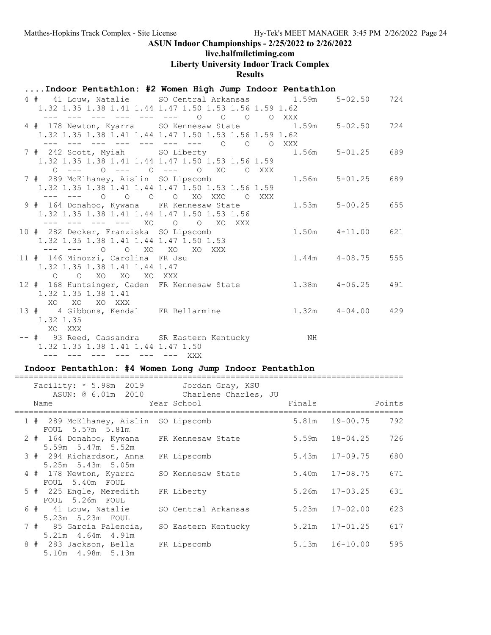# live.halfmiletiming.com

# Liberty University Indoor Track Complex

# Results

# ....Indoor Pentathlon: #2 Women High Jump Indoor Pentathlon

| 4 # 41 Louw, Natalie SO Central Arkansas 1.59m 5-02.50                                                                       | 1.32 1.35 1.38 1.41 1.44 1.47 1.50 1.53 1.56 1.59 1.62 |                         |                   | 724 |
|------------------------------------------------------------------------------------------------------------------------------|--------------------------------------------------------|-------------------------|-------------------|-----|
| 4 # 178 Newton, Kyarra SO Kennesaw State 1.59m 5-02.50<br>1.32 1.35 1.38 1.41 1.44 1.47 1.50 1.53 1.56 1.59 1.62             | --- --- --- --- --- --- 0 0 0 0 XXX                    |                         |                   | 724 |
| 7 # 242 Scott, Myiah SO Liberty<br>1.32 1.35 1.38 1.41 1.44 1.47 1.50 1.53 1.56 1.59                                         | --- --- --- --- --- --- --- 0 0 0 XXX                  | $1.56m$ $5-01.25$       |                   | 689 |
| $0$ --- $0$ --- $0$ --- $0$ X0<br>7 # 289 McElhaney, Aislin SO Lipscomb<br>1.32 1.35 1.38 1.41 1.44 1.47 1.50 1.53 1.56 1.59 | O XXX                                                  |                         | 1.56m 5-01.25 689 |     |
| 9 # 164 Donahoo, Kywana   FR Kennesaw State<br>1.32 1.35 1.38 1.41 1.44 1.47 1.50 1.53 1.56                                  | --- --- 0 0 0 0 XO XXO 0 XXX                           |                         | $1.53m$ $5-00.25$ | 655 |
| --- --- --- --- XO<br>10 # 282 Decker, Franziska SO Lipscomb<br>1.32 1.35 1.38 1.41 1.44 1.47 1.50 1.53                      | $O$ $O$ $XO$<br>XXX                                    |                         | $1.50m$ $4-11.00$ | 621 |
| --- --- 0 0 XO XO XO XXX<br>11 # 146 Minozzi, Carolina FR Jsu<br>1.32 1.35 1.38 1.41 1.44 1.47                               |                                                        |                         | $1.44m$ $4-08.75$ | 555 |
| O O XO XO XO XXX<br>12 # 168 Huntsinger, Caden FR Kennesaw State 1.38m 4-06.25 491<br>1.32 1.35 1.38 1.41                    |                                                        |                         |                   |     |
| XO XXX<br>XO XO<br>13 # 4 Gibbons, Kendal FR Bellarmine<br>1.32 1.35                                                         |                                                        | $1.32m$ $4-04.00$ $429$ |                   |     |
| XO XXX<br>-- # 93 Reed, Cassandra SR Eastern Kentucky NH<br>1.32 1.35 1.38 1.41 1.44 1.47 1.50                               |                                                        |                         |                   |     |
| --- --- --- --- --- --- XXX                                                                                                  |                                                        |                         |                   |     |

#### Indoor Pentathlon: #4 Women Long Jump Indoor Pentathlon

| Facility: * 5.98m 2019                                         | Jordan Gray, KSU                                                                       |        |                           |
|----------------------------------------------------------------|----------------------------------------------------------------------------------------|--------|---------------------------|
| ASUN: @ 6.01m 2010<br>Name                                     | Charlene Charles, JU<br>Year School in the School and the School and School and School | Finals | Points                    |
| 1 # 289 McElhaney, Aislin SO Lipscomb<br>FOUL 5.57m 5.81m      |                                                                                        |        | 792<br>$5.81m$ $19-00.75$ |
| 2 # 164 Donahoo, Kywana FR Kennesaw State<br>5.59m 5.47m 5.52m |                                                                                        | 5.59m  | 18-04.25<br>726           |
| 3 # 294 Richardson, Anna<br>5.25m 5.43m 5.05m                  | FR Lipscomb                                                                            | 5.43m  | 17-09.75<br>680           |
| 4 # 178 Newton, Kyarra<br>FOUL 5.40m FOUL                      | SO Kennesaw State                                                                      | 5.40m  | $17 - 08.75$<br>671       |
| 5 # 225 Engle, Meredith<br>FOUL 5.26m FOUL                     | FR Liberty                                                                             | 5.26m  | $17 - 03.25$<br>631       |
| 6 # 41 Louw, Natalie<br>5.23m 5.23m FOUL                       | SO Central Arkansas                                                                    | 5.23m  | $17 - 02.00$<br>623       |
| 7 # 85 Garcia Palencia,<br>5.21m 4.64m 4.91m                   | SO Eastern Kentucky                                                                    | 5.21m  | $17 - 01.25$<br>617       |
| 8 # 283 Jackson, Bella<br>5.10m  4.98m  5.13m                  | FR Lipscomb                                                                            |        | 595<br>$5.13m$ $16-10.00$ |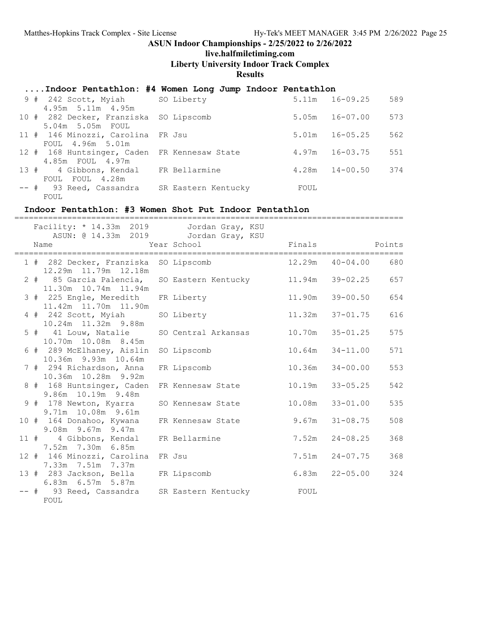# live.halfmiletiming.com

Liberty University Indoor Track Complex

Results

# ....Indoor Pentathlon: #4 Women Long Jump Indoor Pentathlon

| 9 # 242 Scott, Myiah                                                            | SO Liberty          | 5.11m | 16-09.25     | 589 |
|---------------------------------------------------------------------------------|---------------------|-------|--------------|-----|
| 4.95m 5.11m 4.95m<br>10 # 282 Decker, Franziska SO Lipscomb<br>5.04m 5.05m FOUL |                     | 5.05m | 16-07.00     | 573 |
| 11 # 146 Minozzi, Carolina FR Jsu<br>FOUL 4.96m 5.01m                           |                     | 5.01m | 16-05.25     | 562 |
| 12 # 168 Huntsinger, Caden FR Kennesaw State<br>4.85m FOUL 4.97m                |                     | 4.97m | 16-03.75     | 551 |
| 13 # 4 Gibbons, Kendal<br>FOUL FOUL 4.28m                                       | FR Bellarmine       | 4.28m | $14 - 00.50$ | 374 |
| -- # 93 Reed, Cassandra<br>FOUL                                                 | SR Eastern Kentucky | FOUL  |              |     |

#### Indoor Pentathlon: #3 Women Shot Put Indoor Pentathlon

|  | Facility: * 14.33m 2019 Jordan Gray, KSU<br>ASUN: @ 14.33m 2019 Jordan Gray, KSU |                     |        |                            |
|--|----------------------------------------------------------------------------------|---------------------|--------|----------------------------|
|  | Year School<br>Name                                                              |                     |        | Finals Points              |
|  | 1 # 282 Decker, Franziska SO Lipscomb<br>12.29m 11.79m 12.18m                    |                     |        | $12.29m$ $40-04.00$<br>680 |
|  | 2 # 85 Garcia Palencia, SO Eastern Kentucky<br>11.30m  10.74m  11.94m            |                     | 11.94m | 657<br>39-02.25            |
|  | 3 # 225 Engle, Meredith<br>11.42m 11.70m 11.90m                                  | FR Liberty          | 11.90m | $39 - 00.50$<br>654        |
|  | 4 # 242 Scott, Myiah<br>10.24m  11.32m  9.88m                                    | SO Liberty          |        | 616<br>$11.32m$ $37-01.75$ |
|  | 5 # 41 Louw, Natalie<br>10.70m  10.08m  8.45m                                    | SO Central Arkansas | 10.70m | 575<br>$35 - 01.25$        |
|  | 6 # 289 McElhaney, Aislin<br>10.36m 9.93m 10.64m                                 | SO Lipscomb         | 10.64m | 571<br>$34 - 11.00$        |
|  | 7 # 294 Richardson, Anna<br>10.36m  10.28m  9.92m                                | FR Lipscomb         | 10.36m | 553<br>$34 - 00.00$        |
|  | 8 # 168 Huntsinger, Caden<br>9.86m 10.19m 9.48m                                  | FR Kennesaw State   | 10.19m | 542<br>$33 - 05.25$        |
|  | 9 # 178 Newton, Kyarra<br>9.71m 10.08m 9.61m                                     | SO Kennesaw State   | 10.08m | 535<br>$33 - 01.00$        |
|  | 10 # 164 Donahoo, Kywana<br>9.08m 9.67m 9.47m                                    | FR Kennesaw State   | 9.67m  | 508<br>$31 - 08.75$        |
|  | 11 # 4 Gibbons, Kendal FR Bellarmine<br>7.52m 7.30m 6.85m                        |                     | 7.52m  | 368<br>$24 - 08.25$        |
|  | 12 # 146 Minozzi, Carolina FR Jsu<br>7.33m 7.51m 7.37m                           |                     | 7.51m  | 368<br>$24 - 07.75$        |
|  | 13 # 283 Jackson, Bella<br>6.83m 6.57m 5.87m                                     | FR Lipscomb         |        | 324<br>$6.83m$ $22-05.00$  |
|  | -- # 93 Reed, Cassandra SR Eastern Kentucky FOUL<br>FOUL                         |                     |        |                            |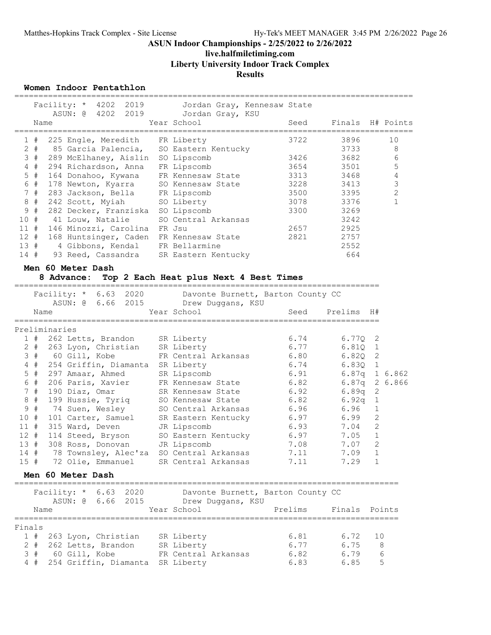# live.halfmiletiming.com

Liberty University Indoor Track Complex

# Results

#### Women Indoor Pentathlon

|        |       |               |                   | Facility: * 4202 2019 | ASUN: @ 4202 2019            | Jordan Gray, KSU                           | Jordan Gray, Kennesaw State |         |         |                  |
|--------|-------|---------------|-------------------|-----------------------|------------------------------|--------------------------------------------|-----------------------------|---------|---------|------------------|
|        | Name  |               |                   |                       |                              | Year School                                |                             | Seed    |         | Finals H# Points |
|        | 1#    |               |                   | 225 Engle, Meredith   |                              | FR Liberty                                 |                             | 3722    | 3896    | 10               |
|        | $2$ # |               |                   |                       |                              | 85 Garcia Palencia, SO Eastern Kentucky    |                             |         | 3733    | 8                |
|        | 3#    |               |                   |                       |                              | 289 McElhaney, Aislin SO Lipscomb          |                             | 3426    | 3682    | 6                |
|        | $4$ # |               |                   |                       |                              | 294 Richardson, Anna FR Lipscomb           |                             | 3654    | 3501    | 5                |
|        | $5$ # |               |                   | 164 Donahoo, Kywana   |                              | FR Kennesaw State                          |                             | 3313    | 3468    | $\sqrt{4}$       |
|        | 6 #   |               |                   | 178 Newton, Kyarra    |                              | SO Kennesaw State                          |                             | 3228    | 3413    | 3                |
|        | 7#    |               |                   | 283 Jackson, Bella    |                              | FR Lipscomb                                |                             | 3500    | 3395    | $\overline{c}$   |
|        | 8#    |               |                   | 242 Scott, Myiah      |                              | SO Liberty                                 |                             | 3078    | 3376    | $\mathbf{1}$     |
|        | 9#    |               |                   |                       |                              | 282 Decker, Franziska SO Lipscomb          |                             | 3300    | 3269    |                  |
| 10#    |       |               |                   | 41 Louw, Natalie      |                              | SO Central Arkansas                        |                             |         | 3242    |                  |
| 11#    |       |               |                   |                       | 146 Minozzi, Carolina FR Jsu |                                            |                             | 2657    | 2925    |                  |
| 12#    |       |               |                   |                       |                              | 168 Huntsinger, Caden FR Kennesaw State    |                             | 2821    | 2757    |                  |
| 13#    |       |               |                   |                       | 4 Gibbons, Kendal            | FR Bellarmine                              |                             |         | 2552    |                  |
| 14#    |       |               |                   |                       |                              | 93 Reed, Cassandra SR Eastern Kentucky     |                             |         | 664     |                  |
|        |       |               |                   |                       |                              |                                            |                             |         |         |                  |
|        |       |               | Men 60 Meter Dash |                       |                              |                                            |                             |         |         |                  |
|        |       |               | 8 Advance:        |                       |                              | Top 2 Each Heat plus Next 4 Best Times     |                             |         |         |                  |
|        |       |               |                   |                       |                              |                                            |                             |         |         |                  |
|        |       |               |                   | Facility: * 6.63 2020 |                              | Davonte Burnett, Barton County CC          |                             |         |         |                  |
|        |       |               |                   |                       | ASUN: @ 6.66 2015            | Drew Duggans, KSU                          |                             |         |         |                  |
|        | Name  |               |                   |                       |                              | Year School                                |                             | Seed    | Prelims | H#               |
|        |       |               |                   |                       |                              |                                            |                             |         |         |                  |
|        |       | Preliminaries |                   |                       |                              |                                            |                             |         |         |                  |
|        | 1#    |               |                   | 262 Letts, Brandon    |                              | SR Liberty                                 |                             | 6.74    | 6.77Q   | 2                |
|        | $2 +$ |               |                   | 263 Lyon, Christian   |                              | SR Liberty                                 |                             | 6.77    | 6.81Q   | 1                |
|        | 3#    |               | 60 Gill, Kobe     |                       |                              | FR Central Arkansas                        |                             | 6.80    | 6.82Q   | 2                |
|        | 4#    |               |                   |                       |                              | 254 Griffin, Diamanta SR Liberty           |                             | 6.74    | 6.830   | 1                |
|        | $5$ # |               |                   | 297 Amaar, Ahmed      |                              | SR Lipscomb                                |                             | 6.91    | 6.87q   | 1 6.862          |
|        | 6 #   |               |                   | 206 Paris, Xavier     |                              | FR Kennesaw State                          |                             | 6.82    | 6.87q   | 2 6.866          |
|        | 7#    |               | 190 Diaz, Omar    |                       |                              | SR Kennesaw State                          |                             | 6.92    | 6.89q   | 2                |
|        | 8#    |               |                   |                       | 199 Hussie, Tyriq            | SO Kennesaw State                          |                             | 6.82    | 6.92q   | 1                |
|        | 9#    |               |                   |                       | 74 Suen, Wesley              | SO Central Arkansas                        |                             | 6.96    | 6.96    | 1                |
| 10#    |       |               |                   |                       | 101 Carter, Samuel           | SR Eastern Kentucky                        |                             | 6.97    | 6.99    | $\mathbf{2}$     |
| 11#    |       |               |                   | 315 Ward, Deven       |                              | JR Lipscomb                                |                             | 6.93    | 7.04    | $\mathbf{2}$     |
| 12#    |       |               |                   | 114 Steed, Bryson     |                              | SO Eastern Kentucky                        |                             | 6.97    | 7.05    | $1\,$            |
| 13#    |       |               |                   | 308 Ross, Donovan     |                              | JR Lipscomb                                |                             | 7.08    | 7.07    | $\mathbf{2}$     |
|        | 14 #  |               |                   |                       |                              | 78 Townsley, Alec'za SO Central Arkansas   |                             | 7.11    | 7.09    | $\mathbf{1}$     |
|        |       |               |                   |                       |                              | 15 # 72 Olie, Emmanuel SR Central Arkansas |                             | 7.11    | 7.29    | 1                |
|        |       |               | Men 60 Meter Dash |                       |                              |                                            |                             |         |         |                  |
|        |       |               |                   |                       |                              |                                            |                             |         |         |                  |
|        |       |               |                   |                       | Facility: * 6.63 2020        | Davonte Burnett, Barton County CC          |                             |         |         |                  |
|        |       |               |                   |                       |                              | ASUN: @ 6.66 2015 Drew Duggans, KSU        |                             |         |         |                  |
|        | Name  |               |                   |                       |                              | Year School                                |                             | Prelims | Finals  | Points           |
|        |       |               |                   |                       |                              |                                            |                             |         |         |                  |
| Finals |       |               |                   |                       |                              |                                            |                             |         |         |                  |
|        | 1#    |               |                   |                       |                              | 263 Lyon, Christian SR Liberty             |                             | 6.81    | 6.72    | 10               |
|        | $2 +$ |               |                   | 262 Letts, Brandon    |                              | SR Liberty                                 |                             | 6.77    | 6.75    | 8                |
|        | 3#    |               | 60 Gill, Kobe     |                       |                              | FR Central Arkansas                        |                             | 6.82    | 6.79    | 6                |

4 # 254 Griffin, Diamanta SR Liberty 6.83 6.85 5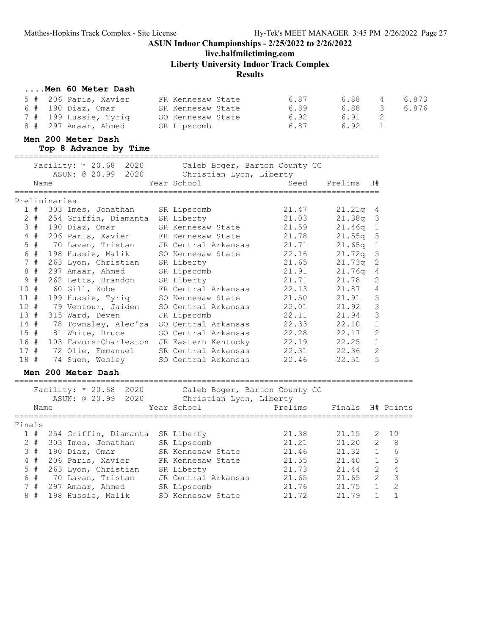# live.halfmiletiming.com

Liberty University Indoor Track Complex

# Results

|                                                               | 5#<br>7#<br>8#                                                   | Men 60 Meter Dash<br>206 Paris, Xavier<br>$6$ # 190 Diaz, Omar<br>199 Hussie, Tyriq<br>297 Amaar, Ahmed<br>Men 200 Meter Dash<br>Top 8 Advance by Time<br>=================================                                                                                                                                                                                                                                                                                                          | FR Kennesaw State<br>SR Kennesaw State<br>SO Kennesaw State<br>SR Lipscomb                                                                                                                                                                                              | 6.87<br>6.89<br>6.92<br>6.87                                                                                                                                   | 6.88<br>6.88<br>6.91<br>6.92                                                                                                                                               | 4<br>3<br>2<br>$\mathbf{1}$                                                                                       | 6.873<br>6.876                                                                    |
|---------------------------------------------------------------|------------------------------------------------------------------|------------------------------------------------------------------------------------------------------------------------------------------------------------------------------------------------------------------------------------------------------------------------------------------------------------------------------------------------------------------------------------------------------------------------------------------------------------------------------------------------------|-------------------------------------------------------------------------------------------------------------------------------------------------------------------------------------------------------------------------------------------------------------------------|----------------------------------------------------------------------------------------------------------------------------------------------------------------|----------------------------------------------------------------------------------------------------------------------------------------------------------------------------|-------------------------------------------------------------------------------------------------------------------|-----------------------------------------------------------------------------------|
|                                                               | Name                                                             | Facility: * 20.68 2020<br>ASUN: @ 20.99 2020 Christian Lyon, Liberty                                                                                                                                                                                                                                                                                                                                                                                                                                 | Caleb Boger, Barton County CC<br>Year School                                                                                                                                                                                                                            | Seed                                                                                                                                                           | Prelims                                                                                                                                                                    | H#                                                                                                                |                                                                                   |
| 10#<br>11#<br>12#<br>13#<br>14 #<br>15#<br>16#<br>17#<br>18 # | Preliminaries<br>2#<br>3#<br>4#<br>$5$ #<br>6#<br>7#<br>8#<br>9# | 1 # 303 Imes, Jonathan<br>254 Griffin, Diamanta SR Liberty<br>190 Diaz, Omar<br>206 Paris, Xavier<br>70 Lavan, Tristan<br>198 Hussie, Malik<br>263 Lyon, Christian SR Liberty<br>207 Amaar Abmod SP Lincoomb<br>297 Amaar, Ahmed<br>262 Letts, Brandon SR Liberty<br>60 Gill, Kobe<br>199 Hussie, Tyriq<br>79 Ventour, Jaiden<br>315 Ward, Deven<br>78 Townsley, Alec'za SO Central Arkansas<br>81 White, Bruce<br>103 Favors-Charleston JR Eastern Kentucky<br>72 Olie, Emmanuel<br>74 Suen, Wesley | SR Lipscomb<br>SR Kennesaw State<br>FR Kennesaw State<br>JR Central Arkansas<br>SO Kennesaw State<br>SR Lipscomb<br>FR Central Arkansas<br>SO Kennesaw State<br>SO Central Arkansas<br>JR Lipscomb<br>SO Central Arkansas<br>SR Central Arkansas<br>SO Central Arkansas | 21.47<br>21.03<br>21.59<br>21.78<br>21.71<br>22.16<br>21.65<br>21.91<br>21.71<br>22.13<br>21.50<br>22.01<br>22.11<br>22.33<br>22.28<br>22.19<br>22.31<br>22.46 | $21.21q$ 4<br>21.38q<br>21.46q<br>21.55q<br>21.65q<br>21.72q<br>21.73q<br>21.76q<br>21.78<br>21.87<br>21.91<br>21.92<br>21.94<br>22.10<br>22.17<br>22.25<br>22.36<br>22.51 | 3<br>$\mathbf 1$<br>5<br>1<br>5<br>2<br>4<br>2<br>4<br>5<br>3<br>3<br>1<br>2<br>$\mathbf{1}$<br>$\mathbf{2}$<br>5 |                                                                                   |
|                                                               | Name<br>===============                                          | Men 200 Meter Dash<br>Facility: * 20.68 2020<br>ASUN: @ 20.99 2020 Christian Lyon, Liberty                                                                                                                                                                                                                                                                                                                                                                                                           | Caleb Boger, Barton County CC<br>Year School<br>==============                                                                                                                                                                                                          | Prelims                                                                                                                                                        | Finals H# Points                                                                                                                                                           |                                                                                                                   |                                                                                   |
| Finals                                                        | 2#<br>3#<br>4#<br>5#<br>6#<br>7#<br>8#                           | 1 # 254 Griffin, Diamanta SR Liberty<br>303 Imes, Jonathan<br>190 Diaz, Omar<br>206 Paris, Xavier<br>206 rails,<br>263 Lyon, Christian<br>mristan<br>70 Lavan, Tristan<br>297 Amaar, Ahmed<br>198 Hussie, Malik                                                                                                                                                                                                                                                                                      | SR Lipscomb<br>SR Kennesaw State<br>FR Kennesaw State<br>SR Liberty<br>JR Central Arkansas<br>SR Lipscomb<br>SO Kennesaw State                                                                                                                                          | 21.38<br>21.21<br>21.46<br>21.55<br>21.73<br>21.65<br>21.76<br>21.72                                                                                           | 21.15<br>21.20<br>21.32<br>21.40 1<br>21.44<br>21.65<br>21.75<br>21.79                                                                                                     | 2<br>2<br>$\mathbf{1}$<br>1<br>$\mathbf{1}$                                                                       | 10<br>8<br>6<br>$5\phantom{0}$<br>$2 \quad 4$<br>$2 \quad 3$<br>2<br>$\mathbf{1}$ |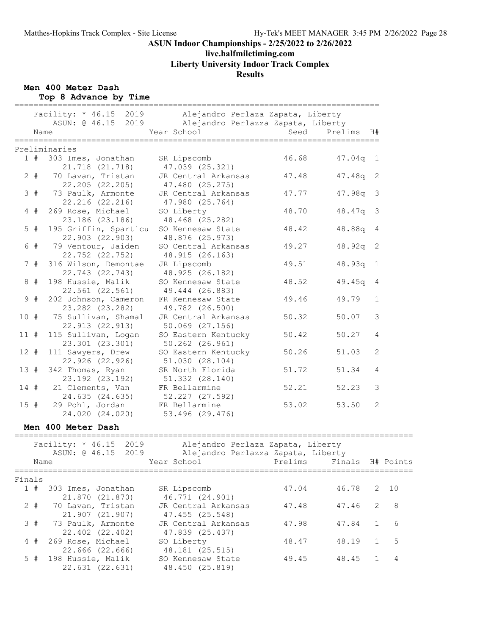live.halfmiletiming.com

Liberty University Indoor Track Complex

#### Results

Men 400 Meter Dash

Top 8 Advance by Time

|        |       | Facility: * 46.15 2019 Alejandro Perlaza Zapata, Liberty                       |                                                       |                                  |                |              |    |
|--------|-------|--------------------------------------------------------------------------------|-------------------------------------------------------|----------------------------------|----------------|--------------|----|
|        |       |                                                                                | ASUN: 0 46.15 2019 Alejandro Perlazza Zapata, Liberty |                                  |                |              |    |
|        | Name  |                                                                                | Year School                                           | Seed                             | Prelims H#     |              |    |
|        |       | Preliminaries                                                                  |                                                       | ================================ |                |              |    |
|        |       | 1 # 303 Imes, Jonathan SR Lipscomb                                             |                                                       |                                  | 46.68 47.04q 1 |              |    |
|        |       | 21.718 (21.718) 47.039 (25.321)                                                |                                                       |                                  |                |              |    |
|        | $2 +$ | 70 Lavan, Tristan JR Central Arkansas 47.48<br>22.205 (22.205) 47.480 (25.275) |                                                       |                                  | 47.48q 2       |              |    |
|        | 3#    | 73 Paulk, Armonte JR Central Arkansas 47.77                                    |                                                       |                                  | 47.98q 3       |              |    |
|        |       | 22.216 (22.216)                                                                | 47.980 (25.764)                                       |                                  |                |              |    |
|        | $4$ # | 269 Rose, Michael SO Liberty<br>23.186 (23.186) 48.468 (25.282)                |                                                       | 48.70                            | 48.47q 3       |              |    |
|        |       |                                                                                |                                                       |                                  |                |              |    |
|        | $5$ # | 195 Griffin, Sparticu SO Kennesaw State<br>22.903 (22.903) 48.876 (25.973)     |                                                       | 48.42                            | 48.88q 4       |              |    |
|        | 6 #   | 79 Ventour, Jaiden SO Central Arkansas                                         |                                                       | 49.27                            | 48.92q 2       |              |    |
|        |       | 22.752 (22.752)                                                                | 48.915 (26.163)                                       |                                  |                |              |    |
|        | 7#    | 316 Wilson, Demontae JR Lipscomb                                               |                                                       | 49.51                            | $48.93q$ 1     |              |    |
|        |       | $22.743$ (22.743) $48.925$ (26.182)                                            |                                                       |                                  |                |              |    |
|        | $8 +$ | 22.561 (22.561) 49.444 (26.883)                                                | 198 Hussie, Malik SO Kennesaw State                   | 48.52                            | 49.45q         | 4            |    |
|        | 9#    | 202 Johnson, Cameron FR Kennesaw State                                         |                                                       | 49.46                            | 49.79          | $\mathbf{1}$ |    |
|        |       | 23.282 (23.282)                                                                | 49.782 (26.500)                                       |                                  |                |              |    |
| 10 #   |       | 75 Sullivan, Shamal JR Central Arkansas                                        |                                                       | 50.32                            | 50.07          | 3            |    |
|        |       | 22.913 (22.913) 50.069 (27.156)                                                |                                                       |                                  |                |              |    |
| $11$ # |       | 23.301 (23.301) 50.262 (26.961)                                                | 115 Sullivan, Logan SO Eastern Kentucky               | 50.42                            | 50.27          | 4            |    |
| $12$ # |       |                                                                                | 111 Sawyers, Drew SO Eastern Kentucky                 | 50.26                            | 51.03          | $\mathbf{2}$ |    |
|        |       | 22.926 (22.926)                                                                | 51.030 (28.104)                                       |                                  |                |              |    |
| 13#    |       | 342 Thomas, Ryan SR North Florida<br>23.192 (23.192) 51.332 (28.140)           |                                                       | 51.72                            | 51.34          | 4            |    |
|        |       |                                                                                |                                                       |                                  |                |              |    |
| $14$ # |       | 21 Clements, Van FR Bellarmine                                                 |                                                       | 52.21                            | 52.23          | 3            |    |
|        |       | 15 # 29 Pohl, Jordan FR Bellarmine                                             | 24.635 (24.635) 52.227 (27.592)                       | 53.02 53.50                      |                | $\mathbf{2}$ |    |
|        |       | 24.020 (24.020) 53.496 (29.476)                                                |                                                       |                                  |                |              |    |
|        |       | Men 400 Meter Dash                                                             |                                                       |                                  |                |              |    |
|        |       |                                                                                |                                                       |                                  |                |              |    |
|        |       | Facility: * 46.15 2019 Alejandro Perlaza Zapata, Liberty                       | ASUN: @ 46.15 2019 Alejandro Perlazza Zapata, Liberty |                                  |                |              |    |
|        | Name  |                                                                                | Year School <b>Example 2</b> Prelims Finals H# Points |                                  |                |              |    |
|        |       |                                                                                |                                                       |                                  |                |              |    |
| Finals |       |                                                                                |                                                       |                                  |                |              |    |
|        | 1#    | 303 Imes, Jonathan                                                             | SR Lipscomb                                           | 47.04                            | 46.78          | 2            | 10 |
|        | $2$ # | 21.870 (21.870)<br>70 Lavan, Tristan                                           | 46.771 (24.901)<br>JR Central Arkansas                | 47.48                            | 47.46          | 2            | 8  |
|        |       | 21.907 (21.907)                                                                | 47.455 (25.548)                                       |                                  |                |              |    |
|        | 3#    | 73 Paulk, Armonte                                                              | JR Central Arkansas                                   | 47.98                            | 47.84          | $\mathbf{1}$ | 6  |
|        |       | 22.402 (22.402)                                                                | 47.839 (25.437)                                       |                                  |                |              |    |
|        | 4#    | 269 Rose, Michael                                                              | SO Liberty                                            | 48.47                            | 48.19          | $\mathbf 1$  | 5  |
|        | 5#    | 22.666 (22.666)<br>198 Hussie, Malik                                           | 48.181 (25.515)<br>SO Kennesaw State                  | 49.45                            | 48.45          | 1            | 4  |
|        |       | 22.631 (22.631)                                                                | 48.450 (25.819)                                       |                                  |                |              |    |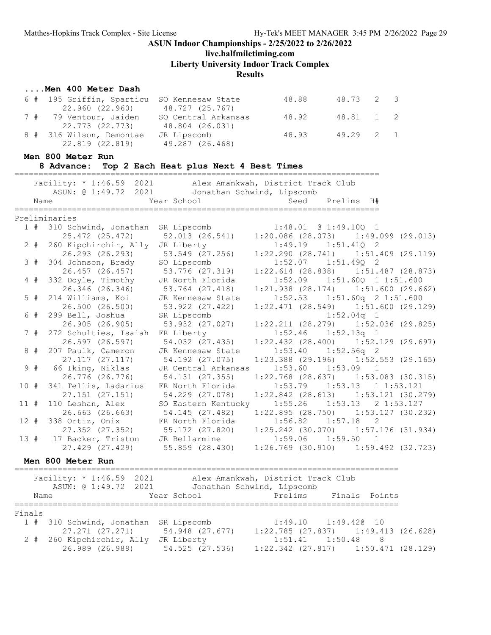live.halfmiletiming.com

Liberty University Indoor Track Complex

#### Results

### ....Men 400 Meter Dash

|  | 6 # 195 Griffin, Sparticu SO Kennesaw State |                     | 48.88 48.73 2 3 |           |  |
|--|---------------------------------------------|---------------------|-----------------|-----------|--|
|  | 22.960 (22.960)                             | 48.727 (25.767)     |                 |           |  |
|  | 7 # 79 Ventour, Jaiden                      | SO Central Arkansas | 48.92           | 48.81 1 2 |  |
|  | 22.773 (22.773)                             | 48.804 (26.031)     |                 |           |  |
|  | 8 # 316 Wilson, Demontae                    | JR Lipscomb         | 48.93           | 49.29 2 1 |  |
|  | 22.819 (22.819)                             | 49.287 (26.468)     |                 |           |  |
|  |                                             |                     |                 |           |  |

#### Men 800 Meter Run

#### 8 Advance: Top 2 Each Heat plus Next 4 Best Times

|                          |       | Facility: * 1:46.59 2021 Alex Amankwah, District Track Club<br>ASUN: @ 1:49.72 2021 Jonathan Schwind, Lipscomb |                                     |                                                                     |  |
|--------------------------|-------|----------------------------------------------------------------------------------------------------------------|-------------------------------------|---------------------------------------------------------------------|--|
|                          |       | Name                                                                                                           | Year School                         | Seed Prelims H#                                                     |  |
|                          |       |                                                                                                                |                                     |                                                                     |  |
|                          |       | Preliminaries                                                                                                  |                                     |                                                                     |  |
|                          |       |                                                                                                                |                                     | 1 # 310 Schwind, Jonathan SR Lipscomb 1:48.01 @ 1:49.10Q 1          |  |
|                          |       | 25.472 (25.472)                                                                                                | 52.013 (26.541)                     | $1:20.086$ (28.073) $1:49.099$ (29.013)                             |  |
|                          |       | 2 # 260 Kipchirchir, Ally JR Liberty                                                                           |                                     | $1:49.19$ $1:51.41Q$ 2                                              |  |
|                          |       | 26.293 (26.293)                                                                                                | 53.549 (27.256)                     | $1:22.290$ (28.741) $1:51.409$ (29.119)                             |  |
|                          |       | 3 # 304 Johnson, Brady SO Lipscomb                                                                             |                                     | 1:52.07 1:51.490 2                                                  |  |
|                          |       | 26.457(26.457)                                                                                                 | 53.776 (27.319)                     | $1:22.614$ (28.838) $1:51.487$ (28.873)                             |  |
|                          | $4$ # | 332 Doyle, Timothy                                                                                             | JR North Florida                    | $1:52.09$ $1:51.60Q$ $1:1:51.600$                                   |  |
|                          |       | 26.346 (26.346)                                                                                                | 53.764 (27.418)                     | $1:21.938$ (28.174) $1:51.600$ (29.662)                             |  |
|                          | $5$ # | 214 Williams, Koi                                                                                              | JR Kennesaw State                   | 1:52.53   1:51.60q   2   1:51.600                                   |  |
|                          |       | 26.500 (26.500)                                                                                                | 53.922 (27.422)                     | $1:22.471$ (28.549) $1:51.600$ (29.129)                             |  |
|                          | 6 #   | 299 Bell, Joshua                                                                                               | SR Lipscomb                         | $1:52.04q$ 1                                                        |  |
|                          |       | 26.905 (26.905)                                                                                                | 53.932 (27.027)                     | $1:22.211$ $(28.279)$ $1:52.036$ $(29.825)$                         |  |
|                          |       | 7 # 272 Schulties, Isaiah FR Liberty                                                                           |                                     | $1:52.46$ $1:52.13q$ 1                                              |  |
|                          |       | 26.597 (26.597)                                                                                                | 54.032 (27.435)                     | $1:22.432$ (28.400) $1:52.129$ (29.697)                             |  |
|                          |       | 8 # 207 Paulk, Cameron                                                                                         | JR Kennesaw State                   | $1:53.40$ $1:52.56q$ 2                                              |  |
|                          |       | 27.117(27.117)                                                                                                 | 54.192 (27.075)                     | $1:23.388$ (29.196) $1:52.553$ (29.165)                             |  |
|                          | 9#    | 66 Iking, Niklas JR Central Arkansas                                                                           |                                     | $1:53.60$ $1:53.09$ 1                                               |  |
|                          |       | 26.776 (26.776)                                                                                                | 54.131 (27.355)                     | $1:22.768$ (28.637) $1:53.083$ (30.315)                             |  |
|                          |       | 10 # 341 Tellis, Ladarius                                                                                      | FR North Florida                    | $1:53.79$ $1:53.13$ $1:53.121$                                      |  |
|                          |       | 27.151 (27.151)                                                                                                | 54.229 (27.078)                     | $1:22.842$ (28.613) $1:53.121$ (30.279)                             |  |
|                          | 11#   | 110 Leshan, Alex                                                                                               | SO Eastern Kentucky                 | $1:55.26$ $1:53.13$ 2 1:53.127                                      |  |
|                          |       | $26.663$ $(26.663)$                                                                                            |                                     | $1:22.895$ (28.750) $1:53.127$ (30.232)                             |  |
|                          |       | 12 # 338 Ortiz, Onix                                                                                           | 54.145 (27.482)<br>FR North Florida | $1:56.82$ $1:57.18$ 2                                               |  |
|                          |       |                                                                                                                |                                     | 27.352 (27.352) 55.172 (27.820) 1:25.242 (30.070) 1:57.176 (31.934) |  |
| 13#                      |       | 17 Backer, Triston JR Bellarmine                                                                               |                                     | $1:59.06$ $1:59.50$ 1                                               |  |
|                          |       |                                                                                                                |                                     | 27.429 (27.429) 55.859 (28.430) 1:26.769 (30.910) 1:59.492 (32.723) |  |
|                          |       | Men 800 Meter Run                                                                                              |                                     |                                                                     |  |
|                          |       |                                                                                                                |                                     |                                                                     |  |
|                          |       | Facility: * 1:46.59 2021 Alex Amankwah, District Track Club                                                    |                                     |                                                                     |  |
|                          |       | ASUN: @ 1:49.72 2021 Jonathan Schwind, Lipscomb                                                                |                                     |                                                                     |  |
|                          |       | Name                                                                                                           | Year School                         | Prelims<br>Finals Points                                            |  |
| $\Gamma$ in a $\Gamma$ a |       |                                                                                                                |                                     |                                                                     |  |

#### Finals

| 1 # 310 Schwind, Jonathan SR Lipscomb |                 | $1:49.10$ $1:49.420$ 10                     |  |
|---------------------------------------|-----------------|---------------------------------------------|--|
| 27.271 (27.271) 54.948 (27.677)       |                 | $1:22.785$ (27.837) $1:49.413$ (26.628)     |  |
| 2 # 260 Kipchirchir, Ally JR Liberty  |                 | 1:51.41 1:50.48 8                           |  |
| 26.989 (26.989)                       | 54.525 (27.536) | $1:22.342$ $(27.817)$ $1:50.471$ $(28.129)$ |  |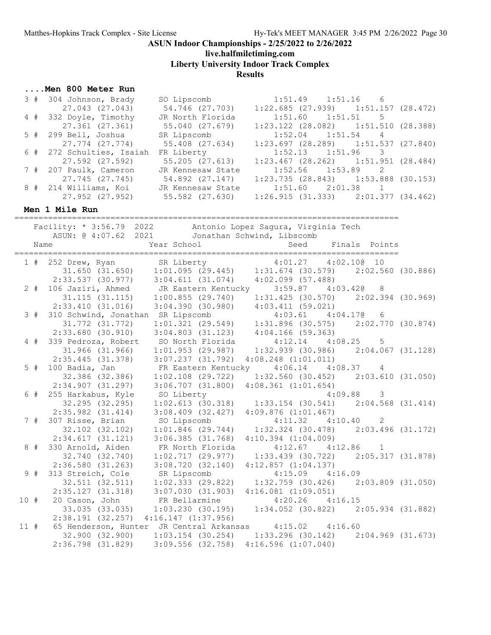live.halfmiletiming.com

Liberty University Indoor Track Complex

# Results

# ....Men 800 Meter Run

| 3 # 304 Johnson, Brady    | SO Lipscomb       | $1:51.49$ $1:51.16$ 6                   |  |
|---------------------------|-------------------|-----------------------------------------|--|
| 27.043 (27.043)           | 54.746 (27.703)   | $1:22.685$ (27.939) $1:51.157$ (28.472) |  |
| 4 # 332 Doyle, Timothy    | JR North Florida  | $1:51.60$ $1:51.51$ 5                   |  |
| 27.361 (27.361)           | 55.040 (27.679)   | $1:23.122$ (28.082) $1:51.510$ (28.388) |  |
| 5 # 299 Bell, Joshua      | SR Lipscomb       | $1:52.04$ $1:51.54$ 4                   |  |
| 27.774 (27.774)           | 55.408 (27.634)   | $1:23.697$ (28.289) $1:51.537$ (27.840) |  |
| 6 # 272 Schulties, Isaiah | FR Liberty        | $1:52.13$ $1:51.96$ 3                   |  |
| 27.592 (27.592)           | 55.205 (27.613)   | $1:23.467$ (28.262) $1:51.951$ (28.484) |  |
| 7 # 207 Paulk, Cameron    | JR Kennesaw State | $1:52.56$ $1:53.89$ 2                   |  |
| 27.745 (27.745)           | 54.892 (27.147)   | $1:23.735$ (28.843) $1:53.888$ (30.153) |  |
| 8 # 214 Williams, Koi     | JR Kennesaw State | $1:51.60$ $2:01.38$ 1                   |  |
| 27.952 (27.952)           | 55.582 (27.630)   | $1:26.915$ (31.333) $2:01.377$ (34.462) |  |
|                           |                   |                                         |  |

Men 1 Mile Run

|     |      | Facility: * 3:56.79 2022 Antonio Lopez Sagura, Virginia Tech<br>ASUN: @ 4:07.62 2021 Jonathan Schwind, Libscomb                                                                                                                         |                                                                                                     |                                         |                                         |  |
|-----|------|-----------------------------------------------------------------------------------------------------------------------------------------------------------------------------------------------------------------------------------------|-----------------------------------------------------------------------------------------------------|-----------------------------------------|-----------------------------------------|--|
|     |      |                                                                                                                                                                                                                                         |                                                                                                     |                                         |                                         |  |
|     | Name | Year School                                                                                                                                                                                                                             |                                                                                                     |                                         | Seed Finals Points                      |  |
|     |      |                                                                                                                                                                                                                                         |                                                                                                     |                                         |                                         |  |
|     |      | 1 # 252 Drew, Ryan SR Liberty 4:01.27 4:02.100 10<br>31.650 (31.650) 1:01.095 (29.445) 1:31.674 (30.579) 2:02.560 (30.886)<br>2:33.537 (30.977) 3:04.611 (31.074) 4:02.099 (57.488)<br>2 # 106 Jaziri, Ahmed JR Eastern Kentucky 3:59.8 |                                                                                                     |                                         |                                         |  |
|     |      |                                                                                                                                                                                                                                         |                                                                                                     |                                         |                                         |  |
|     |      |                                                                                                                                                                                                                                         |                                                                                                     |                                         |                                         |  |
|     |      | $31.115$ $(31.115)$                                                                                                                                                                                                                     | 1:00.855(29.740)                                                                                    | $1:31.425$ (30.570) $2:02.394$ (30.969) |                                         |  |
|     |      | 2:33.410(31.016)                                                                                                                                                                                                                        | $3:04.390$ (30.980) $4:03.411$ (59.021)                                                             |                                         |                                         |  |
|     |      | 3 # 310 Schwind, Jonathan SR Lipscomb                                                                                                                                                                                                   |                                                                                                     |                                         | 4:03.61 4:04.170 6                      |  |
|     |      | 31.772 (31.772)                                                                                                                                                                                                                         | $1:01.321$ (29.549) $1:31.896$ (30.575) $2:02.770$ (30.874)                                         |                                         |                                         |  |
|     |      | 2:33.680(30.910)                                                                                                                                                                                                                        | $3:04.803$ (31.123) $4:04.166$ (59.363)                                                             |                                         |                                         |  |
|     |      | 4 # 339 Pedroza, Robert                                                                                                                                                                                                                 | SO North Florida                                                                                    |                                         | $4:12.14$ $4:08.25$ 5                   |  |
|     |      | $31.966$ $(31.966)$                                                                                                                                                                                                                     | 1:01.953(29.987)                                                                                    |                                         | $1:32.939$ (30.986) $2:04.067$ (31.128) |  |
|     |      | 2:35.445(31.378)                                                                                                                                                                                                                        | 3:07.237(31.792)                                                                                    | $4:08.248$ $(1:01.011)$                 |                                         |  |
|     |      | $5$ # 100 Badia, Jan                                                                                                                                                                                                                    | FR Eastern Kentucky 4:06.14 4:08.37 4                                                               |                                         |                                         |  |
|     |      | 32.386 (32.386)                                                                                                                                                                                                                         | $1:02.108$ (29.722) $1:32.560$ (30.452) $2:03.610$ (31.050)                                         |                                         |                                         |  |
|     |      | 2:34.907(31.297)                                                                                                                                                                                                                        | 3:06.707(31.800)                                                                                    | $4:08.361$ $(1:01.654)$                 |                                         |  |
|     |      | 6 # 255 Harkabus, Kyle                                                                                                                                                                                                                  | SO Liberty                                                                                          |                                         | $4:09.88$ 3                             |  |
|     |      | 32.295 (32.295)                                                                                                                                                                                                                         | $1:02.613$ (30.318) $1:33.154$ (30.541) $2:04.568$ (31.414)                                         |                                         |                                         |  |
|     |      | $2:35.982$ $(31.414)$                                                                                                                                                                                                                   | $3:08.409$ (32.427) $4:09.876$ (1:01.467)                                                           |                                         |                                         |  |
|     |      | 7 # 307 Risse, Brian                                                                                                                                                                                                                    | SO Lipscomb                                                                                         | $4:11.32$ $4:10.40$ 2                   |                                         |  |
|     |      | 32.102 (32.102)                                                                                                                                                                                                                         | $1:01.846$ (29.744) $1:32.324$ (30.478) $2:03.496$ (31.172)                                         |                                         |                                         |  |
|     |      | 2:34.617(31.121)                                                                                                                                                                                                                        | 3:06.385(31.768)                                                                                    | $4:10.394$ $(1:04.009)$                 |                                         |  |
|     |      | 8 # 330 Arnold, Aiden                                                                                                                                                                                                                   | FR North Florida                                                                                    | $4:12.67$ $4:12.86$ 1                   |                                         |  |
|     |      | 32.740 (32.740)                                                                                                                                                                                                                         | $1:02.717$ (29.977) $1:33.439$ (30.722) $2:05.317$ (31.878)                                         |                                         |                                         |  |
|     |      | 2:36.580(31.263)                                                                                                                                                                                                                        | $3:08.720$ (32.140) $4:12.857$ (1:04.137)                                                           |                                         |                                         |  |
|     | 9#   | 313 Streich, Cole                                                                                                                                                                                                                       | SR Lipscomb<br>SR Lipscomb 4:15.09 4:16.09<br>1:02.333 (29.822) 1:32.759 (30.426) 2:03.809 (31.050) |                                         |                                         |  |
|     |      | 32.511 (32.511)                                                                                                                                                                                                                         |                                                                                                     |                                         |                                         |  |
|     |      | 2:35.127(31.318)                                                                                                                                                                                                                        | $3:07.030$ $(31.903)$ $4:16.081$ $(1:09.051)$                                                       |                                         |                                         |  |
| 10# |      | 20 Cason, John                                                                                                                                                                                                                          | FR Bellarmine 4:20.26 4:16.15<br>1:03.230 (30.195) 1:34.052 (30.822) 2:05.934 (31.882)              |                                         |                                         |  |
|     |      | 33.035 (33.035)                                                                                                                                                                                                                         |                                                                                                     |                                         |                                         |  |
|     |      | 2:38.191(32.257)                                                                                                                                                                                                                        | 4:16.147(1:37.956)                                                                                  |                                         |                                         |  |
|     |      | 11 # 65 Henderson, Hunter JR Central Arkansas 4:15.02 4:16.60                                                                                                                                                                           |                                                                                                     |                                         |                                         |  |
|     |      |                                                                                                                                                                                                                                         | 32.900 (32.900) 1:03.154 (30.254) 1:33.296 (30.142) 2:04.969 (31.673)                               |                                         |                                         |  |
|     |      | $2:36.798$ (31.829)                                                                                                                                                                                                                     | $3:09.556$ (32.758) $4:16.596$ (1:07.040)                                                           |                                         |                                         |  |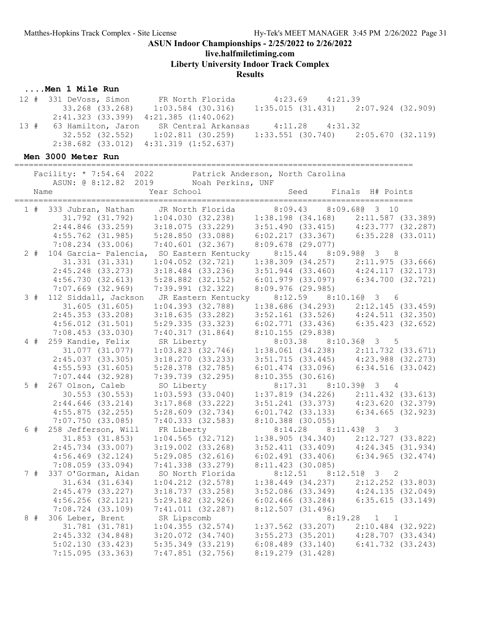live.halfmiletiming.com

Liberty University Indoor Track Complex

#### Results

### ....Men 1 Mile Run

| 1:03.584 (30.316)                                |                                                                                                                                                                                           |                                                                                                                                      |
|--------------------------------------------------|-------------------------------------------------------------------------------------------------------------------------------------------------------------------------------------------|--------------------------------------------------------------------------------------------------------------------------------------|
|                                                  |                                                                                                                                                                                           |                                                                                                                                      |
|                                                  |                                                                                                                                                                                           |                                                                                                                                      |
|                                                  |                                                                                                                                                                                           |                                                                                                                                      |
|                                                  |                                                                                                                                                                                           |                                                                                                                                      |
| 12 # 331 DeVoss, Simon<br>33.268 (33.268)<br>13# | FR North Florida<br>$2:41.323$ (33.399) $4:21.385$ (1:40.062)<br>63 Hamilton, Jaron SR Central Arkansas<br>32.552 (32.552) 1:02.811 (30.259)<br>$2:38.682$ (33.012) $4:31.319$ (1:52.637) | $4:23.69$ $4:21.39$<br>$1:35.015$ $(31.431)$ $2:07.924$ $(32.909)$<br>$4:11.28$ $4:31.32$<br>$1:33.551$ (30.740) $2:05.670$ (32.119) |

#### Men 3000 Meter Run

=================================================================================== Facility: \* 7:54.64 2022 Patrick Anderson, North Carolina

| Name  | ASUN: @ 8:12.82 2019                                                       | Noah Perkins, UNF<br>Year School |                     | Seed Finals H# Points                                                                                                                  |
|-------|----------------------------------------------------------------------------|----------------------------------|---------------------|----------------------------------------------------------------------------------------------------------------------------------------|
|       |                                                                            |                                  |                     |                                                                                                                                        |
|       |                                                                            |                                  |                     |                                                                                                                                        |
|       |                                                                            |                                  |                     | 1 # 333 Jubran, Nathan JR North Florida 8:09.43 8:09.680 3 10<br>31.792 (31.792) 1:04.030 (32.238) 1:38.198 (34.168) 2:11.587 (33.389) |
|       |                                                                            |                                  |                     | $2:44.846 (33.259) 3:18.075 (33.229) 3:51.490 (33.415) 4:23.777 (32.287)$                                                              |
|       |                                                                            |                                  |                     | $6:02.217$ (33.367) $6:35.228$ (33.011)                                                                                                |
|       | 4:55.762 (31.985) 5:28.850 (33.088)<br>7:08.234 (33.006) 7:40.601 (32.367) |                                  | 8:09.678 (29.077)   |                                                                                                                                        |
| $2 +$ | 104 Garcia- Palencia, SO Eastern Kentucky                                  |                                  |                     | 8:15.44 8:09.980 3 8                                                                                                                   |
|       | 31.331 (31.331)                                                            | $1:04.052$ $(32.721)$            |                     |                                                                                                                                        |
|       | $2:45.248$ (33.273)                                                        | $3:18.484$ (33.236)              |                     | $1:38.309$ (34.257) $2:11.975$ (33.666)<br>3:51.944 (33.460) $4:24.117$ (32.173)<br>6:01.979 (33.097) 6:34.700 (32.721)                |
|       | 4:56.730(32.613)                                                           | $5:28.882$ (32.152)              |                     |                                                                                                                                        |
|       | $7:07.669$ (32.969)                                                        | 7:39.991 (32.322)                | 8:09.976 (29.985)   |                                                                                                                                        |
| 3#    | 112 Siddall, Jackson JR Eastern Kentucky                                   |                                  |                     | 8:12.59 8:10.160 3 6                                                                                                                   |
|       | $31.605$ $(31.605)$                                                        | $1:04.393$ $(32.788)$            |                     | $1:38.686$ (34.293) $2:12.145$ (33.459)                                                                                                |
|       | 2:45.353(33.208)                                                           | 3:18.635(33.282)                 |                     | $3:52.161$ (33.526) $4:24.511$ (32.350)                                                                                                |
|       | $4:56.012$ $(31.501)$                                                      | 5:29.335(33.323)                 |                     | $6:02.771$ (33.436) $6:35.423$ (32.652)                                                                                                |
|       | 7:08.453(33.030)                                                           |                                  | 8:10.155(29.838)    |                                                                                                                                        |
| 4#    | 259 Kandie, Felix                                                          | 7:40.317 (31.864)<br>SR Liberty  |                     | 8:03.38 8:10.360 3 5                                                                                                                   |
|       | 31.077 (31.077)                                                            | $1:03.823$ $(32.746)$            |                     | $1:38.061$ (34.238) $2:11.732$ (33.671)                                                                                                |
|       | 2:45.037(33.305)                                                           | $3:18.270$ (33.233)              |                     |                                                                                                                                        |
|       | $4:55.593$ $(31.605)$                                                      | $5:28.378$ (32.785)              |                     |                                                                                                                                        |
|       | $7:07.444$ (32.928)                                                        | 7:39.739 (32.295)                | 8:10.355(30.616)    | $3:51.715$ (33.445) $4:23.988$ (32.273)<br>6:01.474 (33.096) 6:34.516 (33.042)<br>8:10.355 (30.616)                                    |
|       | 5 # 267 Olson, Caleb                                                       | SO Liberty                       |                     | 8:17.31 8:10.390 3 4                                                                                                                   |
|       | $30.553$ (30.553) 1:03.593 (33.040)                                        |                                  |                     | $1:37.819$ (34.226) $2:11.432$ (33.613)                                                                                                |
|       | $2:44.646$ (33.214)                                                        | $3:17.868$ (33.222)              |                     | $3:51.241$ (33.373) $4:23.620$ (32.379)                                                                                                |
|       | $4:55.875$ (32.255)                                                        | $5:28.609$ $(32.734)$            |                     | $6:01.742$ (33.133) $6:34.665$ (32.923)                                                                                                |
|       | 7:07.750(33.085)                                                           | 7:40.333(32.583)                 | 8:10.388 (30.055)   |                                                                                                                                        |
| 6#    | 258 Jefferson, Will                                                        | FR Liberty                       |                     | 8:14.28 8:11.430 3 3                                                                                                                   |
|       | 31.853 (31.853)                                                            | $1:04.565$ (32.712)              |                     | $1:38.905$ (34.340) $2:12.727$ (33.822)                                                                                                |
|       | $2:45.734$ (33.007)                                                        | $3:19.002$ $(33.268)$            |                     |                                                                                                                                        |
|       | $4:56.469$ $(32.124)$                                                      | 5:29.085(32.616)                 |                     | 3:52.411 (33.409) 4:24.345 (31.934)<br>6:02.491 (33.406) 6:34.965 (32.474)                                                             |
|       | $7:08.059$ $(33.094)$                                                      | $7:41.338$ (33.279)              | $8:11.423$ (30.085) |                                                                                                                                        |
| 7#    | 337 O'Gorman, Aidan                                                        | SO North Florida                 |                     | 8:12.51  8:12.510  3  2                                                                                                                |
|       | $31.634$ $(31.634)$                                                        | $1:04.212$ $(32.578)$            |                     |                                                                                                                                        |
|       | $2:45.479$ (33.227)                                                        | 3:18.737(33.258)                 |                     | 1:38.449 (34.237) 2:12.252 (33.803)<br>3:52.086 (33.349) 4:24.135 (32.049)                                                             |
|       | $4:56.256$ $(32.121)$                                                      | 5:29.182 (32.926)                |                     | $6:02.466$ (33.284) $6:35.615$ (33.149)                                                                                                |
|       | 7:08.724 (33.109)                                                          | 7:41.011(32.287)                 | 8:12.507(31.496)    |                                                                                                                                        |
| 8#    |                                                                            |                                  |                     |                                                                                                                                        |
|       |                                                                            |                                  |                     | 306 Leber, Brent SR Lipscomb 8:19.28 1 1<br>31.781 (31.781) 1:04.355 (32.574) 1:37.562 (33.207) 2:10.484 (32.922)                      |
|       |                                                                            |                                  |                     | $2:45.332$ (34.848) 3:20.072 (34.740) 3:55.273 (35.201) 4:28.707 (33.434)                                                              |
|       |                                                                            |                                  |                     |                                                                                                                                        |
|       |                                                                            |                                  |                     | 5:02.130 (33.423) 5:35.349 (33.219) 6:08.489 (33.140) 6:41.732 (33.243)<br>7:15.095 (33.363) 7:47.851 (32.756) 8:19.279 (31.428)       |
|       |                                                                            |                                  |                     |                                                                                                                                        |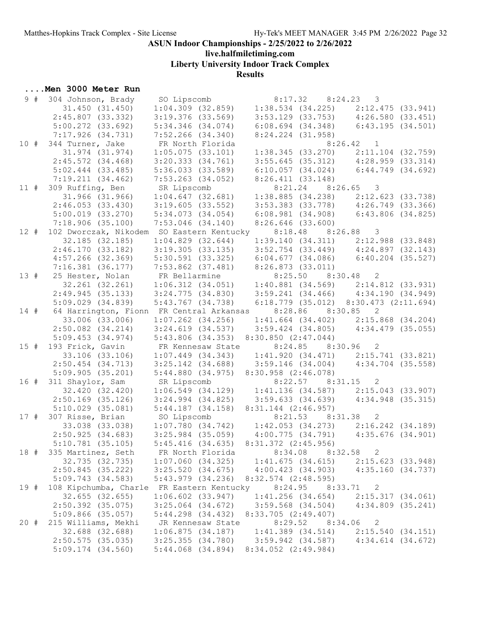live.halfmiletiming.com

Liberty University Indoor Track Complex

# Results

# ....Men 3000 Meter Run

| 9#     | 304 Johnson, Brady                        | SO Lipscomb                             | $8:17.32$ $8:24.23$ 3                                                                                                           |
|--------|-------------------------------------------|-----------------------------------------|---------------------------------------------------------------------------------------------------------------------------------|
|        | 31.450 (31.450)                           | $1:04.309$ (32.859)                     | $1:38.534$ (34.225) $2:12.475$ (33.941)                                                                                         |
|        | 2:45.807 (33.332)                         | $3:19.376$ (33.569)                     |                                                                                                                                 |
|        | $5:00.272$ $(33.692)$                     | $5:34.346$ $(34.074)$                   | $\begin{array}{lllll} 3:53.129 & (33.753) & & 4:26.580 & (33.451) \\ 6:08.694 & (34.348) & & 6:43.195 & (34.501) \end{array}$   |
|        | 7:17.926(34.731)                          | $7:52.266$ $(34.340)$                   | $8:24.224$ $(31.958)$                                                                                                           |
|        | 10 # 344 Turner, Jake                     | FR North Florida                        | 8:26.42 1                                                                                                                       |
|        | 31.974 (31.974)                           | $1:05.075$ (33.101)                     | $1:38.345$ (33.270) $2:11.104$ (32.759)                                                                                         |
|        | $2:45.572$ (34.468)                       | 3:20.333(34.761)                        | $3:55.645$ (35.312) $4:28.959$ (33.314)                                                                                         |
|        | $5:02.444$ (33.485)                       | 5:36.033(33.589)                        | $6:10.057$ (34.024) $6:44.749$ (34.692)                                                                                         |
|        | 7:19.211(34.462)                          | $7:53.263$ $(34.052)$                   | 8:26.411(33.148)                                                                                                                |
|        |                                           |                                         |                                                                                                                                 |
| $11$ # | 309 Ruffing, Ben                          | SR Lipscomb                             | 8:21.24 8:26.65 3                                                                                                               |
|        | 31.966 (31.966)                           | $1:04.647$ $(32.681)$                   | $1:38.885$ (34.238) $2:12.623$ (33.738)                                                                                         |
|        | 2:46.053(33.430)                          | 3:19.605(33.552)                        | 3:53.383 (33.778) 4:26.749 (33.366)                                                                                             |
|        | $5:00.019$ $(33.270)$                     | $5:34.073$ $(34.054)$                   | $6:08.981$ (34.908) $6:43.806$ (34.825)                                                                                         |
|        | 7:18.906(35.100)                          | $7:53.046$ $(34.140)$                   | $8:26.646$ (33.600)                                                                                                             |
| 12#    |                                           |                                         | 102 Dworczak, Nikodem SO Eastern Kentucky 8:18.48 8:26.88 3                                                                     |
|        | 32.185 (32.185)                           | 1:04.829(32.644)                        | 1:39.140(34.311)2:12.988(33.848)                                                                                                |
|        | 2:46.170(33.182)                          | 3:19.305(33.135)                        | $3:52.754$ (33.449) $4:24.897$ (32.143)                                                                                         |
|        | $4:57.266$ $(32.369)$                     | $5:30.591$ (33.325)                     | $6:04.677$ (34.086) $6:40.204$ (35.527)                                                                                         |
|        | $7:16.381$ (36.177)                       | 7:53.862 (37.481)                       | 8:26.873 (33.011)                                                                                                               |
| 13#    | 25 Hester, Nolan                          | FR Bellarmine                           |                                                                                                                                 |
|        | 32.261 (32.261)                           |                                         | FR Bellarmine<br>1:06.312 (34.051) 1:40.881 (34.569) 2:14.812 (33.931)<br>3:24.775 (34.830) 3:59.241 (34.466) 4:34.190 (34.949) |
|        | 2:49.945(35.133)                          | 3:24.775(34.830)                        |                                                                                                                                 |
|        | $5:09.029$ $(34.839)$                     | $5:43.767$ $(34.738)$                   | $6:18.779$ (35.012) $8:30.473$ (2:11.694)                                                                                       |
| 14#    |                                           |                                         | 64 Harrington, Fionn FR Central Arkansas 8:28.86 8:30.85 2                                                                      |
|        | 33.006 (33.006)                           | $1:07.262$ $(34.256)$                   | $1:41.664$ (34.402) $2:15.868$ (34.204)                                                                                         |
|        | $2:50.082$ $(34.214)$                     | 3:24.619(34.537)                        |                                                                                                                                 |
|        |                                           |                                         | $3:59.424$ (34.805) $4:34.479$ (35.055)                                                                                         |
|        | 5:09.453(34.974)                          | $5:43.806$ (34.353) 8:30.850 (2:47.044) |                                                                                                                                 |
| 15#    | 193 Frick, Gavin                          |                                         | FR Kennesaw State 8:24.85 8:30.96 2                                                                                             |
|        | 33.106 (33.106)                           |                                         | $1:07.449$ (34.343) $1:41.920$ (34.471) $2:15.741$ (33.821)                                                                     |
|        | $2:50.454$ $(34.713)$                     |                                         | 3:25.142 (34.688) 3:59.146 (34.004) 4:34.704 (35.558)                                                                           |
|        | 5:09.905(35.201)                          | 5:44.880(34.975)                        | $8:30.958$ $(2:46.078)$                                                                                                         |
|        | 16 # 311 Shaylor, Sam                     | SR Lipscomb                             | $8:22.57$ $8:31.15$ 2<br>SR Lipscomb 8:22.57 8:31.15 2<br>1:06.549 (34.129) 1:41.136 (34.587) 2:15.043 (33.907)                 |
|        | 32.420 (32.420)                           |                                         |                                                                                                                                 |
|        | $2:50.169$ (35.126)                       |                                         | 3:24.994 (34.825) 3:59.633 (34.639) 4:34.948 (35.315)                                                                           |
|        | $5:10.029$ $(35.081)$                     | 5:44.187(34.158)                        | $8:31.144$ $(2:46.957)$                                                                                                         |
|        | 17 # 307 Risse, Brian                     | SO Lipscomb                             | 8:21.53 8:31.38 2                                                                                                               |
|        | 33.038 (33.038)                           |                                         | $1:07.780$ (34.742) $1:42.053$ (34.273) $2:16.242$ (34.189)                                                                     |
|        | 2:50.925(34.683)                          |                                         | $3:25.984$ (35.059) $4:00.775$ (34.791) $4:35.676$ (34.901)                                                                     |
|        | $5:10.781$ (35.105)                       | 5:45.416 (34.635) 8:31.372 (2:45.956)   |                                                                                                                                 |
|        | 18 # 335 Martinez, Seth                   |                                         | FR North Florida 8:34.08 8:32.58<br>2                                                                                           |
|        | 32.735 (32.735)                           | 1:07.060(34.325)                        | 1:41.675(34.615)<br>2:15.623(33.948)                                                                                            |
|        | $2:50.845$ (35.222)                       | 3:25.520(34.675)                        | 4:35.160(34.737)<br>4:00.423(34.903)                                                                                            |
|        | $5:09.743$ $(34.583)$                     | $5:43.979$ $(34.236)$                   | $8:32.574$ $(2:48.595)$                                                                                                         |
|        |                                           |                                         |                                                                                                                                 |
| 19#    | 108 Kipchumba, Charle FR Eastern Kentucky |                                         | 8:24.95<br>$8:33.71$ 2                                                                                                          |
|        | 32.655 (32.655)                           | $1:06.602$ $(33.947)$                   | $1:41.256$ $(34.654)$<br>2:15.317(34.061)                                                                                       |
|        | $2:50.392$ (35.075)                       | $3:25.064$ (34.672)                     | $4:34.809$ $(35.241)$<br>$3:59.568$ $(34.504)$                                                                                  |
|        | $5:09.866$ (35.057)                       | $5:44.298$ $(34.432)$                   | 8:33.705 (2:49.407)                                                                                                             |
| 20#    | 215 Williams, Mekhi                       | JR Kennesaw State                       | 8:29.52<br>8:34.06<br>2                                                                                                         |
|        | 32.688 (32.688)                           | 1:06.875(34.187)                        | $1:41.389$ (34.514)<br>2:15.540(34.151)                                                                                         |
|        | $2:50.575$ (35.035)                       | 3:25.355(34.780)                        | $3:59.942$ $(34.587)$<br>$4:34.614$ $(34.672)$                                                                                  |
|        | $5:09.174$ $(34.560)$                     | $5:44.068$ $(34.894)$                   | 8:34.052 (2:49.984)                                                                                                             |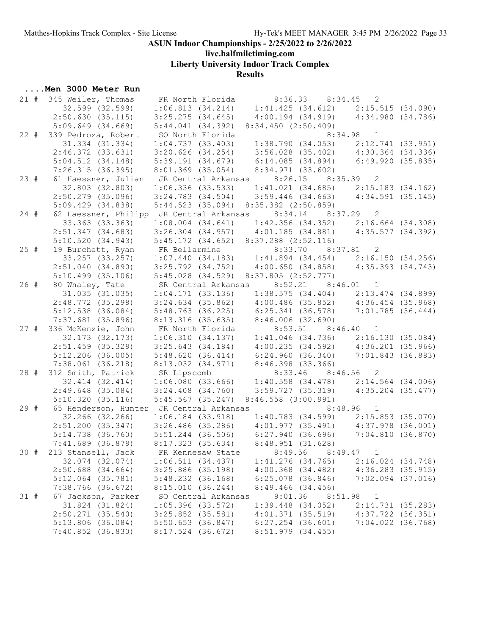live.halfmiletiming.com

Liberty University Indoor Track Complex

# Results

# ....Men 3000 Meter Run

| 21 #   | 345 Weiler, Thomas    | FR North Florida                         | 8:36.33 8:34.45 2                                                                                                                                                                                        |                       |
|--------|-----------------------|------------------------------------------|----------------------------------------------------------------------------------------------------------------------------------------------------------------------------------------------------------|-----------------------|
|        | 32.599 (32.599)       |                                          | $1:06.813$ (34.214) $1:41.425$ (34.612) $2:15.515$ (34.090)                                                                                                                                              |                       |
|        | 2:50.630(35.115)      |                                          | $3:25.275$ (34.645) $4:00.194$ (34.919) $4:34.980$ (34.786)                                                                                                                                              |                       |
|        | $5:09.649$ $(34.669)$ | $5:44.041$ (34.392) 8:34.450 (2:50.409)  |                                                                                                                                                                                                          |                       |
| $22 +$ | 339 Pedroza, Robert   | SO North Florida                         | 8:34.98 1                                                                                                                                                                                                |                       |
|        | 31.334 (31.334)       |                                          | $1:04.737$ (33.403) $1:38.790$ (34.053) $2:12.741$ (33.951)                                                                                                                                              |                       |
|        | $2:46.372$ $(33.631)$ |                                          | $3:20.626$ (34.254) $3:56.028$ (35.402) $4:30.364$ (34.336)                                                                                                                                              |                       |
|        | $5:04.512$ $(34.148)$ | 5:39.191(34.679)                         | $6:14.085$ (34.894) $6:49.920$ (35.835)                                                                                                                                                                  |                       |
|        | 7:26.315(36.395)      | $8:01.369$ (35.054)                      | 8:34.971(33.602)                                                                                                                                                                                         |                       |
|        |                       |                                          |                                                                                                                                                                                                          |                       |
| 23#    |                       |                                          | 61 Haessner, Julian JR Central Arkansas 8:26.15 8:35.39 2                                                                                                                                                |                       |
|        | 32.803 (32.803)       |                                          | $1:06.336$ (33.533) $1:41.021$ (34.685) $2:15.183$ (34.162)                                                                                                                                              |                       |
|        | $2:50.279$ (35.096)   |                                          | $3:24.783$ (34.504) $3:59.446$ (34.663) $4:34.591$ (35.145)                                                                                                                                              |                       |
|        | 5:09.429(34.838)      | 5:44.523(35.094)                         | $8:35.382$ $(2:50.859)$                                                                                                                                                                                  |                       |
| $24 +$ |                       |                                          | 62 Haessner, Philipp JR Central Arkansas 8:34.14 8:37.29 2                                                                                                                                               |                       |
|        | 33.363 (33.363)       |                                          | $\begin{array}{cccc} 1:08\, .004 & (34\, .641) & 1:42\, .356 & (34\, .352) & 2:16\, .664 & (34\, .308) \\ 3:26\, .304 & (34\, .957) & 4:01\, .185 & (34\, .881) & 4:35\, .577 & (34\, .392) \end{array}$ |                       |
|        | 2:51.347(34.683)      |                                          |                                                                                                                                                                                                          |                       |
|        | 5:10.520(34.943)      | $5:45.172$ (34.652) 8:37.288 (2:52.116)  |                                                                                                                                                                                                          |                       |
| 25#    | 19 Burchett, Ryan     | FR Bellarmine                            | 8:33.70 8:37.81 2                                                                                                                                                                                        |                       |
|        | 33.257 (33.257)       |                                          | $1:07.440$ (34.183) $1:41.894$ (34.454) $2:16.150$ (34.256)                                                                                                                                              |                       |
|        | $2:51.040$ (34.890)   |                                          | $3:25.792$ (34.752) $4:00.650$ (34.858) $4:35.393$ (34.743)                                                                                                                                              |                       |
|        | $5:10.499$ $(35.106)$ | $5:45.028$ (34.529) 8:37.805 (2:52.777)  |                                                                                                                                                                                                          |                       |
| 26#    | 80 Whaley, Tate       |                                          | SR Central Arkansas 8:52.21 8:46.01 1                                                                                                                                                                    |                       |
|        | 31.035 (31.035)       |                                          | $1:04.171$ (33.136) $1:38.575$ (34.404) $2:13.474$ (34.899)                                                                                                                                              |                       |
|        | $2:48.772$ (35.298)   |                                          | $3:24.634$ (35.862) $4:00.486$ (35.852) $4:36.454$ (35.968)                                                                                                                                              |                       |
|        | $5:12.538$ (36.084)   |                                          | 5:48.763 (36.225) 6:25.341 (36.578) 7:01.785 (36.444)                                                                                                                                                    |                       |
|        | $7:37.681$ (35.896)   | 8:13.316 (35.635) 8:46.006 (32.690)      |                                                                                                                                                                                                          |                       |
| 27#    | 336 McKenzie, John    | FR North Florida                         |                                                                                                                                                                                                          |                       |
|        | 32.173 (32.173)       |                                          | FR North Florida 8:53.51 8:46.40 1<br>1:06.310 (34.137) 1:41.046 (34.736) 2:16.130 (35.084)<br>3:25.643 (34.184) 4:00.235 (34.592) 4:36.201 (35.966)                                                     |                       |
|        | $2:51.459$ (35.329)   |                                          |                                                                                                                                                                                                          |                       |
|        | $5:12.206$ (36.005)   | 5:48.620(36.414)                         | $6:24.960(36.340)$ $7:01.843(36.883)$                                                                                                                                                                    |                       |
|        |                       |                                          |                                                                                                                                                                                                          |                       |
|        | $7:38.061$ (36.218)   | $8:13.032$ $(34.971)$                    | $8:46.398$ (33.366)                                                                                                                                                                                      |                       |
| 28 #   | 312 Smith, Patrick    | SR Lipscomb                              | SR Lipscomb<br>1:06.080 (33.666) 1:40.558 (34.478) 2:14.564 (34.006)<br>3:59.727 (35.319) 4:35.204 (35.477)                                                                                              |                       |
|        | 32.414 (32.414)       |                                          |                                                                                                                                                                                                          |                       |
|        | $2:49.648$ (35.084)   |                                          |                                                                                                                                                                                                          |                       |
|        | 5:10.320(35.116)      | $5:45.567$ (35.247)                      | $8:46.558$ $(3:00.991)$                                                                                                                                                                                  |                       |
| 29#    |                       | 65 Henderson, Hunter JR Central Arkansas | $8:48.96$ 1                                                                                                                                                                                              |                       |
|        | 32.266 (32.266)       |                                          | $1:06.184$ (33.918) $1:40.783$ (34.599) $2:15.853$ (35.070)                                                                                                                                              |                       |
|        | 2:51.200(35.347)      |                                          | 3:26.486 (35.286) 4:01.977 (35.491) 4:37.978 (36.001)                                                                                                                                                    |                       |
|        |                       |                                          |                                                                                                                                                                                                          |                       |
|        |                       |                                          | 5:14.738 (36.760) 5:51.244 (36.506) 6:27.940 (36.696) 7:04.810 (36.870)<br>7:41.689 (36.879) 8:17.323 (35.634) 8:48.951 (31.628)<br>213 Stansell, Jack FR Kennesaw State 8:49.56 8:49.47 1               |                       |
| 30#    | 213 Stansell, Jack    |                                          |                                                                                                                                                                                                          |                       |
|        | 32.074 (32.074)       | 1:06.511(34.437)                         | $1:41.276$ (34.765)                                                                                                                                                                                      | $2:16.024$ (34.748)   |
|        | $2:50.688$ $(34.664)$ | $3:25.886$ (35.198)                      | $4:00.368$ $(34.482)$                                                                                                                                                                                    | $4:36.283$ $(35.915)$ |
|        | $5:12.064$ $(35.781)$ | $5:48.232$ $(36.168)$                    | $6:25.078$ $(36.846)$                                                                                                                                                                                    | $7:02.094$ $(37.016)$ |
|        | 7:38.766 (36.672)     | 8:15.010(36.244)                         | $8:49.466$ $(34.456)$                                                                                                                                                                                    |                       |
| 31#    | 67 Jackson, Parker    | SO Central Arkansas                      | 9:01.36<br>$\mathbf{1}$<br>8:51.98                                                                                                                                                                       |                       |
|        | 31.824 (31.824)       | $1:05.396$ (33.572)                      | $1:39.448$ $(34.052)$                                                                                                                                                                                    | 2:14.731(35.283)      |
|        | $2:50.271$ (35.540)   | $3:25.852$ (35.581)                      | $4:01.371$ (35.519)                                                                                                                                                                                      | $4:37.722$ $(36.351)$ |
|        | $5:13.806$ (36.084)   | $5:50.653$ $(36.847)$                    | $6:27.254$ $(36.601)$                                                                                                                                                                                    | $7:04.022$ $(36.768)$ |
|        | $7:40.852$ (36.830)   | $8:17.524$ (36.672)                      | 8:51.979 (34.455)                                                                                                                                                                                        |                       |
|        |                       |                                          |                                                                                                                                                                                                          |                       |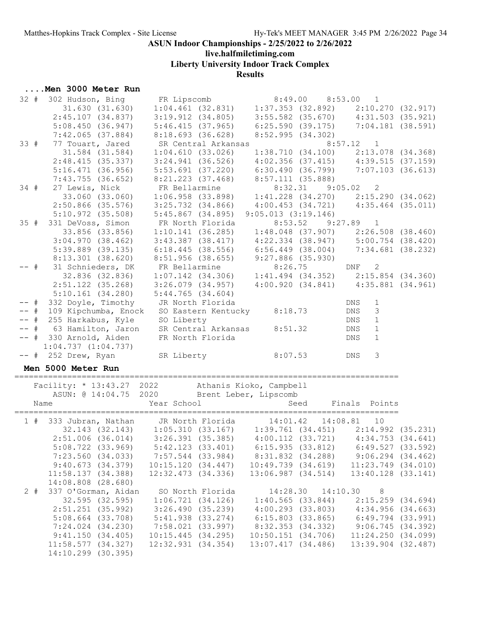live.halfmiletiming.com

Liberty University Indoor Track Complex

### Results

# ....Men 3000 Meter Run

| 32 #    | 302 Hudson, Bing                                 | FR Lipscomb                         | 8:49.00 8:53.00                             | $\sim$ 1                   |  |
|---------|--------------------------------------------------|-------------------------------------|---------------------------------------------|----------------------------|--|
|         | 31.630 (31.630)                                  | $1:04.461$ (32.831)                 | $1:37.353$ (32.892) $2:10.270$ (32.917)     |                            |  |
|         | 2:45.107(34.837)                                 | 3:19.912(34.805)                    | $3:55.582$ (35.670) $4:31.503$ (35.921)     |                            |  |
|         | 5:08.450(36.947)                                 | 5:46.415(37.965)                    | 6:25.590(39.175)                            | $7:04.181$ (38.591)        |  |
|         | $7:42.065$ (37.884)                              | 8:18.693(36.628)                    | 8:52.995(34.302)                            |                            |  |
| 33#     | 77 Touart, Jared                                 | SR Central Arkansas                 |                                             | $8:57.12$ 1                |  |
|         | 31.584 (31.584)                                  | 1:04.610(33.026)                    | 1:38.710(34.100)2:13.078(34.368)            |                            |  |
|         | 2:48.415(35.337)                                 | $3:24.941$ (36.526)                 | $4:02.356$ $(37.415)$                       | 4:39.515(37.159)           |  |
|         | 5:16.471(36.956)                                 | $5:53.691$ (37.220)                 | 6:30.490 (36.799)                           | $7:07.103$ (36.613)        |  |
|         | 7:43.755(36.652)                                 | 8:21.223 (37.468) 8:57.111 (35.888) |                                             |                            |  |
| 34#     | 27 Lewis, Nick                                   | FR Bellarmine                       | $8:32.31$ $9:05.02$ 2                       |                            |  |
|         | 33.060 (33.060)                                  | $1:06.958$ (33.898)                 | $1:41.228$ (34.270) $2:15.290$ (34.062)     |                            |  |
|         | $2:50.866$ (35.576)                              | 3:25.732 (34.866)                   | $4:00.453$ $(34.721)$ $4:35.464$ $(35.011)$ |                            |  |
|         | $5:10.972$ (35.508)                              | $5:45.867$ (34.895)                 | $9:05.013$ $(3:19.146)$                     |                            |  |
|         | 35 # 331 DeVoss, Simon FR North Florida          |                                     | 8:53.52 9:27.89 1                           |                            |  |
|         | 33.856 (33.856)                                  | 1:10.141(36.285)                    | $1:48.048$ (37.907) $2:26.508$ (38.460)     |                            |  |
|         | 3:04.970(38.462)                                 | 3:43.387 (38.417)                   | 4:22.334 (38.947) 5:00.754 (38.420)         |                            |  |
|         | $5:39.889$ (39.135)                              | 6:18.445 (38.556)                   | $6:56.449$ (38.004)                         | 7:34.681 (38.232)          |  |
|         | $8:13.301$ (38.620)                              | 8:51.956 (38.655) 9:27.886 (35.930) |                                             |                            |  |
| $--$ #  | 31 Schnieders, DK                                | FR Bellarmine                       | 8:26.75 DNF 2                               |                            |  |
|         | 32.836 (32.836)                                  | $1:07.142$ (34.306)                 | $1:41.494$ (34.352) $2:15.854$ (34.360)     |                            |  |
|         | $2:51.122$ (35.268)                              | $3:26.079$ $(34.957)$               | $4:00.920(34.841)$ $4:35.881(34.961)$       |                            |  |
|         | $5:10.161$ $(34.280)$                            | 5:44.765(34.604)                    |                                             |                            |  |
| $--$ #  | 332 Doyle, Timothy                               | JR North Florida                    |                                             | DNS<br>$\mathbf 1$         |  |
| $---$ # | 109 Kipchumba, Enock SO Eastern Kentucky 8:18.73 |                                     |                                             | $\mathcal{S}$<br>DNS       |  |
| $---$ # | 255 Harkabus, Kyle                               | SO Liberty                          |                                             | $\mathbf{1}$<br>DNS        |  |
|         | -- # 63 Hamilton, Jaron                          | SR Central Arkansas 8:51.32         |                                             | $\mathbf{1}$<br>DNS        |  |
| $--$ #  | 330 Arnold, Aiden                                | FR North Florida                    |                                             | $\mathbf{1}$<br><b>DNS</b> |  |
|         | 1:04.737(1:04.737)                               |                                     |                                             |                            |  |
|         | -- # 252 Drew, Ryan SR Liberty 8:07.53 DNS       |                                     |                                             | 3                          |  |

#### Men 5000 Meter Run

================================================================================

| Name                    | Facility: * 13:43.27 2022<br>ASUN: @ 14:04.75 2020 Brent Leber, Lipscomb<br>Year School and the Material |                   | Athanis Kioko, Campbell                                        | Seed Finals Points |  |                    |
|-------------------------|----------------------------------------------------------------------------------------------------------|-------------------|----------------------------------------------------------------|--------------------|--|--------------------|
|                         | 1 # 333 Jubran, Nathan JR North Florida 14:01.42 14:08.81 10                                             |                   |                                                                |                    |  |                    |
|                         |                                                                                                          |                   | $1:39.761$ (34.451) $2:14.992$ (35.231)                        |                    |  |                    |
|                         | $2:51.006$ (36.014) 3:26.391 (35.385) 4:00.112 (33.721) 4:34.753 (34.641)                                |                   |                                                                |                    |  |                    |
|                         | $5:08.722$ (33.969) $5:42.123$ (33.401) $6:15.935$ (33.812) $6:49.527$ (33.592)                          |                   |                                                                |                    |  |                    |
|                         | 7:23.560 (34.033) 7:57.544 (33.984) 8:31.832 (34.288) 9:06.294 (34.462)                                  |                   |                                                                |                    |  |                    |
| 9:40.673 (34.379)       |                                                                                                          |                   | $10:15.120$ (34.447) $10:49.739$ (34.619) $11:23.749$ (34.010) |                    |  |                    |
| 11:58.137 (34.388)      |                                                                                                          |                   | $12:32.473$ (34.336) 13:06.987 (34.514) 13:40.128 (33.141)     |                    |  |                    |
| 14:08.808 (28.680)      |                                                                                                          |                   |                                                                |                    |  |                    |
| 2 # 337 O'Gorman, Aidan |                                                                                                          |                   | SO North Florida 14:28.30 14:10.30 8                           |                    |  |                    |
| 32.595 (32.595)         | 1:06.721 (34.126)                                                                                        |                   | $1:40.565$ (33.844) 2:15.259 (34.694)                          |                    |  |                    |
| 2:51.251 (35.992)       |                                                                                                          | 3:26.490 (35.239) | $4:00.293$ (33.803) $4:34.956$ (34.663)                        |                    |  |                    |
| $5:08.664$ $(33.708)$   | 5:41.938 (33.274)                                                                                        |                   | 6:15.803 (33.865)                                              |                    |  | 6:49.794 (33.991)  |
|                         | 7:24.024 (34.230) 7:58.021 (33.997) 8:32.353 (34.332) 9:06.745 (34.392)                                  |                   |                                                                |                    |  |                    |
|                         | $9:41.150$ (34.405) 10:15.445 (34.295) 10:50.151 (34.706) 11:24.250 (34.099)                             |                   |                                                                |                    |  |                    |
| 11:58.577(34.327)       |                                                                                                          |                   | $12:32.931$ $(34.354)$ $13:07.417$ $(34.486)$                  |                    |  | 13:39.904 (32.487) |
| 14:10.299 (30.395)      |                                                                                                          |                   |                                                                |                    |  |                    |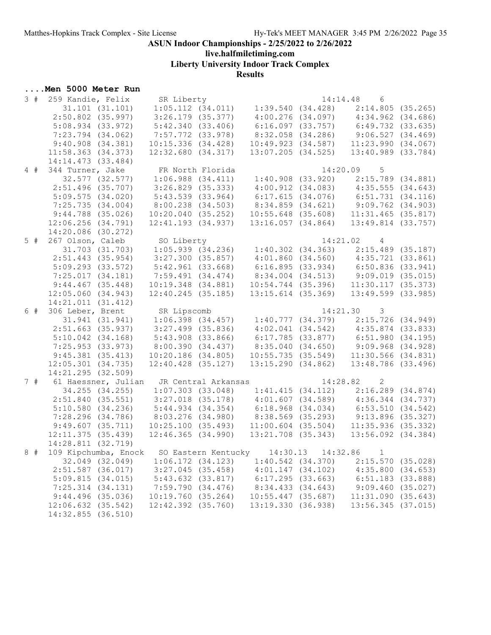live.halfmiletiming.com

Liberty University Indoor Track Complex

# **Results**

# ....Men 5000 Meter Run

| 3#  | 259 Kandie, Felix                                                                                                                                                                                                                      |                                                                                                                                                                                                                                        |                       |                                                                                                                      |  |
|-----|----------------------------------------------------------------------------------------------------------------------------------------------------------------------------------------------------------------------------------------|----------------------------------------------------------------------------------------------------------------------------------------------------------------------------------------------------------------------------------------|-----------------------|----------------------------------------------------------------------------------------------------------------------|--|
|     | 31.101 (31.101)                                                                                                                                                                                                                        | SR Liberty 14:14.48 6<br>1:05.112 (34.011) 1:39.540 (34.428) 2:14.805 (35.265)                                                                                                                                                         |                       |                                                                                                                      |  |
|     | $2:50.802$ (35.997)                                                                                                                                                                                                                    | $3:26.179$ $(35.377)$                                                                                                                                                                                                                  |                       |                                                                                                                      |  |
|     | $5:08.934$ $(33.972)$                                                                                                                                                                                                                  | 5:42.340 (33.406)                                                                                                                                                                                                                      |                       |                                                                                                                      |  |
|     | $7:23.794$ $(34.062)$                                                                                                                                                                                                                  | $7:57.772$ (33.978)                                                                                                                                                                                                                    |                       | 4:00.276 (34.097)  4:34.962 (34.686)<br>6:16.097 (33.757)  6:49.732 (33.635)<br>8:32.058 (34.286)  9:06.527 (34.469) |  |
|     | $9:40.908$ $(34.381)$                                                                                                                                                                                                                  | $10:15.336$ $(34.428)$                                                                                                                                                                                                                 |                       | $10:49.923(34.587)$ $11:23.990(34.067)$                                                                              |  |
|     | $11:58.363$ $(34.373)$                                                                                                                                                                                                                 | 12:32.680(34.317)                                                                                                                                                                                                                      |                       | 13:07.205 (34.525) 13:40.989 (33.784)                                                                                |  |
|     | 14:14.473 (33.484)                                                                                                                                                                                                                     |                                                                                                                                                                                                                                        |                       |                                                                                                                      |  |
|     | 4 # 344 Turner, Jake                                                                                                                                                                                                                   |                                                                                                                                                                                                                                        |                       |                                                                                                                      |  |
|     | 14:14.473 (33.484)<br>344 Turner, Jake FR North Florida<br>32.577 (32.577) 1:06.988 (34.411) 1:40.908 (33.920) 2:15.789 (34.881)<br>2:51.496 (35.707) 3:26.829 (35.333) 4:00.912 (34.083) 4:35.555 (34.643)<br>5:43.539 (33.964) 6:17. |                                                                                                                                                                                                                                        |                       |                                                                                                                      |  |
|     |                                                                                                                                                                                                                                        |                                                                                                                                                                                                                                        |                       |                                                                                                                      |  |
|     |                                                                                                                                                                                                                                        |                                                                                                                                                                                                                                        |                       |                                                                                                                      |  |
|     | 7:25.735(34.004)                                                                                                                                                                                                                       | 8:00.238 (34.503) 8:34.859 (34.621) 9:09.762 (34.903)                                                                                                                                                                                  |                       |                                                                                                                      |  |
|     | $9:44.788$ (35.026)                                                                                                                                                                                                                    |                                                                                                                                                                                                                                        |                       | $10:20.040$ (35.252) $10:55.648$ (35.608) $11:31.465$ (35.817)                                                       |  |
|     | $12:06.256$ $(34.791)$                                                                                                                                                                                                                 | 12:41.193(34.937)                                                                                                                                                                                                                      |                       | 13:16.057 (34.864) 13:49.814 (33.757)                                                                                |  |
|     |                                                                                                                                                                                                                                        |                                                                                                                                                                                                                                        |                       |                                                                                                                      |  |
|     | 14:20.086 (30.272)                                                                                                                                                                                                                     |                                                                                                                                                                                                                                        |                       |                                                                                                                      |  |
|     | 5 # 267 Olson, Caleb SO Liberty 14:21.02 4<br>31.703 (31.703) 1:05.939 (34.236) 1:40.302 (34.363) 2:15.489 (35.187)                                                                                                                    |                                                                                                                                                                                                                                        |                       |                                                                                                                      |  |
|     |                                                                                                                                                                                                                                        |                                                                                                                                                                                                                                        |                       |                                                                                                                      |  |
|     | $2:51.443$ (35.954)                                                                                                                                                                                                                    | $3:27.300$ (35.857) $4:01.860$ (34.560) $4:35.721$ (33.861)                                                                                                                                                                            |                       |                                                                                                                      |  |
|     | $5:09.293$ $(33.572)$                                                                                                                                                                                                                  | 5:42.961 (33.668)                                                                                                                                                                                                                      |                       |                                                                                                                      |  |
|     | 7:25.017(34.181)                                                                                                                                                                                                                       |                                                                                                                                                                                                                                        |                       |                                                                                                                      |  |
|     | 9:44.467(35.448)                                                                                                                                                                                                                       | 5:42.961 (33.668) 6:16.895 (33.934) 6:50.836 (33.941)<br>7:59.491 (34.474) 8:34.004 (34.513) 9:09.019 (35.015)<br>10:19.348 (34.881) 10:54.744 (35.396) 11:30.117 (35.373)<br>12:40.245 (35.185) 13:15.614 (35.369) 13:49.599 (33.985) |                       |                                                                                                                      |  |
|     | 12:05.060(34.943)                                                                                                                                                                                                                      |                                                                                                                                                                                                                                        |                       |                                                                                                                      |  |
|     | 14:21.011 (31.412)                                                                                                                                                                                                                     |                                                                                                                                                                                                                                        |                       |                                                                                                                      |  |
| 6 # | 306 Leber, Brent SR Lipscomb                                                                                                                                                                                                           | SR Lipscomb<br>1:06.398 (34.457) 1:40.777 (34.379) 2:15.726 (34.949)                                                                                                                                                                   |                       |                                                                                                                      |  |
|     | 31.941 (31.941)                                                                                                                                                                                                                        |                                                                                                                                                                                                                                        |                       |                                                                                                                      |  |
|     | $2:51.663$ (35.937)                                                                                                                                                                                                                    | 3:27.499 (35.836)  4:02.041 (34.542)  4:35.874 (33.833)<br>5:43.908 (33.866)  6:17.785 (33.877)  6:51.980 (34.195)<br>8:00.390 (34.437)  8:35.040 (34.650)  9:09.968 (34.928)                                                          |                       |                                                                                                                      |  |
|     | $5:10.042$ $(34.168)$                                                                                                                                                                                                                  |                                                                                                                                                                                                                                        |                       |                                                                                                                      |  |
|     | 7:25.953(33.973)                                                                                                                                                                                                                       |                                                                                                                                                                                                                                        |                       |                                                                                                                      |  |
|     | $9:45.381$ (35.413)                                                                                                                                                                                                                    |                                                                                                                                                                                                                                        |                       | 10:20.186 (34.805) 10:55.735 (35.549) 11:30.566 (34.831)                                                             |  |
|     | $12:05.301$ $(34.735)$                                                                                                                                                                                                                 |                                                                                                                                                                                                                                        |                       | 12:40.428 (35.127) 13:15.290 (34.862) 13:48.786 (33.496)                                                             |  |
|     | 14:21.295 (32.509)                                                                                                                                                                                                                     |                                                                                                                                                                                                                                        |                       |                                                                                                                      |  |
|     | 7 # 61 Haessner, Julian JR Central Arkansas                                                                                                                                                                                            |                                                                                                                                                                                                                                        |                       | 14:28.82 2                                                                                                           |  |
|     | 34.255 (34.255)                                                                                                                                                                                                                        |                                                                                                                                                                                                                                        |                       | $1:07.303$ (33.048) $1:41.415$ (34.112) $2:16.289$ (34.874)                                                          |  |
|     | 2:51.840(35.551)                                                                                                                                                                                                                       |                                                                                                                                                                                                                                        |                       | $3:27.018$ (35.178) $4:01.607$ (34.589) $4:36.344$ (34.737)                                                          |  |
|     | 5:10.580 (34.236) 5:44.934 (34.354) 6:18.968 (34.034) 6:53.510 (34.542)                                                                                                                                                                |                                                                                                                                                                                                                                        |                       |                                                                                                                      |  |
|     | 7:28.296 (34.786) 8:03.276 (34.980) 8:38.569 (35.293) 9:13.896 (35.327)                                                                                                                                                                |                                                                                                                                                                                                                                        |                       |                                                                                                                      |  |
|     | $9:49.607$ (35.711) $10:25.100$ (35.493) $11:00.604$ (35.504) $11:35.936$ (35.332)                                                                                                                                                     |                                                                                                                                                                                                                                        |                       |                                                                                                                      |  |
|     | 12:11.375 (35.439) 12:46.365 (34.990) 13:21.708 (35.343) 13:56.092 (34.384)                                                                                                                                                            |                                                                                                                                                                                                                                        |                       |                                                                                                                      |  |
|     | 14:28.811 (32.719)                                                                                                                                                                                                                     |                                                                                                                                                                                                                                        |                       |                                                                                                                      |  |
|     | 8 # 109 Kipchumba, Enock SO Eastern Kentucky 14:30.13 14:32.86 1                                                                                                                                                                       |                                                                                                                                                                                                                                        |                       |                                                                                                                      |  |
|     | 32.049 (32.049)                                                                                                                                                                                                                        | 1:06.172(34.123)                                                                                                                                                                                                                       | $1:40.542$ $(34.370)$ | 2:15.570(35.028)                                                                                                     |  |
|     | $2:51.587$ (36.017)                                                                                                                                                                                                                    | $3:27.045$ (35.458)                                                                                                                                                                                                                    | 4:01.147(34.102)      | 4:35.800(34.653)                                                                                                     |  |
|     | 5:09.815(34.015)                                                                                                                                                                                                                       | $5:43.632$ $(33.817)$                                                                                                                                                                                                                  | 6:17.295(33.663)      | $6:51.183$ $(33.888)$                                                                                                |  |
|     | $7:25.314$ $(34.131)$                                                                                                                                                                                                                  | 7:59.790 (34.476)                                                                                                                                                                                                                      | 8:34.433 (34.643)     | $9:09.460$ $(35.027)$                                                                                                |  |
|     | $9:44.496$ (35.036)                                                                                                                                                                                                                    | 10:19.760(35.264)                                                                                                                                                                                                                      | $10:55.447$ (35.687)  | 11:31.090(35.643)                                                                                                    |  |
|     | $12:06.632$ $(35.542)$                                                                                                                                                                                                                 | $12:42.392$ $(35.760)$                                                                                                                                                                                                                 | 13:19.330 (36.938)    | $13:56.345$ (37.015)                                                                                                 |  |
|     | 14:32.855 (36.510)                                                                                                                                                                                                                     |                                                                                                                                                                                                                                        |                       |                                                                                                                      |  |
|     |                                                                                                                                                                                                                                        |                                                                                                                                                                                                                                        |                       |                                                                                                                      |  |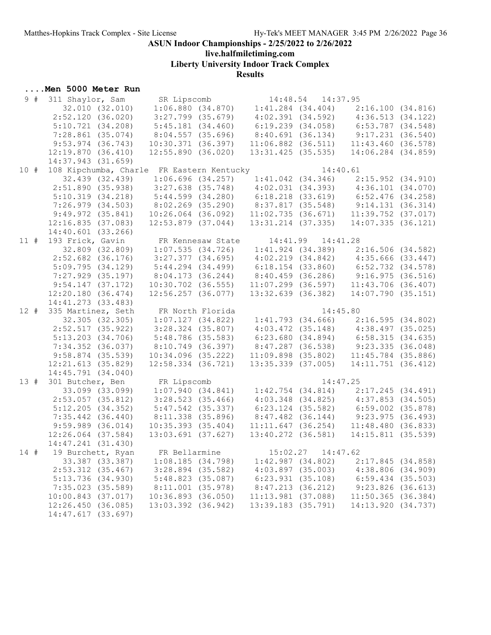live.halfmiletiming.com

Liberty University Indoor Track Complex

# **Results**

# ....Men 5000 Meter Run

| 9#     | 311 Shaylor, Sam                                                      | SR Lipscomb                                                 |                      | $14:48.54$ $14:37.95$ |                                                                                                                                                                                                                                     |  |
|--------|-----------------------------------------------------------------------|-------------------------------------------------------------|----------------------|-----------------------|-------------------------------------------------------------------------------------------------------------------------------------------------------------------------------------------------------------------------------------|--|
|        | 32.010(32.010)                                                        | $1:06.880$ $(34.870)$                                       | $1:41.284$ (34.404)  |                       | 2:16.100(34.816)                                                                                                                                                                                                                    |  |
|        | 2:52.120(36.020)                                                      | $3:27.799$ $(35.679)$                                       |                      |                       | $4:02.391$ (34.592) $4:36.513$ (34.122)                                                                                                                                                                                             |  |
|        | 5:10.721(34.208)                                                      | 5:45.181(34.460)                                            |                      |                       |                                                                                                                                                                                                                                     |  |
|        | $7:28.861$ (35.074)                                                   | $8:04.557$ (35.696)                                         |                      |                       | $\begin{array}{cccc} 6:19.239 & (34.058) & 6:53.787 & (34.548) \\ 8:40.691 & (36.134) & 9:17.231 & (36.540) \\ 11:06.882 & (36.511) & 11:43.460 & (36.578) \end{array}$                                                             |  |
|        | $9:53.974$ $(36.743)$                                                 | 10:30.371 (36.397)                                          |                      |                       |                                                                                                                                                                                                                                     |  |
|        | 12:19.870(36.410)                                                     | 12:55.890(36.020)                                           | $13:31.425$ (35.535) |                       | 14:06.284 (34.859)                                                                                                                                                                                                                  |  |
|        | 14:37.943 (31.659)                                                    |                                                             |                      |                       |                                                                                                                                                                                                                                     |  |
| 10 #   | 108 Kipchumba, Charle FR Eastern Kentucky                             |                                                             |                      |                       | 14:40.61                                                                                                                                                                                                                            |  |
|        | 32.439 (32.439)                                                       |                                                             |                      |                       | $1:06.696$ (34.257) $1:41.042$ (34.346) $2:15.952$ (34.910)                                                                                                                                                                         |  |
|        |                                                                       |                                                             |                      |                       |                                                                                                                                                                                                                                     |  |
|        | $2:51.890$ (35.938)                                                   |                                                             |                      |                       | $3:27.638$ (35.748) $4:02.031$ (34.393) $4:36.101$ (34.070)<br>5:44.599 (34.280) $6:18.218$ (33.619) $6:52.476$ (34.258)                                                                                                            |  |
|        | 5:10.319(34.218)                                                      |                                                             |                      |                       |                                                                                                                                                                                                                                     |  |
|        | $7:26.979$ $(34.503)$                                                 |                                                             |                      |                       | 8:02.269 (35.290) 8:37.817 (35.548) 9:14.131 (36.314)                                                                                                                                                                               |  |
|        | 9:49.972(35.841)                                                      |                                                             |                      |                       | $10:26.064$ (36.092) $11:02.735$ (36.671) $11:39.752$ (37.017)                                                                                                                                                                      |  |
|        | 12:16.835(37.083)                                                     | $12:53.879$ (37.044)                                        |                      |                       | 13:31.214 (37.335) 14:07.335 (36.121)                                                                                                                                                                                               |  |
|        | 14:40.601 (33.266)                                                    |                                                             |                      |                       |                                                                                                                                                                                                                                     |  |
| 11#    | 193 Frick, Gavin FR Kennesaw State 14:41.99 14:41.28                  |                                                             |                      |                       |                                                                                                                                                                                                                                     |  |
|        | 32.809 (32.809) 1:07.535 (34.726) 1:41.924 (34.389) 2:16.506 (34.582) |                                                             |                      |                       |                                                                                                                                                                                                                                     |  |
|        | $2:52.682$ (36.176)                                                   | $3:27.377$ (34.695) $4:02.219$ (34.842) $4:35.666$ (33.447) |                      |                       |                                                                                                                                                                                                                                     |  |
|        | 5:09.795(34.129)                                                      | $5:44.294$ $(34.499)$                                       |                      |                       | $6:18.154$ (33.860) $6:52.732$ (34.578)                                                                                                                                                                                             |  |
|        | $7:27.929$ (35.197)                                                   | 8:04.173(36.244)                                            |                      |                       |                                                                                                                                                                                                                                     |  |
|        | $9:54.147$ (37.172)                                                   |                                                             |                      |                       |                                                                                                                                                                                                                                     |  |
|        | 12:20.180(36.474)                                                     |                                                             |                      |                       | 8:04.173 (36.244) 8:40.459 (36.286) 9:16.975 (36.516)<br>10:30.702 (36.555) 11:07.299 (36.597) 11:43.706 (36.407)<br>12:56.257 (36.077) 13:32.639 (36.382) 14:07.790 (35.151)                                                       |  |
|        | 14:41.273 (33.483)                                                    |                                                             |                      |                       |                                                                                                                                                                                                                                     |  |
| $12 +$ | 335 Martinez, Seth                                                    |                                                             | FR North Florida     |                       | 14:45.80                                                                                                                                                                                                                            |  |
|        | 32.305 (32.305)                                                       |                                                             |                      |                       | $1:07.127$ (34.822) $1:41.793$ (34.666) $2:16.595$ (34.802)                                                                                                                                                                         |  |
|        | 2:52.517(35.922)                                                      |                                                             |                      |                       |                                                                                                                                                                                                                                     |  |
|        | $5:13.203$ $(34.706)$                                                 |                                                             |                      |                       |                                                                                                                                                                                                                                     |  |
|        | $7:34.352$ (36.037)                                                   |                                                             |                      |                       | 3:28.324 (35.807) 4:03.472 (35.148) 4:38.497 (35.025)<br>5:48.786 (35.583) 6:23.680 (34.894) 6:58.315 (34.635)<br>8:10.749 (36.397) 8:47.287 (36.538) 9:23.335 (36.048)<br>10:34.096 (35.222) 11:09.898 (35.802) 11:45.784 (35.886) |  |
|        | $9:58.874$ (35.539)                                                   | $10:34.096$ $(35.222)$                                      |                      |                       |                                                                                                                                                                                                                                     |  |
|        | 12:21.613(35.829)                                                     | $12:58.334$ $(36.721)$                                      |                      |                       | 13:35.339 (37.005) 14:11.751 (36.412)                                                                                                                                                                                               |  |
|        | 14:45.791 (34.040)                                                    |                                                             |                      |                       |                                                                                                                                                                                                                                     |  |
| 13#    | 301 Butcher, Ben                                                      | FR Lipscomb                                                 |                      |                       | 14:47.25                                                                                                                                                                                                                            |  |
|        | 33.099 (33.099)                                                       |                                                             |                      |                       | $1:07.940$ (34.841) $1:42.754$ (34.814) $2:17.245$ (34.491)                                                                                                                                                                         |  |
|        | $2:53.057$ (35.812)                                                   | $3:28.523$ $(35.466)$                                       |                      |                       | $4:03.348$ (34.825) $4:37.853$ (34.505)                                                                                                                                                                                             |  |
|        | 5:12.205(34.352)                                                      | $5:47.542$ (35.337)                                         |                      |                       | $6:23.124$ (35.582) $6:59.002$ (35.878)                                                                                                                                                                                             |  |
|        |                                                                       |                                                             |                      |                       | 8:47.482 (36.144) 9:23.975 (36.493)                                                                                                                                                                                                 |  |
|        | $7:35.442$ $(36.440)$                                                 | 8:11.338 (35.896)                                           |                      |                       |                                                                                                                                                                                                                                     |  |
|        | $9:59.989$ $(36.014)$                                                 | $10:35.393$ $(35.404)$                                      |                      |                       | $11:11.647$ (36.254) $11:48.480$ (36.833)                                                                                                                                                                                           |  |
|        | $12:26.064$ (37.584)                                                  | $13:03.691$ (37.627)                                        |                      |                       | 13:40.272 (36.581) 14:15.811 (35.539)                                                                                                                                                                                               |  |
|        | $14:47.241$ $(31.430)$                                                |                                                             |                      |                       |                                                                                                                                                                                                                                     |  |
|        | 14 # 19 Burchett, Ryan FR Bellarmine 15:02.27 14:47.62                |                                                             |                      |                       |                                                                                                                                                                                                                                     |  |
|        | 33.387 (33.387)                                                       | 1:08.185(34.798)                                            | $1:42.987$ (34.802)  |                       | 2:17.845(34.858)                                                                                                                                                                                                                    |  |
|        | $2:53.312$ (35.467)                                                   | $3:28.894$ (35.582)                                         | $4:03.897$ (35.003)  |                       | 4:38.806(34.909)                                                                                                                                                                                                                    |  |
|        | 5:13.736(34.930)                                                      | 5:48.823(35.087)                                            | 6:23.931(35.108)     |                       | $6:59.434$ $(35.503)$                                                                                                                                                                                                               |  |
|        | 7:35.023 (35.589)                                                     | $8:11.001$ (35.978)                                         | $8:47.213$ (36.212)  |                       | $9:23.826$ (36.613)                                                                                                                                                                                                                 |  |
|        | 10:00.843 (37.017)                                                    | $10:36.893$ (36.050)                                        | $11:13.981$ (37.088) |                       | $11:50.365$ (36.384)                                                                                                                                                                                                                |  |
|        | 12:26.450(36.085)                                                     | 13:03.392 (36.942)                                          | 13:39.183 (35.791)   |                       | 14:13.920 (34.737)                                                                                                                                                                                                                  |  |
|        | 14:47.617 (33.697)                                                    |                                                             |                      |                       |                                                                                                                                                                                                                                     |  |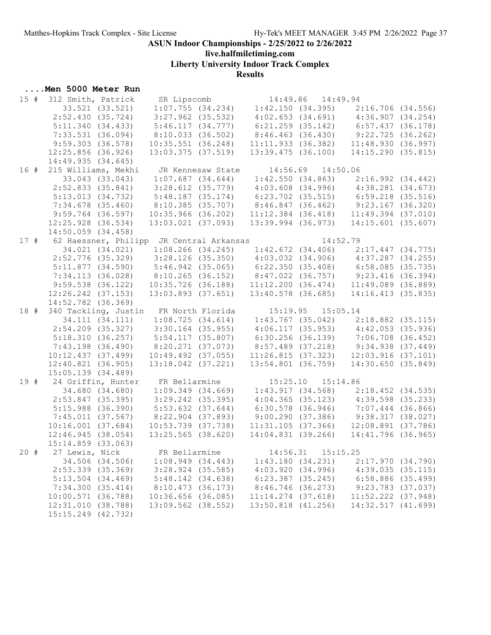live.halfmiletiming.com

Liberty University Indoor Track Complex

# **Results**

# ....Men 5000 Meter Run

| 15#  | 312 Smith, Patrick                                                                                                                                                                                                                   | SR Lipscomb                                                                                                                                                                                                                         |                        | 14:49.86 14:49.94 |                                           |  |
|------|--------------------------------------------------------------------------------------------------------------------------------------------------------------------------------------------------------------------------------------|-------------------------------------------------------------------------------------------------------------------------------------------------------------------------------------------------------------------------------------|------------------------|-------------------|-------------------------------------------|--|
|      | 33.521 (33.521)                                                                                                                                                                                                                      | $1:07.755$ (34.234) $1:42.150$ (34.395) $2:16.706$ (34.556)                                                                                                                                                                         |                        |                   |                                           |  |
|      | 2:52.430(35.724)                                                                                                                                                                                                                     |                                                                                                                                                                                                                                     |                        |                   |                                           |  |
|      | 5:11.340(34.433)                                                                                                                                                                                                                     |                                                                                                                                                                                                                                     |                        |                   |                                           |  |
|      | $7:33.531$ $(36.094)$                                                                                                                                                                                                                | 3:27.962 (35.532)  4:02.653 (34.691)  4:36.907 (34.254)<br>5:46.117 (34.777)  6:21.259 (35.142)  6:57.437 (36.178)<br>8:10.033 (36.502)  8:46.463 (36.430)  9:22.725 (36.262)                                                       |                        |                   |                                           |  |
|      | $9:59.303$ (36.578)                                                                                                                                                                                                                  | $10:35.551$ $(36.248)$                                                                                                                                                                                                              |                        |                   | $11:11.933$ (36.382) $11:48.930$ (36.997) |  |
|      | $12:25.856$ (36.926)                                                                                                                                                                                                                 | $13:03.375$ $(37.519)$                                                                                                                                                                                                              | 13:39.475(36.100)      |                   | 14:15.290(35.815)                         |  |
|      | 14:49.935(34.645)                                                                                                                                                                                                                    |                                                                                                                                                                                                                                     |                        |                   |                                           |  |
|      | 16 # 215 Williams, Mekhi                                                                                                                                                                                                             | JR Kennesaw State 14:56.69 14:50.06                                                                                                                                                                                                 |                        |                   |                                           |  |
|      | 33.043 (33.043)                                                                                                                                                                                                                      | $1:07.687$ $(34.644)$                                                                                                                                                                                                               |                        |                   | 1:42.550(34.863)2:16.992(34.442)          |  |
|      | $2:52.833$ (35.841)                                                                                                                                                                                                                  | $3:28.612$ (35.779) $4:03.608$ (34.996) $4:38.281$ (34.673)                                                                                                                                                                         |                        |                   |                                           |  |
|      | 5:13.013(34.732)                                                                                                                                                                                                                     | $5:48.187$ (35.174) 6:23.702 (35.515) 6:59.218 (35.516)                                                                                                                                                                             |                        |                   |                                           |  |
|      |                                                                                                                                                                                                                                      |                                                                                                                                                                                                                                     |                        |                   |                                           |  |
|      | 7:34.678 (35.460) 8:10.385 (35.707) 8:46.847 (36.462) 9:23.167 (36.320)                                                                                                                                                              |                                                                                                                                                                                                                                     |                        |                   |                                           |  |
|      | $9:59.764$ (36.597)                                                                                                                                                                                                                  | $10:35.966$ (36.202) $11:12.384$ (36.418) $11:49.394$ (37.010)                                                                                                                                                                      |                        |                   |                                           |  |
|      | $12:25.928$ (36.534)                                                                                                                                                                                                                 | 13:03.021 (37.093) 13:39.994 (36.973) 14:15.601 (35.607)                                                                                                                                                                            |                        |                   |                                           |  |
|      | 14:50.059 (34.458)                                                                                                                                                                                                                   |                                                                                                                                                                                                                                     |                        |                   |                                           |  |
|      | 17 # 62 Haessner, Philipp JR Central Arkansas                                                                                                                                                                                        |                                                                                                                                                                                                                                     |                        | 14:52.79          |                                           |  |
|      | 34.021 (34.021)                                                                                                                                                                                                                      | $1:08.266$ (34.245) $1:42.672$ (34.406) $2:17.447$ (34.775)                                                                                                                                                                         |                        |                   |                                           |  |
|      | 2:52.776 (35.329) 3:28.126 (35.350) 4:03.032 (34.906) 4:37.287 (34.255)                                                                                                                                                              |                                                                                                                                                                                                                                     |                        |                   |                                           |  |
|      | 5:11.877 (34.590) 5:46.942 (35.065) 6:22.350 (35.408) 6:58.085 (35.735)                                                                                                                                                              |                                                                                                                                                                                                                                     |                        |                   |                                           |  |
|      | 7:34.113 (36.028) 8:10.265 (36.152) 8:47.022 (36.757) 9:23.416 (36.394)<br>9:59.538 (36.122) 10:35.726 (36.188) 11:12.200 (36.474) 11:49.089 (36.889)<br>12:26.242 (37.153) 13:03.893 (37.651) 13:40.578 (36.685) 14:16.413 (35.835) |                                                                                                                                                                                                                                     |                        |                   |                                           |  |
|      |                                                                                                                                                                                                                                      |                                                                                                                                                                                                                                     |                        |                   |                                           |  |
|      |                                                                                                                                                                                                                                      |                                                                                                                                                                                                                                     |                        |                   |                                           |  |
|      | 14:52.782 (36.369)                                                                                                                                                                                                                   |                                                                                                                                                                                                                                     |                        |                   |                                           |  |
| 18 # | 340 Tackling, Justin FR North Florida 15:19.95 15:05.14                                                                                                                                                                              |                                                                                                                                                                                                                                     |                        |                   |                                           |  |
|      | 34.111 (34.111)                                                                                                                                                                                                                      | $1:08.725$ (34.614) $1:43.767$ (35.042) $2:18.882$ (35.115)                                                                                                                                                                         |                        |                   |                                           |  |
|      | $2:54.209$ $(35.327)$                                                                                                                                                                                                                | $3:30.164$ (35.955)                                                                                                                                                                                                                 |                        |                   |                                           |  |
|      | 5:18.310(36.257)                                                                                                                                                                                                                     |                                                                                                                                                                                                                                     |                        |                   |                                           |  |
|      | $7:43.198$ (36.490)                                                                                                                                                                                                                  | 3:30.164 (35.955) 4:06.117 (35.953) 4:42.053 (35.936)<br>5:54.117 (35.807) 6:30.256 (36.139) 7:06.708 (36.452)<br>8:20.271 (37.073) 8:57.489 (37.218) 9:34.938 (37.449)<br>10:49.492 (37.055) 11:26.815 (37.323) 12:03.916 (37.101) |                        |                   |                                           |  |
|      | 10:12.437(37.499)                                                                                                                                                                                                                    |                                                                                                                                                                                                                                     |                        |                   |                                           |  |
|      | $12:40.821$ (36.905)                                                                                                                                                                                                                 | 13:18.042 (37.221) 13:54.801 (36.759) 14:30.650 (35.849)                                                                                                                                                                            |                        |                   |                                           |  |
|      | $15:05.139$ $(34.489)$                                                                                                                                                                                                               |                                                                                                                                                                                                                                     |                        |                   |                                           |  |
|      | 19 # 24 Griffin, Hunter                                                                                                                                                                                                              | FR Bellarmine 15:25.10 15:14.86<br>1:09.349 (34.669) 1:43.917 (34.568) 2:18.452 (34.535)                                                                                                                                            |                        |                   |                                           |  |
|      | 34.680 (34.680)                                                                                                                                                                                                                      |                                                                                                                                                                                                                                     |                        |                   |                                           |  |
|      | $2:53.847$ (35.395) 3:29.242 (35.395) 4:04.365 (35.123) 4:39.598 (35.233)                                                                                                                                                            |                                                                                                                                                                                                                                     |                        |                   |                                           |  |
|      | $5:15.988$ (36.390)                                                                                                                                                                                                                  | $5:53.632$ $(37.644)$                                                                                                                                                                                                               |                        |                   | $6:30.578$ (36.946) 7:07.444 (36.866)     |  |
|      | $7:45.011$ (37.567) 8:22.904 (37.893)                                                                                                                                                                                                |                                                                                                                                                                                                                                     |                        |                   | $9:00.290$ (37.386) $9:38.317$ (38.027)   |  |
|      | 10:16.001(37.684)                                                                                                                                                                                                                    | $10:53.739$ (37.738) $11:31.105$ (37.366) $12:08.891$ (37.786)                                                                                                                                                                      |                        |                   |                                           |  |
|      | 12:46.945(38.054)                                                                                                                                                                                                                    | $13:25.565$ (38.620)                                                                                                                                                                                                                |                        |                   | 14:04.831 (39.266) 14:41.796 (36.965)     |  |
|      | $15:14.859$ (33.063)                                                                                                                                                                                                                 |                                                                                                                                                                                                                                     |                        |                   |                                           |  |
|      | 20 # 27 Lewis, Nick FR Bellarmine 14:56.31 15:15.25                                                                                                                                                                                  |                                                                                                                                                                                                                                     |                        |                   |                                           |  |
|      | 34.506 (34.506)                                                                                                                                                                                                                      | 1:08.949(34.443)                                                                                                                                                                                                                    | 1:43.180(34.231)       |                   | 2:17.970(34.790)                          |  |
|      | $2:53.339$ $(35.369)$                                                                                                                                                                                                                | $3:28.924$ (35.585)                                                                                                                                                                                                                 | 4:03.920(34.996)       |                   | 4:39.035(35.115)                          |  |
|      | $5:13.504$ $(34.469)$                                                                                                                                                                                                                | $5:48.142$ $(34.638)$                                                                                                                                                                                                               | $6:23.387$ $(35.245)$  |                   |                                           |  |
|      |                                                                                                                                                                                                                                      |                                                                                                                                                                                                                                     | $8:46.746$ (36.273)    |                   | $6:58.886$ $(35.499)$                     |  |
|      | 7:34.300(35.414)                                                                                                                                                                                                                     | 8:10.473 (36.173)                                                                                                                                                                                                                   |                        |                   | 9:23.783 (37.037)                         |  |
|      | 10:00.571 (36.788)                                                                                                                                                                                                                   | $10:36.656$ (36.085)                                                                                                                                                                                                                | $11:14.274$ (37.618)   |                   | $11:52.222$ (37.948)                      |  |
|      | 12:31.010(38.788)                                                                                                                                                                                                                    | 13:09.562 (38.552)                                                                                                                                                                                                                  | $13:50.818$ $(41.256)$ |                   | 14:32.517 (41.699)                        |  |
|      | 15:15.249 (42.732)                                                                                                                                                                                                                   |                                                                                                                                                                                                                                     |                        |                   |                                           |  |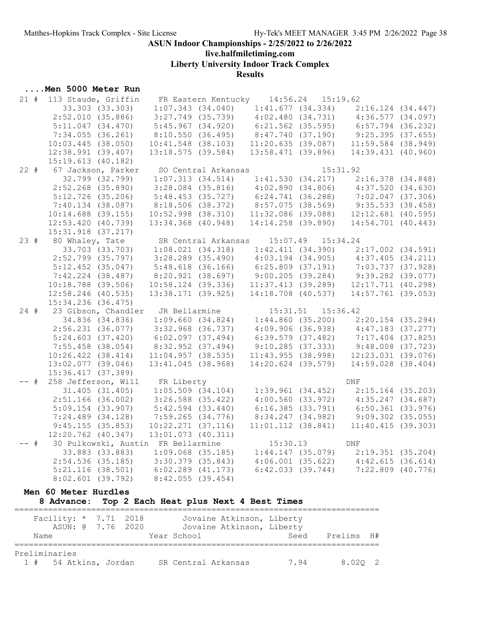live.halfmiletiming.com

Liberty University Indoor Track Complex

# Results

# ....Men 5000 Meter Run

| $2:52.010$ (35.886)<br>5:11.047(34.470)<br>$7:34.055$ (36.261)<br>$10:03.445$ (38.050) | 33.303 (33.303)      | 5:45.967(34.920)                                                                                                                                                                                                                                                                                                                                                                                                                                                                                                                                                                                                                                                                                                                                                             |                          | $1:07.343$ (34.040) $1:41.677$ (34.334) $2:16.124$ (34.447)<br>3:27.749 (35.739) $4:02.480$ (34.731) $4:36.577$ (34.097)                                                                                             |                                                                                                                |                                         |                                                                                                                                                                                                                                                                                                                                                                                                                                                                                                                                                                                                                                                                                                                                                                                                                                                                                                                                                                                                                                                                                                                                                                                                                                                                                                                                                                                                                                                                                                                                                                                                                                          |
|----------------------------------------------------------------------------------------|----------------------|------------------------------------------------------------------------------------------------------------------------------------------------------------------------------------------------------------------------------------------------------------------------------------------------------------------------------------------------------------------------------------------------------------------------------------------------------------------------------------------------------------------------------------------------------------------------------------------------------------------------------------------------------------------------------------------------------------------------------------------------------------------------------|--------------------------|----------------------------------------------------------------------------------------------------------------------------------------------------------------------------------------------------------------------|----------------------------------------------------------------------------------------------------------------|-----------------------------------------|------------------------------------------------------------------------------------------------------------------------------------------------------------------------------------------------------------------------------------------------------------------------------------------------------------------------------------------------------------------------------------------------------------------------------------------------------------------------------------------------------------------------------------------------------------------------------------------------------------------------------------------------------------------------------------------------------------------------------------------------------------------------------------------------------------------------------------------------------------------------------------------------------------------------------------------------------------------------------------------------------------------------------------------------------------------------------------------------------------------------------------------------------------------------------------------------------------------------------------------------------------------------------------------------------------------------------------------------------------------------------------------------------------------------------------------------------------------------------------------------------------------------------------------------------------------------------------------------------------------------------------------|
|                                                                                        |                      |                                                                                                                                                                                                                                                                                                                                                                                                                                                                                                                                                                                                                                                                                                                                                                              |                          |                                                                                                                                                                                                                      |                                                                                                                |                                         |                                                                                                                                                                                                                                                                                                                                                                                                                                                                                                                                                                                                                                                                                                                                                                                                                                                                                                                                                                                                                                                                                                                                                                                                                                                                                                                                                                                                                                                                                                                                                                                                                                          |
|                                                                                        |                      |                                                                                                                                                                                                                                                                                                                                                                                                                                                                                                                                                                                                                                                                                                                                                                              |                          |                                                                                                                                                                                                                      |                                                                                                                |                                         |                                                                                                                                                                                                                                                                                                                                                                                                                                                                                                                                                                                                                                                                                                                                                                                                                                                                                                                                                                                                                                                                                                                                                                                                                                                                                                                                                                                                                                                                                                                                                                                                                                          |
|                                                                                        |                      |                                                                                                                                                                                                                                                                                                                                                                                                                                                                                                                                                                                                                                                                                                                                                                              |                          |                                                                                                                                                                                                                      |                                                                                                                | $6:21.562$ (35.595) $6:57.794$ (36.232) |                                                                                                                                                                                                                                                                                                                                                                                                                                                                                                                                                                                                                                                                                                                                                                                                                                                                                                                                                                                                                                                                                                                                                                                                                                                                                                                                                                                                                                                                                                                                                                                                                                          |
|                                                                                        |                      | 8:10.550 (36.495)                                                                                                                                                                                                                                                                                                                                                                                                                                                                                                                                                                                                                                                                                                                                                            |                          |                                                                                                                                                                                                                      |                                                                                                                |                                         |                                                                                                                                                                                                                                                                                                                                                                                                                                                                                                                                                                                                                                                                                                                                                                                                                                                                                                                                                                                                                                                                                                                                                                                                                                                                                                                                                                                                                                                                                                                                                                                                                                          |
|                                                                                        |                      |                                                                                                                                                                                                                                                                                                                                                                                                                                                                                                                                                                                                                                                                                                                                                                              |                          | $8:10.550$ (36.495) $8:47.740$ (37.190) $9:25.395$ (37.655)<br>10:41.548 (38.103) 11:20.635 (39.087) 11:59.584 (38.949)<br>13:18.575 (39.584) 13:58.471 (39.896) 14:39.431 (40.960)                                  |                                                                                                                |                                         |                                                                                                                                                                                                                                                                                                                                                                                                                                                                                                                                                                                                                                                                                                                                                                                                                                                                                                                                                                                                                                                                                                                                                                                                                                                                                                                                                                                                                                                                                                                                                                                                                                          |
|                                                                                        | $12:38.991$ (39.407) |                                                                                                                                                                                                                                                                                                                                                                                                                                                                                                                                                                                                                                                                                                                                                                              |                          |                                                                                                                                                                                                                      |                                                                                                                |                                         |                                                                                                                                                                                                                                                                                                                                                                                                                                                                                                                                                                                                                                                                                                                                                                                                                                                                                                                                                                                                                                                                                                                                                                                                                                                                                                                                                                                                                                                                                                                                                                                                                                          |
|                                                                                        |                      |                                                                                                                                                                                                                                                                                                                                                                                                                                                                                                                                                                                                                                                                                                                                                                              |                          |                                                                                                                                                                                                                      |                                                                                                                |                                         |                                                                                                                                                                                                                                                                                                                                                                                                                                                                                                                                                                                                                                                                                                                                                                                                                                                                                                                                                                                                                                                                                                                                                                                                                                                                                                                                                                                                                                                                                                                                                                                                                                          |
|                                                                                        |                      |                                                                                                                                                                                                                                                                                                                                                                                                                                                                                                                                                                                                                                                                                                                                                                              |                          |                                                                                                                                                                                                                      |                                                                                                                |                                         |                                                                                                                                                                                                                                                                                                                                                                                                                                                                                                                                                                                                                                                                                                                                                                                                                                                                                                                                                                                                                                                                                                                                                                                                                                                                                                                                                                                                                                                                                                                                                                                                                                          |
|                                                                                        |                      |                                                                                                                                                                                                                                                                                                                                                                                                                                                                                                                                                                                                                                                                                                                                                                              |                          |                                                                                                                                                                                                                      |                                                                                                                |                                         |                                                                                                                                                                                                                                                                                                                                                                                                                                                                                                                                                                                                                                                                                                                                                                                                                                                                                                                                                                                                                                                                                                                                                                                                                                                                                                                                                                                                                                                                                                                                                                                                                                          |
|                                                                                        |                      |                                                                                                                                                                                                                                                                                                                                                                                                                                                                                                                                                                                                                                                                                                                                                                              |                          |                                                                                                                                                                                                                      |                                                                                                                |                                         |                                                                                                                                                                                                                                                                                                                                                                                                                                                                                                                                                                                                                                                                                                                                                                                                                                                                                                                                                                                                                                                                                                                                                                                                                                                                                                                                                                                                                                                                                                                                                                                                                                          |
|                                                                                        |                      |                                                                                                                                                                                                                                                                                                                                                                                                                                                                                                                                                                                                                                                                                                                                                                              |                          |                                                                                                                                                                                                                      |                                                                                                                |                                         |                                                                                                                                                                                                                                                                                                                                                                                                                                                                                                                                                                                                                                                                                                                                                                                                                                                                                                                                                                                                                                                                                                                                                                                                                                                                                                                                                                                                                                                                                                                                                                                                                                          |
|                                                                                        |                      |                                                                                                                                                                                                                                                                                                                                                                                                                                                                                                                                                                                                                                                                                                                                                                              |                          |                                                                                                                                                                                                                      |                                                                                                                |                                         |                                                                                                                                                                                                                                                                                                                                                                                                                                                                                                                                                                                                                                                                                                                                                                                                                                                                                                                                                                                                                                                                                                                                                                                                                                                                                                                                                                                                                                                                                                                                                                                                                                          |
|                                                                                        |                      |                                                                                                                                                                                                                                                                                                                                                                                                                                                                                                                                                                                                                                                                                                                                                                              |                          |                                                                                                                                                                                                                      |                                                                                                                |                                         |                                                                                                                                                                                                                                                                                                                                                                                                                                                                                                                                                                                                                                                                                                                                                                                                                                                                                                                                                                                                                                                                                                                                                                                                                                                                                                                                                                                                                                                                                                                                                                                                                                          |
|                                                                                        |                      |                                                                                                                                                                                                                                                                                                                                                                                                                                                                                                                                                                                                                                                                                                                                                                              |                          |                                                                                                                                                                                                                      |                                                                                                                |                                         |                                                                                                                                                                                                                                                                                                                                                                                                                                                                                                                                                                                                                                                                                                                                                                                                                                                                                                                                                                                                                                                                                                                                                                                                                                                                                                                                                                                                                                                                                                                                                                                                                                          |
|                                                                                        |                      |                                                                                                                                                                                                                                                                                                                                                                                                                                                                                                                                                                                                                                                                                                                                                                              |                          |                                                                                                                                                                                                                      |                                                                                                                |                                         |                                                                                                                                                                                                                                                                                                                                                                                                                                                                                                                                                                                                                                                                                                                                                                                                                                                                                                                                                                                                                                                                                                                                                                                                                                                                                                                                                                                                                                                                                                                                                                                                                                          |
|                                                                                        |                      |                                                                                                                                                                                                                                                                                                                                                                                                                                                                                                                                                                                                                                                                                                                                                                              |                          |                                                                                                                                                                                                                      |                                                                                                                |                                         |                                                                                                                                                                                                                                                                                                                                                                                                                                                                                                                                                                                                                                                                                                                                                                                                                                                                                                                                                                                                                                                                                                                                                                                                                                                                                                                                                                                                                                                                                                                                                                                                                                          |
|                                                                                        |                      |                                                                                                                                                                                                                                                                                                                                                                                                                                                                                                                                                                                                                                                                                                                                                                              |                          |                                                                                                                                                                                                                      |                                                                                                                |                                         |                                                                                                                                                                                                                                                                                                                                                                                                                                                                                                                                                                                                                                                                                                                                                                                                                                                                                                                                                                                                                                                                                                                                                                                                                                                                                                                                                                                                                                                                                                                                                                                                                                          |
|                                                                                        |                      |                                                                                                                                                                                                                                                                                                                                                                                                                                                                                                                                                                                                                                                                                                                                                                              |                          |                                                                                                                                                                                                                      |                                                                                                                |                                         |                                                                                                                                                                                                                                                                                                                                                                                                                                                                                                                                                                                                                                                                                                                                                                                                                                                                                                                                                                                                                                                                                                                                                                                                                                                                                                                                                                                                                                                                                                                                                                                                                                          |
|                                                                                        |                      |                                                                                                                                                                                                                                                                                                                                                                                                                                                                                                                                                                                                                                                                                                                                                                              |                          |                                                                                                                                                                                                                      |                                                                                                                |                                         |                                                                                                                                                                                                                                                                                                                                                                                                                                                                                                                                                                                                                                                                                                                                                                                                                                                                                                                                                                                                                                                                                                                                                                                                                                                                                                                                                                                                                                                                                                                                                                                                                                          |
|                                                                                        |                      |                                                                                                                                                                                                                                                                                                                                                                                                                                                                                                                                                                                                                                                                                                                                                                              |                          |                                                                                                                                                                                                                      |                                                                                                                |                                         |                                                                                                                                                                                                                                                                                                                                                                                                                                                                                                                                                                                                                                                                                                                                                                                                                                                                                                                                                                                                                                                                                                                                                                                                                                                                                                                                                                                                                                                                                                                                                                                                                                          |
|                                                                                        |                      |                                                                                                                                                                                                                                                                                                                                                                                                                                                                                                                                                                                                                                                                                                                                                                              |                          |                                                                                                                                                                                                                      |                                                                                                                |                                         |                                                                                                                                                                                                                                                                                                                                                                                                                                                                                                                                                                                                                                                                                                                                                                                                                                                                                                                                                                                                                                                                                                                                                                                                                                                                                                                                                                                                                                                                                                                                                                                                                                          |
|                                                                                        |                      |                                                                                                                                                                                                                                                                                                                                                                                                                                                                                                                                                                                                                                                                                                                                                                              |                          |                                                                                                                                                                                                                      |                                                                                                                |                                         |                                                                                                                                                                                                                                                                                                                                                                                                                                                                                                                                                                                                                                                                                                                                                                                                                                                                                                                                                                                                                                                                                                                                                                                                                                                                                                                                                                                                                                                                                                                                                                                                                                          |
|                                                                                        |                      |                                                                                                                                                                                                                                                                                                                                                                                                                                                                                                                                                                                                                                                                                                                                                                              |                          |                                                                                                                                                                                                                      |                                                                                                                |                                         |                                                                                                                                                                                                                                                                                                                                                                                                                                                                                                                                                                                                                                                                                                                                                                                                                                                                                                                                                                                                                                                                                                                                                                                                                                                                                                                                                                                                                                                                                                                                                                                                                                          |
|                                                                                        |                      |                                                                                                                                                                                                                                                                                                                                                                                                                                                                                                                                                                                                                                                                                                                                                                              |                          |                                                                                                                                                                                                                      |                                                                                                                |                                         |                                                                                                                                                                                                                                                                                                                                                                                                                                                                                                                                                                                                                                                                                                                                                                                                                                                                                                                                                                                                                                                                                                                                                                                                                                                                                                                                                                                                                                                                                                                                                                                                                                          |
|                                                                                        |                      |                                                                                                                                                                                                                                                                                                                                                                                                                                                                                                                                                                                                                                                                                                                                                                              |                          |                                                                                                                                                                                                                      |                                                                                                                |                                         |                                                                                                                                                                                                                                                                                                                                                                                                                                                                                                                                                                                                                                                                                                                                                                                                                                                                                                                                                                                                                                                                                                                                                                                                                                                                                                                                                                                                                                                                                                                                                                                                                                          |
|                                                                                        |                      |                                                                                                                                                                                                                                                                                                                                                                                                                                                                                                                                                                                                                                                                                                                                                                              |                          |                                                                                                                                                                                                                      |                                                                                                                |                                         |                                                                                                                                                                                                                                                                                                                                                                                                                                                                                                                                                                                                                                                                                                                                                                                                                                                                                                                                                                                                                                                                                                                                                                                                                                                                                                                                                                                                                                                                                                                                                                                                                                          |
|                                                                                        |                      |                                                                                                                                                                                                                                                                                                                                                                                                                                                                                                                                                                                                                                                                                                                                                                              |                          |                                                                                                                                                                                                                      |                                                                                                                |                                         |                                                                                                                                                                                                                                                                                                                                                                                                                                                                                                                                                                                                                                                                                                                                                                                                                                                                                                                                                                                                                                                                                                                                                                                                                                                                                                                                                                                                                                                                                                                                                                                                                                          |
|                                                                                        |                      |                                                                                                                                                                                                                                                                                                                                                                                                                                                                                                                                                                                                                                                                                                                                                                              |                          |                                                                                                                                                                                                                      |                                                                                                                |                                         |                                                                                                                                                                                                                                                                                                                                                                                                                                                                                                                                                                                                                                                                                                                                                                                                                                                                                                                                                                                                                                                                                                                                                                                                                                                                                                                                                                                                                                                                                                                                                                                                                                          |
|                                                                                        |                      |                                                                                                                                                                                                                                                                                                                                                                                                                                                                                                                                                                                                                                                                                                                                                                              |                          |                                                                                                                                                                                                                      |                                                                                                                |                                         |                                                                                                                                                                                                                                                                                                                                                                                                                                                                                                                                                                                                                                                                                                                                                                                                                                                                                                                                                                                                                                                                                                                                                                                                                                                                                                                                                                                                                                                                                                                                                                                                                                          |
|                                                                                        |                      |                                                                                                                                                                                                                                                                                                                                                                                                                                                                                                                                                                                                                                                                                                                                                                              |                          |                                                                                                                                                                                                                      |                                                                                                                |                                         |                                                                                                                                                                                                                                                                                                                                                                                                                                                                                                                                                                                                                                                                                                                                                                                                                                                                                                                                                                                                                                                                                                                                                                                                                                                                                                                                                                                                                                                                                                                                                                                                                                          |
|                                                                                        |                      |                                                                                                                                                                                                                                                                                                                                                                                                                                                                                                                                                                                                                                                                                                                                                                              |                          |                                                                                                                                                                                                                      |                                                                                                                |                                         |                                                                                                                                                                                                                                                                                                                                                                                                                                                                                                                                                                                                                                                                                                                                                                                                                                                                                                                                                                                                                                                                                                                                                                                                                                                                                                                                                                                                                                                                                                                                                                                                                                          |
| $--$ #                                                                                 |                      |                                                                                                                                                                                                                                                                                                                                                                                                                                                                                                                                                                                                                                                                                                                                                                              |                          |                                                                                                                                                                                                                      |                                                                                                                | DNF                                     |                                                                                                                                                                                                                                                                                                                                                                                                                                                                                                                                                                                                                                                                                                                                                                                                                                                                                                                                                                                                                                                                                                                                                                                                                                                                                                                                                                                                                                                                                                                                                                                                                                          |
|                                                                                        |                      |                                                                                                                                                                                                                                                                                                                                                                                                                                                                                                                                                                                                                                                                                                                                                                              |                          |                                                                                                                                                                                                                      |                                                                                                                |                                         |                                                                                                                                                                                                                                                                                                                                                                                                                                                                                                                                                                                                                                                                                                                                                                                                                                                                                                                                                                                                                                                                                                                                                                                                                                                                                                                                                                                                                                                                                                                                                                                                                                          |
|                                                                                        |                      |                                                                                                                                                                                                                                                                                                                                                                                                                                                                                                                                                                                                                                                                                                                                                                              |                          |                                                                                                                                                                                                                      |                                                                                                                |                                         |                                                                                                                                                                                                                                                                                                                                                                                                                                                                                                                                                                                                                                                                                                                                                                                                                                                                                                                                                                                                                                                                                                                                                                                                                                                                                                                                                                                                                                                                                                                                                                                                                                          |
|                                                                                        |                      |                                                                                                                                                                                                                                                                                                                                                                                                                                                                                                                                                                                                                                                                                                                                                                              |                          |                                                                                                                                                                                                                      |                                                                                                                |                                         |                                                                                                                                                                                                                                                                                                                                                                                                                                                                                                                                                                                                                                                                                                                                                                                                                                                                                                                                                                                                                                                                                                                                                                                                                                                                                                                                                                                                                                                                                                                                                                                                                                          |
|                                                                                        |                      |                                                                                                                                                                                                                                                                                                                                                                                                                                                                                                                                                                                                                                                                                                                                                                              |                          |                                                                                                                                                                                                                      |                                                                                                                |                                         |                                                                                                                                                                                                                                                                                                                                                                                                                                                                                                                                                                                                                                                                                                                                                                                                                                                                                                                                                                                                                                                                                                                                                                                                                                                                                                                                                                                                                                                                                                                                                                                                                                          |
|                                                                                        |                      |                                                                                                                                                                                                                                                                                                                                                                                                                                                                                                                                                                                                                                                                                                                                                                              |                          |                                                                                                                                                                                                                      |                                                                                                                |                                         |                                                                                                                                                                                                                                                                                                                                                                                                                                                                                                                                                                                                                                                                                                                                                                                                                                                                                                                                                                                                                                                                                                                                                                                                                                                                                                                                                                                                                                                                                                                                                                                                                                          |
|                                                                                        |                      |                                                                                                                                                                                                                                                                                                                                                                                                                                                                                                                                                                                                                                                                                                                                                                              |                          |                                                                                                                                                                                                                      |                                                                                                                |                                         |                                                                                                                                                                                                                                                                                                                                                                                                                                                                                                                                                                                                                                                                                                                                                                                                                                                                                                                                                                                                                                                                                                                                                                                                                                                                                                                                                                                                                                                                                                                                                                                                                                          |
|                                                                                        |                      |                                                                                                                                                                                                                                                                                                                                                                                                                                                                                                                                                                                                                                                                                                                                                                              |                          |                                                                                                                                                                                                                      |                                                                                                                |                                         |                                                                                                                                                                                                                                                                                                                                                                                                                                                                                                                                                                                                                                                                                                                                                                                                                                                                                                                                                                                                                                                                                                                                                                                                                                                                                                                                                                                                                                                                                                                                                                                                                                          |
|                                                                                        |                      |                                                                                                                                                                                                                                                                                                                                                                                                                                                                                                                                                                                                                                                                                                                                                                              |                          |                                                                                                                                                                                                                      |                                                                                                                |                                         |                                                                                                                                                                                                                                                                                                                                                                                                                                                                                                                                                                                                                                                                                                                                                                                                                                                                                                                                                                                                                                                                                                                                                                                                                                                                                                                                                                                                                                                                                                                                                                                                                                          |
|                                                                                        |                      |                                                                                                                                                                                                                                                                                                                                                                                                                                                                                                                                                                                                                                                                                                                                                                              |                          |                                                                                                                                                                                                                      |                                                                                                                |                                         |                                                                                                                                                                                                                                                                                                                                                                                                                                                                                                                                                                                                                                                                                                                                                                                                                                                                                                                                                                                                                                                                                                                                                                                                                                                                                                                                                                                                                                                                                                                                                                                                                                          |
|                                                                                        |                      |                                                                                                                                                                                                                                                                                                                                                                                                                                                                                                                                                                                                                                                                                                                                                                              |                          |                                                                                                                                                                                                                      |                                                                                                                |                                         |                                                                                                                                                                                                                                                                                                                                                                                                                                                                                                                                                                                                                                                                                                                                                                                                                                                                                                                                                                                                                                                                                                                                                                                                                                                                                                                                                                                                                                                                                                                                                                                                                                          |
|                                                                                        |                      |                                                                                                                                                                                                                                                                                                                                                                                                                                                                                                                                                                                                                                                                                                                                                                              |                          |                                                                                                                                                                                                                      |                                                                                                                |                                         |                                                                                                                                                                                                                                                                                                                                                                                                                                                                                                                                                                                                                                                                                                                                                                                                                                                                                                                                                                                                                                                                                                                                                                                                                                                                                                                                                                                                                                                                                                                                                                                                                                          |
|                                                                                        |                      | 15:19.613(40.182)<br>22 # 67 Jackson, Parker<br>32.799 (32.799)<br>$2:52.268$ (35.890)<br>$5:12.726$ (35.206)<br>$7:40.134$ $(38.087)$<br>$10:14.688$ (39.155)<br>$12:53.420$ $(40.739)$<br>15:31.918 (37.217)<br>23 # 80 Whaley, Tate<br>33.703 (33.703)<br>$2:52.799$ (35.797)<br>$5:12.452$ (35.047)<br>$7:42.224$ (38.487)<br>10:18.788 (39.506)<br>$12:58.246$ (40.535)<br>$15:34.236$ (36.475)<br>34.836 (34.836)<br>2:56.231(36.077)<br>5:24.603(37.420)<br>$7:55.458$ (38.054)<br>$10:26.422$ $(38.414)$<br>$13:02.077$ (39.046)<br>15:36.417(37.389)<br>258 Jefferson, Will<br>$31.405$ $(31.405)$<br>$2:51.166$ (36.002)<br>$5:09.154$ (33.907)<br>$7:24.489$ (34.128)<br>9:45.155(35.853)<br>$12:20.762$ $(40.347)$<br>$5:21.116$ (38.501)<br>$8:02.601$ (39.792) | 24 # 23 Gibson, Chandler | JR Bellarmine<br>FR Liberty<br>$1:05.509$ $(34.104)$<br>$3:26.588$ $(35.422)$<br>$5:42.594$ $(33.440)$<br>7:59.265 (34.776)<br>$10:22.271$ $(37.116)$<br>13:01.073 (40.311)<br>6:02.289 (41.173)<br>8:42.055(39.454) | SO Central Arkansas<br>13:34.368 (40.948)<br>13:38.171(39.925)<br>$6:02.097$ $(37.494)$<br>$8:32.952$ (37.494) |                                         | 15:31.92<br>$1:07.313$ $(34.514)$ $1:41.530$ $(34.217)$ $2:16.378$ $(34.848)$<br>$3:28.084$ (35.816) $4:02.890$ (34.806) $4:37.520$ (34.630)<br>5:48.453 (35.727) 6:24.741 (36.288) 7:02.047 (37.306)<br>8:18.506 (38.372) 8:57.075 (38.569) 9:35.533 (38.458)<br>10:52.998 (38.310) 11:32.086 (39.088) 12:12.681 (40.595)<br>14:14.258 (39.890)<br>14:54.701 (40.443)<br>SR Central Arkansas 15:07.49 15:34.24<br>$1:08.021$ (34.318) $1:42.411$ (34.390) $2:17.002$ (34.591)<br>3:28.289 (35.490)  4:03.194 (34.905)  4:37.405 (34.211)<br>5:48.618 (36.166)  6:25.809 (37.191)  7:03.737 (37.928)<br>8:20.921 (38.697)  9:00.205 (39.284)  9:39.282 (39.077)<br>10:58.124 (39.336) 11:37.413 (39.289) 12:17.711 (40.298)<br>14:18.708 (40.537) 14:57.761 (39.053)<br>15:31.51  15:36.42<br>$1:09.660$ (34.824) $1:44.860$ (35.200) $2:20.154$ (35.294)<br>$3:32.968$ (36.737) $4:09.906$ (36.938) $4:47.183$ (37.277)<br>6:02.097 (37.494) 6:39.579 (37.482) 7:17.404 (37.825)<br>9:10.285 (37.333) 9:48.008 (37.723)<br>$11:04.957$ (38.535) $11:43.955$ (38.998) $12:23.031$ (39.076)<br>$13:41.045$ (38.968) $14:20.624$ (39.579) $14:59.028$ (38.404)<br>$1:39.961$ $(34.452)$ $2:15.164$ $(35.203)$<br>$4:00.560(33.972)$ $4:35.247(34.687)$<br>$6:16.385$ $(33.791)$ $6:50.361$ $(33.976)$<br>8:34.247 (34.982) 9:09.302 (35.055)<br>11:01.112 (38.841) 11:40.415 (39.303)<br>30 Pulkowski, Austin FR Bellarmine 15:30.13 DNF<br>33.883 (33.883) 1:09.068 (35.185) 1:44.147 (35.079) 2:19.351 (35.204)<br>2:54.536 (35.185) 3:30.379 (35.843) 4:06.001 (35.622) 4:42.615 (36.614)<br>$6:42.033$ (39.744)<br>$7:22.809$ (40.776) |

Men 60 Meter Hurdles

8 Advance: Top 2 Each Heat plus Next 4 Best Times

| Facility: * 7.71 2018<br>Name          | ASUN: @ 7.76 2020 | Jovaine Atkinson, Liberty<br>Jovaine Atkinson, Liberty<br>Year School | Seed | Prelims H# |  |
|----------------------------------------|-------------------|-----------------------------------------------------------------------|------|------------|--|
| Preliminaries<br>1 # 54 Atkins, Jordan |                   | SR Central Arkansas                                                   | 7.94 | 8.020 2    |  |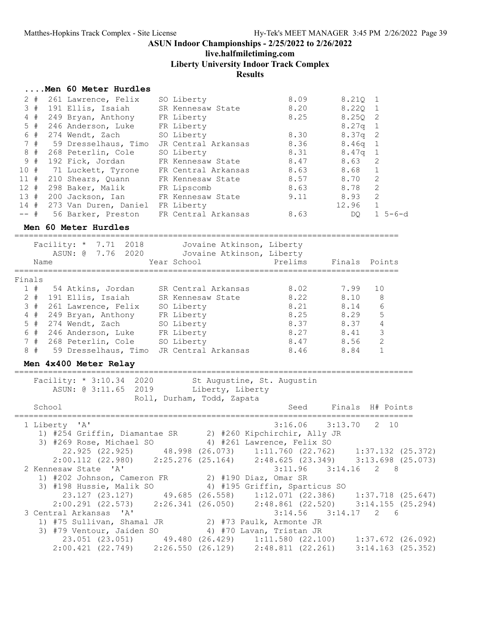#### live.halfmiletiming.com

Liberty University Indoor Track Complex

# **Results**

#### ....Men 60 Meter Hurdles

|         | 2 #    | 261 Lawrence, Felix                 | SO Liberty          | 8.09 | 8.210 1   |                |          |
|---------|--------|-------------------------------------|---------------------|------|-----------|----------------|----------|
|         | 3#     | 191 Ellis, Isaiah                   | SR Kennesaw State   | 8.20 | 8.220 1   |                |          |
|         | 4#     | 249 Bryan, Anthony                  | FR Liberty          | 8.25 | 8.250 2   |                |          |
|         | $5 \#$ | 246 Anderson, Luke                  | FR Liberty          |      | $8.27q$ 1 |                |          |
|         | 6#     | 274 Wendt, Zach                     | SO Liberty          | 8.30 | $8.37q$ 2 |                |          |
|         |        | 7 # 59 Dresselhaus, Timo            | JR Central Arkansas | 8.36 | $8.46q$ 1 |                |          |
|         | 8#     | 268 Peterlin, Cole                  | SO Liberty          | 8.31 | 8.47a     | $\overline{1}$ |          |
|         | 9#     | 192 Fick, Jordan                    | FR Kennesaw State   | 8.47 | 8.63      | 2              |          |
|         |        | 10 # 71 Luckett, Tyrone             | FR Central Arkansas | 8.63 | 8.68      | $\mathbf{1}$   |          |
| $11$ #  |        | 210 Shears, Quann FR Kennesaw State |                     | 8.57 | 8.70      | 2              |          |
| 12#     |        | 298 Baker, Malik                    | FR Lipscomb         | 8.63 | 8.78      | 2              |          |
| 13#     |        | 200 Jackson, Ian FR Kennesaw State  |                     | 9.11 | 8.93      | 2              |          |
| 14 #    |        | 273 Van Duren, Daniel FR Liberty    |                     |      | 12.96     | $\mathbf{1}$   |          |
| $---$ # |        | 56 Barker, Preston                  | FR Central Arkansas | 8.63 | DO        |                | $15-6-d$ |

#### Men 60 Meter Hurdles

================================================================================ Facility: \* 7.71 2018 Jovaine Atkinson, Liberty ASUN: @ 7.76 2020 Jovaine Atkinson, Liberty Name Year School Prelims Finals Points ================================================================================ Finals 1 # 54 Atkins, Jordan SR Central Arkansas 8.02 7.99 10 2 # 191 Ellis, Isaiah SR Kennesaw State 8.22 8.10 8 3 # 261 Lawrence, Felix SO Liberty 8.21 8.14 6 4 # 249 Bryan, Anthony FR Liberty 8.25 8.29 5 5 # 274 Wendt, Zach SO Liberty 8.37 8.37 4 6 # 246 Anderson, Luke FR Liberty 8.27 8.41 3 7 # 268 Peterlin, Cole so Liberty 8.47 8.56 2 8 # 59 Dresselhaus, Timo JR Central Arkansas 8.46 8.84 1

#### Men 4x400 Meter Relay

===================================================================================

 Facility: \* 3:10.34 2020 St Augustine, St. Augustin ASUN: @ 3:11.65 2019 Liberty, Liberty Roll, Durham, Todd, Zapata School School Seed Finals H# Points =================================================================================== 1 Liberty 'A' 3:16.06 3:13.70 2 10 1) #254 Griffin, Diamantae SR 2) #260 Kipchirchir, Ally JR 3) #269 Rose, Michael SO 4) #261 Lawrence, Felix SO 22.925 (22.925) 48.998 (26.073) 1:11.760 (22.762) 1:37.132 (25.372) 2:00.112 (22.980) 2:25.276 (25.164) 2:48.625 (23.349) 3:13.698 (25.073) 2 Kennesaw State 'A' 3:11.96 3:14.16 2 8 1) #202 Johnson, Cameron FR 2) #190 Diaz, Omar SR 3) #198 Hussie, Malik SO 4) #195 Griffin, Sparticus SO 23.127 (23.127) 49.685 (26.558) 1:12.071 (22.386) 1:37.718 (25.647) 2:00.291 (22.573) 2:26.341 (26.050) 2:48.861 (22.520) 3:14.155 (25.294) 3 Central Arkansas 'A' 3:14.56 3:14.17 2 6 1) #75 Sullivan, Shamal JR 2) #73 Paulk, Armonte JR 3) #79 Ventour, Jaiden SO 4) #70 Lavan, Tristan JR 23.051 (23.051) 49.480 (26.429) 1:11.580 (22.100) 1:37.672 (26.092) 2:00.421 (22.749) 2:26.550 (26.129) 2:48.811 (22.261) 3:14.163 (25.352)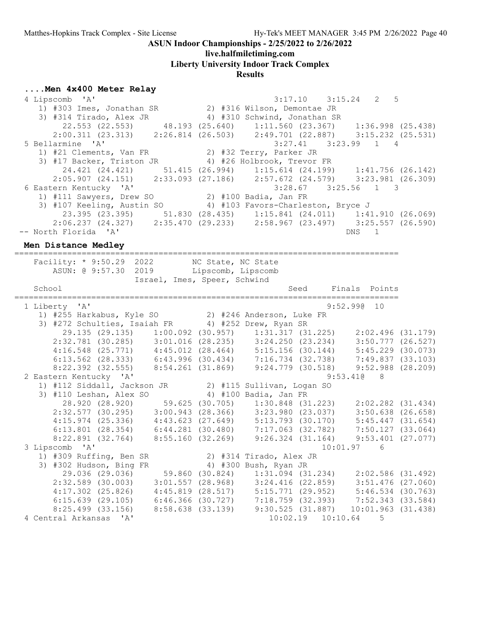live.halfmiletiming.com

Liberty University Indoor Track Complex

### Results

#### ....Men 4x400 Meter Relay

 4 Lipscomb 'A' 3:17.10 3:15.24 2 5 1) #303 Imes, Jonathan SR 2) #316 Wilson, Demontae JR 3) #314 Tirado, Alex JR 4) #310 Schwind, Jonathan SR 22.553 (22.553) 48.193 (25.640) 1:11.560 (23.367) 1:36.998 (25.438) 2:00.311 (23.313) 2:26.814 (26.503) 2:49.701 (22.887) 3:15.232 (25.531) 5 Bellarmine 'A' 3:27.41 3:23.99 1 4 1) #21 Clements, Van FR 2) #32 Terry, Parker JR 3) #17 Backer, Triston JR 4) #26 Holbrook, Trevor FR 24.421 (24.421) 51.415 (26.994) 1:15.614 (24.199) 1:41.756 (26.142) 2:05.907 (24.151) 2:33.093 (27.186) 2:57.672 (24.579) 3:23.981 (26.309) 6 Eastern Kentucky 'A' 3:28.67 3:25.56 1 3 1) #111 Sawyers, Drew SO 2) #100 Badia, Jan FR 3) #107 Keeling, Austin SO 4) #103 Favors-Charleston, Bryce J 23.395 (23.395) 51.830 (28.435) 1:15.841 (24.011) 1:41.910 (26.069) 2:06.237 (24.327) 2:35.470 (29.233) 2:58.967 (23.497) 3:25.557 (26.590) -- North Florida 'A' DNS 1

#### Men Distance Medley

================================================================================ Facility: \* 9:50.29 2022 NC State, NC State ASUN: @ 9:57.30 2019 Lipscomb, Lipscomb Israel, Imes, Speer, Schwind School School School Seed Finals Points ================================================================================ 1 Liberty 'A' 9:52.99@ 10 1) #255 Harkabus, Kyle SO 2) #246 Anderson, Luke FR 3) #272 Schulties, Isaiah FR 4) #252 Drew, Ryan SR 29.135 (29.135) 1:00.092 (30.957) 1:31.317 (31.225) 2:02.496 (31.179) 2:32.781 (30.285) 3:01.016 (28.235) 3:24.250 (23.234) 3:50.777 (26.527) 4:16.548 (25.771) 4:45.012 (28.464) 5:15.156 (30.144) 5:45.229 (30.073) 6:13.562 (28.333) 6:43.996 (30.434) 7:16.734 (32.738) 7:49.837 (33.103) 8:22.392 (32.555) 8:54.261 (31.869) 9:24.779 (30.518) 9:52.988 (28.209) 2 Eastern Kentucky 'A' 9:53.41@ 8 1) #112 Siddall, Jackson JR 2) #115 Sullivan, Logan SO 3) #110 Leshan, Alex SO 4) #100 Badia, Jan FR 28.920 (28.920) 59.625 (30.705) 1:30.848 (31.223) 2:02.282 (31.434) 2:32.577 (30.295) 3:00.943 (28.366) 3:23.980 (23.037) 3:50.638 (26.658) 4:15.974 (25.336) 4:43.623 (27.649) 5:13.793 (30.170) 5:45.447 (31.654) 6:13.801 (28.354) 6:44.281 (30.480) 7:17.063 (32.782) 7:50.127 (33.064) 8:22.891 (32.764) 8:55.160 (32.269) 9:26.324 (31.164) 9:53.401 (27.077) 3 Lipscomb 'A' 10:01.97 6 1) #309 Ruffing, Ben SR 2) #314 Tirado, Alex JR 3) #302 Hudson, Bing FR 4) #300 Bush, Ryan JR 29.036 (29.036) 59.860 (30.824) 1:31.094 (31.234) 2:02.586 (31.492) 2:32.589 (30.003) 3:01.557 (28.968) 3:24.416 (22.859) 3:51.476 (27.060) 4:17.302 (25.826) 4:45.819 (28.517) 5:15.771 (29.952) 5:46.534 (30.763) 6:15.639 (29.105) 6:46.366 (30.727) 7:18.759 (32.393) 7:52.343 (33.584) 8:25.499 (33.156) 8:58.638 (33.139) 9:30.525 (31.887) 10:01.963 (31.438) 4 Central Arkansas 'A' 10:02.19 10:10.64 5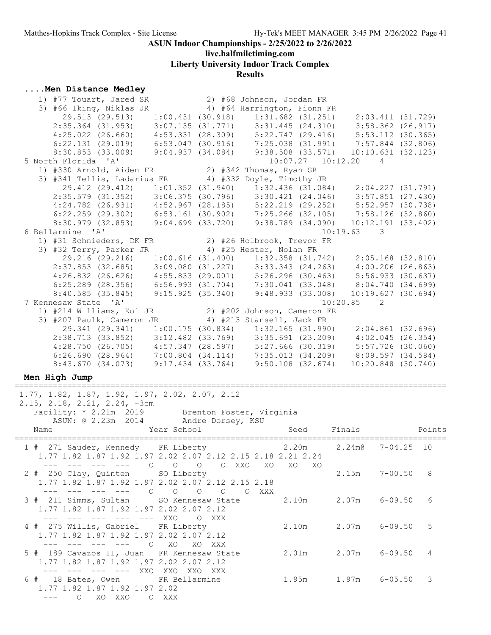# live.halfmiletiming.com

Liberty University Indoor Track Complex

# **Results**

# ....Men Distance Medley

| 3) #66 Iking, Niklas JR 4) #64 Harrington, Fionn FR                                                                                                                                                                                                                            |        | 2) #68 Johnson, Jordan FR  |      |                       |                       |                     |        |
|--------------------------------------------------------------------------------------------------------------------------------------------------------------------------------------------------------------------------------------------------------------------------------|--------|----------------------------|------|-----------------------|-----------------------|---------------------|--------|
|                                                                                                                                                                                                                                                                                |        |                            |      |                       |                       |                     |        |
| 29.513 (29.513)<br>$1:00.431$ (30.918) $1:31.682$ (31.251)                                                                                                                                                                                                                     |        |                            |      |                       |                       | 2:03.411(31.729)    |        |
| $2:35.364$ (31.953)                                                                                                                                                                                                                                                            |        |                            |      |                       | $3:58.362$ $(26.917)$ |                     |        |
| $4:25.022$ $(26.660)$                                                                                                                                                                                                                                                          |        |                            |      |                       |                       |                     |        |
| 3:07.135 (31.771) 3:31.445 (24.310) 3:58.362 (26.917)<br>4:53.331 (28.309) 5:22.747 (29.416) 5:53.112 (30.365)<br>6:53.047 (30.916) 7:25.038 (31.991) 7:57.844 (32.806)<br>6:22.131(29.019)                                                                                    |        |                            |      |                       |                       |                     |        |
| 9:04.937(34.084)<br>8:30.853(33.009)                                                                                                                                                                                                                                           |        |                            |      | $9:38.508$ $(33.571)$ |                       | 10:10.631(32.123)   |        |
| 5 North Florida 'A'                                                                                                                                                                                                                                                            |        |                            |      | $10:07.27$ $10:12.20$ |                       | $\overline{4}$      |        |
| 1) #330 Arnold, Aiden FR 2) #342 Thomas, Ryan SR                                                                                                                                                                                                                               |        |                            |      |                       |                       |                     |        |
| 3) #341 Tellis, Ladarius FR 4) #332 Doyle, Timothy JR                                                                                                                                                                                                                          |        |                            |      |                       |                       |                     |        |
|                                                                                                                                                                                                                                                                                |        |                            |      |                       |                       |                     |        |
| $\begin{array}{cccccc} 29.412 & (29.412) & 1.01.352 & (31.940) & 1.32.436 & (31.084) & 2.04.227 & (31.791) \\ 2.35.579 & (31.352) & 3.06.375 & (30.796) & 3.30.421 & (24.046) & 3.57.851 & (27.430) \end{array}$                                                               |        |                            |      |                       |                       |                     |        |
| 4:24.782 (26.931) 4:52.967 (28.185) 5:22.219 (29.252) 5:52.957 (30.738)                                                                                                                                                                                                        |        |                            |      |                       |                       |                     |        |
| 6:22.259 (29.302) 6:53.161 (30.902) 7:25.266 (32.105) 7:58.126 (32.860)                                                                                                                                                                                                        |        |                            |      |                       |                       |                     |        |
| $8:30.979$ $(32.853)$<br>9:04.699 (33.720) 9:38.789 (34.090) 10:12.191 (33.402)                                                                                                                                                                                                |        |                            |      |                       |                       |                     |        |
| 6 Bellarmine 'A'                                                                                                                                                                                                                                                               |        |                            |      |                       | 10:19.63 3            |                     |        |
|                                                                                                                                                                                                                                                                                |        |                            |      |                       |                       |                     |        |
| 1) #31 Schnieders, DK FR<br>3) #32 Terry, Parker JR                                                                                                                                                                                                                            |        | 2) #26 Holbrook, Trevor FR |      |                       |                       |                     |        |
|                                                                                                                                                                                                                                                                                |        | 4) #25 Hester, Nolan FR    |      |                       |                       |                     |        |
| 29.216 (29.216) 1:00.616 (31.400) 1:32.358 (31.742) 2:05.168 (32.810)                                                                                                                                                                                                          |        |                            |      |                       |                       |                     |        |
| $2:37.853$ (32.685)<br>$3:09.080$ (31.227) $3:33.343$ (24.263) $4:00.206$ (26.863)                                                                                                                                                                                             |        |                            |      |                       |                       |                     |        |
| $4:26.832$ $(26.626)$<br>$4:55.833$ (29.001) $5:26.296$ (30.463)                                                                                                                                                                                                               |        |                            |      |                       | 5:56.933 (30.637)     |                     |        |
| $6:25.289$ $(28.356)$<br>6:56.993 (31.704) 7:30.041 (33.048)                                                                                                                                                                                                                   |        |                            |      |                       | 8:04.740 (34.699)     |                     |        |
| 8:40.585(35.845)<br>9:15.925 (35.340) 9:48.933 (33.008) 10:19.627 (30.694)                                                                                                                                                                                                     |        |                            |      |                       |                       |                     |        |
| 7 Kennesaw State 'A'                                                                                                                                                                                                                                                           |        |                            |      |                       | 10:20.85              | 2                   |        |
| 1) #214 Williams, Koi JR (2) #202 Johnson, Cameron FR                                                                                                                                                                                                                          |        |                            |      |                       |                       |                     |        |
| 3) #207 Paulk, Cameron JR 4) #213 Stansell, Jack FR                                                                                                                                                                                                                            |        |                            |      |                       |                       |                     |        |
| 29.341 (29.341) 1:00.175 (30.834) 1:32.165 (31.990)                                                                                                                                                                                                                            |        |                            |      |                       |                       | $2:04.861$ (32.696) |        |
|                                                                                                                                                                                                                                                                                |        |                            |      |                       |                       |                     |        |
|                                                                                                                                                                                                                                                                                |        |                            |      |                       |                       |                     |        |
| $\begin{array}{cccccc} 2:38.713 & (33.852) & 3:12.482 & (33.769) & 3:35.691 & (23.209) & 4:02.045 & (26.354) \\ 4:28.750 & (26.705) & 4:57.347 & (28.597) & 5:27.666 & (30.319) & 5:57.726 & (30.060) \\ 6:26.690 & (28.964) & 7:00.804 & (34.114) & 7:35.013 & (34.209) & 8:$ |        |                            |      |                       |                       |                     |        |
|                                                                                                                                                                                                                                                                                |        |                            |      |                       |                       |                     |        |
|                                                                                                                                                                                                                                                                                |        |                            |      |                       |                       |                     |        |
| Men High Jump                                                                                                                                                                                                                                                                  |        |                            |      |                       |                       |                     |        |
|                                                                                                                                                                                                                                                                                |        |                            |      |                       |                       |                     |        |
| 1.77, 1.82, 1.87, 1.92, 1.97, 2.02, 2.07, 2.12                                                                                                                                                                                                                                 |        |                            |      |                       |                       |                     |        |
| $2.15$ , $2.18$ , $2.21$ , $2.24$ , $+3cm$                                                                                                                                                                                                                                     |        |                            |      |                       |                       |                     |        |
| Facility: * 2.21m 2019 Brenton Foster, Virginia                                                                                                                                                                                                                                |        |                            |      |                       |                       |                     |        |
| ASUN: @ 2.23m 2014 Andre Dorsey, KSU                                                                                                                                                                                                                                           |        |                            |      |                       |                       |                     |        |
| Year School<br>Name                                                                                                                                                                                                                                                            |        |                            | Seed |                       | Finals                |                     | Points |
|                                                                                                                                                                                                                                                                                |        |                            |      |                       |                       |                     |        |
| 1 # 271 Sauder, Kennedy FR Liberty                                                                                                                                                                                                                                             |        |                            |      | 2.20m                 | 2.24m@ 7-04.25 10     |                     |        |
| 1.77 1.82 1.87 1.92 1.97 2.02 2.07 2.12 2.15 2.18 2.21 2.24                                                                                                                                                                                                                    |        |                            |      |                       |                       |                     |        |
| --- --- --- 0 0 0 0 XXO XO                                                                                                                                                                                                                                                     |        |                            | XO   | XO                    |                       |                     |        |
| 2 # 250 Clay, Quinten SO Liberty                                                                                                                                                                                                                                               |        |                            |      |                       | 2.15m                 | $7 - 00.50$         | 8      |
| 1.77 1.82 1.87 1.92 1.97 2.02 2.07 2.12 2.15 2.18                                                                                                                                                                                                                              |        |                            |      |                       |                       |                     |        |
| --- --- --- 0 0 0 0                                                                                                                                                                                                                                                            |        | O XXX                      |      |                       |                       |                     |        |
| 3 # 211 Simms, Sultan SO Kennesaw State                                                                                                                                                                                                                                        |        |                            |      | 2.10m                 | $2.07m$ 6-09.50       |                     | 6      |
| 1.77 1.82 1.87 1.92 1.97 2.02 2.07 2.12                                                                                                                                                                                                                                        |        |                            |      |                       |                       |                     |        |
| $--- ---- ---- ----$ XXO                                                                                                                                                                                                                                                       | O XXX  |                            |      |                       |                       |                     |        |
| 4 # 275 Willis, Gabriel FR Liberty                                                                                                                                                                                                                                             |        |                            |      | 2.10m                 | $2.07m$ 6-09.50       |                     | 5      |
| 1.77 1.82 1.87 1.92 1.97 2.02 2.07 2.12                                                                                                                                                                                                                                        |        |                            |      |                       |                       |                     |        |
| $-- -- ---$ 0<br>XO                                                                                                                                                                                                                                                            | XO XXX |                            |      |                       |                       |                     |        |
| 5 # 189 Cavazos II, Juan FR Kennesaw State                                                                                                                                                                                                                                     |        |                            |      | 2.01m                 | $2.07m$ 6-09.50       |                     | 4      |
| 1.77 1.82 1.87 1.92 1.97 2.02 2.07 2.12                                                                                                                                                                                                                                        |        |                            |      |                       |                       |                     |        |
| --- --- --- XXO XXO XXO XXX                                                                                                                                                                                                                                                    |        |                            |      |                       |                       |                     |        |
| FR Bellarmine<br>6 # 18 Bates, Owen                                                                                                                                                                                                                                            |        |                            |      | 1.95m                 | $1.97m$ $6-05.50$     |                     | 3      |
| 1.77 1.82 1.87 1.92 1.97 2.02                                                                                                                                                                                                                                                  |        |                            |      |                       |                       |                     |        |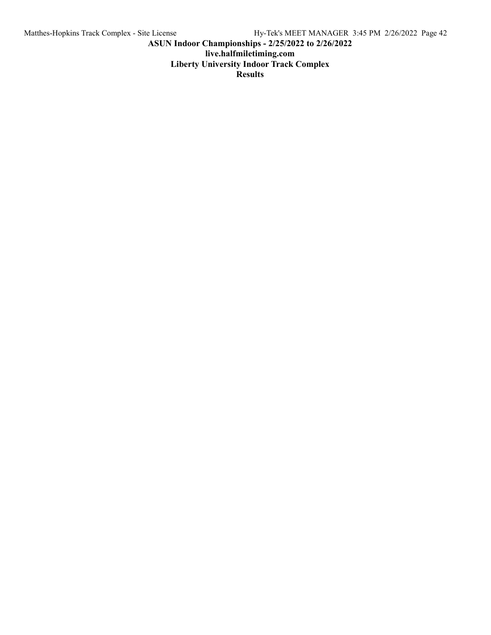live.halfmiletiming.com

Liberty University Indoor Track Complex

**Results**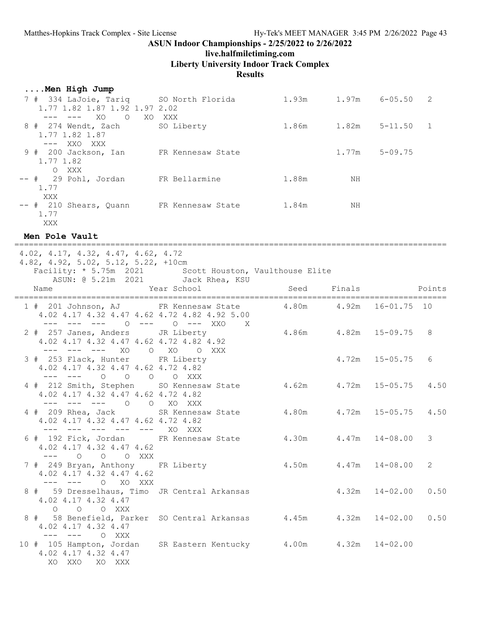### live.halfmiletiming.com

Liberty University Indoor Track Complex

#### Results

|  |  |  |  | Men High Jump |  |
|--|--|--|--|---------------|--|
|--|--|--|--|---------------|--|

| 7 # 334 LaJoie, Tariq SO North Florida |                   | 1.93m | 1.97m | $6 - 0.5.50$  | $\overline{\phantom{a}}$ |
|----------------------------------------|-------------------|-------|-------|---------------|--------------------------|
| 1.77 1.82 1.87 1.92 1.97 2.02          |                   |       |       |               |                          |
| XO.<br>XO<br>$\Omega$<br>——— ———       | XXX               |       |       |               |                          |
| 8 # 274 Wendt, Zach                    | SO Liberty        | 1.86m | 1.82m | $5 - 11.50$ 1 |                          |
| 1.77 1.82 1.87                         |                   |       |       |               |                          |
| $---$ XXO XXX                          |                   |       |       |               |                          |
| 9 # 200 Jackson, Ian                   | FR Kennesaw State |       | 1.77m | $5 - 09.75$   |                          |
| 1.77 1.82                              |                   |       |       |               |                          |
| O XXX                                  |                   |       |       |               |                          |
| $--$ # 29 Pohl, Jordan                 | FR Bellarmine     | 1.88m | NΗ    |               |                          |
| 1.77                                   |                   |       |       |               |                          |
| XXX                                    |                   |       |       |               |                          |
| $--$ # 210 Shears, Quann               | FR Kennesaw State | 1.84m | ΝH    |               |                          |
| 1.77                                   |                   |       |       |               |                          |
| XXX                                    |                   |       |       |               |                          |

Men Pole Vault

========================================================================================== 4.02, 4.17, 4.32, 4.47, 4.62, 4.72 4.82, 4.92, 5.02, 5.12, 5.22, +10cm Facility: \* 5.75m 2021 Scott Houston, Vaulthouse Elite ASUN: @ 5.21m 2021 Jack Rhea, KSU Name Year School Seed Finals Points ========================================================================================== 1 # 201 Johnson, AJ FR Kennesaw State 4.80m 4.92m 16-01.75 10 4.02 4.17 4.32 4.47 4.62 4.72 4.82 4.92 5.00 --- --- --- 0 --- 0 --- XXO X<br>2 # 257 Janes, Anders JR Liberty 4.86m 4.82m 15-09.75 8 4.02 4.17 4.32 4.47 4.62 4.72 4.82 4.92 --- --- --- XO O XO O XXX 3 # 253 Flack, Hunter FR Liberty 4.72m 15-05.75 6 4.02 4.17 4.32 4.47 4.62 4.72 4.82 --- --- O O O O XXX 4 # 212 Smith, Stephen SO Kennesaw State 4.62m 4.72m 15-05.75 4.50 4.02 4.17 4.32 4.47 4.62 4.72 4.82 --- --- --- O O XO XXX 4 # 209 Rhea, Jack SR Kennesaw State 4.80m 4.72m 15-05.75 4.50 4.02 4.17 4.32 4.47 4.62 4.72 4.82 --- --- --- --- --- XO XXX 6 # 192 Fick, Jordan FR Kennesaw State 4.30m 4.47m 14-08.00 3 4.02 4.17 4.32 4.47 4.62 --- O O O XXX 7 # 249 Bryan, Anthony FR Liberty 4.50m 4.47m 14-08.00 2 4.02 4.17 4.32 4.47 4.62 --- --- O XO XXX 8 # 59 Dresselhaus, Timo JR Central Arkansas 4.32m 14-02.00 0.50 4.02 4.17 4.32 4.47 O O O XXX 8 # 58 Benefield, Parker SO Central Arkansas 4.45m 4.32m 14-02.00 0.50 4.02 4.17 4.32 4.47 --- --- O XXX 10 # 105 Hampton, Jordan SR Eastern Kentucky 4.00m 4.32m 14-02.00 4.02 4.17 4.32 4.47 XO XXO XO XXX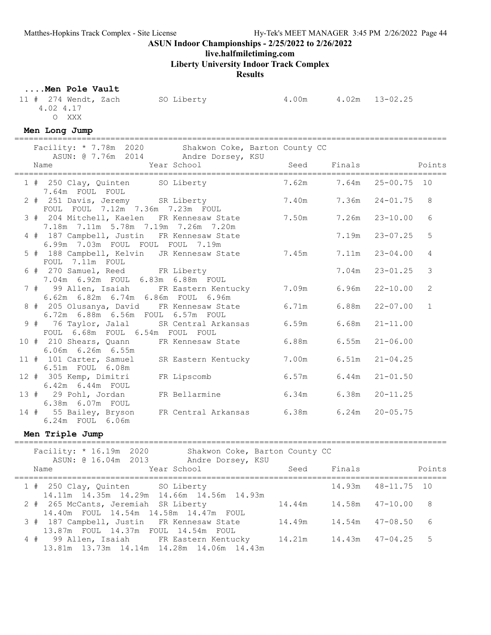live.halfmiletiming.com

Liberty University Indoor Track Complex

# Results

| Men Pole Vault |  |
|----------------|--|
|----------------|--|

|       | 11 # 274 Wendt, Zach SO Liberty                                                      |                                | 4.00m                   | 4.02m  | $13 - 02.25$       |              |
|-------|--------------------------------------------------------------------------------------|--------------------------------|-------------------------|--------|--------------------|--------------|
|       | 4.02 4.17<br>O XXX                                                                   |                                |                         |        |                    |              |
|       | Men Long Jump                                                                        |                                |                         |        |                    |              |
|       |                                                                                      |                                |                         |        |                    |              |
|       | Facility: * 7.78m 2020 Shakwon Coke, Barton County CC                                |                                |                         |        |                    |              |
|       | ASUN: @ 7.76m 2014 Andre Dorsey, KSU<br>Name                                         | Year School                    | Seed                    | Finals |                    | Points       |
|       |                                                                                      |                                |                         |        |                    |              |
|       | 1 # 250 Clay, Quinten SO Liberty<br>7.64m FOUL FOUL                                  |                                | 7.62m 7.64m 25-00.75 10 |        |                    |              |
|       | 2 # 251 Davis, Jeremy SR Liberty<br>FOUL FOUL 7.12m 7.36m 7.23m FOUL                 |                                | 7.40m                   |        | $7.36m$ $24-01.75$ | 8            |
|       | 3 # 204 Mitchell, Kaelen FR Kennesaw State<br>7.18m 7.11m 5.78m 7.19m 7.26m 7.20m    |                                | 7.50m                   | 7.26m  | $23 - 10.00$       | 6            |
|       | 4 # 187 Campbell, Justin FR Kennesaw State<br>6.99m 7.03m FOUL FOUL FOUL 7.19m       |                                |                         | 7.19m  | $23 - 07.25$       | 5            |
|       | 5 # 188 Campbell, Kelvin JR Kennesaw State<br>FOUL 7.11m FOUL                        |                                | 7.45m                   | 7.11m  | $23 - 04.00$       | 4            |
|       | 6 # 270 Samuel, Reed FR Liberty<br>7.04m 6.92m FOUL 6.83m 6.88m FOUL                 |                                |                         | 7.04m  | $23 - 01.25$       | 3            |
|       | 7 # 99 Allen, Isaiah FR Eastern Kentucky 1.09m<br>6.62m 6.82m 6.74m 6.86m FOUL 6.96m |                                |                         | 6.96m  | $22 - 10.00$       | 2            |
|       | 8 # 205 Olusanya, David FR Kennesaw State<br>6.72m 6.88m 6.56m FOUL 6.57m FOUL       |                                | 6.71m                   | 6.88m  | $22 - 07.00$       | $\mathbf{1}$ |
|       | 9 # 76 Taylor, Jalal SR Central Arkansas<br>FOUL 6.68m FOUL 6.54m FOUL FOUL          |                                | 6.59m                   | 6.68m  | $21 - 11.00$       |              |
|       | 10 # 210 Shears, Quann FR Kennesaw State<br>6.06m 6.26m 6.55m                        |                                | 6.88m                   | 6.55m  | $21 - 06.00$       |              |
|       | 11 # 101 Carter, Samuel<br>6.51m FOUL 6.08m                                          | SR Eastern Kentucky            | 7.00m                   | 6.51m  | $21 - 04.25$       |              |
|       | 12 # 305 Kemp, Dimitri<br>6.42m 6.44m FOUL                                           | FR Lipscomb                    | 6.57m                   | 6.44m  | $21 - 01.50$       |              |
|       | 13 # 29 Pohl, Jordan FR Bellarmine<br>6.38m  6.07m  FOUL                             |                                | 6.34m                   | 6.38m  | $20 - 11.25$       |              |
|       | 14 # 55 Bailey, Bryson<br>6.24m FOUL 6.06m                                           | FR Central Arkansas 6.38m      |                         | 6.24m  | $20 - 05.75$       |              |
|       | Men Triple Jump                                                                      |                                |                         |        |                    |              |
|       | -----------------------<br>Facility: * 16.19m 2020                                   | Shakwon Coke, Barton County CC |                         |        |                    |              |
|       | ASUN: @ 16.04m 2013 Andre Dorsey, KSU                                                |                                |                         |        |                    |              |
|       | Name                                                                                 | Year School                    | Seed                    | Finals |                    | Points       |
|       | 1 # 250 Clay, Quinten<br>14.11m  14.35m  14.29m  14.66m  14.56m  14.93m              | SO Liberty                     |                         | 14.93m | $48 - 11.75$       | 10           |
|       | 2 # 265 McCants, Jeremiah SR Liberty<br>14.40m FOUL 14.54m 14.58m 14.47m FOUL        |                                | 14.44m                  | 14.58m | $47 - 10.00$       | 8            |
|       | 3 # 187 Campbell, Justin FR Kennesaw State<br>13.87m FOUL 14.37m FOUL 14.54m FOUL    |                                | 14.49m                  | 14.54m | $47 - 08.50$       | 6            |
| $4$ # | 99 Allen, Isaiah                                                                     | FR Eastern Kentucky            | 14.21m                  | 14.43m | $47 - 04.25$       | 5            |

13.81m 13.73m 14.14m 14.28m 14.06m 14.43m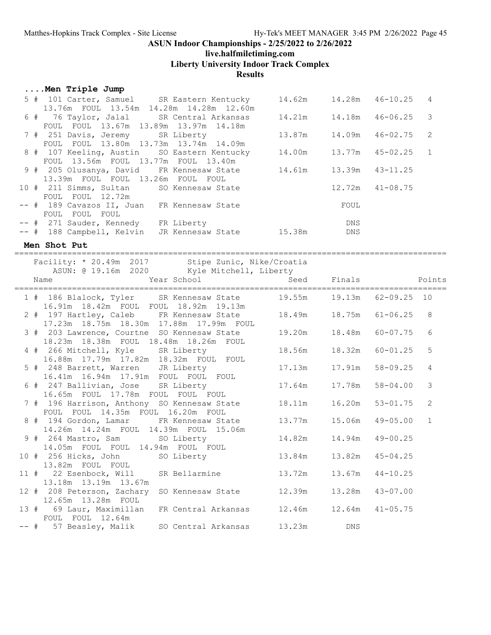# live.halfmiletiming.com

Liberty University Indoor Track Complex

# Results

# ....Men Triple Jump

|                                       |                                                                                                                                                                                                                                                               |                                                                                                                                             | $46 - 10.25$               | $\overline{4}$                                                                                                                             |
|---------------------------------------|---------------------------------------------------------------------------------------------------------------------------------------------------------------------------------------------------------------------------------------------------------------|---------------------------------------------------------------------------------------------------------------------------------------------|----------------------------|--------------------------------------------------------------------------------------------------------------------------------------------|
|                                       |                                                                                                                                                                                                                                                               |                                                                                                                                             |                            |                                                                                                                                            |
|                                       |                                                                                                                                                                                                                                                               |                                                                                                                                             |                            |                                                                                                                                            |
| FOUL FOUL 13.67m 13.89m 13.97m 14.18m |                                                                                                                                                                                                                                                               |                                                                                                                                             |                            |                                                                                                                                            |
|                                       |                                                                                                                                                                                                                                                               |                                                                                                                                             |                            |                                                                                                                                            |
| FOUL FOUL 13.80m 13.73m 13.74m 14.09m |                                                                                                                                                                                                                                                               |                                                                                                                                             |                            |                                                                                                                                            |
|                                       |                                                                                                                                                                                                                                                               |                                                                                                                                             | $45 - 02.25$ 1             |                                                                                                                                            |
| FOUL 13.56m FOUL 13.77m FOUL 13.40m   |                                                                                                                                                                                                                                                               |                                                                                                                                             |                            |                                                                                                                                            |
|                                       |                                                                                                                                                                                                                                                               |                                                                                                                                             |                            |                                                                                                                                            |
| 13.39m FOUL FOUL 13.26m FOUL FOUL     |                                                                                                                                                                                                                                                               |                                                                                                                                             |                            |                                                                                                                                            |
|                                       |                                                                                                                                                                                                                                                               | 12.72m                                                                                                                                      | $41 - 08.75$               |                                                                                                                                            |
| FOUL FOUL 12.72m                      |                                                                                                                                                                                                                                                               |                                                                                                                                             |                            |                                                                                                                                            |
|                                       |                                                                                                                                                                                                                                                               | FOUL                                                                                                                                        |                            |                                                                                                                                            |
| FOUL FOUL FOUL                        |                                                                                                                                                                                                                                                               |                                                                                                                                             |                            |                                                                                                                                            |
|                                       |                                                                                                                                                                                                                                                               | <b>DNS</b>                                                                                                                                  |                            |                                                                                                                                            |
|                                       |                                                                                                                                                                                                                                                               | DNS                                                                                                                                         |                            |                                                                                                                                            |
|                                       | 6 # 76 Taylor, Jalal SR Central Arkansas<br>7 # 251 Davis, Jeremy SR Liberty<br>8 # 107 Keeling, Austin SO Eastern Kentucky<br>10 # 211 Simms, Sultan SO Kennesaw State<br>-- # 189 Cavazos II, Juan FR Kennesaw State<br>-- # 271 Sauder, Kennedy FR Liberty | 5 # 101 Carter, Samuel SR Eastern Kentucky<br>13.76m FOUL 13.54m 14.28m 14.28m 12.60m<br>-- # 188 Campbell, Kelvin JR Kennesaw State 15.38m | 14.62m<br>13.87m<br>14.00m | 14.28m<br>14.21m  14.18m  46-06.25  3<br>14.09m  46-02.75  2<br>13.77m<br>9 # 205 Olusanya, David FR Kennesaw State 14.61m 13.39m 43-11.25 |

**Men Shot Put** 

|  | =================                                                                                                |                                |               |                |                |
|--|------------------------------------------------------------------------------------------------------------------|--------------------------------|---------------|----------------|----------------|
|  | Facility: * 20.49m 2017 Stipe Zunic, Nike/Croatia<br>ASUN: @ 19.16m 2020 Kyle Mitchell, Liberty                  |                                |               |                |                |
|  | Name                                                                                                             | Year School Seed Finals Points |               |                |                |
|  | 1 # 186 Blalock, Tyler SR Kennesaw State 19.55m 19.13m 62-09.25 10<br>16.91m  18.42m  FOUL  FOUL  18.92m  19.13m |                                |               |                |                |
|  | 2 # 197 Hartley, Caleb FR Kennesaw State 18.49m 18.75m<br>17.23m  18.75m  18.30m  17.88m  17.99m  FOUL           |                                |               | $61 - 06.25$ 8 |                |
|  | 3 # 203 Lawrence, Courtne SO Kennesaw State<br>18.23m  18.38m  FOUL  18.48m  18.26m  FOUL                        |                                | 19.20m 18.48m | $60 - 07.75$   | 6              |
|  | 4 # 266 Mitchell, Kyle SR Liberty<br>16.88m  17.79m  17.82m  18.32m  FOUL  FOUL                                  |                                |               | $60 - 01.25$   | 5              |
|  | 5 # 248 Barrett, Warren JR Liberty 17.13m 17.91m<br>16.41m  16.94m  17.91m  FOUL  FOUL  FOUL                     |                                |               | 58-09.25       | $\overline{4}$ |
|  | 6 # 247 Ballivian, Jose SR Liberty 17.64m 17.78m<br>16.65m FOUL 17.78m FOUL FOUL FOUL                            |                                |               | $58 - 04.00$   | 3              |
|  | 7 # 196 Harrison, Anthony SO Kennesaw State 18.11m 16.20m<br>FOUL FOUL 14.35m FOUL 16.20m FOUL                   |                                |               | $53 - 01.75$   | 2              |
|  | 8 # 194 Gordon, Lamar FR Kennesaw State 13.77m 15.06m<br>14.26m  14.24m  FOUL  14.39m  FOUL  15.06m              |                                |               | 49-05.00       | $\mathbf{1}$   |
|  | 9 # 264 Mastro, Sam SO Liberty<br>14.05m FOUL FOUL 14.94m FOUL FOUL                                              |                                |               | $49 - 00.25$   |                |
|  | 10 # 256 Hicks, John SO Liberty 13.84m 13.82m 45-04.25<br>13.82m FOUL FOUL                                       |                                |               |                |                |
|  | 11 # 22 Esenbock, Will SR Bellarmine 13.72m 13.67m<br>13.18m  13.19m  13.67m                                     |                                |               | $44 - 10.25$   |                |
|  | 12 # 208 Peterson, Zachary SO Kennesaw State 12.39m 13.28m<br>12.65m  13.28m  FOUL                               |                                |               | $43 - 07.00$   |                |
|  | 13 # 69 Laur, Maximillan FR Central Arkansas 12.46m 12.64m<br>FOUL FOUL 12.64m                                   |                                |               | $41 - 05.75$   |                |
|  | -- # 57 Beasley, Malik SO Central Arkansas 13.23m DNS                                                            |                                |               |                |                |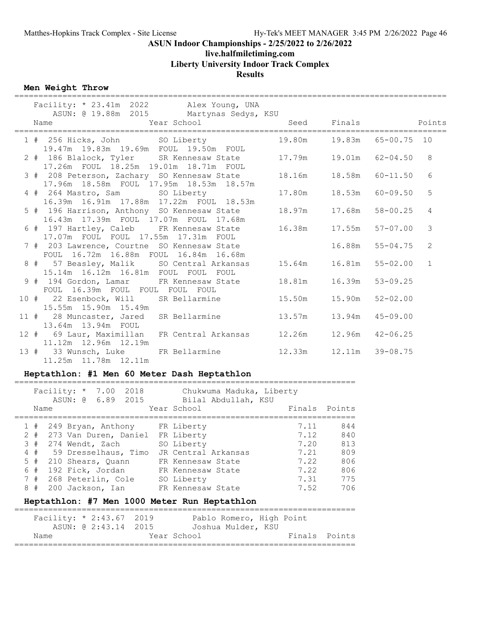# live.halfmiletiming.com

Liberty University Indoor Track Complex

# Results

#### Men Weight Throw

|  | ==================                                                                                         |                            |               |              |                |
|--|------------------------------------------------------------------------------------------------------------|----------------------------|---------------|--------------|----------------|
|  | Facility: * 23.41m 2022 Alex Young, UNA<br>ASUN: @ 19.88m 2015 Martynas Sedys, KSU                         |                            |               |              |                |
|  | Name Manne Mear School (Near School Seed Finals Points                                                     |                            |               |              |                |
|  | 1 # 256 Hicks, John SO Liberty 19.80m 19.83m 65-00.75 10<br>19.47m  19.83m  19.69m  FOUL  19.50m  FOUL     |                            |               |              |                |
|  | 2 # 186 Blalock, Tyler SR Kennesaw State 17.79m 19.01m 62-04.50 8<br>17.26m FOUL 18.25m 19.01m 18.71m FOUL |                            |               |              |                |
|  | 3 # 208 Peterson, Zachary SO Kennesaw State 18.16m 18.58m<br>17.96m 18.58m FOUL 17.95m 18.53m 18.57m       |                            |               | $60 - 11.50$ | 6              |
|  | 4 # 264 Mastro, Sam SO Liberty<br>16.39m  16.91m  17.88m  17.22m  FOUL  18.53m                             |                            |               | $60 - 09.50$ | $\overline{5}$ |
|  | 5 # 196 Harrison, Anthony SO Kennesaw State<br>16.43m  17.39m  FOUL  17.07m  FOUL  17.68m                  |                            | 18.97m 17.68m | 58-00.25     | 4              |
|  | 6 # 197 Hartley, Caleb FR Kennesaw State 16.38m 17.55m<br>17.07m FOUL FOUL 17.55m 17.31m FOUL              |                            |               | $57 - 07.00$ | 3              |
|  | 7 # 203 Lawrence, Courtne SO Kennesaw State<br>FOUL 16.72m 16.88m FOUL 16.84m 16.68m                       |                            | 16.88m        | $55 - 04.75$ | 2              |
|  | 8 # 57 Beasley, Malik SO Central Arkansas 15.64m 16.81m<br>15.14m  16.12m  16.81m  FOUL  FOUL  FOUL        |                            |               | 55-02.00     | $\overline{1}$ |
|  | 9 # 194 Gordon, Lamar FR Kennesaw State 18.81m 16.39m<br>FOUL 16.39m FOUL FOUL FOUL FOUL                   |                            |               | $53 - 09.25$ |                |
|  | 10 # 22 Esenbock, Will SR Bellarmine 15.50m 15.90m<br>15.55m 15.90m 15.49m                                 |                            |               | $52 - 02.00$ |                |
|  | 11 # 28 Muncaster, Jared SR Bellarmine 13.57m 13.94m<br>13.64m 13.94m FOUL                                 |                            |               | $45 - 09.00$ |                |
|  | 12 # 69 Laur, Maximillan FR Central Arkansas 12.26m 12.96m<br>11.12m 12.96m 12.19m                         |                            |               | $42 - 06.25$ |                |
|  | 13 # 33 Wunsch, Luke FR Bellarmine<br>11.25m 11.78m 12.11m                                                 | 12.33m   12.11m   39-08.75 |               |              |                |

#### Heptathlon: #1 Men 60 Meter Dash Heptathlon

|                                              |  |  |  |                   | Facility: * 7.00 2018                            |  | Chukwuma Maduka, Liberty                       |               |     |
|----------------------------------------------|--|--|--|-------------------|--------------------------------------------------|--|------------------------------------------------|---------------|-----|
|                                              |  |  |  |                   |                                                  |  | ASUN: @ 6.89 2015 Bilal Abdullah, KSU          |               |     |
| Name                                         |  |  |  |                   |                                                  |  | Year School                                    | Finals Points |     |
|                                              |  |  |  |                   |                                                  |  |                                                |               |     |
|                                              |  |  |  |                   |                                                  |  | 1 # 249 Bryan, Anthony FR Liberty              | 7.11          | 844 |
|                                              |  |  |  |                   |                                                  |  | 2 # 273 Van Duren, Daniel FR Liberty           | 7.12          | 840 |
| 3#                                           |  |  |  | 274 Wendt, Zach   |                                                  |  | SO Liberty                                     | 7.20          | 813 |
| 4#                                           |  |  |  |                   | 59 Dresselhaus, Timo                             |  | JR Central Arkansas                            | 7.21          | 809 |
| 5#                                           |  |  |  | 210 Shears, Quann |                                                  |  | FR Kennesaw State                              | 7.22          | 806 |
| 6#                                           |  |  |  |                   |                                                  |  | 192 Fick, Jordan FR Kennesaw State             | 7.22          | 806 |
|                                              |  |  |  |                   | 7 # 268 Peterlin, Cole                           |  | SO Liberty                                     | 7.31          | 775 |
| 8#                                           |  |  |  | 200 Jackson, Ian  |                                                  |  | FR Kennesaw State                              | 7.52          | 706 |
| Heptathlon: #7 Men 1000 Meter Run Heptathlon |  |  |  |                   |                                                  |  |                                                |               |     |
|                                              |  |  |  |                   | Facility: * 2:43.67 2019<br>ASUN: @ 2:43.14 2015 |  | Pablo Romero, High Point<br>Joshua Mulder, KSU |               |     |

Name **The Year School** Finals Points =======================================================================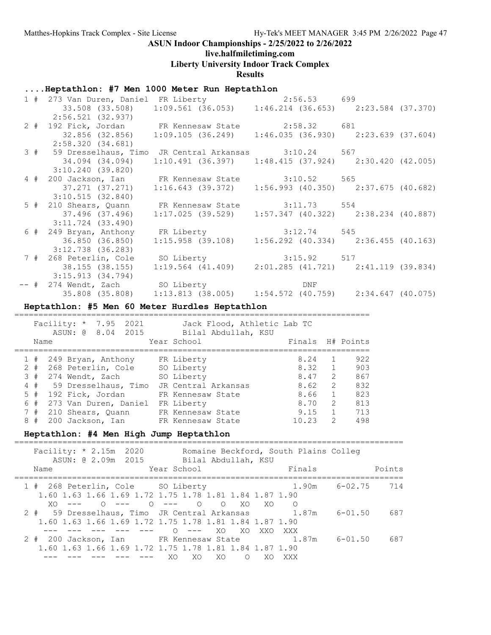=================================================================================

ASUN Indoor Championships - 2/25/2022 to 2/26/2022

#### live.halfmiletiming.com

Liberty University Indoor Track Complex

#### Results

#### ....Heptathlon: #7 Men 1000 Meter Run Heptathlon

 1 # 273 Van Duren, Daniel FR Liberty 2:56.53 699 33.508 (33.508) 1:09.561 (36.053) 1:46.214 (36.653) 2:23.584 (37.370) 2:56.521 (32.937)<br>2 # 192 Fick, Jordan 2 # 192 Fick, Jordan FR Kennesaw State 2:58.32 681 32.856 (32.856) 1:09.105 (36.249) 1:46.035 (36.930) 2:23.639 (37.604) 2:58.320 (34.681)<br>3 # 59 Dresselhaus, Ti 59 Dresselhaus, Timo JR Central Arkansas 3:10.24 567 34.094 (34.094) 1:10.491 (36.397) 1:48.415 (37.924) 2:30.420 (42.005) 3:10.240 (39.820) 4 # 200 Jackson, Ian FR Kennesaw State 3:10.52 565 37.271 (37.271) 1:16.643 (39.372) 1:56.993 (40.350) 2:37.675 (40.682) 3:10.515 (32.840) 5 # 210 Shears, Quann FR Kennesaw State 3:11.73 554 37.496 (37.496) 1:17.025 (39.529) 1:57.347 (40.322) 2:38.234 (40.887) 3:11.724 (33.490) 6 # 249 Bryan, Anthony FR Liberty 3:12.74 545 36.850 (36.850) 1:15.958 (39.108) 1:56.292 (40.334) 2:36.455 (40.163) 3:12.738 (36.283) 7 # 268 Peterlin, Cole SO Liberty 3:15.92 517 38.155 (38.155) 1:19.564 (41.409) 2:01.285 (41.721) 2:41.119 (39.834) 3:15.913 (34.794)<br>-- # 274 Wendt, Zach -- # 274 Wendt, Zach SO Liberty DNF 35.808 (35.808) 1:13.813 (38.005) 1:54.572 (40.759) 2:34.647 (40.075)

#### Heptathlon: #5 Men 60 Meter Hurdles Heptathlon ==========================================================================

|   |         | Facility: * |  | 7.95<br>ASUN: @ 8.04 2015 | 2021                     |                     | Jack Flood, Athletic Lab TC<br>Bilal Abdullah, KSU |        |                |           |
|---|---------|-------------|--|---------------------------|--------------------------|---------------------|----------------------------------------------------|--------|----------------|-----------|
|   | Name    |             |  |                           |                          | Year School         |                                                    | Finals |                | H# Points |
|   |         |             |  | 1 # 249 Bryan, Anthony    |                          | FR Liberty          |                                                    | 8.24   |                | 922       |
|   | $2 \pm$ |             |  | 268 Peterlin, Cole        |                          | SO Liberty          |                                                    | 8.32   | $\overline{1}$ | 903       |
|   | 3#      |             |  | 274 Wendt, Zach           |                          | SO Liberty          |                                                    | 8.47   | 2              | 867       |
|   |         |             |  |                           | 4 # 59 Dresselhaus, Timo | JR Central Arkansas |                                                    | 8.62   | 2              | 832       |
|   | 5#      |             |  | 192 Fick, Jordan          |                          | FR Kennesaw State   |                                                    | 8.66   | $\mathbf{1}$   | 823       |
|   | 6#      |             |  |                           | 273 Van Duren, Daniel    | FR Liberty          |                                                    | 8.70   | $\mathcal{L}$  | 813       |
|   | 7#      |             |  | 210 Shears, Quann         |                          | FR Kennesaw State   |                                                    | 9.15   | 1              | 713       |
| 8 | #       |             |  | 200 Jackson, Ian          |                          | FR Kennesaw State   |                                                    | 10.23  | $\mathcal{L}$  | 498       |

#### Heptathlon: #4 Men High Jump Heptathlon

| Facility: * 2.15m 2020<br>ASUN: @ 2.09m 2015 | Bilal Abdullah, KSU                                                                                                               | Romaine Beckford, South Plains Colleg     |        |
|----------------------------------------------|-----------------------------------------------------------------------------------------------------------------------------------|-------------------------------------------|--------|
| Name                                         | Year School                                                                                                                       | Finals                                    | Points |
| $X \cap$ $---$                               | 1 # 268 Peterlin, Cole SO Liberty<br>1.60 1.63 1.66 1.69 1.72 1.75 1.78 1.81 1.84 1.87 1.90<br>$0$ --- $0$ --- $0$ 0              | 1.90m 6-02.75<br>XO.<br>XO.<br>$\bigcirc$ | 714    |
|                                              | 2 # 59 Dresselhaus, Timo JR Central Arkansas<br>1.60 1.63 1.66 1.69 1.72 1.75 1.78 1.81 1.84 1.87 1.90<br>$\circ$<br>$---$        | $1.87m$ 6-01.50<br>XO XO XXO<br>XXX X     | 687    |
|                                              | 2 # 200 Jackson, Ian FR Kennesaw State 1.87m 6-01.50<br>1.60 1.63 1.66 1.69 1.72 1.75 1.78 1.81 1.84 1.87 1.90<br>XO<br>XO.<br>XΟ | XXX<br>∩<br>XO                            | 687    |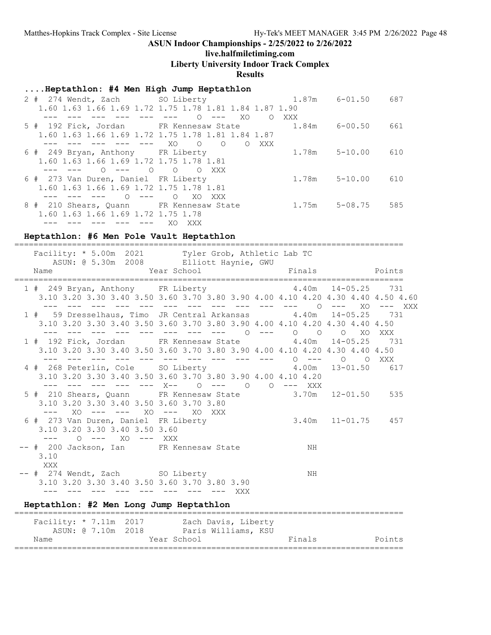# live.halfmiletiming.com

Liberty University Indoor Track Complex

### Results

# ....Heptathlon: #4 Men High Jump Heptathlon

| 2 # 274 Wendt, Zach SO Liberty          |                                                        | 1.87m | $6 - 01.50$ | 687 |
|-----------------------------------------|--------------------------------------------------------|-------|-------------|-----|
|                                         | 1.60 1.63 1.66 1.69 1.72 1.75 1.78 1.81 1.84 1.87 1.90 |       |             |     |
|                                         | XO<br>$\Omega$<br>∩<br>$\qquad \qquad - -$             | XXX   |             |     |
| 5 # 192 Fick, Jordan FR Kennesaw State  |                                                        | 1.84m | $6 - 00.50$ | 661 |
|                                         | 1.60 1.63 1.66 1.69 1.72 1.75 1.78 1.81 1.84 1.87      |       |             |     |
|                                         | XO<br>O XXX<br>$\circ$<br>$\circ$                      |       |             |     |
| 6 # 249 Bryan, Anthony FR Liberty       |                                                        | 1.78m | $5 - 10.00$ | 610 |
| 1.60 1.63 1.66 1.69 1.72 1.75 1.78 1.81 |                                                        |       |             |     |
| $\circ$ $\circ$ $\circ$ $\circ$         | $\Omega$<br>$\bigcirc$<br>XXX                          |       |             |     |
| 6 # 273 Van Duren, Daniel FR Liberty    |                                                        | 1.78m | $5 - 10.00$ | 610 |
| 1.60 1.63 1.66 1.69 1.72 1.75 1.78 1.81 |                                                        |       |             |     |
| $\bigcirc$                              | $\circ$<br>XO.<br>XXX                                  |       |             |     |
| 8 # 210 Shears, Ouann FR Kennesaw State |                                                        | 1.75m | $5 - 08.75$ | 585 |
| 1.60 1.63 1.66 1.69 1.72 1.75 1.78      |                                                        |       |             |     |
|                                         | XXX<br>XO                                              |       |             |     |

# Heptathlon: #6 Men Pole Vault Heptathlon

| Facility: * 5.00m 2021 Tyler Grob, Athletic Lab TC                                                                                    | ASUN: @ 5.30m 2008 Elliott Haynie, GWU                                                                                                                                   |                              |  |
|---------------------------------------------------------------------------------------------------------------------------------------|--------------------------------------------------------------------------------------------------------------------------------------------------------------------------|------------------------------|--|
|                                                                                                                                       |                                                                                                                                                                          |                              |  |
| 1 # 249 Bryan, Anthony FR Liberty 6.40m 14-05.25 731                                                                                  | 3.10 3.20 3.30 3.40 3.50 3.60 3.70 3.80 3.90 4.00 4.10 4.20 4.30 4.40 4.50 4.60<br>$\begin{tabular}{ll} \bf - - - & \bf - - - \\ \bf - - - & \bf - - - \\ \end{tabular}$ | --- --- --- 0 --- X0 --- XXX |  |
| 1 # 59 Dresselhaus, Timo JR Central Arkansas 4.40m 14-05.25 731                                                                       | 3.10 3.20 3.30 3.40 3.50 3.60 3.70 3.80 3.90 4.00 4.10 4.20 4.30 4.40 4.50<br>--- --- --- --- --- --- --- 0 --- 0 0 0 0 XO XXX                                           |                              |  |
| 1 # 192 Fick, Jordan FR Kennesaw State 4.40m 14-05.25 731                                                                             | 3.10 3.20 3.30 3.40 3.50 3.60 3.70 3.80 3.90 4.00 4.10 4.20 4.30 4.40 4.50<br>-- --- --- --- --- --- 0 --- 0 0 XXX                                                       |                              |  |
| 4 # 268 Peterlin, Cole SO Liberty 61.00m 13-01.50 617                                                                                 | 3.10 3.20 3.30 3.40 3.50 3.60 3.70 3.80 3.90 4.00 4.10 4.20<br>--- --- --- --- --- X-- 0 --- 0 0 --- XXX                                                                 |                              |  |
| 5 # 210 Shears, Quann FR Kennesaw State 3.70m 12-01.50 535<br>3.10 3.20 3.30 3.40 3.50 3.60 3.70 3.80<br>--- XO --- --- XO --- XO XXX |                                                                                                                                                                          |                              |  |
| 6 # 273 Van Duren, Daniel FR Liberty<br>3.10 3.20 3.30 3.40 3.50 3.60<br>--- 0 --- XO --- XXX                                         |                                                                                                                                                                          | $3.40m$ $11-01.75$ $457$     |  |
| - # 200 Jackson, Ian FR Kennesaw State<br>3.10<br>XXX                                                                                 |                                                                                                                                                                          | NH                           |  |
| -- # 274 Wendt, Zach SO Liberty<br>3.10 3.20 3.30 3.40 3.50 3.60 3.70 3.80 3.90                                                       | $-- ---$ XXX                                                                                                                                                             | NH                           |  |
| Heptathlon: #2 Men Long Jump Heptathlon                                                                                               | _________________________                                                                                                                                                |                              |  |

| Facility: * 7.11m 2017 |                    |  |             | Zach Davis, Liberty |  |        |        |
|------------------------|--------------------|--|-------------|---------------------|--|--------|--------|
|                        | ASUN: @ 7.10m 2018 |  |             | Paris Williams, KSU |  |        |        |
| Name                   |                    |  | Year School |                     |  | Finals | Points |
|                        |                    |  |             |                     |  |        |        |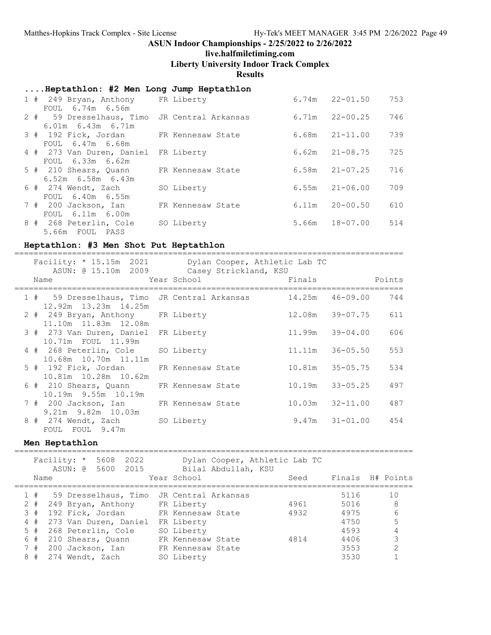#### live.halfmiletiming.com

Liberty University Indoor Track Complex

Results

#### ....Heptathlon: #2 Men Long Jump Heptathlon

| 1 # 249 Bryan, Anthony                       | FR Liberty        | 6.74m | $22 - 01.50$ | 753 |
|----------------------------------------------|-------------------|-------|--------------|-----|
| FOUL 6.74m 6.56m                             |                   |       |              |     |
| 2 # 59 Dresselhaus, Timo JR Central Arkansas |                   | 6.71m | $22 - 00.25$ | 746 |
| $6.01m$ $6.43m$ $6.71m$                      |                   |       |              |     |
| 3 # 192 Fick, Jordan                         | FR Kennesaw State | 6.68m | $21 - 11.00$ | 739 |
| FOUL 6.47m 6.68m                             |                   |       |              |     |
| 4 # 273 Van Duren, Daniel                    | FR Liberty        | 6.62m | $21 - 08.75$ | 725 |
| FOUL 6.33m 6.62m                             |                   |       |              |     |
| 5 # 210 Shears, Quann                        | FR Kennesaw State | 6.58m | $21 - 07.25$ | 716 |
| $6.52m$ $6.58m$ $6.43m$                      |                   |       |              |     |
| $6$ # 274 Wendt, Zach                        | SO Liberty        | 6.55m | $21 - 06.00$ | 709 |
| FOUL 6.40m 6.55m                             |                   |       |              |     |
| 7 # 200 Jackson, Ian                         | FR Kennesaw State | 6.11m | $20 - 00.50$ | 610 |
| FOUL 6.11m 6.00m                             |                   |       |              |     |
| 8 # 268 Peterlin, Cole                       | SO Liberty        | 5.66m | 18-07.00     | 514 |
| 5.66m FOUL PASS                              |                   |       |              |     |

#### Heptathlon: #3 Men Shot Put Heptathlon

| Facility: * 15.15m 2021 Dylan Cooper, Athletic Lab TC<br>ASUN: @ 15.10m 2009 Casey Strickland, KSU |                                                                                                                |                     |                            |
|----------------------------------------------------------------------------------------------------|----------------------------------------------------------------------------------------------------------------|---------------------|----------------------------|
| Name                                                                                               | Year School in the control of the control of the control of the control of the control of the control of the c | Finals              | Points                     |
| 1 # 59 Dresselhaus, Timo JR Central Arkansas<br>12.92m 13.23m 14.25m                               |                                                                                                                |                     | 14.25m  46-09.00<br>744    |
| 2 # 249 Bryan, Anthony FR Liberty<br>11.10m  11.83m  12.08m                                        |                                                                                                                |                     | 12.08m 39-07.75 611        |
| 3 # 273 Van Duren, Daniel<br>10.71m FOUL 11.99m                                                    | FR Liberty                                                                                                     | 11.99m              | 39-04.00<br>606            |
| 4 # 268 Peterlin, Cole SO Liberty<br>10.68m 10.70m 11.11m                                          |                                                                                                                |                     | $11.11m$ $36-05.50$<br>553 |
| 5 # 192 Fick, Jordan<br>10.81m 10.28m 10.62m                                                       | FR Kennesaw State                                                                                              | $10.81m$ $35-05.75$ | 534                        |
| 6 # 210 Shears, Quann<br>10.19m 9.55m 10.19m                                                       | FR Kennesaw State                                                                                              | 10.19m              | 497<br>33-05.25            |
| 7 # 200 Jackson, Ian FR Kennesaw State<br>$9.21m$ $9.82m$ $10.03m$                                 |                                                                                                                |                     | $10.03m$ $32-11.00$<br>487 |
| 8 # 274 Wendt, Zach<br>FOUL FOUL 9.47m                                                             | SO Liberty                                                                                                     |                     | 454<br>$9.47m$ $31-01.00$  |

#### Men Heptathlon

=================================================================================== Facility: \* 5608 2022 Dylan Cooper, Athletic Lab TC ASUN: @ 5600 2015 Bilal Abdullah, KSU Name The Year School Seed Finals H# Points =================================================================================== 1 # 59 Dresselhaus, Timo JR Central Arkansas 5116 5116 10<br>2 # 249 Bryan, Anthony FR Liberty 4961 5016 8 2 # 249 Bryan, Anthony FR Liberty 4961 5016 8 3 # 192 Fick, Jordan FR Kennesaw State 4932 4975 6 4 # 273 Van Duren, Daniel FR Liberty 4750 5 5 # 268 Peterlin, Cole SO Liberty 4593 4 6 # 210 Shears, Quann FR Kennesaw State 4814 4406 3 7 # 200 Jackson, Ian FR Kennesaw State 3553 2 8 # 274 Wendt, Zach SO Liberty 3530 1